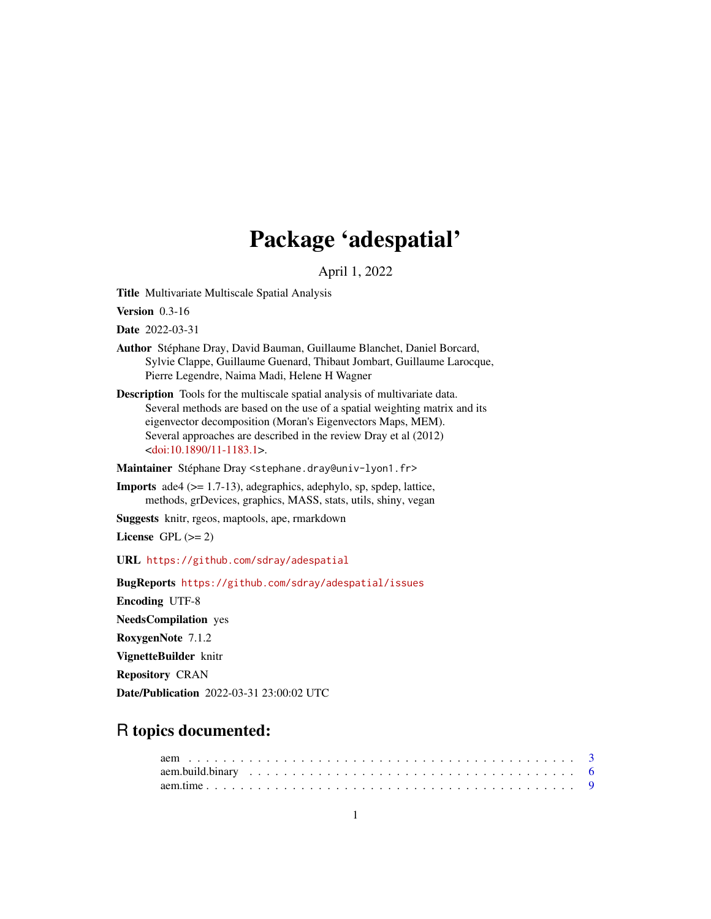# Package 'adespatial'

April 1, 2022

<span id="page-0-0"></span>Title Multivariate Multiscale Spatial Analysis

Version 0.3-16

Date 2022-03-31

- Author Stéphane Dray, David Bauman, Guillaume Blanchet, Daniel Borcard, Sylvie Clappe, Guillaume Guenard, Thibaut Jombart, Guillaume Larocque, Pierre Legendre, Naima Madi, Helene H Wagner
- Description Tools for the multiscale spatial analysis of multivariate data. Several methods are based on the use of a spatial weighting matrix and its eigenvector decomposition (Moran's Eigenvectors Maps, MEM). Several approaches are described in the review Dray et al (2012) [<doi:10.1890/11-1183.1>](https://doi.org/10.1890/11-1183.1).

Maintainer Stéphane Dray <stephane.dray@univ-lyon1.fr>

**Imports** ade4  $(>= 1.7-13)$ , adegraphics, adephylo, sp, spdep, lattice, methods, grDevices, graphics, MASS, stats, utils, shiny, vegan

Suggests knitr, rgeos, maptools, ape, rmarkdown

License GPL  $(>= 2)$ 

URL <https://github.com/sdray/adespatial>

BugReports <https://github.com/sdray/adespatial/issues> Encoding UTF-8 NeedsCompilation yes RoxygenNote 7.1.2 VignetteBuilder knitr Repository CRAN Date/Publication 2022-03-31 23:00:02 UTC

# R topics documented: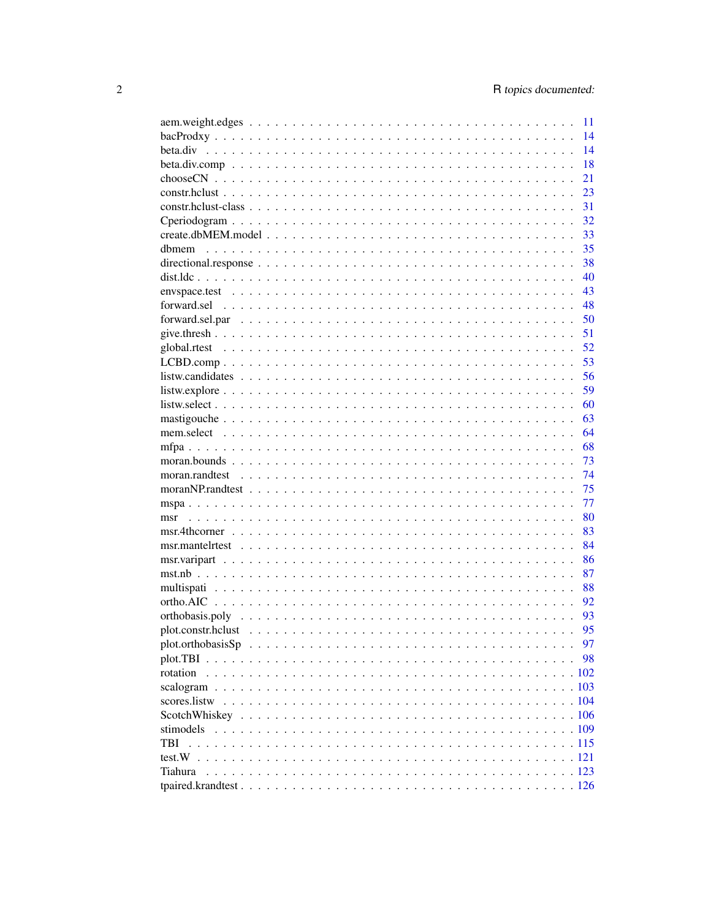|                                                                                                                        | 14              |
|------------------------------------------------------------------------------------------------------------------------|-----------------|
|                                                                                                                        | $\overline{14}$ |
|                                                                                                                        | 18              |
|                                                                                                                        | 21              |
|                                                                                                                        | 23              |
|                                                                                                                        | 31              |
|                                                                                                                        | 32              |
|                                                                                                                        | 33              |
|                                                                                                                        | 35              |
| directional.response $\dots \dots \dots \dots \dots \dots \dots \dots \dots \dots \dots \dots \dots \dots \dots \dots$ | 38              |
|                                                                                                                        | 40              |
|                                                                                                                        | 43              |
|                                                                                                                        |                 |
|                                                                                                                        |                 |
|                                                                                                                        |                 |
|                                                                                                                        |                 |
|                                                                                                                        |                 |
|                                                                                                                        |                 |
|                                                                                                                        |                 |
|                                                                                                                        |                 |
|                                                                                                                        |                 |
|                                                                                                                        |                 |
|                                                                                                                        |                 |
|                                                                                                                        |                 |
|                                                                                                                        |                 |
|                                                                                                                        |                 |
|                                                                                                                        |                 |
|                                                                                                                        |                 |
|                                                                                                                        |                 |
|                                                                                                                        |                 |
|                                                                                                                        |                 |
|                                                                                                                        |                 |
|                                                                                                                        |                 |
|                                                                                                                        |                 |
|                                                                                                                        |                 |
|                                                                                                                        |                 |
|                                                                                                                        | 97              |
|                                                                                                                        | 98              |
| rotation                                                                                                               |                 |
|                                                                                                                        |                 |
|                                                                                                                        |                 |
|                                                                                                                        |                 |
|                                                                                                                        |                 |
| TBI                                                                                                                    |                 |
|                                                                                                                        |                 |
|                                                                                                                        |                 |
|                                                                                                                        |                 |
|                                                                                                                        |                 |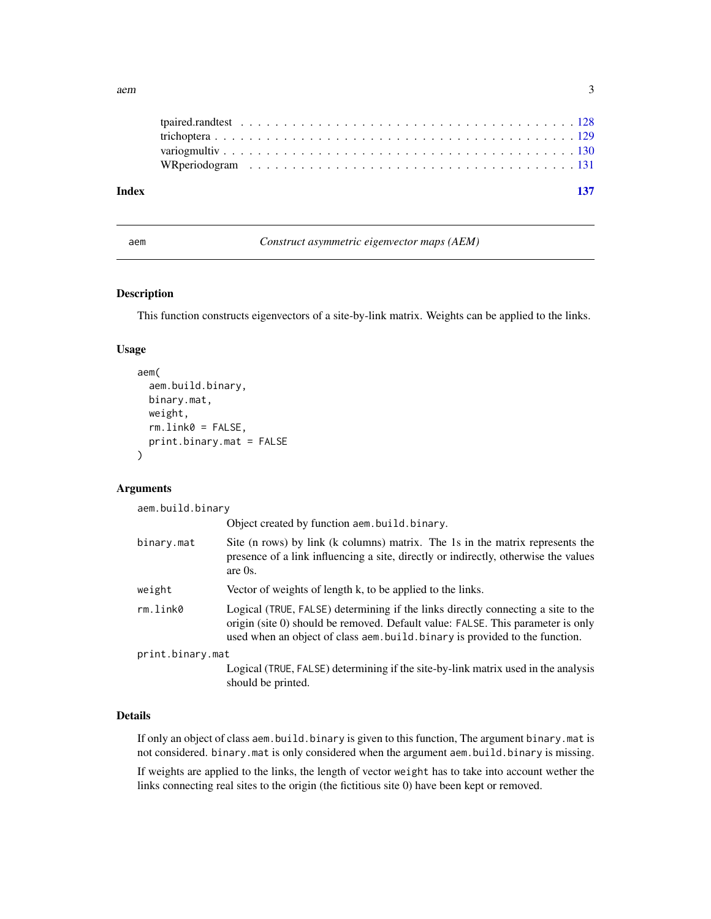<span id="page-2-0"></span>

<span id="page-2-1"></span>aem *Construct asymmetric eigenvector maps (AEM)*

# Description

This function constructs eigenvectors of a site-by-link matrix. Weights can be applied to the links.

## Usage

```
aem(
  aem.build.binary,
 binary.mat,
 weight,
  rm.link0 = FALSE,
  print.binary.mat = FALSE
)
```
# Arguments

aem.build.binary

|                  | Object created by function aem.build.binary.                                                                                                                                                                                                        |
|------------------|-----------------------------------------------------------------------------------------------------------------------------------------------------------------------------------------------------------------------------------------------------|
| binary.mat       | Site (n rows) by link (k columns) matrix. The 1s in the matrix represents the<br>presence of a link influencing a site, directly or indirectly, otherwise the values<br>are $0s$ .                                                                  |
| weight           | Vector of weights of length k, to be applied to the links.                                                                                                                                                                                          |
| rm.link0         | Logical (TRUE, FALSE) determining if the links directly connecting a site to the<br>origin (site 0) should be removed. Default value: FALSE. This parameter is only<br>used when an object of class aem. build. binary is provided to the function. |
| print.binary.mat |                                                                                                                                                                                                                                                     |
|                  | Logical (TRUE, FALSE) determining if the site-by-link matrix used in the analysis<br>should be printed.                                                                                                                                             |

# Details

If only an object of class aem.build.binary is given to this function, The argument binary.mat is not considered. binary.mat is only considered when the argument aem.build.binary is missing.

If weights are applied to the links, the length of vector weight has to take into account wether the links connecting real sites to the origin (the fictitious site 0) have been kept or removed.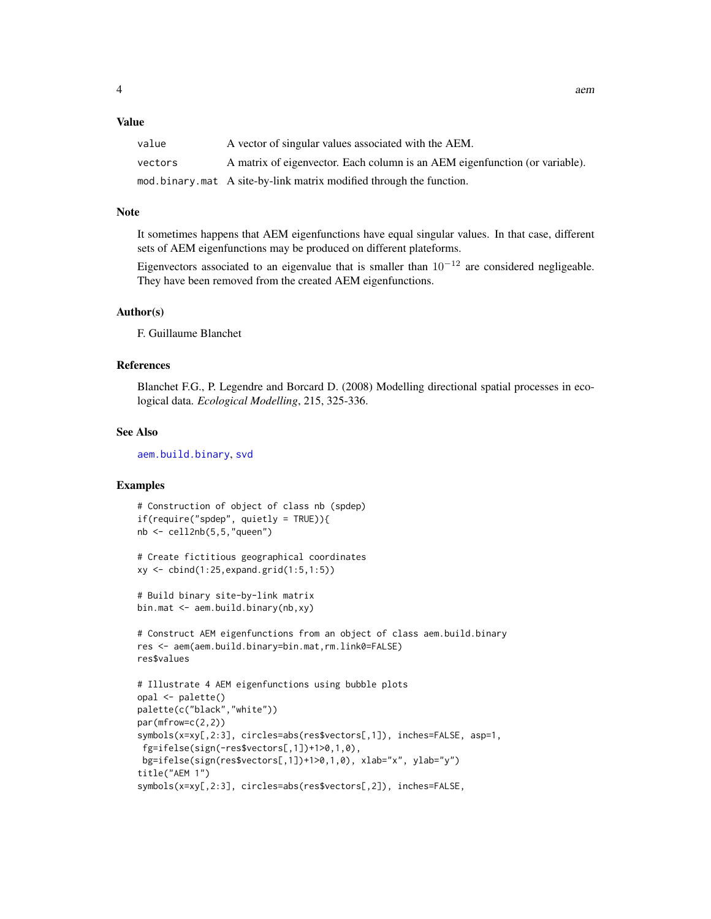#### Value

| value   | A vector of singular values associated with the AEM.                        |
|---------|-----------------------------------------------------------------------------|
| vectors | A matrix of eigenvector. Each column is an AEM eigenfunction (or variable). |
|         | mod.binary.mat A site-by-link matrix modified through the function.         |

# Note

It sometimes happens that AEM eigenfunctions have equal singular values. In that case, different sets of AEM eigenfunctions may be produced on different plateforms.

Eigenvectors associated to an eigenvalue that is smaller than  $10^{-12}$  are considered negligeable. They have been removed from the created AEM eigenfunctions.

### Author(s)

F. Guillaume Blanchet

# References

Blanchet F.G., P. Legendre and Borcard D. (2008) Modelling directional spatial processes in ecological data. *Ecological Modelling*, 215, 325-336.

#### See Also

[aem.build.binary](#page-5-1), [svd](#page-0-0)

# Examples

```
# Construction of object of class nb (spdep)
if(require("spdep", quietly = TRUE)){
nb <- cell2nb(5,5,"queen")
# Create fictitious geographical coordinates
xy <- cbind(1:25,expand.grid(1:5,1:5))
# Build binary site-by-link matrix
bin.mat <- aem.build.binary(nb,xy)
# Construct AEM eigenfunctions from an object of class aem.build.binary
res <- aem(aem.build.binary=bin.mat,rm.link0=FALSE)
res$values
# Illustrate 4 AEM eigenfunctions using bubble plots
opal <- palette()
palette(c("black","white"))
par(mfrow=c(2,2))
symbols(x=xy[,2:3], circles=abs(res$vectors[,1]), inches=FALSE, asp=1,
 fg=ifelse(sign(-res$vectors[,1])+1>0,1,0),
 bg=ifelse(sign(res$vectors[,1])+1>0,1,0), xlab="x", ylab="y")
title("AEM 1")
symbols(x=xy[,2:3], circles=abs(res$vectors[,2]), inches=FALSE,
```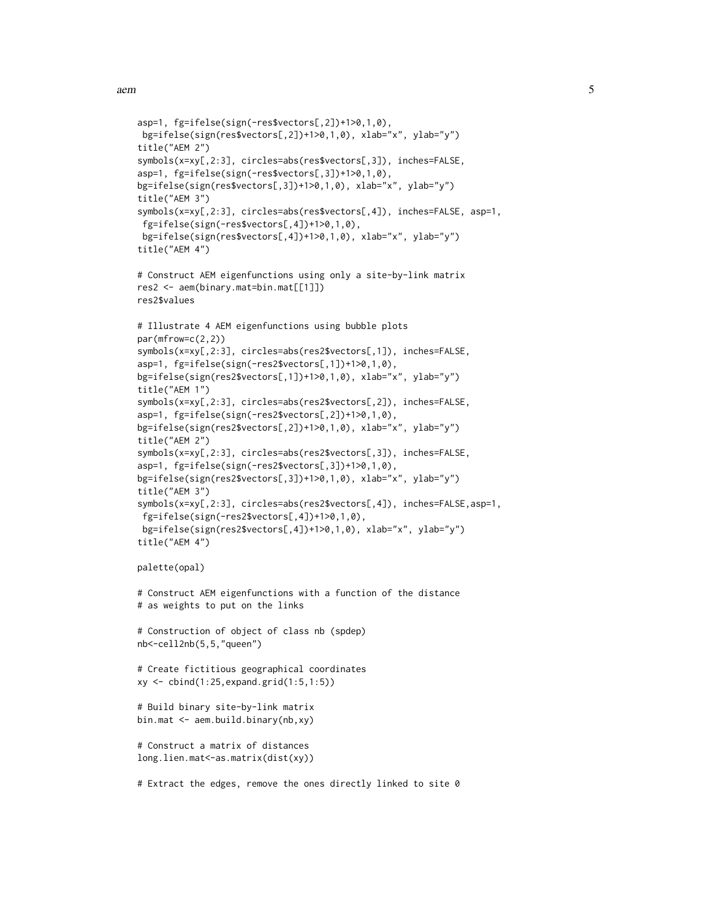```
asp=1, fg=ifelse(sign(-res$vectors[,2])+1>0,1,0),
bg=ifelse(sign(res$vectors[,2])+1>0,1,0), xlab="x", ylab="y")
title("AEM 2")
symbols(x=xy[,2:3], circles=abs(res$vectors[,3]), inches=FALSE,
asp=1, fg=ifelse(sign(-res$vectors[,3])+1>0,1,0),
bg=ifelse(sign(res$vectors[,3])+1>0,1,0), xlab="x", ylab="y")
title("AEM 3")
symbols(x=xy[,2:3], circles=abs(res$vectors[,4]), inches=FALSE, asp=1,
fg=ifelse(sign(-res$vectors[,4])+1>0,1,0),
bg=ifelse(sign(res$vectors[,4])+1>0,1,0), xlab="x", ylab="y")
title("AEM 4")
# Construct AEM eigenfunctions using only a site-by-link matrix
res2 <- aem(binary.mat=bin.mat[[1]])
res2$values
# Illustrate 4 AEM eigenfunctions using bubble plots
par(mfrow=c(2,2))
symbols(x=xy[,2:3], circles=abs(res2$vectors[,1]), inches=FALSE,
asp=1, fg=ifelse(sign(-res2$vectors[,1])+1>0,1,0),
bg=ifelse(sign(res2$vectors[,1])+1>0,1,0), xlab="x", ylab="y")
title("AEM 1")
symbols(x=xy[,2:3], circles=abs(res2$vectors[,2]), inches=FALSE,
asp=1, fg=ifelse(sign(-res2$vectors[,2])+1>0,1,0),
bg=ifelse(sign(res2$vectors[,2])+1>0,1,0), xlab="x", ylab="y")
title("AEM 2")
symbols(x=xy[,2:3], circles=abs(res2$vectors[,3]), inches=FALSE,
asp=1, fg=ifelse(sign(-res2$vectors[,3])+1>0,1,0),
bg=ifelse(sign(res2$vectors[,3])+1>0,1,0), xlab="x", ylab="y")
title("AEM 3")
symbols(x=xy[,2:3], circles=abs(res2$vectors[,4]), inches=FALSE,asp=1,
fg=ifelse(sign(-res2$vectors[,4])+1>0,1,0),
bg=ifelse(sign(res2$vectors[,4])+1>0,1,0), xlab="x", ylab="y")
title("AEM 4")
palette(opal)
# Construct AEM eigenfunctions with a function of the distance
# as weights to put on the links
# Construction of object of class nb (spdep)
nb<-cell2nb(5,5,"queen")
# Create fictitious geographical coordinates
xy <- cbind(1:25,expand.grid(1:5,1:5))
# Build binary site-by-link matrix
bin.mat <- aem.build.binary(nb,xy)
# Construct a matrix of distances
long.lien.mat<-as.matrix(dist(xy))
# Extract the edges, remove the ones directly linked to site 0
```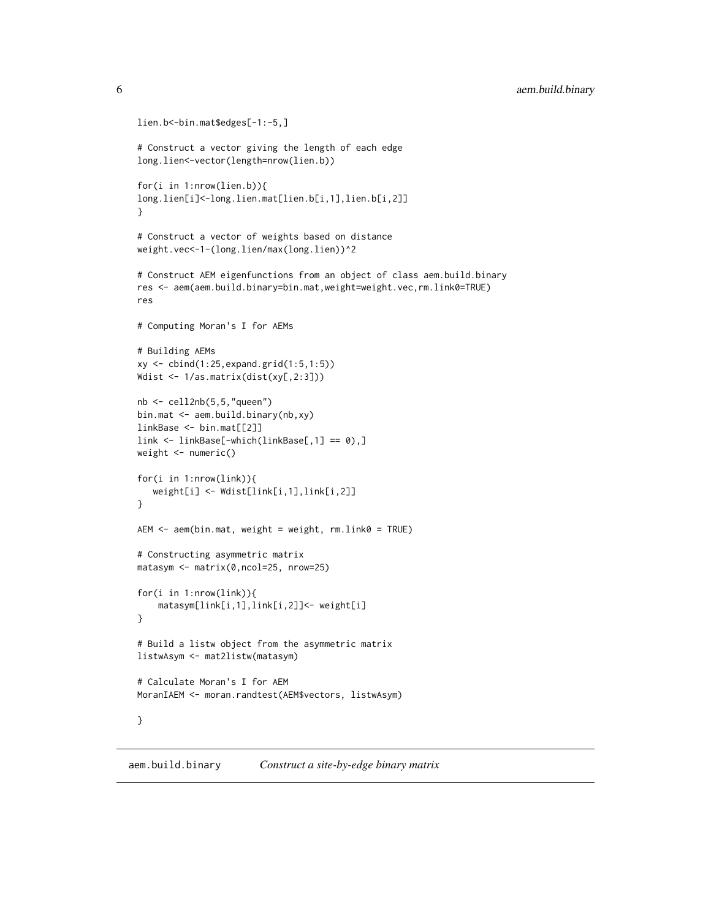```
lien.b<-bin.mat$edges[-1:-5,]
# Construct a vector giving the length of each edge
long.lien<-vector(length=nrow(lien.b))
for(i in 1:nrow(lien.b)){
long.lien[i]<-long.lien.mat[lien.b[i,1],lien.b[i,2]]
}
# Construct a vector of weights based on distance
weight.vec<-1-(long.lien/max(long.lien))^2
# Construct AEM eigenfunctions from an object of class aem.build.binary
res <- aem(aem.build.binary=bin.mat,weight=weight.vec,rm.link0=TRUE)
res
# Computing Moran's I for AEMs
# Building AEMs
xy <- cbind(1:25,expand.grid(1:5,1:5))
Wdist <- 1/as.matrix(dist(xy[,2:3]))
nb <- cell2nb(5,5,"queen")
bin.mat <- aem.build.binary(nb,xy)
linkBase <- bin.mat[[2]]
link <- linkBase[-which(linkBase[,1] == 0),]
weight <- numeric()
for(i in 1:nrow(link)){
   weight[i] <- Wdist[link[i,1],link[i,2]]
}
AEM <- aem(bin.mat, weight = weight, rm.link0 = TRUE)
# Constructing asymmetric matrix
matasym <- matrix(0,ncol=25, nrow=25)
for(i in 1:nrow(link)){
    matasym[link[i,1],link[i,2]]<- weight[i]
}
# Build a listw object from the asymmetric matrix
listwAsym <- mat2listw(matasym)
# Calculate Moran's I for AEM
MoranIAEM <- moran.randtest(AEM$vectors, listwAsym)
}
```
<span id="page-5-1"></span>aem.build.binary *Construct a site-by-edge binary matrix*

<span id="page-5-0"></span>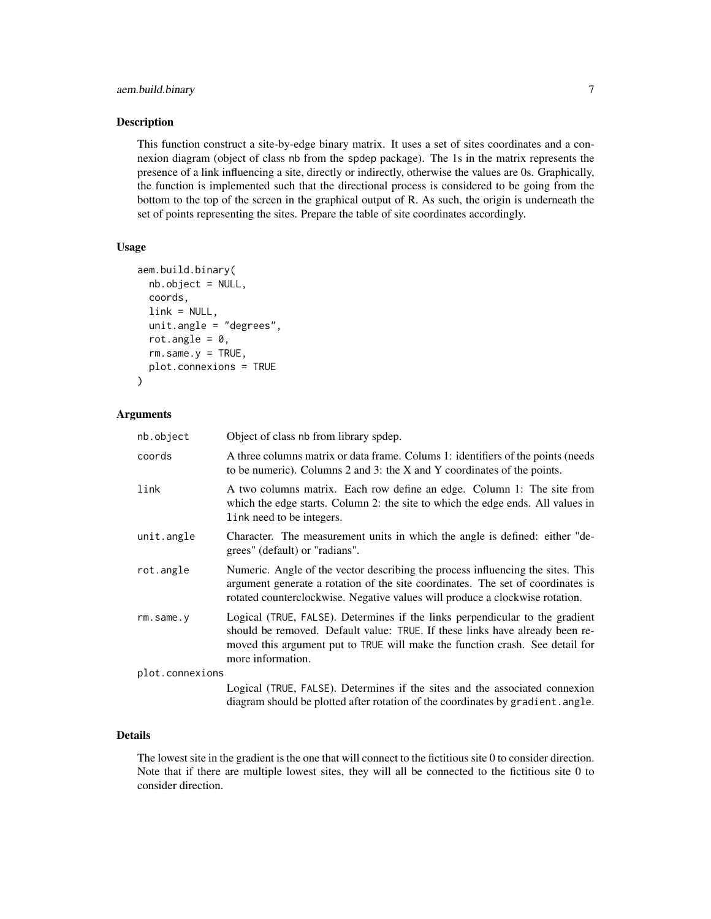# aem.build.binary 7

#### Description

This function construct a site-by-edge binary matrix. It uses a set of sites coordinates and a connexion diagram (object of class nb from the spdep package). The 1s in the matrix represents the presence of a link influencing a site, directly or indirectly, otherwise the values are 0s. Graphically, the function is implemented such that the directional process is considered to be going from the bottom to the top of the screen in the graphical output of R. As such, the origin is underneath the set of points representing the sites. Prepare the table of site coordinates accordingly.

#### Usage

```
aem.build.binary(
 nb.object = NULL,
  coords,
  link = NULL,unit.angle = "degrees",
  rot.angle = 0,
  rm.same.y = TRUE,
 plot.connexions = TRUE
)
```
# Arguments

| nb.object       | Object of class nb from library spdep.                                                                                                                                                                                                                            |
|-----------------|-------------------------------------------------------------------------------------------------------------------------------------------------------------------------------------------------------------------------------------------------------------------|
| coords          | A three columns matrix or data frame. Colums 1: identifiers of the points (needs<br>to be numeric). Columns 2 and 3: the X and Y coordinates of the points.                                                                                                       |
| link            | A two columns matrix. Each row define an edge. Column 1: The site from<br>which the edge starts. Column 2: the site to which the edge ends. All values in<br>link need to be integers.                                                                            |
| unit.angle      | Character. The measurement units in which the angle is defined: either "de-<br>grees" (default) or "radians".                                                                                                                                                     |
| rot.angle       | Numeric. Angle of the vector describing the process influencing the sites. This<br>argument generate a rotation of the site coordinates. The set of coordinates is<br>rotated counterclockwise. Negative values will produce a clockwise rotation.                |
| rm.same.y       | Logical (TRUE, FALSE). Determines if the links perpendicular to the gradient<br>should be removed. Default value: TRUE. If these links have already been re-<br>moved this argument put to TRUE will make the function crash. See detail for<br>more information. |
| plot.connexions |                                                                                                                                                                                                                                                                   |
|                 | Logical (TRUE, FALSE). Determines if the sites and the associated connexion<br>diagram should be plotted after rotation of the coordinates by gradient. angle.                                                                                                    |

# Details

The lowest site in the gradient is the one that will connect to the fictitious site 0 to consider direction. Note that if there are multiple lowest sites, they will all be connected to the fictitious site 0 to consider direction.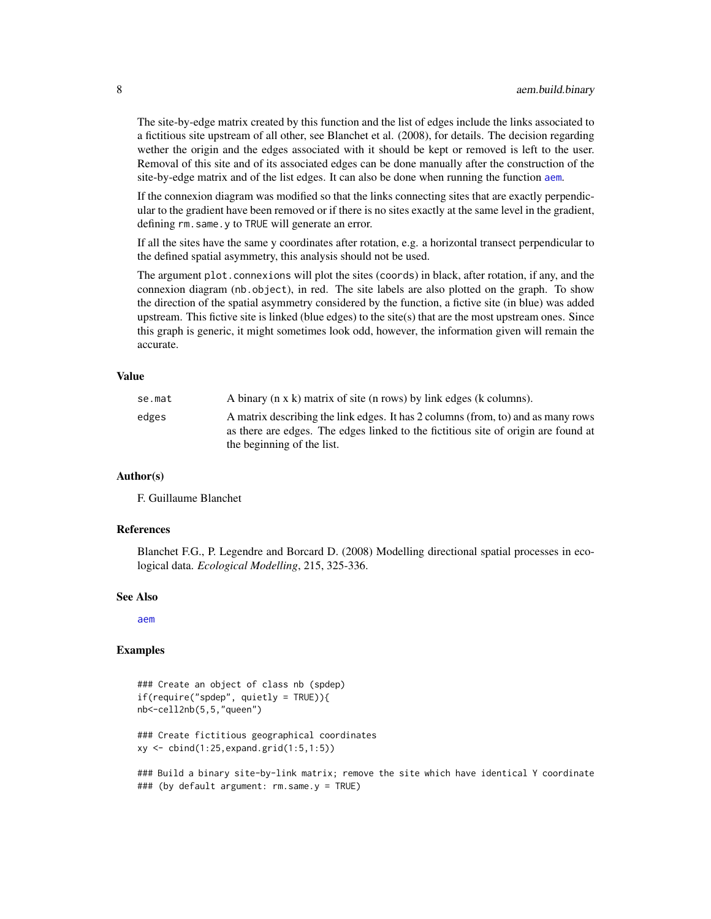The site-by-edge matrix created by this function and the list of edges include the links associated to a fictitious site upstream of all other, see Blanchet et al. (2008), for details. The decision regarding wether the origin and the edges associated with it should be kept or removed is left to the user. Removal of this site and of its associated edges can be done manually after the construction of the site-by-edge matrix and of the list edges. It can also be done when running the function [aem](#page-2-1).

If the connexion diagram was modified so that the links connecting sites that are exactly perpendicular to the gradient have been removed or if there is no sites exactly at the same level in the gradient, defining rm.same.y to TRUE will generate an error.

If all the sites have the same y coordinates after rotation, e.g. a horizontal transect perpendicular to the defined spatial asymmetry, this analysis should not be used.

The argument plot.connexions will plot the sites (coords) in black, after rotation, if any, and the connexion diagram (nb.object), in red. The site labels are also plotted on the graph. To show the direction of the spatial asymmetry considered by the function, a fictive site (in blue) was added upstream. This fictive site is linked (blue edges) to the site(s) that are the most upstream ones. Since this graph is generic, it might sometimes look odd, however, the information given will remain the accurate.

#### Value

| se.mat | A binary (n x k) matrix of site (n rows) by link edges (k columns).                                                                                                    |
|--------|------------------------------------------------------------------------------------------------------------------------------------------------------------------------|
| edges  | A matrix describing the link edges. It has 2 columns (from, to) and as many rows<br>as there are edges. The edges linked to the fictitious site of origin are found at |
|        | the beginning of the list.                                                                                                                                             |

#### Author(s)

F. Guillaume Blanchet

#### References

Blanchet F.G., P. Legendre and Borcard D. (2008) Modelling directional spatial processes in ecological data. *Ecological Modelling*, 215, 325-336.

#### See Also

[aem](#page-2-1)

#### Examples

```
### Create an object of class nb (spdep)
if(require("spdep", quietly = TRUE)){
nb<-cell2nb(5,5,"queen")
### Create fictitious geographical coordinates
xy <- cbind(1:25,expand.grid(1:5,1:5))
### Build a binary site-by-link matrix; remove the site which have identical Y coordinate
### (by default argument: rm.same.y = TRUE)
```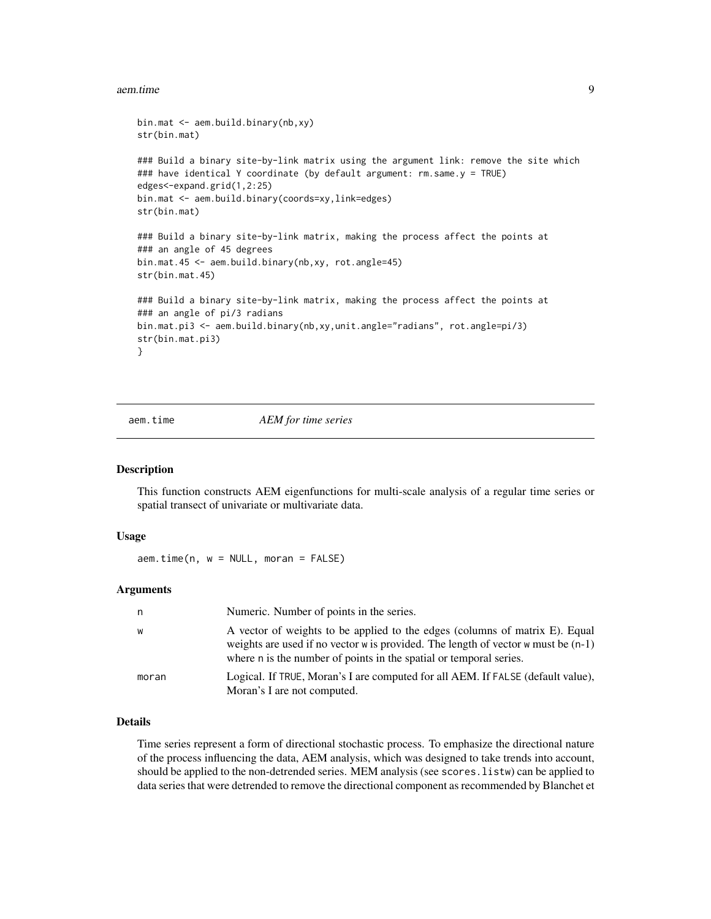#### <span id="page-8-0"></span>aem.time 9

```
bin.mat <- aem.build.binary(nb,xy)
str(bin.mat)
### Build a binary site-by-link matrix using the argument link: remove the site which
### have identical Y coordinate (by default argument: rm.same.y = TRUE)
edges<-expand.grid(1,2:25)
bin.mat <- aem.build.binary(coords=xy,link=edges)
str(bin.mat)
### Build a binary site-by-link matrix, making the process affect the points at
### an angle of 45 degrees
bin.mat.45 <- aem.build.binary(nb,xy, rot.angle=45)
str(bin.mat.45)
### Build a binary site-by-link matrix, making the process affect the points at
### an angle of pi/3 radians
bin.mat.pi3 <- aem.build.binary(nb,xy,unit.angle="radians", rot.angle=pi/3)
str(bin.mat.pi3)
}
```
aem.time *AEM for time series*

### Description

This function constructs AEM eigenfunctions for multi-scale analysis of a regular time series or spatial transect of univariate or multivariate data.

#### Usage

 $aem.time(n, w = NULL, moran = FALSE)$ 

#### Arguments

| n     | Numeric. Number of points in the series.                                                                                                                                                                                                     |
|-------|----------------------------------------------------------------------------------------------------------------------------------------------------------------------------------------------------------------------------------------------|
| W     | A vector of weights to be applied to the edges (columns of matrix E). Equal<br>weights are used if no vector $w$ is provided. The length of vector $w$ must be $(n-1)$<br>where n is the number of points in the spatial or temporal series. |
| moran | Logical. If TRUE, Moran's I are computed for all AEM. If FALSE (default value),<br>Moran's I are not computed.                                                                                                                               |

# Details

Time series represent a form of directional stochastic process. To emphasize the directional nature of the process influencing the data, AEM analysis, which was designed to take trends into account, should be applied to the non-detrended series. MEM analysis (see scores.listw) can be applied to data series that were detrended to remove the directional component as recommended by Blanchet et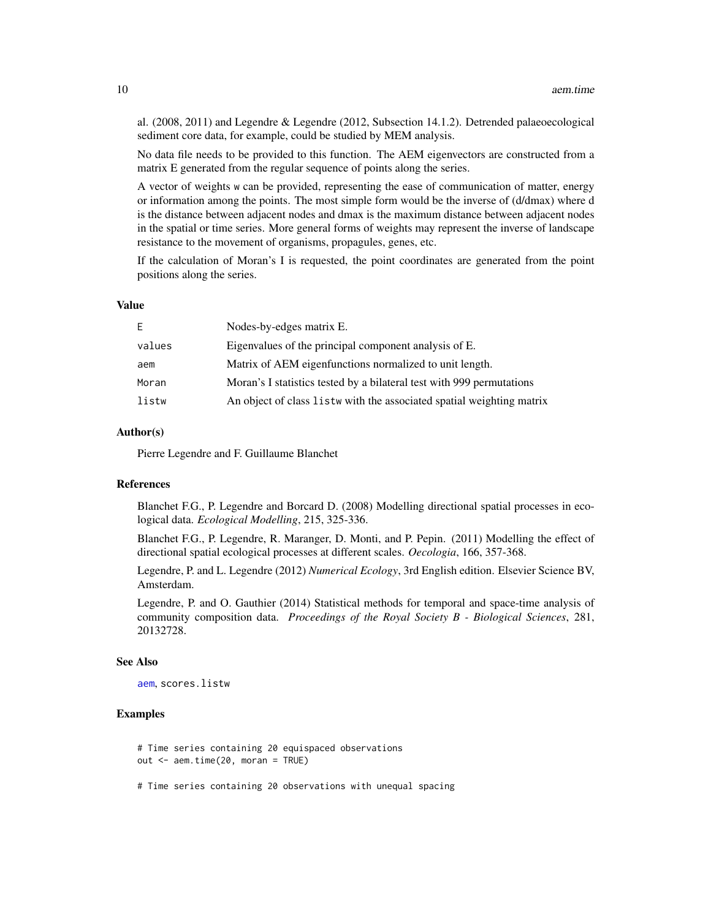al. (2008, 2011) and Legendre & Legendre (2012, Subsection 14.1.2). Detrended palaeoecological sediment core data, for example, could be studied by MEM analysis.

No data file needs to be provided to this function. The AEM eigenvectors are constructed from a matrix E generated from the regular sequence of points along the series.

A vector of weights w can be provided, representing the ease of communication of matter, energy or information among the points. The most simple form would be the inverse of (d/dmax) where d is the distance between adjacent nodes and dmax is the maximum distance between adjacent nodes in the spatial or time series. More general forms of weights may represent the inverse of landscape resistance to the movement of organisms, propagules, genes, etc.

If the calculation of Moran's I is requested, the point coordinates are generated from the point positions along the series.

#### Value

| E      | Nodes-by-edges matrix E.                                              |
|--------|-----------------------------------------------------------------------|
| values | Eigenvalues of the principal component analysis of E.                 |
| aem    | Matrix of AEM eigenfunctions normalized to unit length.               |
| Moran  | Moran's I statistics tested by a bilateral test with 999 permutations |
| listw  | An object of class listw with the associated spatial weighting matrix |

### Author(s)

Pierre Legendre and F. Guillaume Blanchet

# References

Blanchet F.G., P. Legendre and Borcard D. (2008) Modelling directional spatial processes in ecological data. *Ecological Modelling*, 215, 325-336.

Blanchet F.G., P. Legendre, R. Maranger, D. Monti, and P. Pepin. (2011) Modelling the effect of directional spatial ecological processes at different scales. *Oecologia*, 166, 357-368.

Legendre, P. and L. Legendre (2012) *Numerical Ecology*, 3rd English edition. Elsevier Science BV, Amsterdam.

Legendre, P. and O. Gauthier (2014) Statistical methods for temporal and space-time analysis of community composition data. *Proceedings of the Royal Society B - Biological Sciences*, 281, 20132728.

#### See Also

[aem](#page-2-1), scores.listw

# Examples

```
# Time series containing 20 equispaced observations
out <- aem.time(20, moran = TRUE)
```
# Time series containing 20 observations with unequal spacing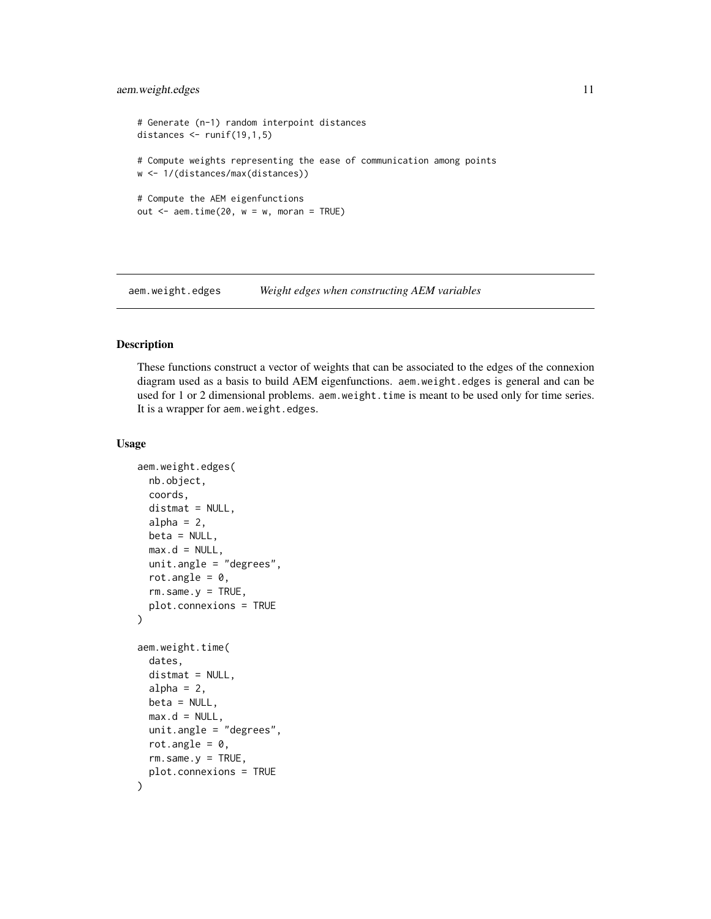# <span id="page-10-0"></span>aem.weight.edges 11

```
# Generate (n-1) random interpoint distances
distances <- runif(19,1,5)
# Compute weights representing the ease of communication among points
w <- 1/(distances/max(distances))
# Compute the AEM eigenfunctions
out \leq aem.time(20, w = w, moran = TRUE)
```
aem.weight.edges *Weight edges when constructing AEM variables*

# Description

These functions construct a vector of weights that can be associated to the edges of the connexion diagram used as a basis to build AEM eigenfunctions. aem.weight.edges is general and can be used for 1 or 2 dimensional problems. aem.weight.time is meant to be used only for time series. It is a wrapper for aem.weight.edges.

#### Usage

```
aem.weight.edges(
 nb.object,
 coords,
  distmat = NULL,alpha = 2,
 beta = NULL,max.d = NULL,unit.angle = "degrees",
  rot.angle = 0,
  rm.same.y = TRUE,plot.connexions = TRUE
\mathcal{E}aem.weight.time(
  dates,
  distmat = NULL,
  alpha = 2,
 beta = NULL,
 max.d = NULL,unit.angle = "degrees",
  rot.angle = 0,
  rm.same.y = TRUE,plot.connexions = TRUE
)
```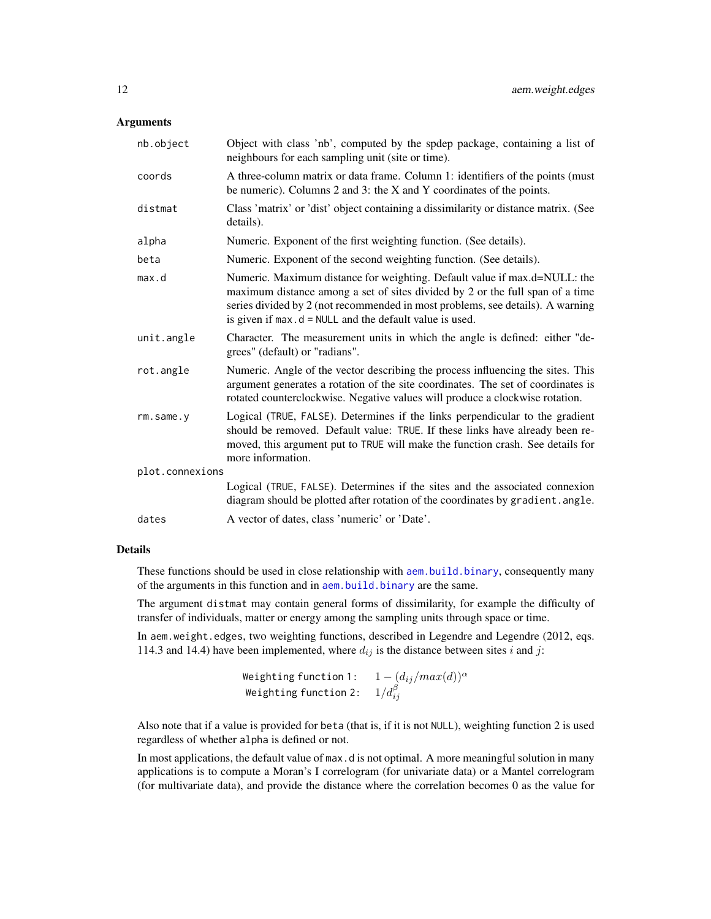#### Arguments

| nb.object       | Object with class 'nb', computed by the spdep package, containing a list of<br>neighbours for each sampling unit (site or time).                                                                                                                                                                          |
|-----------------|-----------------------------------------------------------------------------------------------------------------------------------------------------------------------------------------------------------------------------------------------------------------------------------------------------------|
| coords          | A three-column matrix or data frame. Column 1: identifiers of the points (must<br>be numeric). Columns 2 and 3: the X and Y coordinates of the points.                                                                                                                                                    |
| distmat         | Class 'matrix' or 'dist' object containing a dissimilarity or distance matrix. (See<br>details).                                                                                                                                                                                                          |
| alpha           | Numeric. Exponent of the first weighting function. (See details).                                                                                                                                                                                                                                         |
| beta            | Numeric. Exponent of the second weighting function. (See details).                                                                                                                                                                                                                                        |
| max.d           | Numeric. Maximum distance for weighting. Default value if max.d=NULL: the<br>maximum distance among a set of sites divided by 2 or the full span of a time<br>series divided by 2 (not recommended in most problems, see details). A warning<br>is given if $max.d = NULL$ and the default value is used. |
| unit.angle      | Character. The measurement units in which the angle is defined: either "de-<br>grees" (default) or "radians".                                                                                                                                                                                             |
| rot.angle       | Numeric. Angle of the vector describing the process influencing the sites. This<br>argument generates a rotation of the site coordinates. The set of coordinates is<br>rotated counterclockwise. Negative values will produce a clockwise rotation.                                                       |
| rm.same.y       | Logical (TRUE, FALSE). Determines if the links perpendicular to the gradient<br>should be removed. Default value: TRUE. If these links have already been re-<br>moved, this argument put to TRUE will make the function crash. See details for<br>more information.                                       |
| plot.connexions |                                                                                                                                                                                                                                                                                                           |
|                 | Logical (TRUE, FALSE). Determines if the sites and the associated connexion<br>diagram should be plotted after rotation of the coordinates by gradient. angle.                                                                                                                                            |
| dates           | A vector of dates, class 'numeric' or 'Date'.                                                                                                                                                                                                                                                             |

#### Details

These functions should be used in close relationship with [aem.build.binary](#page-5-1), consequently many of the arguments in this function and in [aem.build.binary](#page-5-1) are the same.

The argument distmat may contain general forms of dissimilarity, for example the difficulty of transfer of individuals, matter or energy among the sampling units through space or time.

In aem.weight.edges, two weighting functions, described in Legendre and Legendre (2012, eqs. 114.3 and 14.4) have been implemented, where  $d_{ij}$  is the distance between sites i and j:

> Weighting function 1:  $1-(d_{ij}/max(d))^{\alpha}$ Weighting function 2:  $1/d_{ij}^{\beta}$

Also note that if a value is provided for beta (that is, if it is not NULL), weighting function 2 is used regardless of whether alpha is defined or not.

In most applications, the default value of max.d is not optimal. A more meaningful solution in many applications is to compute a Moran's I correlogram (for univariate data) or a Mantel correlogram (for multivariate data), and provide the distance where the correlation becomes 0 as the value for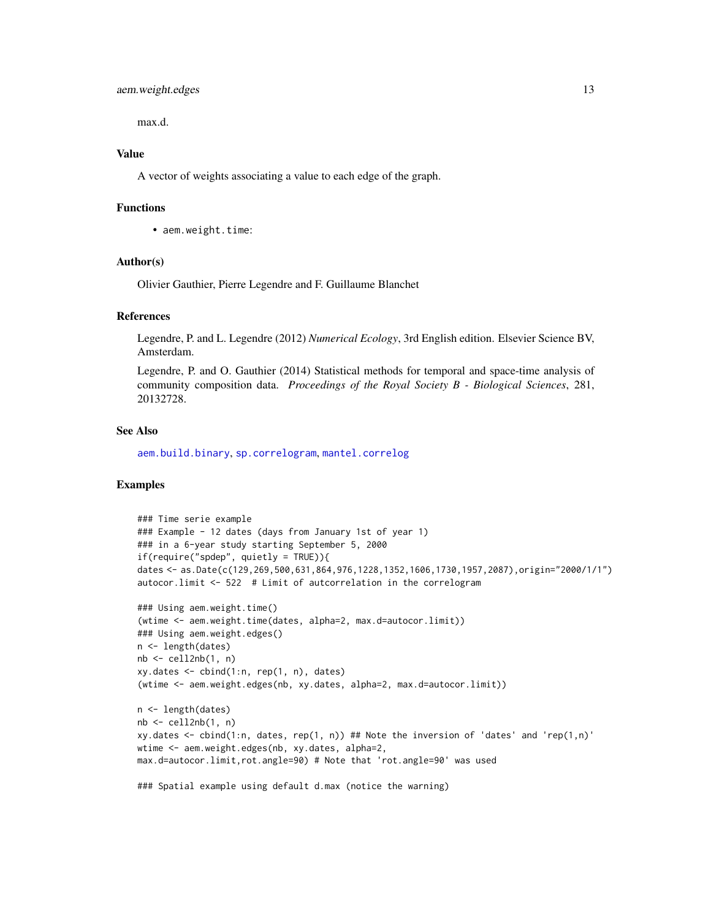aem.weight.edges 13

max.d.

# Value

A vector of weights associating a value to each edge of the graph.

#### Functions

• aem.weight.time:

#### Author(s)

Olivier Gauthier, Pierre Legendre and F. Guillaume Blanchet

### **References**

Legendre, P. and L. Legendre (2012) *Numerical Ecology*, 3rd English edition. Elsevier Science BV, Amsterdam.

Legendre, P. and O. Gauthier (2014) Statistical methods for temporal and space-time analysis of community composition data. *Proceedings of the Royal Society B - Biological Sciences*, 281, 20132728.

#### See Also

[aem.build.binary](#page-5-1), [sp.correlogram](#page-0-0), [mantel.correlog](#page-0-0)

# Examples

```
### Time serie example
### Example - 12 dates (days from January 1st of year 1)
### in a 6-year study starting September 5, 2000
if(require("spdep", quietly = TRUE)){
dates <- as.Date(c(129,269,500,631,864,976,1228,1352,1606,1730,1957,2087),origin="2000/1/1")
autocor.limit <- 522 # Limit of autcorrelation in the correlogram
### Using aem.weight.time()
(wtime <- aem.weight.time(dates, alpha=2, max.d=autocor.limit))
### Using aem.weight.edges()
n <- length(dates)
nb \leftarrow cell2nb(1, n)xy.dates <- cbind(1:n, rep(1, n), dates)
(wtime <- aem.weight.edges(nb, xy.dates, alpha=2, max.d=autocor.limit))
n <- length(dates)
nb <- cell2nb(1, n)
xy.dates <- cbind(1:n, dates, rep(1, n)) ## Note the inversion of 'dates' and 'rep(1,n)'
wtime <- aem.weight.edges(nb, xy.dates, alpha=2,
max.d=autocor.limit,rot.angle=90) # Note that 'rot.angle=90' was used
### Spatial example using default d.max (notice the warning)
```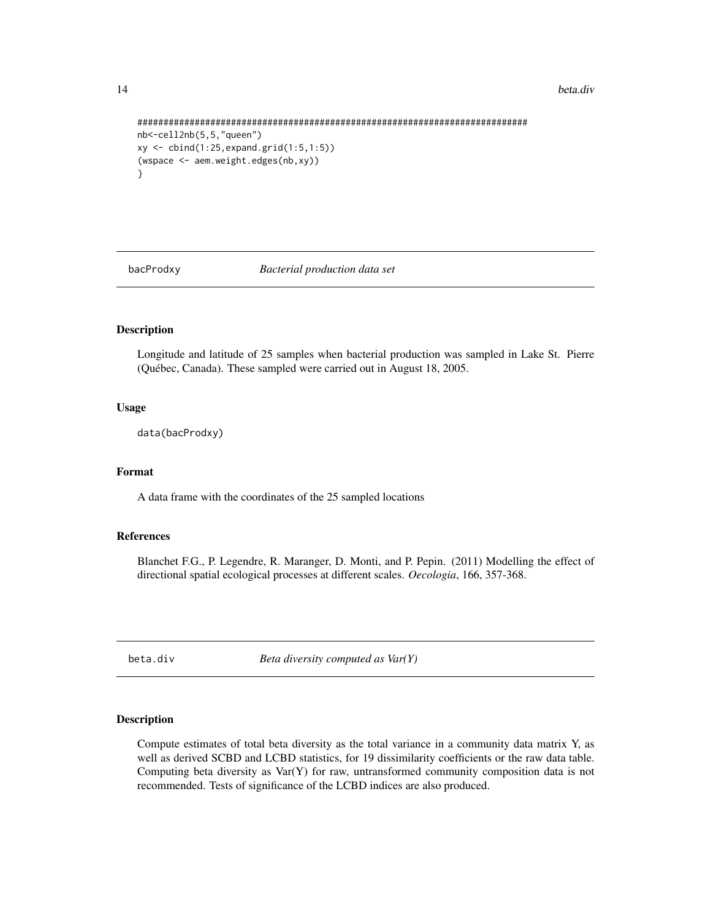#### <span id="page-13-0"></span>14 beta.div

```
###########################################################################
nb<-cell2nb(5,5,"queen")
xy <- cbind(1:25,expand.grid(1:5,1:5))
(wspace <- aem.weight.edges(nb,xy))
}
```
bacProdxy *Bacterial production data set*

# Description

Longitude and latitude of 25 samples when bacterial production was sampled in Lake St. Pierre (Québec, Canada). These sampled were carried out in August 18, 2005.

#### Usage

data(bacProdxy)

# Format

A data frame with the coordinates of the 25 sampled locations

# References

Blanchet F.G., P. Legendre, R. Maranger, D. Monti, and P. Pepin. (2011) Modelling the effect of directional spatial ecological processes at different scales. *Oecologia*, 166, 357-368.

beta.div *Beta diversity computed as Var(Y)*

#### Description

Compute estimates of total beta diversity as the total variance in a community data matrix Y, as well as derived SCBD and LCBD statistics, for 19 dissimilarity coefficients or the raw data table. Computing beta diversity as  $Var(Y)$  for raw, untransformed community composition data is not recommended. Tests of significance of the LCBD indices are also produced.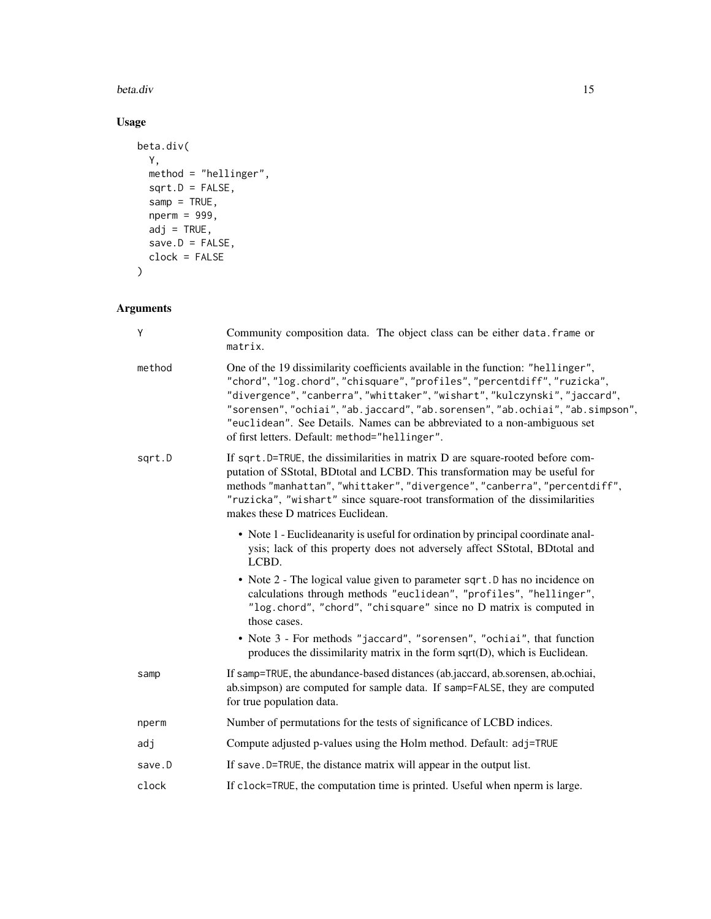beta.div 15

# Usage

```
beta.div(
  Y,
  method = "hellinger",
  sqrt.D = FALSE,\text{sample} = \text{TRUE},
  nperm = 999,
  adj = TRUE,save.D = FALSE,clock = FALSE
)
```
# Arguments

| Community composition data. The object class can be either data. frame or<br>matrix.                                                                                                                                                                                                                                                                                                                                                                       |
|------------------------------------------------------------------------------------------------------------------------------------------------------------------------------------------------------------------------------------------------------------------------------------------------------------------------------------------------------------------------------------------------------------------------------------------------------------|
| One of the 19 dissimilarity coefficients available in the function: "hellinger",<br>"chord", "log.chord", "chisquare", "profiles", "percentdiff", "ruzicka",<br>"divergence", "canberra", "whittaker", "wishart", "kulczynski", "jaccard",<br>"sorensen", "ochiai", "ab.jaccard", "ab.sorensen", "ab.ochiai", "ab.simpson",<br>"euclidean". See Details. Names can be abbreviated to a non-ambiguous set<br>of first letters. Default: method="hellinger". |
| If sqrt.D=TRUE, the dissimilarities in matrix D are square-rooted before com-<br>putation of SStotal, BDtotal and LCBD. This transformation may be useful for<br>methods "manhattan", "whittaker", "divergence", "canberra", "percentdiff",<br>"ruzicka", "wishart" since square-root transformation of the dissimilarities<br>makes these D matrices Euclidean.                                                                                           |
| • Note 1 - Euclideanarity is useful for ordination by principal coordinate anal-<br>ysis; lack of this property does not adversely affect SStotal, BDtotal and<br>LCBD.                                                                                                                                                                                                                                                                                    |
| • Note 2 - The logical value given to parameter sqrt. D has no incidence on<br>calculations through methods "euclidean", "profiles", "hellinger",<br>"log.chord", "chord", "chisquare" since no D matrix is computed in<br>those cases.                                                                                                                                                                                                                    |
| • Note 3 - For methods "jaccard", "sorensen", "ochiai", that function<br>produces the dissimilarity matrix in the form $sqrt(D)$ , which is Euclidean.                                                                                                                                                                                                                                                                                                     |
| If samp=TRUE, the abundance-based distances (ab.jaccard, ab.sorensen, ab.ochiai,<br>ab.simpson) are computed for sample data. If samp=FALSE, they are computed<br>for true population data.                                                                                                                                                                                                                                                                |
| Number of permutations for the tests of significance of LCBD indices.                                                                                                                                                                                                                                                                                                                                                                                      |
| Compute adjusted p-values using the Holm method. Default: adj=TRUE                                                                                                                                                                                                                                                                                                                                                                                         |
| If save. D=TRUE, the distance matrix will appear in the output list.                                                                                                                                                                                                                                                                                                                                                                                       |
| If clock=TRUE, the computation time is printed. Useful when nperm is large.                                                                                                                                                                                                                                                                                                                                                                                |
|                                                                                                                                                                                                                                                                                                                                                                                                                                                            |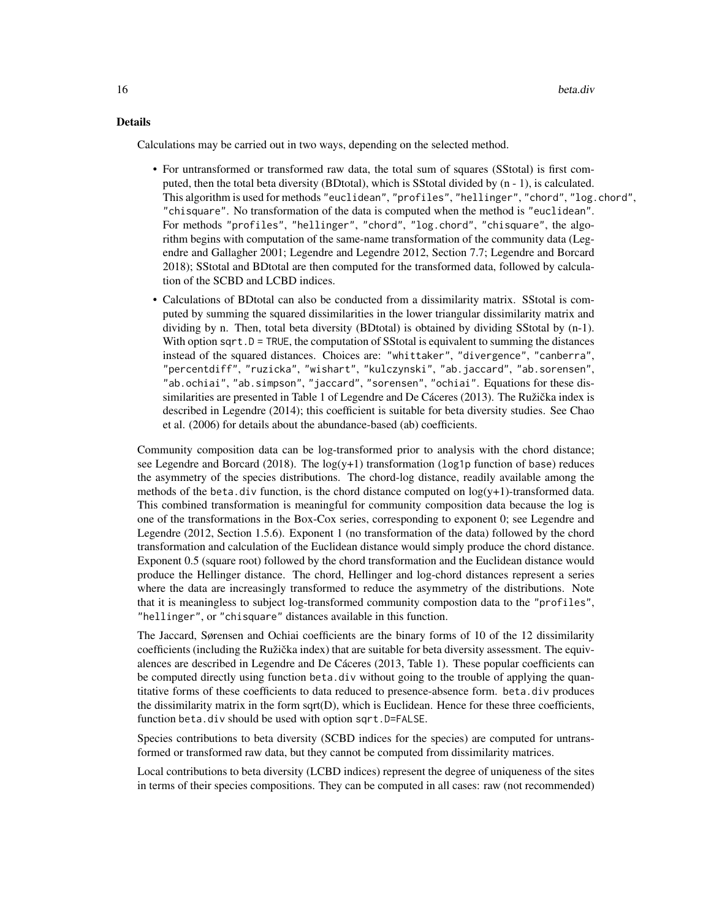#### Details

Calculations may be carried out in two ways, depending on the selected method.

- For untransformed or transformed raw data, the total sum of squares (SStotal) is first computed, then the total beta diversity (BDtotal), which is SStotal divided by (n - 1), is calculated. This algorithm is used for methods "euclidean", "profiles", "hellinger", "chord", "log.chord", "chisquare". No transformation of the data is computed when the method is "euclidean". For methods "profiles", "hellinger", "chord", "log.chord", "chisquare", the algorithm begins with computation of the same-name transformation of the community data (Legendre and Gallagher 2001; Legendre and Legendre 2012, Section 7.7; Legendre and Borcard 2018); SStotal and BDtotal are then computed for the transformed data, followed by calculation of the SCBD and LCBD indices.
- Calculations of BDtotal can also be conducted from a dissimilarity matrix. SStotal is computed by summing the squared dissimilarities in the lower triangular dissimilarity matrix and dividing by n. Then, total beta diversity (BDtotal) is obtained by dividing SStotal by (n-1). With option sqrt.  $D = TRUE$ , the computation of SStotal is equivalent to summing the distances instead of the squared distances. Choices are: "whittaker", "divergence", "canberra", "percentdiff", "ruzicka", "wishart", "kulczynski", "ab.jaccard", "ab.sorensen", "ab.ochiai", "ab.simpson", "jaccard", "sorensen", "ochiai". Equations for these dissimilarities are presented in Table 1 of Legendre and De Cáceres (2013). The Ružička index is described in Legendre (2014); this coefficient is suitable for beta diversity studies. See Chao et al. (2006) for details about the abundance-based (ab) coefficients.

Community composition data can be log-transformed prior to analysis with the chord distance; see Legendre and Borcard (2018). The  $log(y+1)$  transformation ( $log1p$  function of base) reduces the asymmetry of the species distributions. The chord-log distance, readily available among the methods of the beta.div function, is the chord distance computed on  $log(y+1)$ -transformed data. This combined transformation is meaningful for community composition data because the log is one of the transformations in the Box-Cox series, corresponding to exponent 0; see Legendre and Legendre (2012, Section 1.5.6). Exponent 1 (no transformation of the data) followed by the chord transformation and calculation of the Euclidean distance would simply produce the chord distance. Exponent 0.5 (square root) followed by the chord transformation and the Euclidean distance would produce the Hellinger distance. The chord, Hellinger and log-chord distances represent a series where the data are increasingly transformed to reduce the asymmetry of the distributions. Note that it is meaningless to subject log-transformed community compostion data to the "profiles", "hellinger", or "chisquare" distances available in this function.

The Jaccard, Sørensen and Ochiai coefficients are the binary forms of 10 of the 12 dissimilarity coefficients (including the Ružička index) that are suitable for beta diversity assessment. The equivalences are described in Legendre and De Cáceres (2013, Table 1). These popular coefficients can be computed directly using function beta.div without going to the trouble of applying the quantitative forms of these coefficients to data reduced to presence-absence form. beta.div produces the dissimilarity matrix in the form sqrt $(D)$ , which is Euclidean. Hence for these three coefficients, function beta.div should be used with option sqrt.D=FALSE.

Species contributions to beta diversity (SCBD indices for the species) are computed for untransformed or transformed raw data, but they cannot be computed from dissimilarity matrices.

Local contributions to beta diversity (LCBD indices) represent the degree of uniqueness of the sites in terms of their species compositions. They can be computed in all cases: raw (not recommended)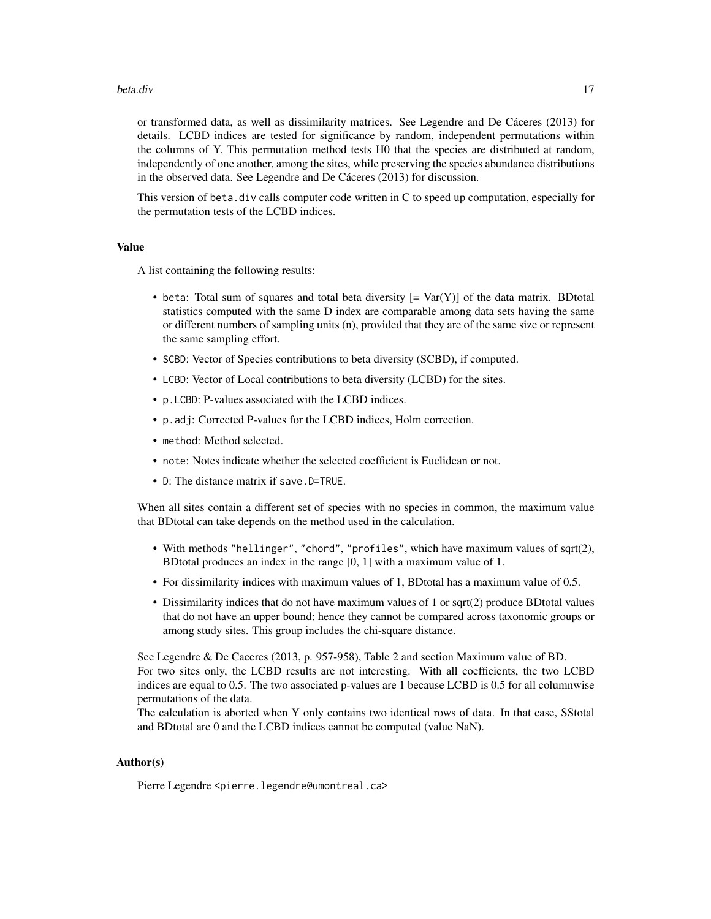#### beta.div 17

or transformed data, as well as dissimilarity matrices. See Legendre and De Cáceres (2013) for details. LCBD indices are tested for significance by random, independent permutations within the columns of Y. This permutation method tests H0 that the species are distributed at random, independently of one another, among the sites, while preserving the species abundance distributions in the observed data. See Legendre and De Cáceres (2013) for discussion.

This version of beta.div calls computer code written in C to speed up computation, especially for the permutation tests of the LCBD indices.

#### Value

A list containing the following results:

- beta: Total sum of squares and total beta diversity  $[= Var(Y)]$  of the data matrix. BDtotal statistics computed with the same D index are comparable among data sets having the same or different numbers of sampling units (n), provided that they are of the same size or represent the same sampling effort.
- SCBD: Vector of Species contributions to beta diversity (SCBD), if computed.
- LCBD: Vector of Local contributions to beta diversity (LCBD) for the sites.
- p.LCBD: P-values associated with the LCBD indices.
- p.adj: Corrected P-values for the LCBD indices, Holm correction.
- method: Method selected.
- note: Notes indicate whether the selected coefficient is Euclidean or not.
- D: The distance matrix if save.D=TRUE.

When all sites contain a different set of species with no species in common, the maximum value that BDtotal can take depends on the method used in the calculation.

- With methods "hellinger", "chord", "profiles", which have maximum values of sqrt(2), BDtotal produces an index in the range [0, 1] with a maximum value of 1.
- For dissimilarity indices with maximum values of 1, BDtotal has a maximum value of 0.5.
- Dissimilarity indices that do not have maximum values of 1 or sqrt(2) produce BDtotal values that do not have an upper bound; hence they cannot be compared across taxonomic groups or among study sites. This group includes the chi-square distance.

See Legendre & De Caceres (2013, p. 957-958), Table 2 and section Maximum value of BD. For two sites only, the LCBD results are not interesting. With all coefficients, the two LCBD indices are equal to 0.5. The two associated p-values are 1 because LCBD is 0.5 for all columnwise permutations of the data.

The calculation is aborted when Y only contains two identical rows of data. In that case, SStotal and BDtotal are 0 and the LCBD indices cannot be computed (value NaN).

#### Author(s)

Pierre Legendre <pierre.legendre@umontreal.ca>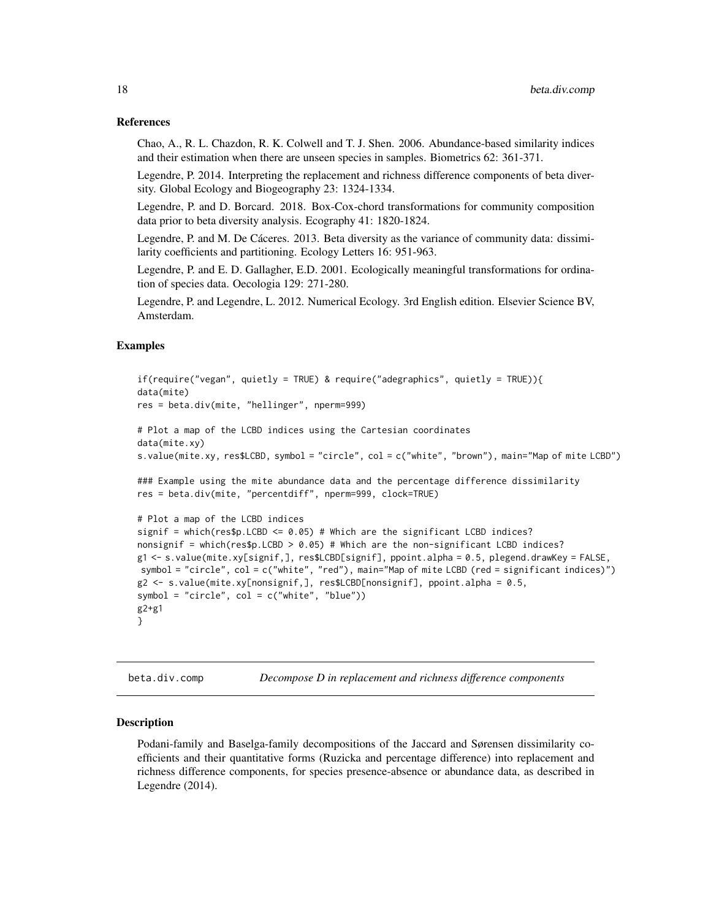#### <span id="page-17-0"></span>References

Chao, A., R. L. Chazdon, R. K. Colwell and T. J. Shen. 2006. Abundance-based similarity indices and their estimation when there are unseen species in samples. Biometrics 62: 361-371.

Legendre, P. 2014. Interpreting the replacement and richness difference components of beta diversity. Global Ecology and Biogeography 23: 1324-1334.

Legendre, P. and D. Borcard. 2018. Box-Cox-chord transformations for community composition data prior to beta diversity analysis. Ecography 41: 1820-1824.

Legendre, P. and M. De Cáceres. 2013. Beta diversity as the variance of community data: dissimilarity coefficients and partitioning. Ecology Letters 16: 951-963.

Legendre, P. and E. D. Gallagher, E.D. 2001. Ecologically meaningful transformations for ordination of species data. Oecologia 129: 271-280.

Legendre, P. and Legendre, L. 2012. Numerical Ecology. 3rd English edition. Elsevier Science BV, Amsterdam.

# Examples

```
if(require("vegan", quietly = TRUE) & require("adegraphics", quietly = TRUE)){
data(mite)
res = beta.div(mite, "hellinger", nperm=999)
# Plot a map of the LCBD indices using the Cartesian coordinates
data(mite.xy)
s.value(mite.xy, res$LCBD, symbol = "circle", col = c("white", "brown"), main="Map of mite LCBD")
### Example using the mite abundance data and the percentage difference dissimilarity
res = beta.div(mite, "percentdiff", nperm=999, clock=TRUE)
# Plot a map of the LCBD indices
signif = which(res$p.LCBD \leq 0.05) # Which are the significant LCBD indices?
nonsignif = which(res$p.LCBD > 0.05) # Which are the non-significant LCBD indices?
g1 <- s.value(mite.xy[signif,], res$LCBD[signif], ppoint.alpha = 0.5, plegend.drawKey = FALSE,
symbol = "circle", col = c("white", "red"), main="Map of mite LCBD (red = significant indices)")
g2 <- s.value(mite.xy[nonsignif,], res$LCBD[nonsignif], ppoint.alpha = 0.5,
symbol = "circle", col = c("white", "blue"))
g2+g1
}
```
beta.div.comp *Decompose D in replacement and richness difference components*

#### Description

Podani-family and Baselga-family decompositions of the Jaccard and Sørensen dissimilarity coefficients and their quantitative forms (Ruzicka and percentage difference) into replacement and richness difference components, for species presence-absence or abundance data, as described in Legendre (2014).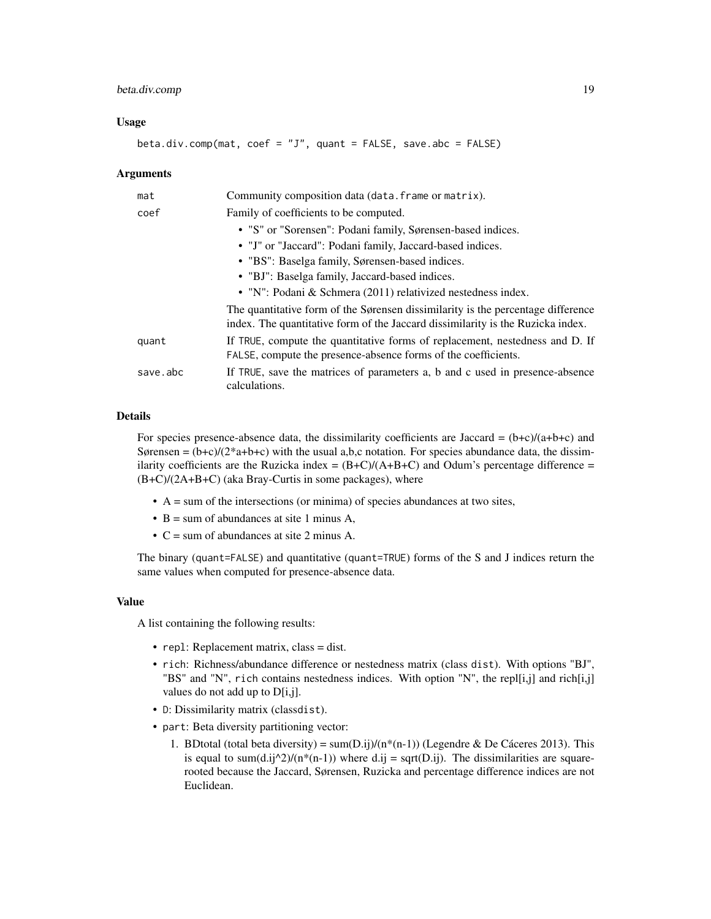# beta.div.comp 19

#### Usage

beta.div.comp(mat, coef = "J", quant = FALSE, save.abc = FALSE)

#### Arguments

| mat      | Community composition data (data. frame or matrix).                                                                                                                 |
|----------|---------------------------------------------------------------------------------------------------------------------------------------------------------------------|
| coef     | Family of coefficients to be computed.                                                                                                                              |
|          | • "S" or "Sorensen": Podani family, Sørensen-based indices.                                                                                                         |
|          | • "J" or "Jaccard": Podani family, Jaccard-based indices.                                                                                                           |
|          | • "BS": Baselga family, Sørensen-based indices.                                                                                                                     |
|          | • "BJ": Baselga family, Jaccard-based indices.                                                                                                                      |
|          | • "N": Podani & Schmera $(2011)$ relativized nestedness index.                                                                                                      |
|          | The quantitative form of the Sørensen dissimilarity is the percentage difference<br>index. The quantitative form of the Jaccard dissimilarity is the Ruzicka index. |
| quant    | If TRUE, compute the quantitative forms of replacement, nestedness and D. If<br>FALSE, compute the presence-absence forms of the coefficients.                      |
| save.abc | If TRUE, save the matrices of parameters a, b and c used in presence-absence<br>calculations.                                                                       |

# Details

For species presence-absence data, the dissimilarity coefficients are Jaccard =  $(b+c)/(a+b+c)$  and Sørensen =  $(b+c)/(2+a+b+c)$  with the usual a,b,c notation. For species abundance data, the dissimilarity coefficients are the Ruzicka index =  $(B+C)/(A+B+C)$  and Odum's percentage difference = (B+C)/(2A+B+C) (aka Bray-Curtis in some packages), where

- $\bullet$  A = sum of the intersections (or minima) of species abundances at two sites,
- $B = sum of abundances at site 1 minus A,$
- C = sum of abundances at site 2 minus A.

The binary (quant=FALSE) and quantitative (quant=TRUE) forms of the S and J indices return the same values when computed for presence-absence data.

#### Value

A list containing the following results:

- repl: Replacement matrix, class = dist.
- rich: Richness/abundance difference or nestedness matrix (class dist). With options "BJ", "BS" and "N", rich contains nestedness indices. With option "N", the repl[i,j] and rich[i,j] values do not add up to D[i,j].
- D: Dissimilarity matrix (classdist).
- part: Beta diversity partitioning vector:
	- 1. BDtotal (total beta diversity) = sum(D.ij)/ $(n^*(n-1))$  (Legendre & De Cáceres 2013). This is equal to sum(d.ij $\frac{\Delta y}{n^*(n-1)}$ ) where d.ij = sqrt(D.ij). The dissimilarities are squarerooted because the Jaccard, Sørensen, Ruzicka and percentage difference indices are not Euclidean.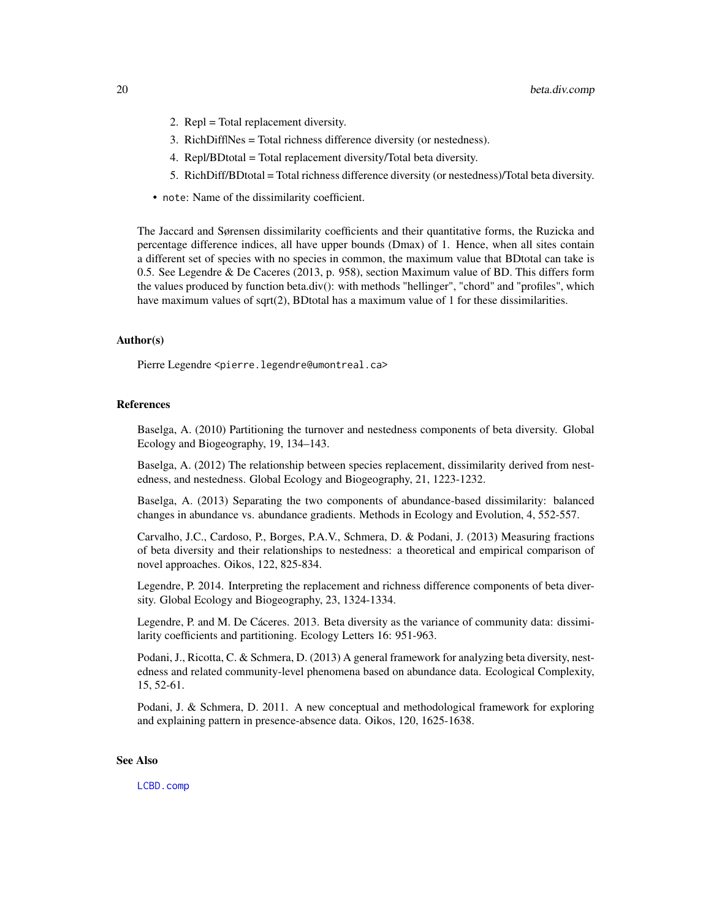- 2. Repl = Total replacement diversity.
- 3. RichDiff|Nes = Total richness difference diversity (or nestedness).
- 4. Repl/BDtotal = Total replacement diversity/Total beta diversity.
- 5. RichDiff/BDtotal = Total richness difference diversity (or nestedness)/Total beta diversity.
- note: Name of the dissimilarity coefficient.

The Jaccard and Sørensen dissimilarity coefficients and their quantitative forms, the Ruzicka and percentage difference indices, all have upper bounds (Dmax) of 1. Hence, when all sites contain a different set of species with no species in common, the maximum value that BDtotal can take is 0.5. See Legendre & De Caceres (2013, p. 958), section Maximum value of BD. This differs form the values produced by function beta.div(): with methods "hellinger", "chord" and "profiles", which have maximum values of sqrt(2), BDtotal has a maximum value of 1 for these dissimilarities.

#### Author(s)

Pierre Legendre <pierre.legendre@umontreal.ca>

#### **References**

Baselga, A. (2010) Partitioning the turnover and nestedness components of beta diversity. Global Ecology and Biogeography, 19, 134–143.

Baselga, A. (2012) The relationship between species replacement, dissimilarity derived from nestedness, and nestedness. Global Ecology and Biogeography, 21, 1223-1232.

Baselga, A. (2013) Separating the two components of abundance-based dissimilarity: balanced changes in abundance vs. abundance gradients. Methods in Ecology and Evolution, 4, 552-557.

Carvalho, J.C., Cardoso, P., Borges, P.A.V., Schmera, D. & Podani, J. (2013) Measuring fractions of beta diversity and their relationships to nestedness: a theoretical and empirical comparison of novel approaches. Oikos, 122, 825-834.

Legendre, P. 2014. Interpreting the replacement and richness difference components of beta diversity. Global Ecology and Biogeography, 23, 1324-1334.

Legendre, P. and M. De Cáceres. 2013. Beta diversity as the variance of community data: dissimilarity coefficients and partitioning. Ecology Letters 16: 951-963.

Podani, J., Ricotta, C. & Schmera, D. (2013) A general framework for analyzing beta diversity, nestedness and related community-level phenomena based on abundance data. Ecological Complexity, 15, 52-61.

Podani, J. & Schmera, D. 2011. A new conceptual and methodological framework for exploring and explaining pattern in presence-absence data. Oikos, 120, 1625-1638.

#### See Also

[LCBD.comp](#page-52-1)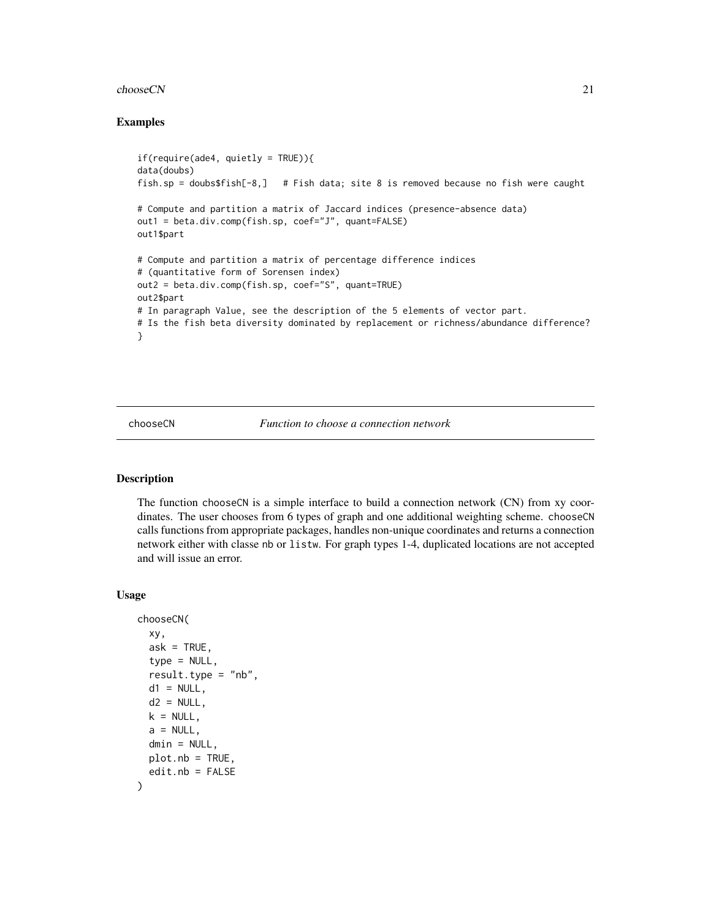#### <span id="page-20-0"></span>chooseCN 21

#### Examples

```
if(require(ade4, quietly = TRUE)){
data(doubs)
fish.sp = doubs$fish[-8,] # Fish data; site 8 is removed because no fish were caught
# Compute and partition a matrix of Jaccard indices (presence-absence data)
out1 = beta.div.comp(fish.sp, coef="J", quant=FALSE)
out1$part
# Compute and partition a matrix of percentage difference indices
# (quantitative form of Sorensen index)
out2 = beta.div.comp(fish.sp, coef="S", quant=TRUE)
out2$part
# In paragraph Value, see the description of the 5 elements of vector part.
# Is the fish beta diversity dominated by replacement or richness/abundance difference?
}
```
chooseCN *Function to choose a connection network*

# Description

The function chooseCN is a simple interface to build a connection network (CN) from xy coordinates. The user chooses from 6 types of graph and one additional weighting scheme. chooseCN calls functions from appropriate packages, handles non-unique coordinates and returns a connection network either with classe nb or listw. For graph types 1-4, duplicated locations are not accepted and will issue an error.

#### Usage

```
chooseCN(
  xy,
  ask = TRUE,type = NULL,result.type = "nb",
  d1 = NULL,d2 = NULL,k = NULL,
  a = NULL,
  dmin = NULL,
 plot.nb = TRUE,
  edit.nb = FALSE)
```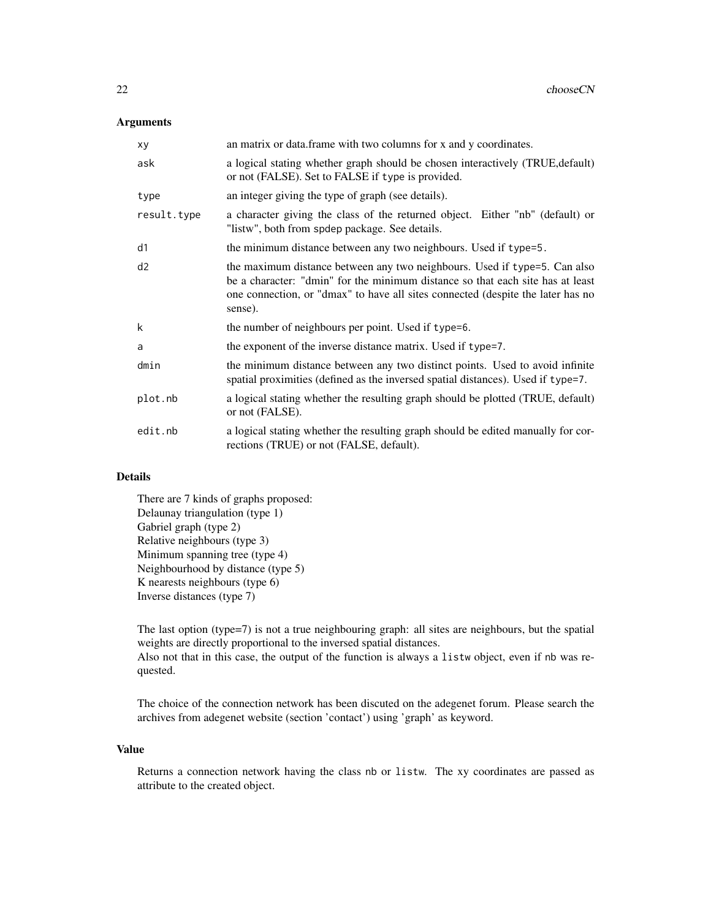# Arguments

| xy          | an matrix or data. frame with two columns for x and y coordinates.                                                                                                                                                                                        |
|-------------|-----------------------------------------------------------------------------------------------------------------------------------------------------------------------------------------------------------------------------------------------------------|
| ask         | a logical stating whether graph should be chosen interactively (TRUE, default)<br>or not (FALSE). Set to FALSE if type is provided.                                                                                                                       |
| type        | an integer giving the type of graph (see details).                                                                                                                                                                                                        |
| result.type | a character giving the class of the returned object. Either "nb" (default) or<br>"listw", both from spdep package. See details.                                                                                                                           |
| d1          | the minimum distance between any two neighbours. Used if type=5.                                                                                                                                                                                          |
| d2          | the maximum distance between any two neighbours. Used if type=5. Can also<br>be a character: "dmin" for the minimum distance so that each site has at least<br>one connection, or "dmax" to have all sites connected (despite the later has no<br>sense). |
| k           | the number of neighbours per point. Used if type=6.                                                                                                                                                                                                       |
| a           | the exponent of the inverse distance matrix. Used if type=7.                                                                                                                                                                                              |
| dmin        | the minimum distance between any two distinct points. Used to avoid infinite<br>spatial proximities (defined as the inversed spatial distances). Used if type=7.                                                                                          |
| plot.nb     | a logical stating whether the resulting graph should be plotted (TRUE, default)<br>or not (FALSE).                                                                                                                                                        |
| edit.nb     | a logical stating whether the resulting graph should be edited manually for cor-<br>rections (TRUE) or not (FALSE, default).                                                                                                                              |

# Details

There are 7 kinds of graphs proposed: Delaunay triangulation (type 1) Gabriel graph (type 2) Relative neighbours (type 3) Minimum spanning tree (type 4) Neighbourhood by distance (type 5) K nearests neighbours (type 6) Inverse distances (type 7)

The last option (type=7) is not a true neighbouring graph: all sites are neighbours, but the spatial weights are directly proportional to the inversed spatial distances.

Also not that in this case, the output of the function is always a listw object, even if nb was requested.

The choice of the connection network has been discuted on the adegenet forum. Please search the archives from adegenet website (section 'contact') using 'graph' as keyword.

#### Value

Returns a connection network having the class nb or listw. The xy coordinates are passed as attribute to the created object.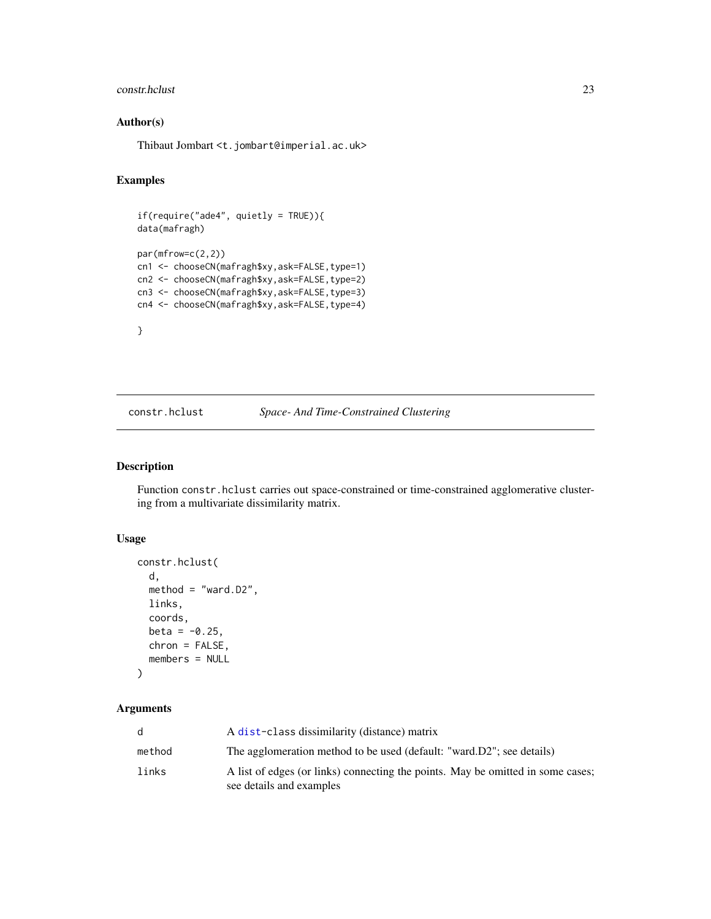# <span id="page-22-0"></span>constr.hclust 23

# Author(s)

Thibaut Jombart <t.jombart@imperial.ac.uk>

# Examples

```
if(require("ade4", quietly = TRUE)){
data(mafragh)
par(mfrow=c(2,2))
cn1 <- chooseCN(mafragh$xy,ask=FALSE,type=1)
cn2 <- chooseCN(mafragh$xy,ask=FALSE,type=2)
cn3 <- chooseCN(mafragh$xy,ask=FALSE,type=3)
cn4 <- chooseCN(mafragh$xy,ask=FALSE,type=4)
}
```
# constr.hclust *Space- And Time-Constrained Clustering*

# Description

Function constr.hclust carries out space-constrained or time-constrained agglomerative clustering from a multivariate dissimilarity matrix.

# Usage

```
constr.hclust(
  d,
 method = "ward.D2",
 links,
  coords,
 beta = -0.25,
  chron = FALSE,
 members = NULL
)
```
# Arguments

|        | A dist-class dissimilarity (distance) matrix                                                                |
|--------|-------------------------------------------------------------------------------------------------------------|
| method | The agglomeration method to be used (default: "ward.D2"; see details)                                       |
| links  | A list of edges (or links) connecting the points. May be omitted in some cases;<br>see details and examples |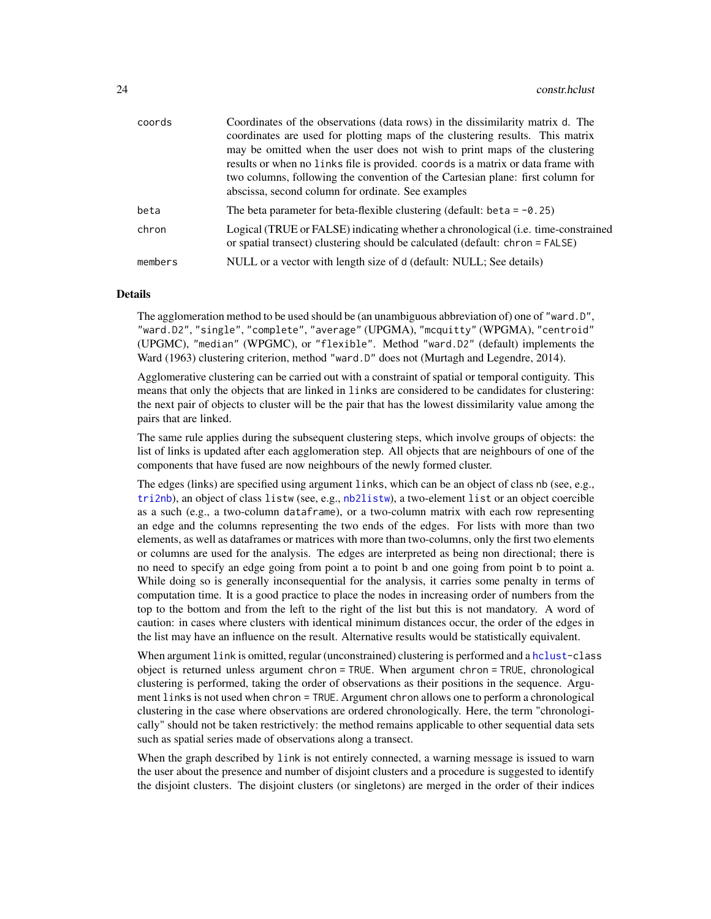| coords  | Coordinates of the observations (data rows) in the dissimilarity matrix d. The<br>coordinates are used for plotting maps of the clustering results. This matrix                                                                                                                                        |
|---------|--------------------------------------------------------------------------------------------------------------------------------------------------------------------------------------------------------------------------------------------------------------------------------------------------------|
|         | may be omitted when the user does not wish to print maps of the clustering<br>results or when no links file is provided. coords is a matrix or data frame with<br>two columns, following the convention of the Cartesian plane: first column for<br>abscissa, second column for ordinate. See examples |
| beta    | The beta parameter for beta-flexible clustering (default: beta = $-0.25$ )                                                                                                                                                                                                                             |
| chron   | Logical (TRUE or FALSE) indicating whether a chronological (i.e. time-constrained<br>or spatial transect) clustering should be calculated (default: chron = FALSE)                                                                                                                                     |
| members | NULL or a vector with length size of d (default: NULL; See details)                                                                                                                                                                                                                                    |

#### Details

The agglomeration method to be used should be (an unambiguous abbreviation of) one of "ward.D", "ward.D2", "single", "complete", "average" (UPGMA), "mcquitty" (WPGMA), "centroid" (UPGMC), "median" (WPGMC), or "flexible". Method "ward.D2" (default) implements the Ward (1963) clustering criterion, method "ward.D" does not (Murtagh and Legendre, 2014).

Agglomerative clustering can be carried out with a constraint of spatial or temporal contiguity. This means that only the objects that are linked in links are considered to be candidates for clustering: the next pair of objects to cluster will be the pair that has the lowest dissimilarity value among the pairs that are linked.

The same rule applies during the subsequent clustering steps, which involve groups of objects: the list of links is updated after each agglomeration step. All objects that are neighbours of one of the components that have fused are now neighbours of the newly formed cluster.

The edges (links) are specified using argument links, which can be an object of class nb (see, e.g., [tri2nb](#page-0-0)), an object of class listw (see, e.g., [nb2listw](#page-0-0)), a two-element list or an object coercible as a such (e.g., a two-column dataframe), or a two-column matrix with each row representing an edge and the columns representing the two ends of the edges. For lists with more than two elements, as well as dataframes or matrices with more than two-columns, only the first two elements or columns are used for the analysis. The edges are interpreted as being non directional; there is no need to specify an edge going from point a to point b and one going from point b to point a. While doing so is generally inconsequential for the analysis, it carries some penalty in terms of computation time. It is a good practice to place the nodes in increasing order of numbers from the top to the bottom and from the left to the right of the list but this is not mandatory. A word of caution: in cases where clusters with identical minimum distances occur, the order of the edges in the list may have an influence on the result. Alternative results would be statistically equivalent.

When argument link is omitted, regular (unconstrained) clustering is performed and a [hclust-](#page-0-0)class object is returned unless argument chron = TRUE. When argument chron = TRUE, chronological clustering is performed, taking the order of observations as their positions in the sequence. Argument links is not used when chron = TRUE. Argument chron allows one to perform a chronological clustering in the case where observations are ordered chronologically. Here, the term "chronologically" should not be taken restrictively: the method remains applicable to other sequential data sets such as spatial series made of observations along a transect.

When the graph described by link is not entirely connected, a warning message is issued to warn the user about the presence and number of disjoint clusters and a procedure is suggested to identify the disjoint clusters. The disjoint clusters (or singletons) are merged in the order of their indices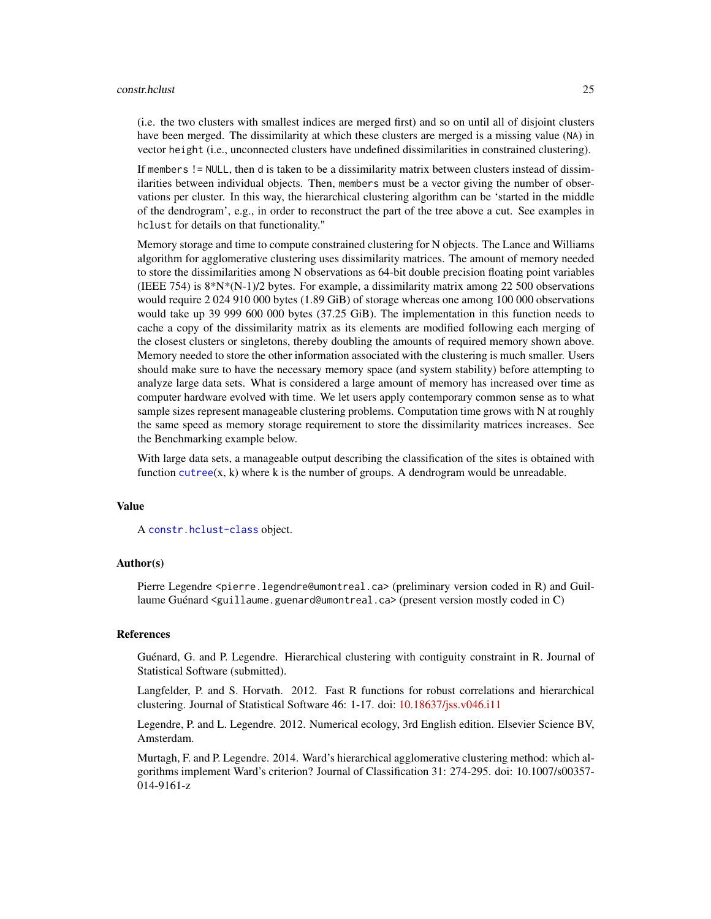(i.e. the two clusters with smallest indices are merged first) and so on until all of disjoint clusters have been merged. The dissimilarity at which these clusters are merged is a missing value (NA) in vector height (i.e., unconnected clusters have undefined dissimilarities in constrained clustering).

If members != NULL, then d is taken to be a dissimilarity matrix between clusters instead of dissimilarities between individual objects. Then, members must be a vector giving the number of observations per cluster. In this way, the hierarchical clustering algorithm can be 'started in the middle of the dendrogram', e.g., in order to reconstruct the part of the tree above a cut. See examples in hclust for details on that functionality."

Memory storage and time to compute constrained clustering for N objects. The Lance and Williams algorithm for agglomerative clustering uses dissimilarity matrices. The amount of memory needed to store the dissimilarities among N observations as 64-bit double precision floating point variables (IEEE 754) is  $8*N*(N-1)/2$  bytes. For example, a dissimilarity matrix among 22 500 observations would require 2 024 910 000 bytes (1.89 GiB) of storage whereas one among 100 000 observations would take up 39 999 600 000 bytes (37.25 GiB). The implementation in this function needs to cache a copy of the dissimilarity matrix as its elements are modified following each merging of the closest clusters or singletons, thereby doubling the amounts of required memory shown above. Memory needed to store the other information associated with the clustering is much smaller. Users should make sure to have the necessary memory space (and system stability) before attempting to analyze large data sets. What is considered a large amount of memory has increased over time as computer hardware evolved with time. We let users apply contemporary common sense as to what sample sizes represent manageable clustering problems. Computation time grows with N at roughly the same speed as memory storage requirement to store the dissimilarity matrices increases. See the Benchmarking example below.

With large data sets, a manageable output describing the classification of the sites is obtained with function  $cutree(x, k)$  $cutree(x, k)$  where k is the number of groups. A dendrogram would be unreadable.

#### Value

A [constr.hclust-class](#page-30-1) object.

# Author(s)

Pierre Legendre <pierre.legendre@umontreal.ca> (preliminary version coded in R) and Guillaume Guénard <guillaume.guenard@umontreal.ca> (present version mostly coded in C)

#### References

Guénard, G. and P. Legendre. Hierarchical clustering with contiguity constraint in R. Journal of Statistical Software (submitted).

Langfelder, P. and S. Horvath. 2012. Fast R functions for robust correlations and hierarchical clustering. Journal of Statistical Software 46: 1-17. doi: [10.18637/jss.v046.i11](https://doi.org/10.18637/jss.v046.i11)

Legendre, P. and L. Legendre. 2012. Numerical ecology, 3rd English edition. Elsevier Science BV, Amsterdam.

Murtagh, F. and P. Legendre. 2014. Ward's hierarchical agglomerative clustering method: which algorithms implement Ward's criterion? Journal of Classification 31: 274-295. doi: 10.1007/s00357- 014-9161-z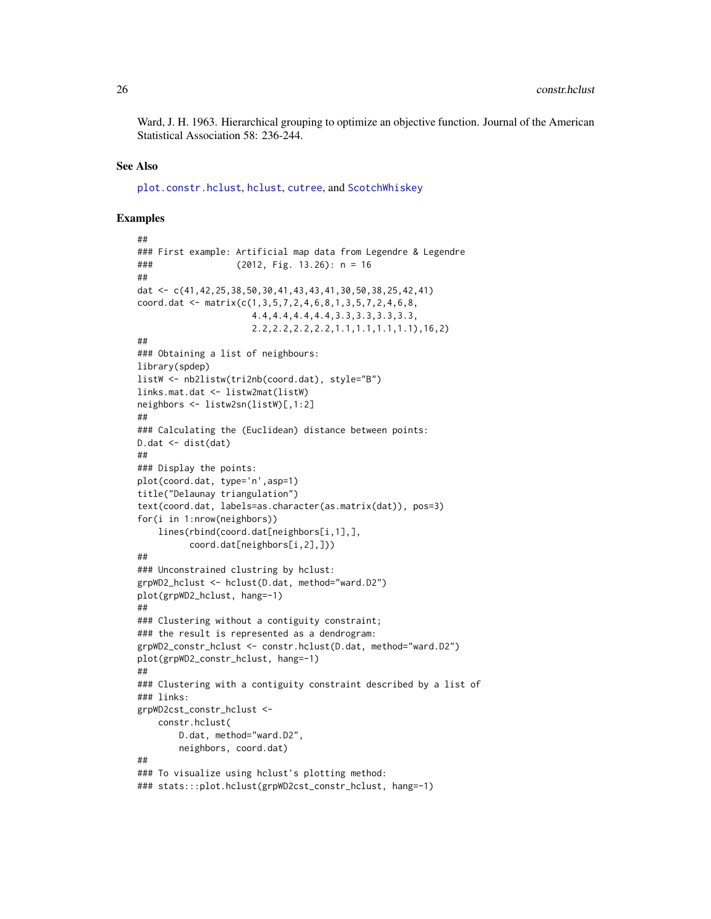Ward, J. H. 1963. Hierarchical grouping to optimize an objective function. Journal of the American Statistical Association 58: 236-244.

# See Also

[plot.constr.hclust](#page-94-1), [hclust](#page-0-0), [cutree](#page-0-0), and [ScotchWhiskey](#page-105-1)

#### Examples

```
##
### First example: Artificial map data from Legendre & Legendre
### (2012, Fig. 13.26): n = 16
##
dat <- c(41,42,25,38,50,30,41,43,43,41,30,50,38,25,42,41)
coord.dat <- matrix(c(1,3,5,7,2,4,6,8,1,3,5,7,2,4,6,8,
                      4.4,4.4,4.4,4.4,3.3,3.3,3.3,3.3,
                      2.2,2.2,2.2,2.2,1.1,1.1,1.1,1.1),16,2)
##
### Obtaining a list of neighbours:
library(spdep)
listW <- nb2listw(tri2nb(coord.dat), style="B")
links.mat.dat <- listw2mat(listW)
neighbors <- listw2sn(listW)[,1:2]
##
### Calculating the (Euclidean) distance between points:
D.dat <- dist(dat)
##
### Display the points:
plot(coord.dat, type='n',asp=1)
title("Delaunay triangulation")
text(coord.dat, labels=as.character(as.matrix(dat)), pos=3)
for(i in 1:nrow(neighbors))
    lines(rbind(coord.dat[neighbors[i,1],],
          coord.dat[neighbors[i,2],]))
##
### Unconstrained clustring by hclust:
grpWD2_hclust <- hclust(D.dat, method="ward.D2")
plot(grpWD2_hclust, hang=-1)
##
### Clustering without a contiguity constraint;
### the result is represented as a dendrogram:
grpWD2_constr_hclust <- constr.hclust(D.dat, method="ward.D2")
plot(grpWD2_constr_hclust, hang=-1)
##
### Clustering with a contiguity constraint described by a list of
### links:
grpWD2cst_constr_hclust <-
    constr.hclust(
        D.dat, method="ward.D2",
        neighbors, coord.dat)
##
### To visualize using hclust's plotting method:
### stats:::plot.hclust(grpWD2cst_constr_hclust, hang=-1)
```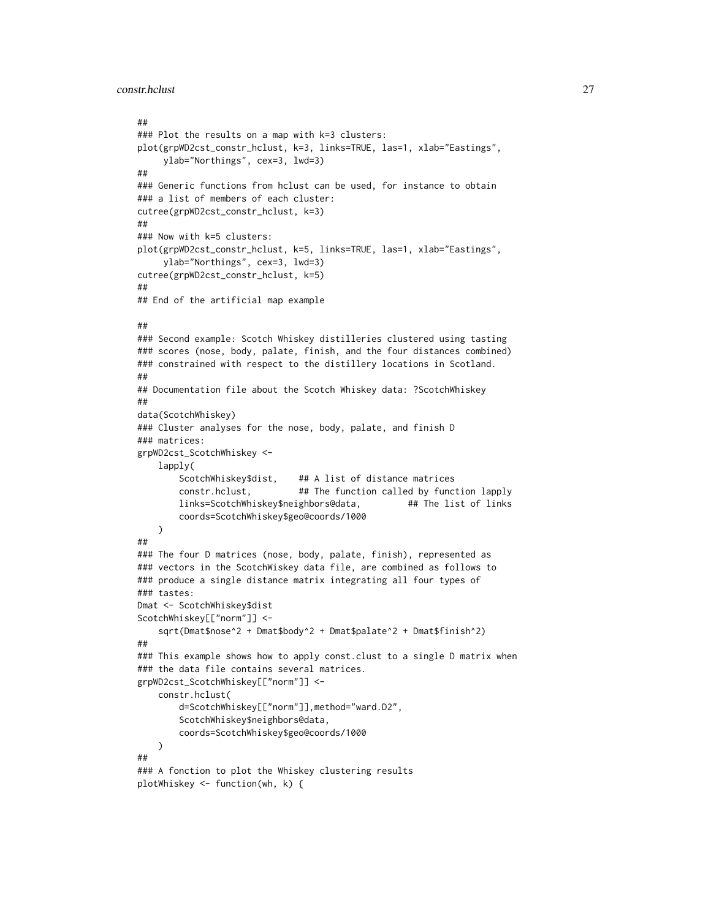constr.hclust 27

```
##
### Plot the results on a map with k=3 clusters:
plot(grpWD2cst_constr_hclust, k=3, links=TRUE, las=1, xlab="Eastings",
     ylab="Northings", cex=3, lwd=3)
##
### Generic functions from hclust can be used, for instance to obtain
### a list of members of each cluster:
cutree(grpWD2cst_constr_hclust, k=3)
##
### Now with k=5 clusters:
plot(grpWD2cst_constr_hclust, k=5, links=TRUE, las=1, xlab="Eastings",
     ylab="Northings", cex=3, lwd=3)
cutree(grpWD2cst_constr_hclust, k=5)
##
## End of the artificial map example
##
### Second example: Scotch Whiskey distilleries clustered using tasting
### scores (nose, body, palate, finish, and the four distances combined)
### constrained with respect to the distillery locations in Scotland.
##
## Documentation file about the Scotch Whiskey data: ?ScotchWhiskey
##
data(ScotchWhiskey)
### Cluster analyses for the nose, body, palate, and finish D
### matrices:
grpWD2cst_ScotchWhiskey <-
   lapply(
       ScotchWhiskey$dist, ## A list of distance matrices
       constr.hclust, ## The function called by function lapply
       links=ScotchWhiskey$neighbors@data, ## The list of links
       coords=ScotchWhiskey$geo@coords/1000
   )
##
### The four D matrices (nose, body, palate, finish), represented as
### vectors in the ScotchWiskey data file, are combined as follows to
### produce a single distance matrix integrating all four types of
### tastes:
Dmat <- ScotchWhiskey$dist
ScotchWhiskey[["norm"]] <-
    sqrt(Dmat$nose^2 + Dmat$body^2 + Dmat$palate^2 + Dmat$finish^2)
##
### This example shows how to apply const.clust to a single D matrix when
### the data file contains several matrices.
grpWD2cst_ScotchWhiskey[["norm"]] <-
    constr.hclust(
       d=ScotchWhiskey[["norm"]],method="ward.D2",
       ScotchWhiskey$neighbors@data,
       coords=ScotchWhiskey$geo@coords/1000
   \lambda##
### A fonction to plot the Whiskey clustering results
plotWhiskey <- function(wh, k) {
```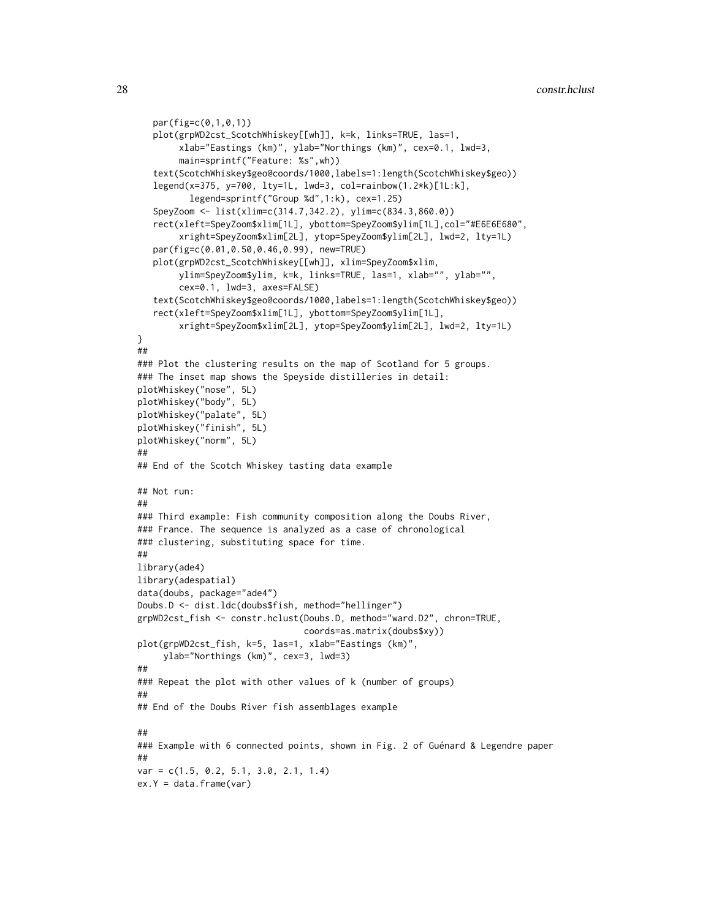```
par(fig=c(0,1,0,1))
   plot(grpWD2cst_ScotchWhiskey[[wh]], k=k, links=TRUE, las=1,
        xlab="Eastings (km)", ylab="Northings (km)", cex=0.1, lwd=3,
        main=sprintf("Feature: %s",wh))
   text(ScotchWhiskey$geo@coords/1000,labels=1:length(ScotchWhiskey$geo))
   legend(x=375, y=700, lty=1L, lwd=3, col=rainbow(1.2*k)[1L:k],
          legend=sprintf("Group %d",1:k), cex=1.25)
   SpeyZoom <- list(xlim=c(314.7,342.2), ylim=c(834.3,860.0))
   rect(xleft=SpeyZoom$xlim[1L], ybottom=SpeyZoom$ylim[1L],col="#E6E6E680",
        xright=SpeyZoom$xlim[2L], ytop=SpeyZoom$ylim[2L], lwd=2, lty=1L)
   par(fig=c(0.01,0.50,0.46,0.99), new=TRUE)
  plot(grpWD2cst_ScotchWhiskey[[wh]], xlim=SpeyZoom$xlim,
        ylim=SpeyZoom$ylim, k=k, links=TRUE, las=1, xlab="", ylab="",
        cex=0.1, lwd=3, axes=FALSE)
   text(ScotchWhiskey$geo@coords/1000,labels=1:length(ScotchWhiskey$geo))
   rect(xleft=SpeyZoom$xlim[1L], ybottom=SpeyZoom$ylim[1L],
        xright=SpeyZoom$xlim[2L], ytop=SpeyZoom$ylim[2L], lwd=2, lty=1L)
}
##
### Plot the clustering results on the map of Scotland for 5 groups.
### The inset map shows the Speyside distilleries in detail:
plotWhiskey("nose", 5L)
plotWhiskey("body", 5L)
plotWhiskey("palate", 5L)
plotWhiskey("finish", 5L)
plotWhiskey("norm", 5L)
##
## End of the Scotch Whiskey tasting data example
## Not run:
##
### Third example: Fish community composition along the Doubs River,
### France. The sequence is analyzed as a case of chronological
### clustering, substituting space for time.
##
library(ade4)
library(adespatial)
data(doubs, package="ade4")
Doubs.D <- dist.ldc(doubs$fish, method="hellinger")
grpWD2cst_fish <- constr.hclust(Doubs.D, method="ward.D2", chron=TRUE,
                                coords=as.matrix(doubs$xy))
plot(grpWD2cst_fish, k=5, las=1, xlab="Eastings (km)",
     ylab="Northings (km)", cex=3, lwd=3)
##
### Repeat the plot with other values of k (number of groups)
##
## End of the Doubs River fish assemblages example
##
### Example with 6 connected points, shown in Fig. 2 of Guénard & Legendre paper
##
var = c(1.5, 0.2, 5.1, 3.0, 2.1, 1.4)
ex.Y = data.frame(var)
```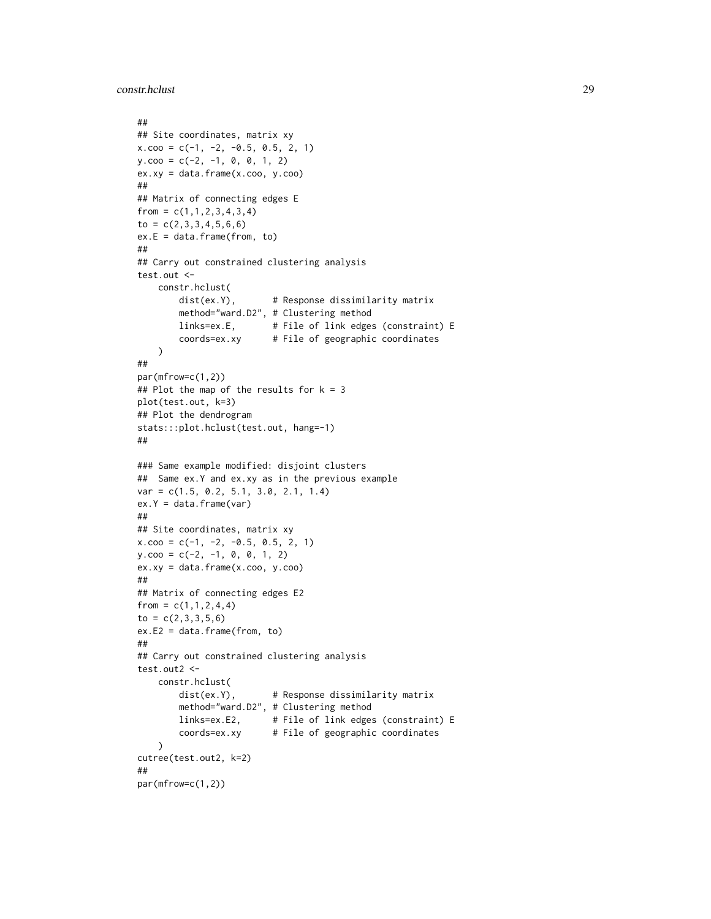```
##
## Site coordinates, matrix xy
x.coo = c(-1, -2, -0.5, 0.5, 2, 1)y.coo = c(-2, -1, 0, 0, 1, 2)ex.xy = data.frame(x.co0, y.co0)##
## Matrix of connecting edges E
from = c(1, 1, 2, 3, 4, 3, 4)to = c(2,3,3,4,5,6,6)ex.E = data.frame(from, to)##
## Carry out constrained clustering analysis
test.out <-
    constr.hclust(
       dist(ex.Y), # Response dissimilarity matrix
       method="ward.D2", # Clustering method
       links=ex.E, # File of link edges (constraint) E
        coords=ex.xy # File of geographic coordinates
    \lambda##
par(mfrow=c(1,2))
## Plot the map of the results for k = 3plot(test.out, k=3)
## Plot the dendrogram
stats:::plot.hclust(test.out, hang=-1)
##
### Same example modified: disjoint clusters
## Same ex.Y and ex.xy as in the previous example
var = c(1.5, 0.2, 5.1, 3.0, 2.1, 1.4)
ex.Y = data.frame(var)##
## Site coordinates, matrix xy
x.coo = c(-1, -2, -0.5, 0.5, 2, 1)y.coo = c(-2, -1, 0, 0, 1, 2)ex.xy = data.frame(x.coo, y.coo)
##
## Matrix of connecting edges E2
from = c(1, 1, 2, 4, 4)to = c(2,3,3,5,6)ex.E2 = data.frame(from, to)
##
## Carry out constrained clustering analysis
test.out2 <-
    constr.hclust(
       dist(ex.Y), # Response dissimilarity matrix
        method="ward.D2", # Clustering method
        links=ex.E2, # File of link edges (constraint) E
        coords=ex.xy # File of geographic coordinates
   \lambdacutree(test.out2, k=2)
##
par(mfrow=c(1,2))
```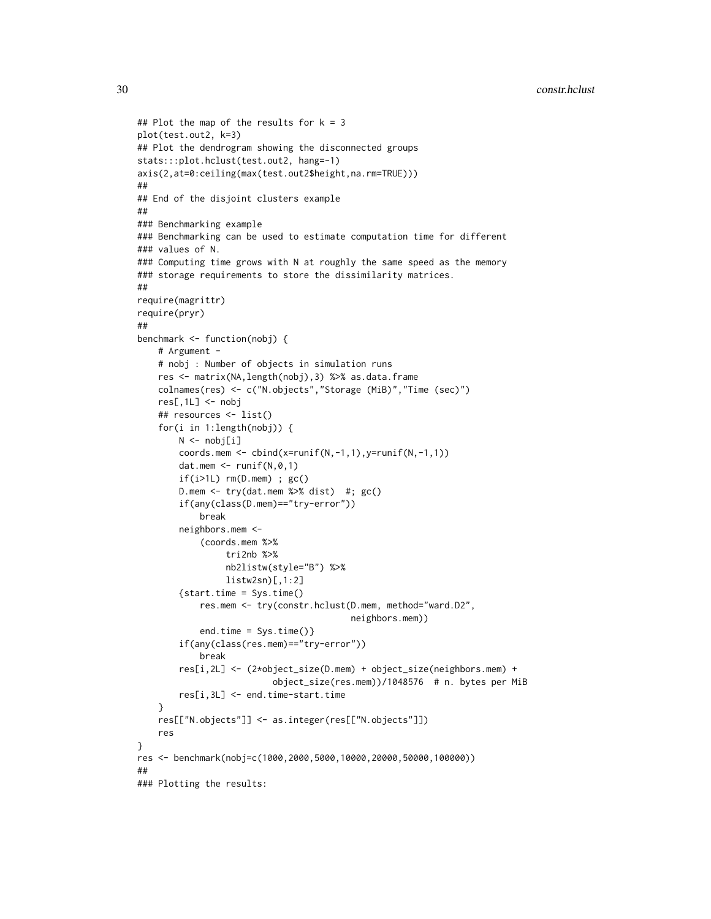```
## Plot the map of the results for k = 3plot(test.out2, k=3)
## Plot the dendrogram showing the disconnected groups
stats:::plot.hclust(test.out2, hang=-1)
axis(2,at=0:ceiling(max(test.out2$height,na.rm=TRUE)))
##
## End of the disjoint clusters example
##
### Benchmarking example
### Benchmarking can be used to estimate computation time for different
### values of N.
### Computing time grows with N at roughly the same speed as the memory
### storage requirements to store the dissimilarity matrices.
##
require(magrittr)
require(pryr)
##
benchmark <- function(nobj) {
   # Argument -
    # nobj : Number of objects in simulation runs
   res <- matrix(NA,length(nobj),3) %>% as.data.frame
   colnames(res) <- c("N.objects","Storage (MiB)","Time (sec)")
   res[,1L] <- nobj
    ## resources <- list()
    for(i in 1:length(nobj)) {
       N <- nobj[i]
        coords.mem <- \text{cbind}(x=\text{runif}(N,-1,1), y=\text{runif}(N,-1,1))dat.mem \leq runif(N,0,1)
        if(i>1L) rm(D.mem) ; gc()
        D.mem <- try(dat.mem %>% dist) #; gc()
        if(any(class(D.mem)=="try-error"))
            break
        neighbors.mem <-
            (coords.mem %>%
                 tri2nb %>%
                 nb2listw(style="B") %>%
                 listw2sn)[,1:2]
        {start.time = Sys.time()
            res.mem <- try(constr.hclust(D.mem, method="ward.D2",
                                          neighbors.mem))
            end.time = Sys.time()}
        if(any(class(res.mem)=="try-error"))
            break
        res[i,2L] <- (2*object_size(D.mem) + object_size(neighbors.mem) +
                          object_size(res.mem))/1048576 # n. bytes per MiB
        res[i,3L] <- end.time-start.time
   }
   res[["N.objects"]] <- as.integer(res[["N.objects"]])
   res
}
res <- benchmark(nobj=c(1000,2000,5000,10000,20000,50000,100000))
##
### Plotting the results:
```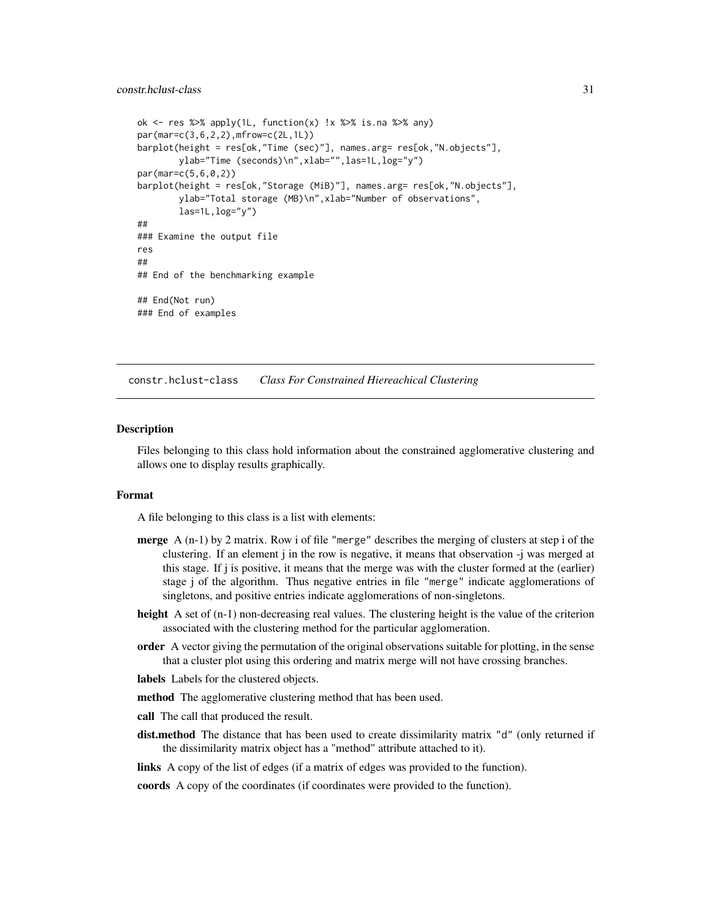#### <span id="page-30-0"></span>constr.hclust-class 31

```
ok <- res %>% apply(1L, function(x) !x %>% is.na %>% any)
par(mar=c(3,6,2,2),mfrow=c(2L,1L))
barplot(height = res[ok,"Time (sec)"], names.arg= res[ok,"N.objects"],
        ylab="Time (seconds)\n",xlab="",las=1L,log="y")
par(mar=c(5,6,0,2))
barplot(height = res[ok,"Storage (MiB)"], names.arg= res[ok,"N.objects"],
        ylab="Total storage (MB)\n",xlab="Number of observations",
        \text{las=1L}, \text{log=}''y'##
### Examine the output file
res
##
## End of the benchmarking example
## End(Not run)
### End of examples
```
<span id="page-30-1"></span>constr.hclust-class *Class For Constrained Hiereachical Clustering*

#### **Description**

Files belonging to this class hold information about the constrained agglomerative clustering and allows one to display results graphically.

#### Format

A file belonging to this class is a list with elements:

- merge A (n-1) by 2 matrix. Row i of file "merge" describes the merging of clusters at step i of the clustering. If an element j in the row is negative, it means that observation -j was merged at this stage. If j is positive, it means that the merge was with the cluster formed at the (earlier) stage j of the algorithm. Thus negative entries in file "merge" indicate agglomerations of singletons, and positive entries indicate agglomerations of non-singletons.
- height A set of  $(n-1)$  non-decreasing real values. The clustering height is the value of the criterion associated with the clustering method for the particular agglomeration.
- order A vector giving the permutation of the original observations suitable for plotting, in the sense that a cluster plot using this ordering and matrix merge will not have crossing branches.
- labels Labels for the clustered objects.
- method The agglomerative clustering method that has been used.
- call The call that produced the result.
- dist.method The distance that has been used to create dissimilarity matrix "d" (only returned if the dissimilarity matrix object has a "method" attribute attached to it).
- links A copy of the list of edges (if a matrix of edges was provided to the function).

coords A copy of the coordinates (if coordinates were provided to the function).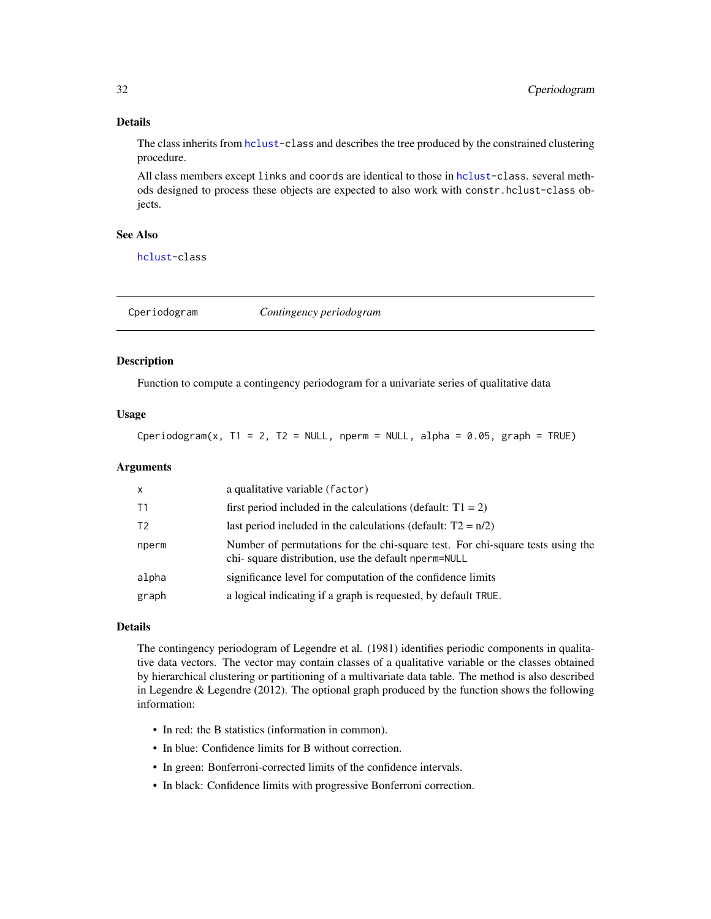# <span id="page-31-0"></span>Details

The class inherits from [hclust-](#page-0-0)class and describes the tree produced by the constrained clustering procedure.

All class members except links and coords are identical to those in [hclust-](#page-0-0)class. several methods designed to process these objects are expected to also work with constr.hclust-class objects.

#### See Also

[hclust-](#page-0-0)class

Cperiodogram *Contingency periodogram*

#### **Description**

Function to compute a contingency periodogram for a univariate series of qualitative data

# Usage

Cperiodogram(x,  $T1 = 2$ ,  $T2 = NULL$ , nperm = NULL, alpha = 0.05, graph = TRUE)

#### Arguments

| $\mathsf{x}$   | a qualitative variable (factor)                                                                                                       |
|----------------|---------------------------------------------------------------------------------------------------------------------------------------|
| T1             | first period included in the calculations (default: $T1 = 2$ )                                                                        |
| T <sub>2</sub> | last period included in the calculations (default: $T2 = n/2$ )                                                                       |
| nperm          | Number of permutations for the chi-square test. For chi-square tests using the<br>chi-square distribution, use the default nperm=NULL |
| alpha          | significance level for computation of the confidence limits                                                                           |
| graph          | a logical indicating if a graph is requested, by default TRUE.                                                                        |

#### Details

The contingency periodogram of Legendre et al. (1981) identifies periodic components in qualitative data vectors. The vector may contain classes of a qualitative variable or the classes obtained by hierarchical clustering or partitioning of a multivariate data table. The method is also described in Legendre & Legendre (2012). The optional graph produced by the function shows the following information:

- In red: the B statistics (information in common).
- In blue: Confidence limits for B without correction.
- In green: Bonferroni-corrected limits of the confidence intervals.
- In black: Confidence limits with progressive Bonferroni correction.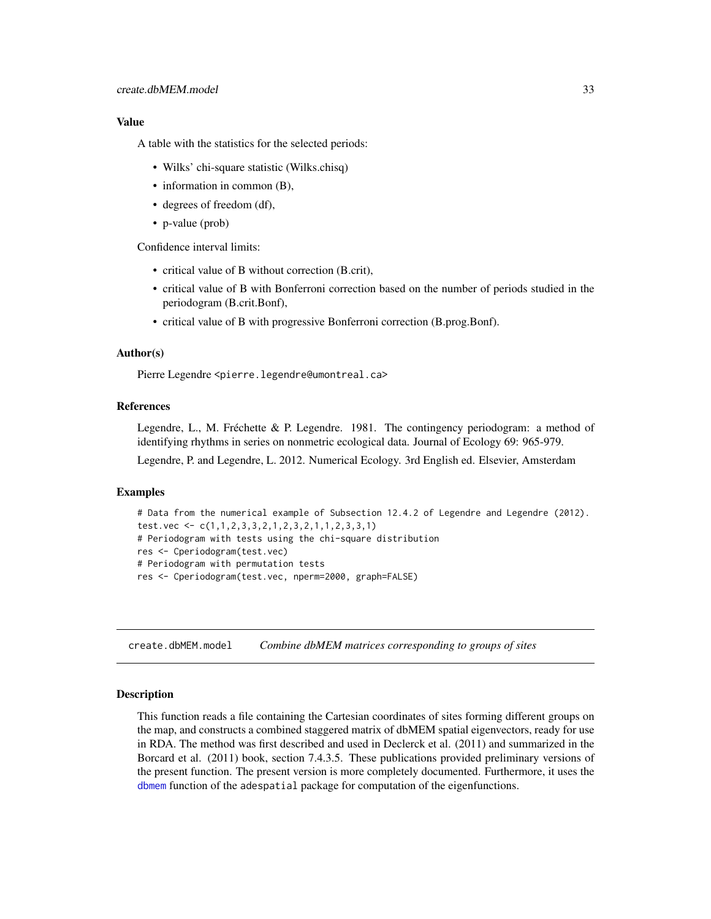# <span id="page-32-0"></span>Value

A table with the statistics for the selected periods:

- Wilks' chi-square statistic (Wilks.chisq)
- information in common (B),
- degrees of freedom (df),
- p-value (prob)

Confidence interval limits:

- critical value of B without correction (B.crit),
- critical value of B with Bonferroni correction based on the number of periods studied in the periodogram (B.crit.Bonf),
- critical value of B with progressive Bonferroni correction (B.prog.Bonf).

# Author(s)

Pierre Legendre <pierre.legendre@umontreal.ca>

## References

Legendre, L., M. Fréchette & P. Legendre. 1981. The contingency periodogram: a method of identifying rhythms in series on nonmetric ecological data. Journal of Ecology 69: 965-979.

Legendre, P. and Legendre, L. 2012. Numerical Ecology. 3rd English ed. Elsevier, Amsterdam

#### Examples

```
# Data from the numerical example of Subsection 12.4.2 of Legendre and Legendre (2012).
test.vec <- c(1,1,2,3,3,2,1,2,3,2,1,1,2,3,3,1)
# Periodogram with tests using the chi-square distribution
res <- Cperiodogram(test.vec)
# Periodogram with permutation tests
res <- Cperiodogram(test.vec, nperm=2000, graph=FALSE)
```
create.dbMEM.model *Combine dbMEM matrices corresponding to groups of sites*

#### Description

This function reads a file containing the Cartesian coordinates of sites forming different groups on the map, and constructs a combined staggered matrix of dbMEM spatial eigenvectors, ready for use in RDA. The method was first described and used in Declerck et al. (2011) and summarized in the Borcard et al. (2011) book, section 7.4.3.5. These publications provided preliminary versions of the present function. The present version is more completely documented. Furthermore, it uses the [dbmem](#page-34-1) function of the adespatial package for computation of the eigenfunctions.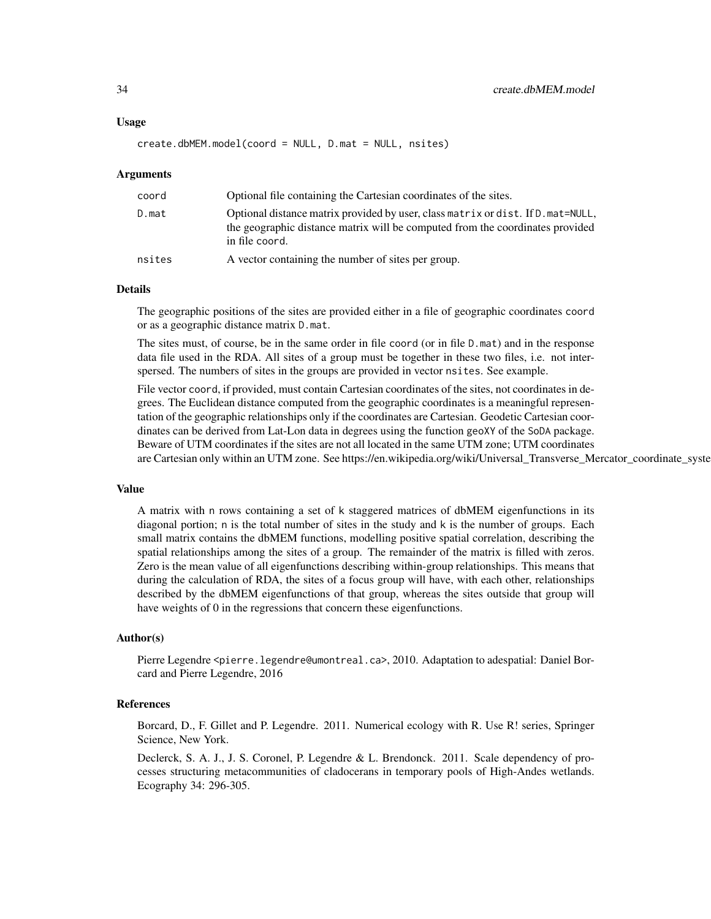#### Usage

 $create.dbMEM.model(coord = NULL, D.mat = NULL, nsites)$ 

#### Arguments

| coord  | Optional file containing the Cartesian coordinates of the sites.                                                                                                                    |
|--------|-------------------------------------------------------------------------------------------------------------------------------------------------------------------------------------|
| D.mat  | Optional distance matrix provided by user, class matrix or dist. If D. mat=NULL,<br>the geographic distance matrix will be computed from the coordinates provided<br>in file coord. |
| nsites | A vector containing the number of sites per group.                                                                                                                                  |

#### Details

The geographic positions of the sites are provided either in a file of geographic coordinates coord or as a geographic distance matrix D.mat.

The sites must, of course, be in the same order in file coord (or in file D.mat) and in the response data file used in the RDA. All sites of a group must be together in these two files, i.e. not interspersed. The numbers of sites in the groups are provided in vector nsites. See example.

File vector coord, if provided, must contain Cartesian coordinates of the sites, not coordinates in degrees. The Euclidean distance computed from the geographic coordinates is a meaningful representation of the geographic relationships only if the coordinates are Cartesian. Geodetic Cartesian coordinates can be derived from Lat-Lon data in degrees using the function geoXY of the SoDA package. Beware of UTM coordinates if the sites are not all located in the same UTM zone; UTM coordinates are Cartesian only within an UTM zone. See https://en.wikipedia.org/wiki/Universal\_Transverse\_Mercator\_coordinate\_syste

#### Value

A matrix with n rows containing a set of k staggered matrices of dbMEM eigenfunctions in its diagonal portion; n is the total number of sites in the study and k is the number of groups. Each small matrix contains the dbMEM functions, modelling positive spatial correlation, describing the spatial relationships among the sites of a group. The remainder of the matrix is filled with zeros. Zero is the mean value of all eigenfunctions describing within-group relationships. This means that during the calculation of RDA, the sites of a focus group will have, with each other, relationships described by the dbMEM eigenfunctions of that group, whereas the sites outside that group will have weights of 0 in the regressions that concern these eigenfunctions.

# Author(s)

Pierre Legendre <pierre.legendre@umontreal.ca>, 2010. Adaptation to adespatial: Daniel Borcard and Pierre Legendre, 2016

#### References

Borcard, D., F. Gillet and P. Legendre. 2011. Numerical ecology with R. Use R! series, Springer Science, New York.

Declerck, S. A. J., J. S. Coronel, P. Legendre & L. Brendonck. 2011. Scale dependency of processes structuring metacommunities of cladocerans in temporary pools of High-Andes wetlands. Ecography 34: 296-305.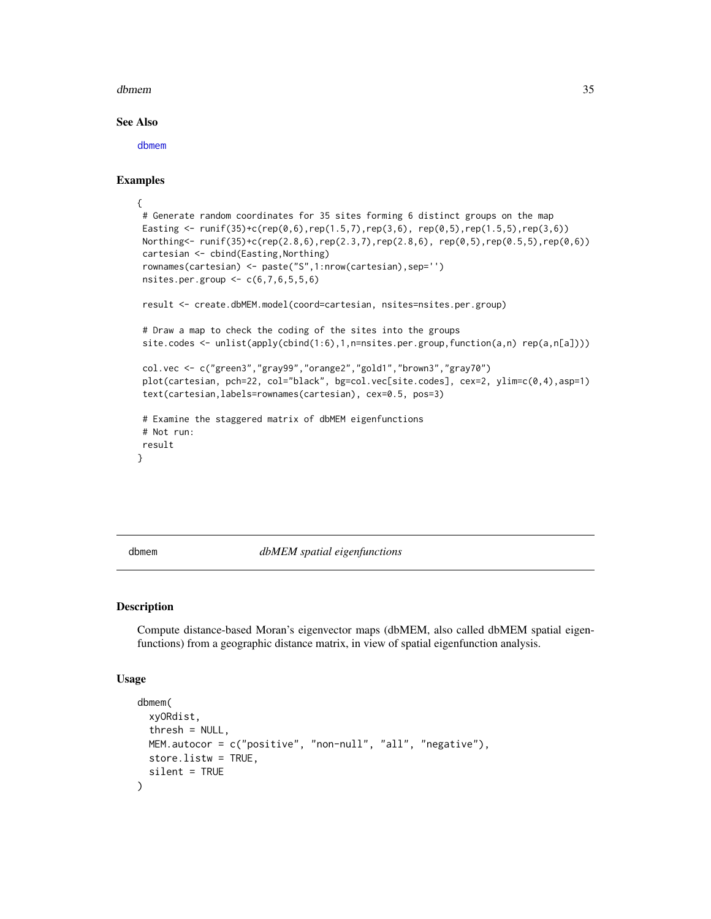#### <span id="page-34-0"></span>dbmem 35

#### See Also

[dbmem](#page-34-1)

#### Examples

```
{
# Generate random coordinates for 35 sites forming 6 distinct groups on the map
Easting \le runif(35)+c(rep(0,6),rep(1.5,7),rep(3,6), rep(0,5),rep(1.5,5),rep(3,6))
Northing<- runif(35)+c(rep(2.8,6),rep(2.3,7),rep(2.8,6), rep(0,5),rep(0.5,5),rep(0,6))
cartesian <- cbind(Easting,Northing)
rownames(cartesian) <- paste("S",1:nrow(cartesian),sep='')
nsites.per.group <- c(6,7,6,5,5,6)
 result <- create.dbMEM.model(coord=cartesian, nsites=nsites.per.group)
 # Draw a map to check the coding of the sites into the groups
 site.codes <- unlist(apply(cbind(1:6),1,n=nsites.per.group,function(a,n) rep(a,n[a])))
 col.vec <- c("green3","gray99","orange2","gold1","brown3","gray70")
 plot(cartesian, pch=22, col="black", bg=col.vec[site.codes], cex=2, ylim=c(0,4),asp=1)
 text(cartesian,labels=rownames(cartesian), cex=0.5, pos=3)
 # Examine the staggered matrix of dbMEM eigenfunctions
# Not run:
result
}
```
<span id="page-34-1"></span>

dbmem *dbMEM spatial eigenfunctions*

#### Description

Compute distance-based Moran's eigenvector maps (dbMEM, also called dbMEM spatial eigenfunctions) from a geographic distance matrix, in view of spatial eigenfunction analysis.

#### Usage

```
dbmem(
  xyORdist,
  thresh = NULL,
 MEM.autocor = c("positive", "non-null", "all", "negative"),
  store.listw = TRUE,
  silent = TRUE
)
```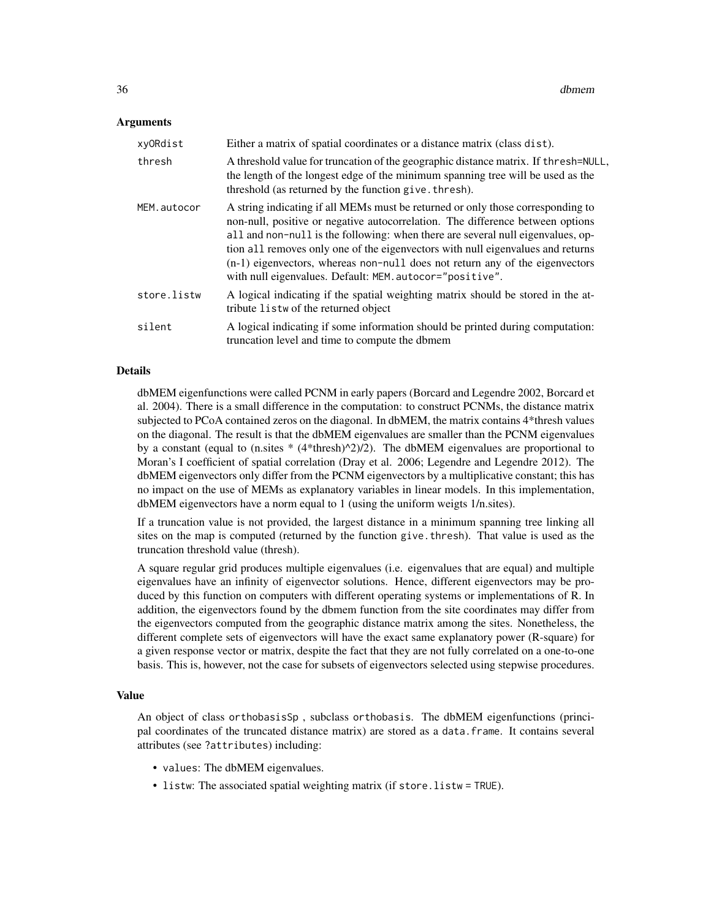#### Arguments

| xyORdist    | Either a matrix of spatial coordinates or a distance matrix (class dist).                                                                                                                                                                                                                                                                                                                                                                                                             |
|-------------|---------------------------------------------------------------------------------------------------------------------------------------------------------------------------------------------------------------------------------------------------------------------------------------------------------------------------------------------------------------------------------------------------------------------------------------------------------------------------------------|
| thresh      | A threshold value for truncation of the geographic distance matrix. If thresh=NULL,<br>the length of the longest edge of the minimum spanning tree will be used as the<br>threshold (as returned by the function give. thresh).                                                                                                                                                                                                                                                       |
| MEM.autocor | A string indicating if all MEMs must be returned or only those corresponding to<br>non-null, positive or negative autocorrelation. The difference between options<br>all and non-null is the following: when there are several null eigenvalues, op-<br>tion all removes only one of the eigenvectors with null eigenvalues and returns<br>$(n-1)$ eigenvectors, whereas non-null does not return any of the eigenvectors<br>with null eigenvalues. Default: MEM. autocor="positive". |
| store.listw | A logical indicating if the spatial weighting matrix should be stored in the at-<br>tribute listw of the returned object                                                                                                                                                                                                                                                                                                                                                              |
| silent      | A logical indicating if some information should be printed during computation:<br>truncation level and time to compute the dbmem                                                                                                                                                                                                                                                                                                                                                      |

# Details

dbMEM eigenfunctions were called PCNM in early papers (Borcard and Legendre 2002, Borcard et al. 2004). There is a small difference in the computation: to construct PCNMs, the distance matrix subjected to PCoA contained zeros on the diagonal. In dbMEM, the matrix contains 4\*thresh values on the diagonal. The result is that the dbMEM eigenvalues are smaller than the PCNM eigenvalues by a constant (equal to (n.sites  $*(4*thresh)^2/2)$ ). The dbMEM eigenvalues are proportional to Moran's I coefficient of spatial correlation (Dray et al. 2006; Legendre and Legendre 2012). The dbMEM eigenvectors only differ from the PCNM eigenvectors by a multiplicative constant; this has no impact on the use of MEMs as explanatory variables in linear models. In this implementation, dbMEM eigenvectors have a norm equal to 1 (using the uniform weigts 1/n.sites).

If a truncation value is not provided, the largest distance in a minimum spanning tree linking all sites on the map is computed (returned by the function give.thresh). That value is used as the truncation threshold value (thresh).

A square regular grid produces multiple eigenvalues (i.e. eigenvalues that are equal) and multiple eigenvalues have an infinity of eigenvector solutions. Hence, different eigenvectors may be produced by this function on computers with different operating systems or implementations of R. In addition, the eigenvectors found by the dbmem function from the site coordinates may differ from the eigenvectors computed from the geographic distance matrix among the sites. Nonetheless, the different complete sets of eigenvectors will have the exact same explanatory power (R-square) for a given response vector or matrix, despite the fact that they are not fully correlated on a one-to-one basis. This is, however, not the case for subsets of eigenvectors selected using stepwise procedures.

# Value

An object of class orthobasisSp , subclass orthobasis. The dbMEM eigenfunctions (principal coordinates of the truncated distance matrix) are stored as a data.frame. It contains several attributes (see ?attributes) including:

- values: The dbMEM eigenvalues.
- listw: The associated spatial weighting matrix (if store.listw = TRUE).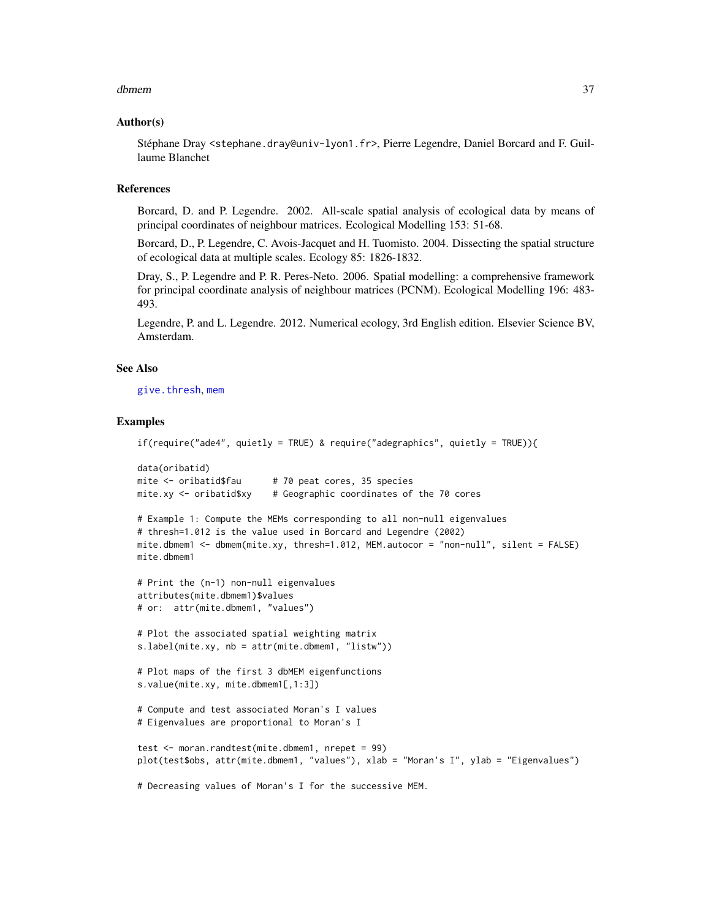### dbmem 37

#### Author(s)

Stéphane Dray <stephane.dray@univ-lyon1.fr>, Pierre Legendre, Daniel Borcard and F. Guillaume Blanchet

## References

Borcard, D. and P. Legendre. 2002. All-scale spatial analysis of ecological data by means of principal coordinates of neighbour matrices. Ecological Modelling 153: 51-68.

Borcard, D., P. Legendre, C. Avois-Jacquet and H. Tuomisto. 2004. Dissecting the spatial structure of ecological data at multiple scales. Ecology 85: 1826-1832.

Dray, S., P. Legendre and P. R. Peres-Neto. 2006. Spatial modelling: a comprehensive framework for principal coordinate analysis of neighbour matrices (PCNM). Ecological Modelling 196: 483- 493.

Legendre, P. and L. Legendre. 2012. Numerical ecology, 3rd English edition. Elsevier Science BV, Amsterdam.

## See Also

[give.thresh](#page-50-0), [mem](#page-103-0)

```
if(require("ade4", quietly = TRUE) & require("adegraphics", quietly = TRUE)){
data(oribatid)
mite \le oribatid$fau # 70 peat cores, 35 species
mite.xy \le oribatid $xy # Geographic coordinates of the 70 cores
# Example 1: Compute the MEMs corresponding to all non-null eigenvalues
# thresh=1.012 is the value used in Borcard and Legendre (2002)
mite.dbmem1 <- dbmem(mite.xy, thresh=1.012, MEM.autocor = "non-null", silent = FALSE)
mite.dbmem1
# Print the (n-1) non-null eigenvalues
attributes(mite.dbmem1)$values
# or: attr(mite.dbmem1, "values")
# Plot the associated spatial weighting matrix
s.label(mite.xy, nb = attr(mite.dbmem1, "listw"))
# Plot maps of the first 3 dbMEM eigenfunctions
s.value(mite.xy, mite.dbmem1[,1:3])
# Compute and test associated Moran's I values
# Eigenvalues are proportional to Moran's I
test <- moran.randtest(mite.dbmem1, nrepet = 99)
plot(test$obs, attr(mite.dbmem1, "values"), xlab = "Moran's I", ylab = "Eigenvalues")
# Decreasing values of Moran's I for the successive MEM.
```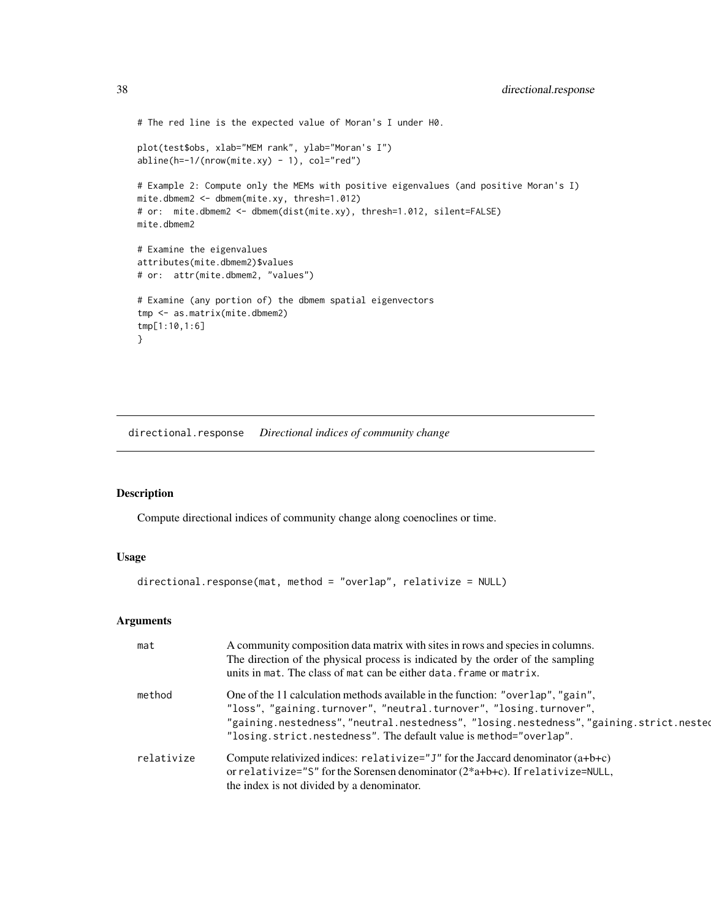```
# The red line is the expected value of Moran's I under H0.
plot(test$obs, xlab="MEM rank", ylab="Moran's I")
abline(h=-1/(nrow(mite.xy) - 1), col="red")# Example 2: Compute only the MEMs with positive eigenvalues (and positive Moran's I)
mite.dbmem2 <- dbmem(mite.xy, thresh=1.012)
# or: mite.dbmem2 <- dbmem(dist(mite.xy), thresh=1.012, silent=FALSE)
mite.dbmem2
# Examine the eigenvalues
attributes(mite.dbmem2)$values
# or: attr(mite.dbmem2, "values")
# Examine (any portion of) the dbmem spatial eigenvectors
tmp <- as.matrix(mite.dbmem2)
tmp[1:10,1:6]
}
```
directional.response *Directional indices of community change*

## Description

Compute directional indices of community change along coenoclines or time.

# Usage

```
directional.response(mat, method = "overlap", relativize = NULL)
```

| mat        | A community composition data matrix with sites in rows and species in columns.<br>The direction of the physical process is indicated by the order of the sampling<br>units in mat. The class of mat can be either data. frame or matrix.                                                                               |
|------------|------------------------------------------------------------------------------------------------------------------------------------------------------------------------------------------------------------------------------------------------------------------------------------------------------------------------|
| method     | One of the 11 calculation methods available in the function: "overlap", "gain",<br>"loss", "gaining.turnover", "neutral.turnover", "losing.turnover",<br>"gaining.nestedness", "neutral.nestedness", "losing.nestedness", "gaining.strict.nested<br>"losing.strict.nestedness". The default value is method="overlap". |
| relativize | Compute relativized indices: relativize=" $J''$ for the Jaccard denominator (a+b+c)<br>or relativize="S" for the Sorensen denominator $(2*a+b+c)$ . If relativize=NULL,<br>the index is not divided by a denominator.                                                                                                  |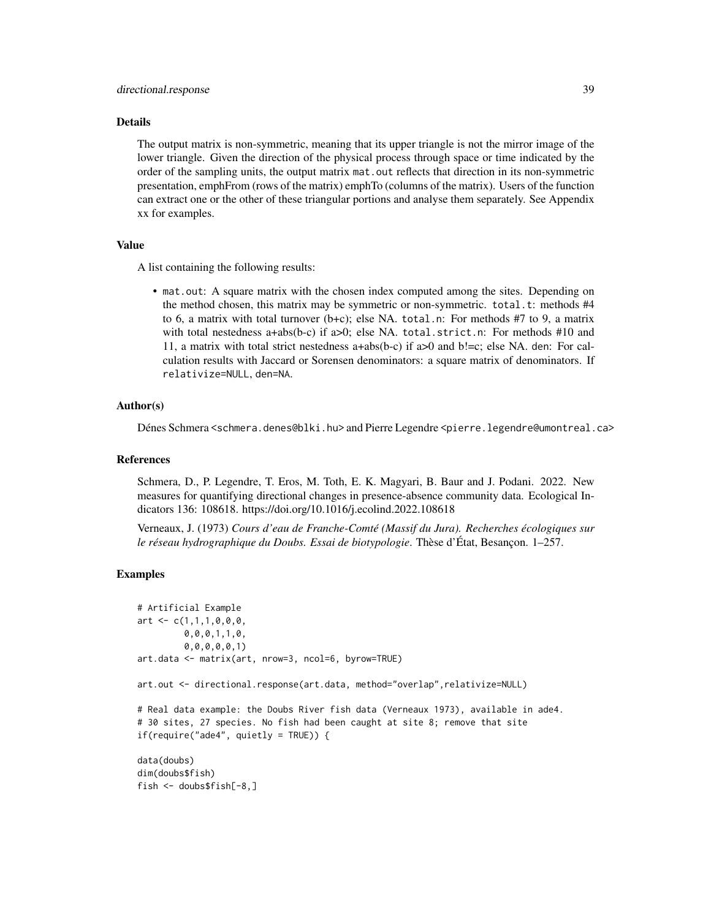## Details

The output matrix is non-symmetric, meaning that its upper triangle is not the mirror image of the lower triangle. Given the direction of the physical process through space or time indicated by the order of the sampling units, the output matrix mat.out reflects that direction in its non-symmetric presentation, emphFrom (rows of the matrix) emphTo (columns of the matrix). Users of the function can extract one or the other of these triangular portions and analyse them separately. See Appendix xx for examples.

#### Value

A list containing the following results:

• mat.out: A square matrix with the chosen index computed among the sites. Depending on the method chosen, this matrix may be symmetric or non-symmetric. total.t: methods #4 to 6, a matrix with total turnover  $(b+c)$ ; else NA. total.n: For methods #7 to 9, a matrix with total nestedness a+abs(b-c) if a>0; else NA. total.strict.n: For methods #10 and 11, a matrix with total strict nestedness a+abs(b-c) if a>0 and b!=c; else NA. den: For calculation results with Jaccard or Sorensen denominators: a square matrix of denominators. If relativize=NULL, den=NA.

## Author(s)

Dénes Schmera <schmera.denes@blki.hu> and Pierre Legendre <pierre.legendre@umontreal.ca>

## References

Schmera, D., P. Legendre, T. Eros, M. Toth, E. K. Magyari, B. Baur and J. Podani. 2022. New measures for quantifying directional changes in presence-absence community data. Ecological Indicators 136: 108618. https://doi.org/10.1016/j.ecolind.2022.108618

Verneaux, J. (1973) *Cours d'eau de Franche-Comté (Massif du Jura). Recherches écologiques sur le réseau hydrographique du Doubs. Essai de biotypologie*. Thèse d'État, Besançon. 1–257.

```
# Artificial Example
art < -c(1,1,1,0,0,0,0,0,0,1,1,0,
         0,0,0,0,0,1)
art.data <- matrix(art, nrow=3, ncol=6, byrow=TRUE)
art.out <- directional.response(art.data, method="overlap",relativize=NULL)
# Real data example: the Doubs River fish data (Verneaux 1973), available in ade4.
# 30 sites, 27 species. No fish had been caught at site 8; remove that site
if(require("ade4", quietly = TRUE)) {
data(doubs)
dim(doubs$fish)
fish <- doubs$fish[-8,]
```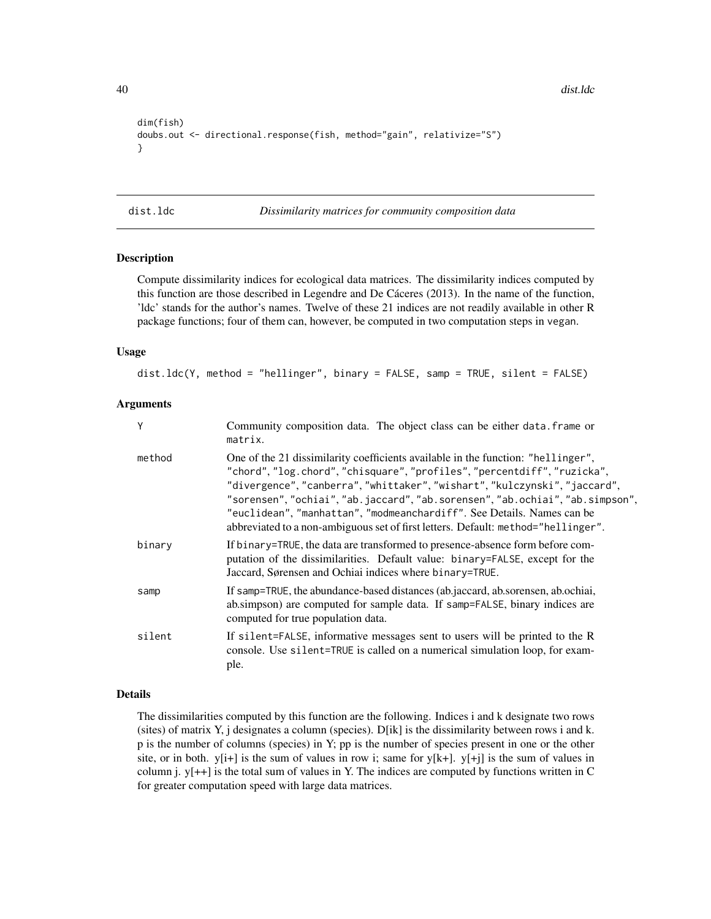40 dist.ldc

```
dim(fish)
doubs.out <- directional.response(fish, method="gain", relativize="S")
}
```
dist.ldc *Dissimilarity matrices for community composition data*

## Description

Compute dissimilarity indices for ecological data matrices. The dissimilarity indices computed by this function are those described in Legendre and De Cáceres (2013). In the name of the function, 'ldc' stands for the author's names. Twelve of these 21 indices are not readily available in other R package functions; four of them can, however, be computed in two computation steps in vegan.

## Usage

dist.ldc(Y, method = "hellinger", binary = FALSE, samp = TRUE, silent = FALSE)

## Arguments

| Y      | Community composition data. The object class can be either data. frame or<br>matrix.                                                                                                                                                                                                                                                                                                                                                                                                           |
|--------|------------------------------------------------------------------------------------------------------------------------------------------------------------------------------------------------------------------------------------------------------------------------------------------------------------------------------------------------------------------------------------------------------------------------------------------------------------------------------------------------|
| method | One of the 21 dissimilarity coefficients available in the function: "hellinger",<br>"chord", "log.chord", "chisquare", "profiles", "percentdiff", "ruzicka",<br>"divergence", "canberra", "whittaker", "wishart", "kulczynski", "jaccard",<br>"sorensen", "ochiai", "ab. jaccard", "ab. sorensen", "ab. ochiai", "ab. simpson",<br>"euclidean", "manhattan", "modmeanchardiff". See Details. Names can be<br>abbreviated to a non-ambiguous set of first letters. Default: method="hellinger". |
| binary | If binary=TRUE, the data are transformed to presence-absence form before com-<br>putation of the dissimilarities. Default value: binary=FALSE, except for the<br>Jaccard, Sørensen and Ochiai indices where binary=TRUE.                                                                                                                                                                                                                                                                       |
| samp   | If samp=TRUE, the abundance-based distances (ab.jaccard, ab.sorensen, ab.ochiai,<br>ab.simpson) are computed for sample data. If samp=FALSE, binary indices are<br>computed for true population data.                                                                                                                                                                                                                                                                                          |
| silent | If silent=FALSE, informative messages sent to users will be printed to the R<br>console. Use silent=TRUE is called on a numerical simulation loop, for exam-<br>ple.                                                                                                                                                                                                                                                                                                                           |

## Details

The dissimilarities computed by this function are the following. Indices i and k designate two rows (sites) of matrix Y, j designates a column (species). D[ik] is the dissimilarity between rows i and k. p is the number of columns (species) in Y; pp is the number of species present in one or the other site, or in both.  $y[i+]$  is the sum of values in row i; same for  $y[k+]$ .  $y[i]$  is the sum of values in column j. y[++] is the total sum of values in Y. The indices are computed by functions written in C for greater computation speed with large data matrices.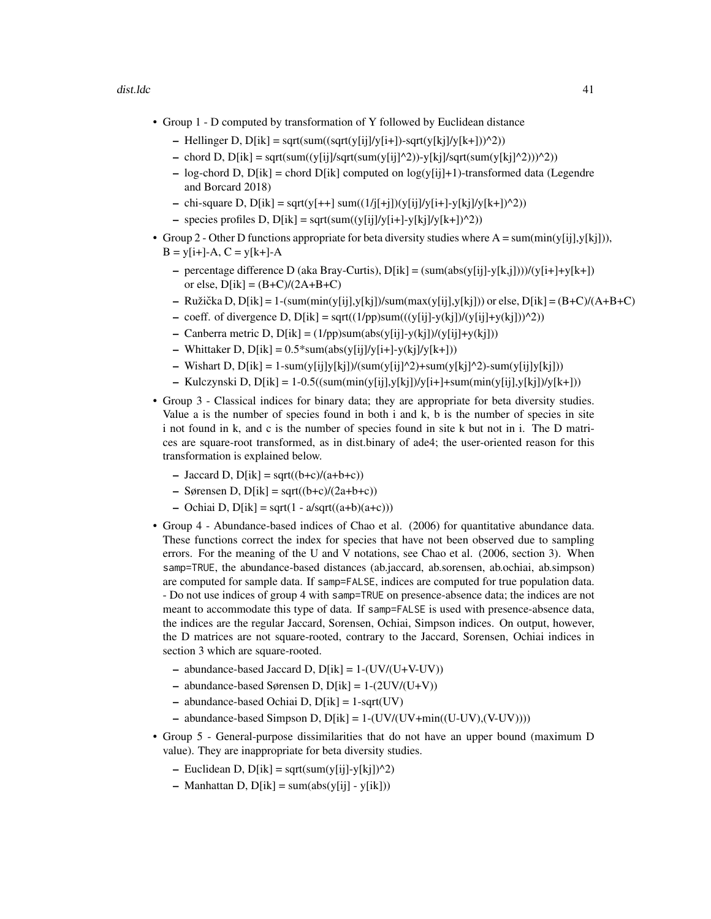## dist.Idc 41

- Group 1 D computed by transformation of Y followed by Euclidean distance
	- Hellinger D,  $D[ik]$  = sqrt(sum((sqrt(y[ij]/y[i+])-sqrt(y[kj]/y[k+]))^2))
	- chord D,  $D[ik]$  = sqrt(sum((y[ij]/sqrt(sum(y[ij]^2))-y[kj]/sqrt(sum(y[kj]^2)))^2))
	- log-chord D,  $D[ik]$  = chord  $D[ik]$  computed on  $log(y[i]+1)$ -transformed data (Legendre and Borcard 2018)
	- chi-square D,  $D[ik]$  = sqrt(y[++] sum((1/j[+j])(y[ij]/y[i+]-y[kj]/y[k+])^2))
	- species profiles D, D[ik] = sqrt(sum((y[ij]/y[i+]-y[kj]/y[k+])^2))
- Group 2 Other D functions appropriate for beta diversity studies where  $A = \text{sum}(\text{min}(y[i], y[k]])$ ,  $B = y[i+]-A, C = y[k+]-A$ 
	- percentage difference D (aka Bray-Curtis),  $D[ik] = (sum(abs(y[ij]-y[k,j])))/(y[i+]+y[k+])$ or else,  $D[ik] = (B+C)/(2A+B+C)$
	- $-$  Ružička D, D[ik] = 1-(sum(min(y[ij],y[kj])/sum(max(y[ij],y[kj])) or else, D[ik] = (B+C)/(A+B+C)
	- coeff. of divergence D, D[ik] = sqrt( $(1/pp)$ sum( $((y[ij]-y(kj])/y[ij]+y(kj]))^2)$ )
	- Canberra metric D, D[ik] = (1/pp)sum(abs(y[ij]-y(kj])/(y[ij]+y(kj]))
	- Whittaker D,  $D[ik] = 0.5*sum(abs(y[ij]/y[i+] y(kj]/y[k+]))$
	- Wishart D,  $D[ik] = 1$ -sum(y[ij]y[kj])/(sum(y[ij]^2)+sum(y[kj]^2)-sum(y[ij]y[kj]))
	- Kulczynski D, D[ik] = 1-0.5((sum(min(y[ij],y[kj])/y[i+]+sum(min(y[ij],y[kj])/y[k+]))
- Group 3 Classical indices for binary data; they are appropriate for beta diversity studies. Value a is the number of species found in both i and k, b is the number of species in site i not found in k, and c is the number of species found in site k but not in i. The D matrices are square-root transformed, as in dist.binary of ade4; the user-oriented reason for this transformation is explained below.
	- $-$  Jaccard D, D[ik] = sqrt((b+c)/(a+b+c))
	- Sørensen D, D[ik] = sqrt( $(b+c)/(2a+b+c)$ )
	- $-$  Ochiai D, D[ik] = sqrt(1 a/sqrt((a+b)(a+c)))
- Group 4 Abundance-based indices of Chao et al. (2006) for quantitative abundance data. These functions correct the index for species that have not been observed due to sampling errors. For the meaning of the U and V notations, see Chao et al. (2006, section 3). When samp=TRUE, the abundance-based distances (ab.jaccard, ab.sorensen, ab.ochiai, ab.simpson) are computed for sample data. If samp=FALSE, indices are computed for true population data. - Do not use indices of group 4 with samp=TRUE on presence-absence data; the indices are not meant to accommodate this type of data. If samp=FALSE is used with presence-absence data, the indices are the regular Jaccard, Sorensen, Ochiai, Simpson indices. On output, however, the D matrices are not square-rooted, contrary to the Jaccard, Sorensen, Ochiai indices in section 3 which are square-rooted.
	- $-$  abundance-based Jaccard D, D[ik] = 1-(UV/(U+V-UV))
	- $-$  abundance-based Sørensen D, D[ik] = 1-(2UV/(U+V))
	- $-$  abundance-based Ochiai D, D[ik] = 1-sqrt(UV)
	- abundance-based Simpson D,  $D[ik] = 1-(UV/(UV+min((U-UV),(V-UV))))$
- Group 5 General-purpose dissimilarities that do not have an upper bound (maximum D value). They are inappropriate for beta diversity studies.
	- Euclidean D, D[ik] = sqrt(sum(y[ij]-y[kj])^2)
	- $-$  Manhattan D, D[ik] = sum(abs(y[ij] y[ik]))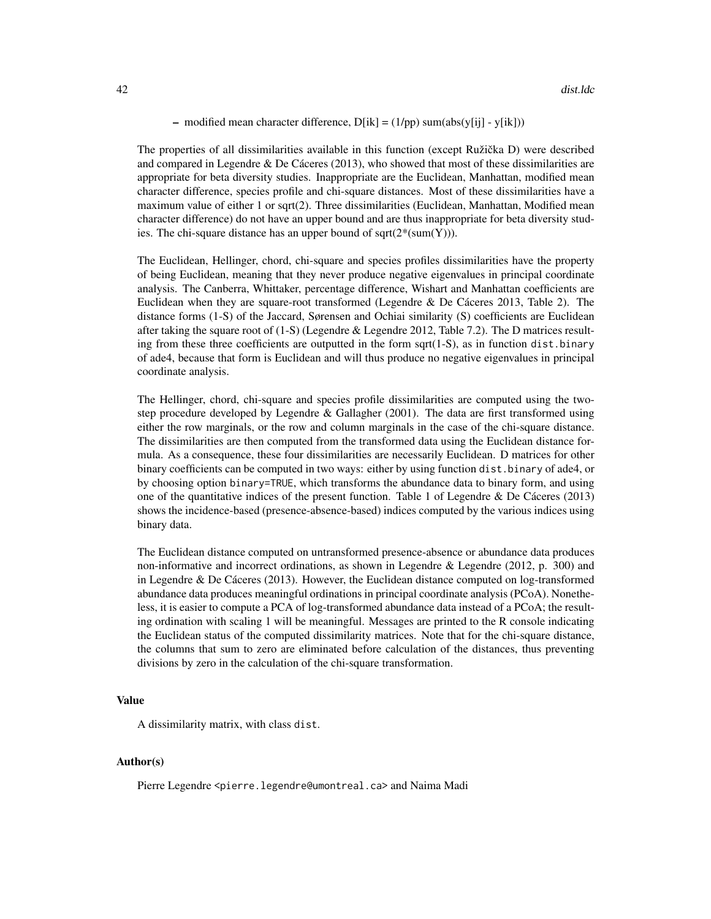– modified mean character difference,  $D[ik] = (1/pp) \text{ sum}(abs(y[ij] - y[ik]))$ 

The properties of all dissimilarities available in this function (except Ružička D) were described and compared in Legendre & De Cáceres (2013), who showed that most of these dissimilarities are appropriate for beta diversity studies. Inappropriate are the Euclidean, Manhattan, modified mean character difference, species profile and chi-square distances. Most of these dissimilarities have a maximum value of either 1 or sqrt(2). Three dissimilarities (Euclidean, Manhattan, Modified mean character difference) do not have an upper bound and are thus inappropriate for beta diversity studies. The chi-square distance has an upper bound of sqrt $(2^*(sum(Y)))$ .

The Euclidean, Hellinger, chord, chi-square and species profiles dissimilarities have the property of being Euclidean, meaning that they never produce negative eigenvalues in principal coordinate analysis. The Canberra, Whittaker, percentage difference, Wishart and Manhattan coefficients are Euclidean when they are square-root transformed (Legendre & De Cáceres 2013, Table 2). The distance forms (1-S) of the Jaccard, Sørensen and Ochiai similarity (S) coefficients are Euclidean after taking the square root of  $(1-S)$  (Legendre & Legendre 2012, Table 7.2). The D matrices resulting from these three coefficients are outputted in the form sqrt(1-S), as in function dist.binary of ade4, because that form is Euclidean and will thus produce no negative eigenvalues in principal coordinate analysis.

The Hellinger, chord, chi-square and species profile dissimilarities are computed using the twostep procedure developed by Legendre  $\&$  Gallagher (2001). The data are first transformed using either the row marginals, or the row and column marginals in the case of the chi-square distance. The dissimilarities are then computed from the transformed data using the Euclidean distance formula. As a consequence, these four dissimilarities are necessarily Euclidean. D matrices for other binary coefficients can be computed in two ways: either by using function dist.binary of ade4, or by choosing option binary=TRUE, which transforms the abundance data to binary form, and using one of the quantitative indices of the present function. Table 1 of Legendre & De Cáceres (2013) shows the incidence-based (presence-absence-based) indices computed by the various indices using binary data.

The Euclidean distance computed on untransformed presence-absence or abundance data produces non-informative and incorrect ordinations, as shown in Legendre & Legendre (2012, p. 300) and in Legendre & De Cáceres (2013). However, the Euclidean distance computed on log-transformed abundance data produces meaningful ordinations in principal coordinate analysis (PCoA). Nonetheless, it is easier to compute a PCA of log-transformed abundance data instead of a PCoA; the resulting ordination with scaling 1 will be meaningful. Messages are printed to the R console indicating the Euclidean status of the computed dissimilarity matrices. Note that for the chi-square distance, the columns that sum to zero are eliminated before calculation of the distances, thus preventing divisions by zero in the calculation of the chi-square transformation.

## Value

A dissimilarity matrix, with class dist.

#### Author(s)

Pierre Legendre <pierre.legendre@umontreal.ca> and Naima Madi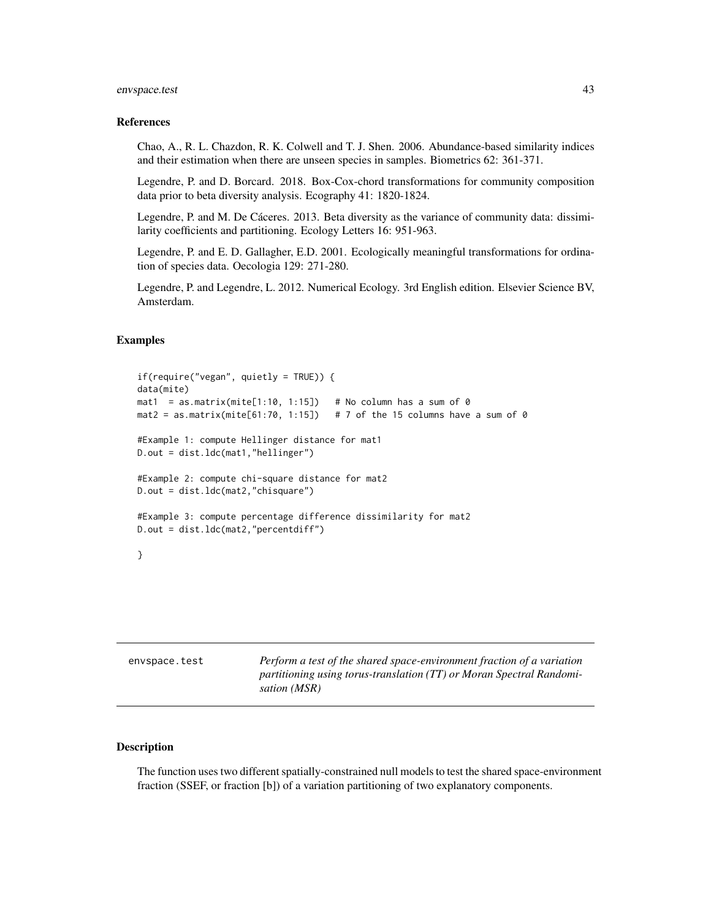# envspace.test 43

## References

Chao, A., R. L. Chazdon, R. K. Colwell and T. J. Shen. 2006. Abundance-based similarity indices and their estimation when there are unseen species in samples. Biometrics 62: 361-371.

Legendre, P. and D. Borcard. 2018. Box-Cox-chord transformations for community composition data prior to beta diversity analysis. Ecography 41: 1820-1824.

Legendre, P. and M. De Cáceres. 2013. Beta diversity as the variance of community data: dissimilarity coefficients and partitioning. Ecology Letters 16: 951-963.

Legendre, P. and E. D. Gallagher, E.D. 2001. Ecologically meaningful transformations for ordination of species data. Oecologia 129: 271-280.

Legendre, P. and Legendre, L. 2012. Numerical Ecology. 3rd English edition. Elsevier Science BV, Amsterdam.

## Examples

```
if(require("vegan", quietly = TRUE)) {
data(mite)
mat1 = as.matrix(mite[1:10, 1:15]) # No column has a sum of 0
mat2 = as.matrix(mite[61:70, 1:15]) # 7 of the 15 columns have a sum of 0
#Example 1: compute Hellinger distance for mat1
D.out = dist.ldc(mat1,"hellinger")
#Example 2: compute chi-square distance for mat2
D.out = dist.ldc(mat2,"chisquare")
#Example 3: compute percentage difference dissimilarity for mat2
D.out = dist.ldc(mat2,"percentdiff")
}
```

| envspace.test | Perform a test of the shared space-environment fraction of a variation |
|---------------|------------------------------------------------------------------------|
|               | partitioning using torus-translation (TT) or Moran Spectral Randomi-   |
|               | sation (MSR)                                                           |

# **Description**

The function uses two different spatially-constrained null models to test the shared space-environment fraction (SSEF, or fraction [b]) of a variation partitioning of two explanatory components.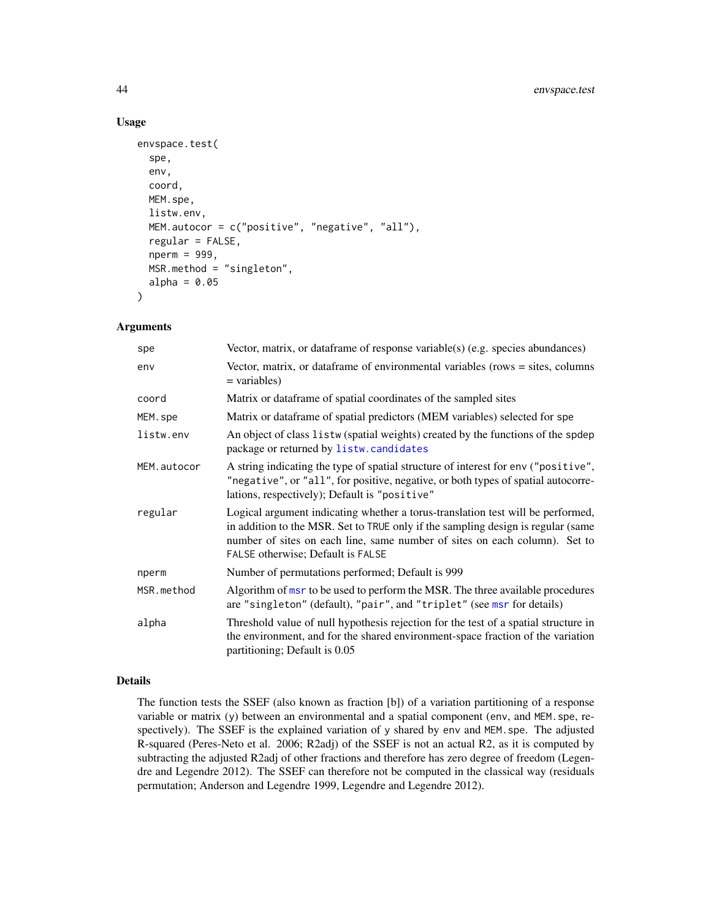# Usage

```
envspace.test(
  spe,
  env,
  coord,
 MEM.spe,
  listw.env,
  MEM.autocor = c("positive", "negative", "all"),
  regular = FALSE,
  nperm = 999,
 MSR.method = "singleton",
  alpha = 0.05)
```
# Arguments

| spe         | Vector, matrix, or data frame of response variable(s) (e.g. species abundances)                                                                                                                                                                                                        |
|-------------|----------------------------------------------------------------------------------------------------------------------------------------------------------------------------------------------------------------------------------------------------------------------------------------|
| env         | Vector, matrix, or dataframe of environmental variables (rows $=$ sites, columns<br>$=$ variables)                                                                                                                                                                                     |
| coord       | Matrix or dataframe of spatial coordinates of the sampled sites                                                                                                                                                                                                                        |
| MEM.spe     | Matrix or dataframe of spatial predictors (MEM variables) selected for spe                                                                                                                                                                                                             |
| listw.env   | An object of class listw (spatial weights) created by the functions of the spdep<br>package or returned by listw.candidates                                                                                                                                                            |
| MEM.autocor | A string indicating the type of spatial structure of interest for env ("positive",<br>"negative", or "all", for positive, negative, or both types of spatial autocorre-<br>lations, respectively); Default is "positive"                                                               |
| regular     | Logical argument indicating whether a torus-translation test will be performed,<br>in addition to the MSR. Set to TRUE only if the sampling design is regular (same<br>number of sites on each line, same number of sites on each column). Set to<br>FALSE otherwise; Default is FALSE |
| nperm       | Number of permutations performed; Default is 999                                                                                                                                                                                                                                       |
| MSR.method  | Algorithm of msr to be used to perform the MSR. The three available procedures<br>are "singleton" (default), "pair", and "triplet" (see msr for details)                                                                                                                               |
| alpha       | Threshold value of null hypothesis rejection for the test of a spatial structure in<br>the environment, and for the shared environment-space fraction of the variation<br>partitioning; Default is 0.05                                                                                |

# Details

The function tests the SSEF (also known as fraction [b]) of a variation partitioning of a response variable or matrix (y) between an environmental and a spatial component (env, and MEM.spe, respectively). The SSEF is the explained variation of y shared by env and MEM.spe. The adjusted R-squared (Peres-Neto et al. 2006; R2adj) of the SSEF is not an actual R2, as it is computed by subtracting the adjusted R2adj of other fractions and therefore has zero degree of freedom (Legendre and Legendre 2012). The SSEF can therefore not be computed in the classical way (residuals permutation; Anderson and Legendre 1999, Legendre and Legendre 2012).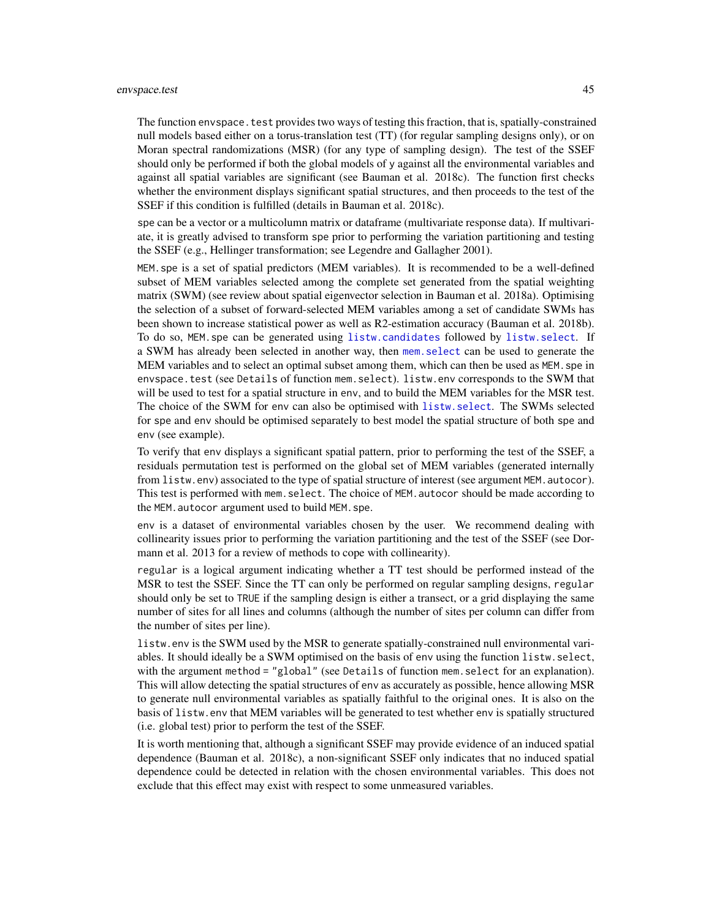#### envspace.test 45

The function envspace. test provides two ways of testing this fraction, that is, spatially-constrained null models based either on a torus-translation test (TT) (for regular sampling designs only), or on Moran spectral randomizations (MSR) (for any type of sampling design). The test of the SSEF should only be performed if both the global models of y against all the environmental variables and against all spatial variables are significant (see Bauman et al. 2018c). The function first checks whether the environment displays significant spatial structures, and then proceeds to the test of the SSEF if this condition is fulfilled (details in Bauman et al. 2018c).

spe can be a vector or a multicolumn matrix or dataframe (multivariate response data). If multivariate, it is greatly advised to transform spe prior to performing the variation partitioning and testing the SSEF (e.g., Hellinger transformation; see Legendre and Gallagher 2001).

MEM.spe is a set of spatial predictors (MEM variables). It is recommended to be a well-defined subset of MEM variables selected among the complete set generated from the spatial weighting matrix (SWM) (see review about spatial eigenvector selection in Bauman et al. 2018a). Optimising the selection of a subset of forward-selected MEM variables among a set of candidate SWMs has been shown to increase statistical power as well as R2-estimation accuracy (Bauman et al. 2018b). To do so, MEM.spe can be generated using [listw.candidates](#page-55-0) followed by [listw.select](#page-59-0). If a SWM has already been selected in another way, then [mem.select](#page-63-0) can be used to generate the MEM variables and to select an optimal subset among them, which can then be used as MEM, spe in envspace.test (see Details of function mem.select). listw.env corresponds to the SWM that will be used to test for a spatial structure in env, and to build the MEM variables for the MSR test. The choice of the SWM for env can also be optimised with [listw.select](#page-59-0). The SWMs selected for spe and env should be optimised separately to best model the spatial structure of both spe and env (see example).

To verify that env displays a significant spatial pattern, prior to performing the test of the SSEF, a residuals permutation test is performed on the global set of MEM variables (generated internally from listw.env) associated to the type of spatial structure of interest (see argument MEM.autocor). This test is performed with mem. select. The choice of MEM. autocor should be made according to the MEM.autocor argument used to build MEM.spe.

env is a dataset of environmental variables chosen by the user. We recommend dealing with collinearity issues prior to performing the variation partitioning and the test of the SSEF (see Dormann et al. 2013 for a review of methods to cope with collinearity).

regular is a logical argument indicating whether a TT test should be performed instead of the MSR to test the SSEF. Since the TT can only be performed on regular sampling designs, regular should only be set to TRUE if the sampling design is either a transect, or a grid displaying the same number of sites for all lines and columns (although the number of sites per column can differ from the number of sites per line).

listw.env is the SWM used by the MSR to generate spatially-constrained null environmental variables. It should ideally be a SWM optimised on the basis of env using the function listw.select, with the argument method = "global" (see Details of function mem. select for an explanation). This will allow detecting the spatial structures of env as accurately as possible, hence allowing MSR to generate null environmental variables as spatially faithful to the original ones. It is also on the basis of listw.env that MEM variables will be generated to test whether env is spatially structured (i.e. global test) prior to perform the test of the SSEF.

It is worth mentioning that, although a significant SSEF may provide evidence of an induced spatial dependence (Bauman et al. 2018c), a non-significant SSEF only indicates that no induced spatial dependence could be detected in relation with the chosen environmental variables. This does not exclude that this effect may exist with respect to some unmeasured variables.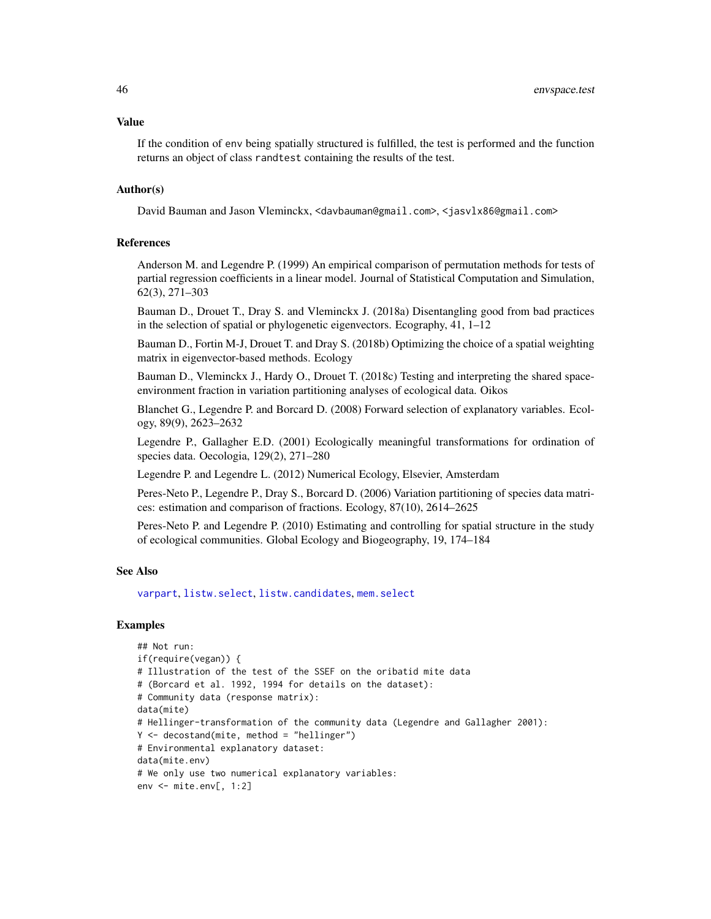## Value

If the condition of env being spatially structured is fulfilled, the test is performed and the function returns an object of class randtest containing the results of the test.

# Author(s)

David Bauman and Jason Vleminckx, <davbauman@gmail.com>, <jasvlx86@gmail.com>

# References

Anderson M. and Legendre P. (1999) An empirical comparison of permutation methods for tests of partial regression coefficients in a linear model. Journal of Statistical Computation and Simulation, 62(3), 271–303

Bauman D., Drouet T., Dray S. and Vleminckx J. (2018a) Disentangling good from bad practices in the selection of spatial or phylogenetic eigenvectors. Ecography, 41, 1–12

Bauman D., Fortin M-J, Drouet T. and Dray S. (2018b) Optimizing the choice of a spatial weighting matrix in eigenvector-based methods. Ecology

Bauman D., Vleminckx J., Hardy O., Drouet T. (2018c) Testing and interpreting the shared spaceenvironment fraction in variation partitioning analyses of ecological data. Oikos

Blanchet G., Legendre P. and Borcard D. (2008) Forward selection of explanatory variables. Ecology, 89(9), 2623–2632

Legendre P., Gallagher E.D. (2001) Ecologically meaningful transformations for ordination of species data. Oecologia, 129(2), 271–280

Legendre P. and Legendre L. (2012) Numerical Ecology, Elsevier, Amsterdam

Peres-Neto P., Legendre P., Dray S., Borcard D. (2006) Variation partitioning of species data matrices: estimation and comparison of fractions. Ecology, 87(10), 2614–2625

Peres-Neto P. and Legendre P. (2010) Estimating and controlling for spatial structure in the study of ecological communities. Global Ecology and Biogeography, 19, 174–184

# See Also

[varpart](#page-0-0), [listw.select](#page-59-0), [listw.candidates](#page-55-0), [mem.select](#page-63-0)

```
## Not run:
if(require(vegan)) {
# Illustration of the test of the SSEF on the oribatid mite data
# (Borcard et al. 1992, 1994 for details on the dataset):
# Community data (response matrix):
data(mite)
# Hellinger-transformation of the community data (Legendre and Gallagher 2001):
Y <- decostand(mite, method = "hellinger")
# Environmental explanatory dataset:
data(mite.env)
# We only use two numerical explanatory variables:
env <- mite.env[, 1:2]
```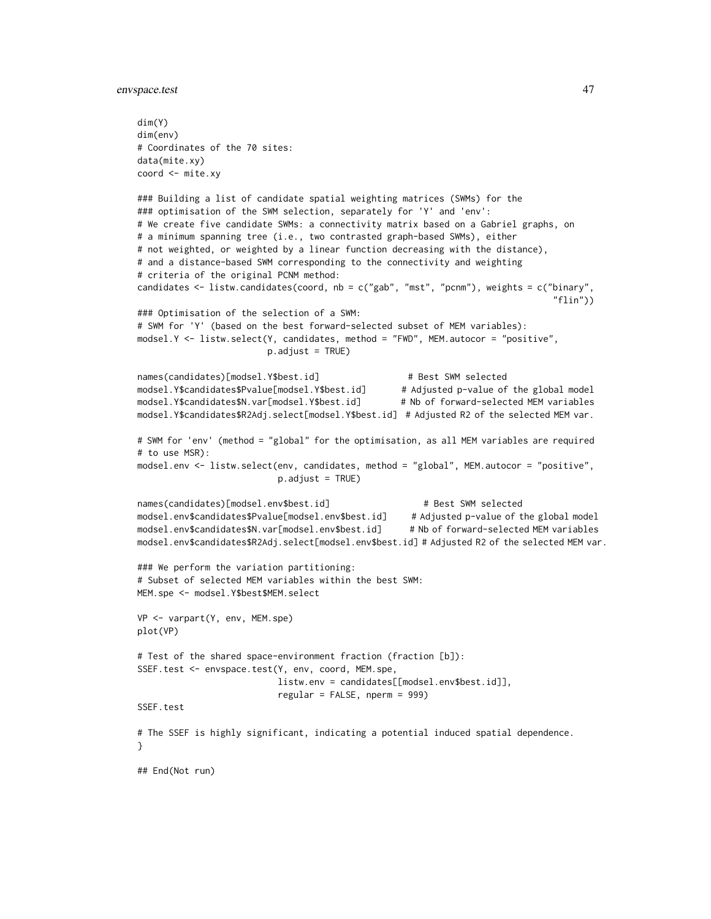```
dim(Y)
dim(env)
# Coordinates of the 70 sites:
data(mite.xy)
coord <- mite.xy
### Building a list of candidate spatial weighting matrices (SWMs) for the
### optimisation of the SWM selection, separately for 'Y' and 'env':
# We create five candidate SWMs: a connectivity matrix based on a Gabriel graphs, on
# a minimum spanning tree (i.e., two contrasted graph-based SWMs), either
# not weighted, or weighted by a linear function decreasing with the distance),
# and a distance-based SWM corresponding to the connectivity and weighting
# criteria of the original PCNM method:
candidates <- listw.candidates(coord, nb = c("gab", "mst", "pcnm"), weights = c("binary",
                                                                               "flin"))
### Optimisation of the selection of a SWM:
# SWM for 'Y' (based on the best forward-selected subset of MEM variables):
modsel.Y <- listw.select(Y, candidates, method = "FWD", MEM.autocor = "positive",
                        p.addjust = TRUE)names(candidates)[modsel.Y$best.id] # Best SWM selected
modsel.Y$candidates$Pvalue[modsel.Y$best.id] # Adjusted p-value of the global model
modsel.Y$candidates$N.var[modsel.Y$best.id] # Nb of forward-selected MEM variables
modsel.Y$candidates$R2Adj.select[modsel.Y$best.id] # Adjusted R2 of the selected MEM var.
# SWM for 'env' (method = "global" for the optimisation, as all MEM variables are required
# to use MSR):
modsel.env <- listw.select(env, candidates, method = "global", MEM.autocor = "positive",
                          p.adjust = TRUE)
names(candidates)[modsel.env$best.id] # Best SWM selected
modsel.env$candidates$Pvalue[modsel.env$best.id] # Adjusted p-value of the global model
modsel.env$candidates$N.var[modsel.env$best.id] # Nb of forward-selected MEM variables
modsel.env$candidates$R2Adj.select[modsel.env$best.id] # Adjusted R2 of the selected MEM var.
### We perform the variation partitioning:
# Subset of selected MEM variables within the best SWM:
MEM.spe <- modsel.Y$best$MEM.select
VP <- varpart(Y, env, MEM.spe)
plot(VP)
# Test of the shared space-environment fraction (fraction [b]):
SSEF.test <- envspace.test(Y, env, coord, MEM.spe,
                          listw.env = candidates[[modsel.env$best.id]],
                          regular = FALSE, nperm = 999)
SSEF.test
# The SSEF is highly significant, indicating a potential induced spatial dependence.
}
## End(Not run)
```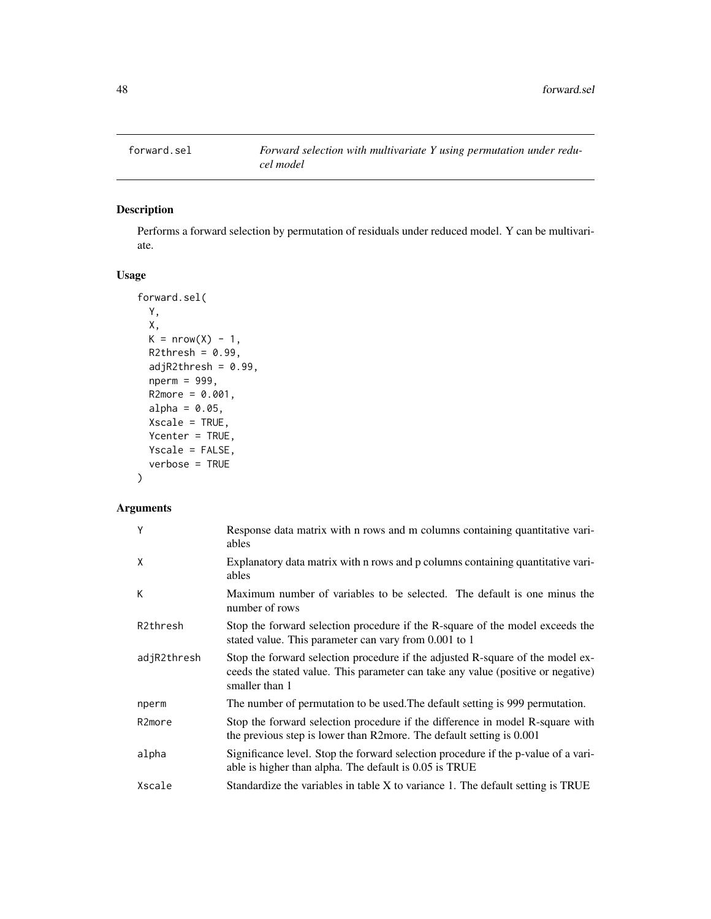# Description

Performs a forward selection by permutation of residuals under reduced model. Y can be multivariate.

# Usage

```
forward.sel(
 Y,
 X,
 K = nrow(X) - 1,
 R2thresh = 0.99,
 adjR2thresh = 0.99,
 nperm = 999,
 R2more = 0.001,alpha = 0.05,
 Xscale = TRUE,
 Ycenter = TRUE,
 Yscale = FALSE,
  verbose = TRUE
)
```

| Y           | Response data matrix with n rows and m columns containing quantitative vari-<br>ables                                                                                                |
|-------------|--------------------------------------------------------------------------------------------------------------------------------------------------------------------------------------|
| X           | Explanatory data matrix with n rows and p columns containing quantitative vari-<br>ables                                                                                             |
| К           | Maximum number of variables to be selected. The default is one minus the<br>number of rows                                                                                           |
| R2thresh    | Stop the forward selection procedure if the R-square of the model exceeds the<br>stated value. This parameter can vary from 0.001 to 1                                               |
| adjR2thresh | Stop the forward selection procedure if the adjusted R-square of the model ex-<br>ceeds the stated value. This parameter can take any value (positive or negative)<br>smaller than 1 |
| nperm       | The number of permutation to be used. The default setting is 999 permutation.                                                                                                        |
| R2more      | Stop the forward selection procedure if the difference in model R-square with<br>the previous step is lower than R2more. The default setting is 0.001                                |
| alpha       | Significance level. Stop the forward selection procedure if the p-value of a vari-<br>able is higher than alpha. The default is 0.05 is TRUE                                         |
| Xscale      | Standardize the variables in table X to variance 1. The default setting is TRUE                                                                                                      |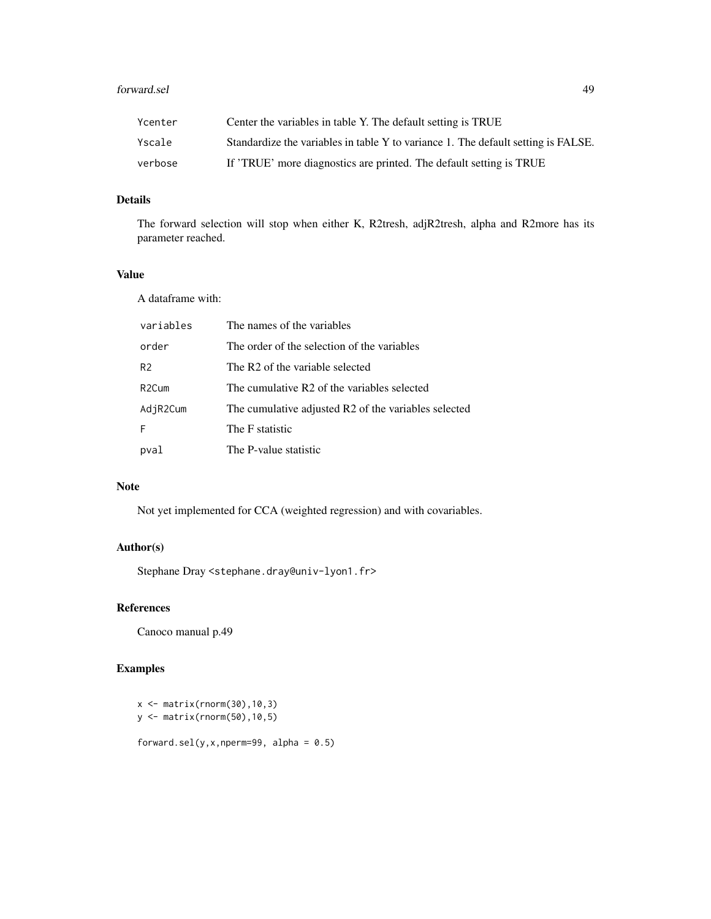## forward.sel 49

| Ycenter | Center the variables in table Y. The default setting is TRUE                      |
|---------|-----------------------------------------------------------------------------------|
| Yscale  | Standardize the variables in table Y to variance 1. The default setting is FALSE. |
| verbose | If 'TRUE' more diagnostics are printed. The default setting is TRUE               |

# Details

The forward selection will stop when either K, R2tresh, adjR2tresh, alpha and R2more has its parameter reached.

# Value

A dataframe with:

| variables          | The names of the variables                           |
|--------------------|------------------------------------------------------|
| order              | The order of the selection of the variables          |
| R <sub>2</sub>     | The R2 of the variable selected                      |
| R <sub>2</sub> Cum | The cumulative R2 of the variables selected          |
| AdjR2Cum           | The cumulative adjusted R2 of the variables selected |
| F                  | The F statistic                                      |
| pval               | The P-value statistic                                |

# Note

Not yet implemented for CCA (weighted regression) and with covariables.

# Author(s)

Stephane Dray <stephane.dray@univ-lyon1.fr>

# References

Canoco manual p.49

```
x \leftarrow \text{matrix}(rnorm(30), 10, 3)y <- matrix(rnorm(50),10,5)
```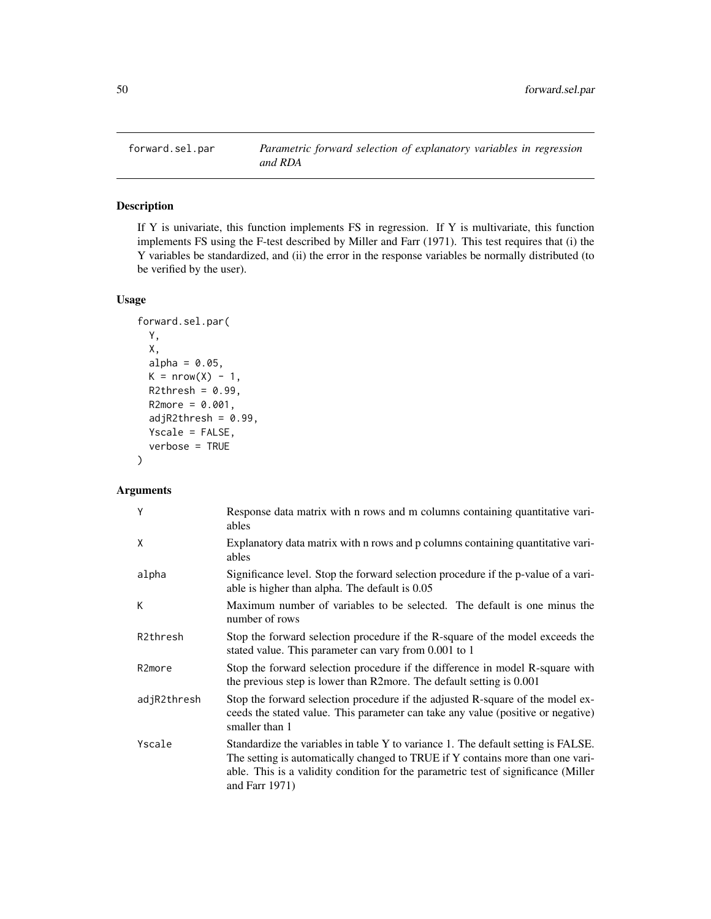# Description

If Y is univariate, this function implements FS in regression. If Y is multivariate, this function implements FS using the F-test described by Miller and Farr (1971). This test requires that (i) the Y variables be standardized, and (ii) the error in the response variables be normally distributed (to be verified by the user).

# Usage

```
forward.sel.par(
 Y,
 X,
 alpha = 0.05,
 K = nrow(X) - 1,
 R2thresh = 0.99,
 R2more = 0.001,adjR2thresh = 0.99,Yscale = FALSE,
  verbose = TRUE
\mathcal{E}
```

| Y           | Response data matrix with n rows and m columns containing quantitative vari-<br>ables                                                                                                                                                                                          |
|-------------|--------------------------------------------------------------------------------------------------------------------------------------------------------------------------------------------------------------------------------------------------------------------------------|
| X           | Explanatory data matrix with n rows and p columns containing quantitative vari-<br>ables                                                                                                                                                                                       |
| alpha       | Significance level. Stop the forward selection procedure if the p-value of a vari-<br>able is higher than alpha. The default is 0.05                                                                                                                                           |
| K           | Maximum number of variables to be selected. The default is one minus the<br>number of rows                                                                                                                                                                                     |
| R2thresh    | Stop the forward selection procedure if the R-square of the model exceeds the<br>stated value. This parameter can vary from 0.001 to 1                                                                                                                                         |
| R2more      | Stop the forward selection procedure if the difference in model R-square with<br>the previous step is lower than R2more. The default setting is 0.001                                                                                                                          |
| adjR2thresh | Stop the forward selection procedure if the adjusted R-square of the model ex-<br>ceeds the stated value. This parameter can take any value (positive or negative)<br>smaller than 1                                                                                           |
| Yscale      | Standardize the variables in table Y to variance 1. The default setting is FALSE.<br>The setting is automatically changed to TRUE if Y contains more than one vari-<br>able. This is a validity condition for the parametric test of significance (Miller<br>and Farr $1971$ ) |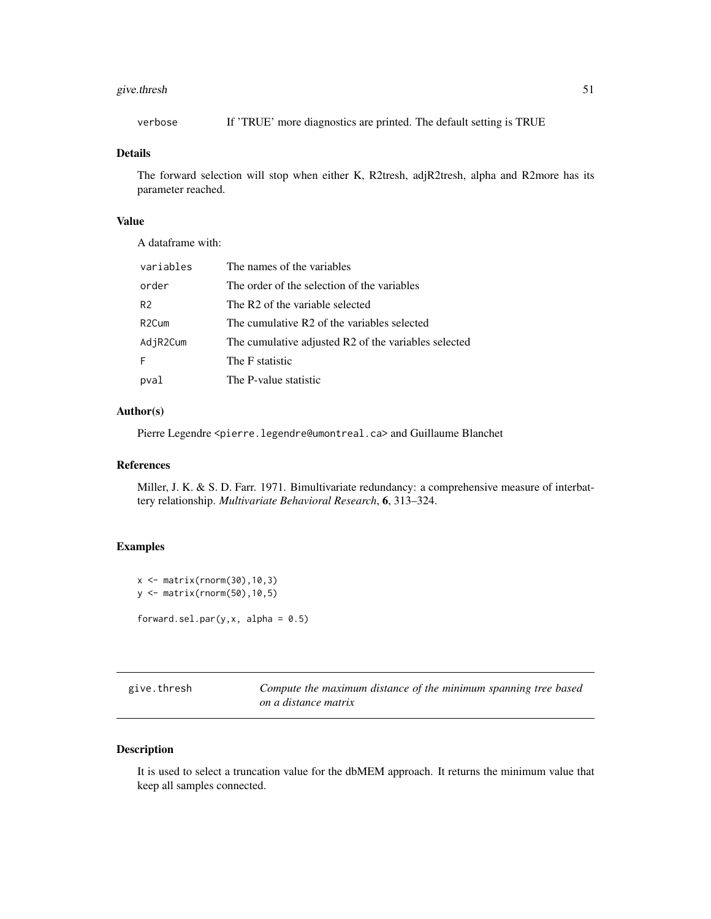# give.thresh 51

verbose If 'TRUE' more diagnostics are printed. The default setting is TRUE

## Details

The forward selection will stop when either K, R2tresh, adjR2tresh, alpha and R2more has its parameter reached.

## Value

A dataframe with:

| variables      | The names of the variables                           |
|----------------|------------------------------------------------------|
| order          | The order of the selection of the variables          |
| R <sub>2</sub> | The R2 of the variable selected                      |
| R2Cum          | The cumulative R2 of the variables selected          |
| AdjR2Cum       | The cumulative adjusted R2 of the variables selected |
| F.             | The F statistic                                      |
| pval           | The P-value statistic                                |

# Author(s)

Pierre Legendre <pierre.legendre@umontreal.ca> and Guillaume Blanchet

# References

Miller, J. K. & S. D. Farr. 1971. Bimultivariate redundancy: a comprehensive measure of interbattery relationship. *Multivariate Behavioral Research*, 6, 313–324.

# Examples

```
x <- matrix(rnorm(30),10,3)
y <- matrix(rnorm(50),10,5)
forward.sel.par(y, x, alpha = 0.5)
```
<span id="page-50-0"></span>give.thresh *Compute the maximum distance of the minimum spanning tree based on a distance matrix*

## Description

It is used to select a truncation value for the dbMEM approach. It returns the minimum value that keep all samples connected.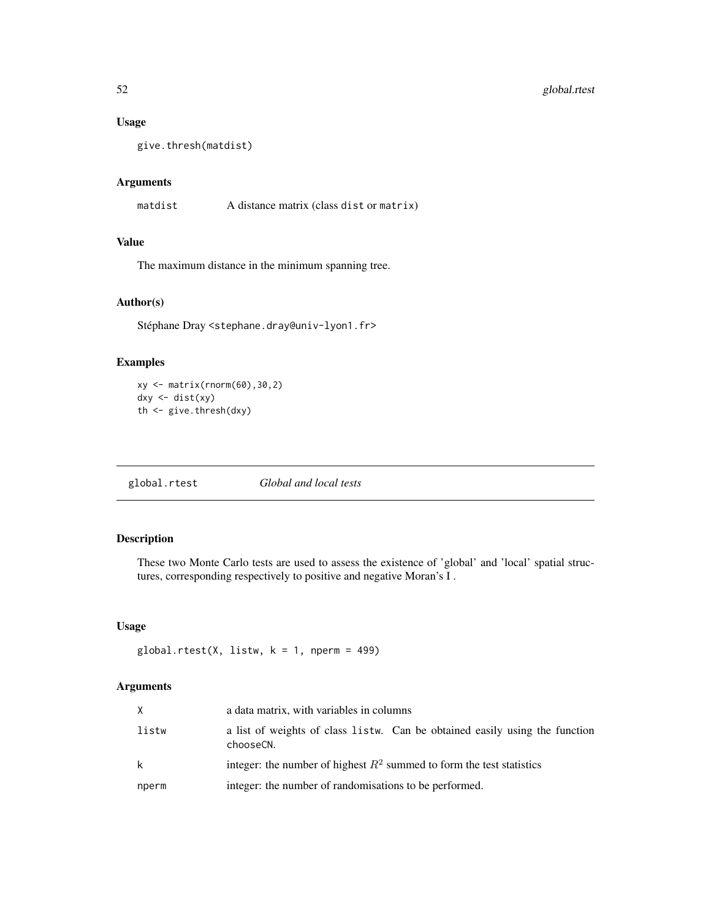# Usage

give.thresh(matdist)

# Arguments

matdist A distance matrix (class dist or matrix)

# Value

The maximum distance in the minimum spanning tree.

# Author(s)

Stéphane Dray <stephane.dray@univ-lyon1.fr>

# Examples

```
xy <- matrix(rnorm(60),30,2)
dxy <- dist(xy)
th <- give.thresh(dxy)
```
global.rtest *Global and local tests*

# Description

These two Monte Carlo tests are used to assess the existence of 'global' and 'local' spatial structures, corresponding respectively to positive and negative Moran's I .

# Usage

```
global.rtest(X, listw, k = 1, nperm = 499)
```

| X.    | a data matrix, with variables in columns                                                 |
|-------|------------------------------------------------------------------------------------------|
| listw | a list of weights of class listw. Can be obtained easily using the function<br>chooseCN. |
| k     | integer: the number of highest $R^2$ summed to form the test statistics                  |
| nperm | integer: the number of randomisations to be performed.                                   |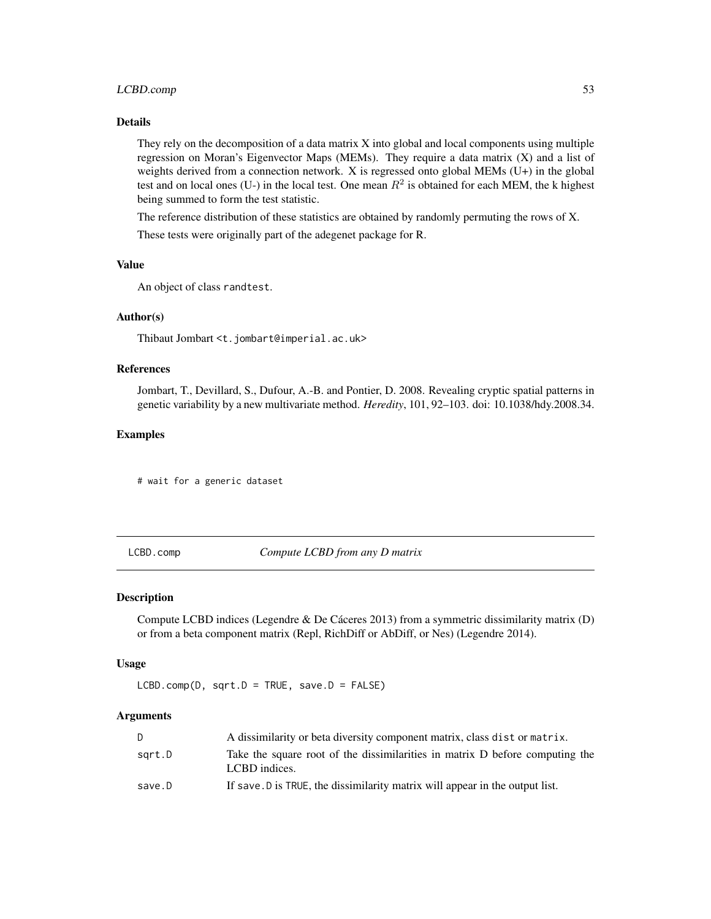# LCBD.comp 53

# Details

They rely on the decomposition of a data matrix X into global and local components using multiple regression on Moran's Eigenvector Maps (MEMs). They require a data matrix (X) and a list of weights derived from a connection network. X is regressed onto global MEMs (U+) in the global test and on local ones (U-) in the local test. One mean  $R^2$  is obtained for each MEM, the k highest being summed to form the test statistic.

The reference distribution of these statistics are obtained by randomly permuting the rows of X.

These tests were originally part of the adegenet package for R.

## Value

An object of class randtest.

# Author(s)

Thibaut Jombart <t.jombart@imperial.ac.uk>

# References

Jombart, T., Devillard, S., Dufour, A.-B. and Pontier, D. 2008. Revealing cryptic spatial patterns in genetic variability by a new multivariate method. *Heredity*, 101, 92–103. doi: 10.1038/hdy.2008.34.

# Examples

# wait for a generic dataset

LCBD.comp *Compute LCBD from any D matrix*

## Description

Compute LCBD indices (Legendre & De Cáceres 2013) from a symmetric dissimilarity matrix (D) or from a beta component matrix (Repl, RichDiff or AbDiff, or Nes) (Legendre 2014).

#### Usage

 $LCBD.comp(D, sqrt.D = TRUE, save.D = FALSE)$ 

| D.     | A dissimilarity or beta diversity component matrix, class dist or matrix.                     |
|--------|-----------------------------------------------------------------------------------------------|
| sqrt.D | Take the square root of the dissimilarities in matrix D before computing the<br>LCBD indices. |
| save.D | If save D is TRUE, the dissimilarity matrix will appear in the output list.                   |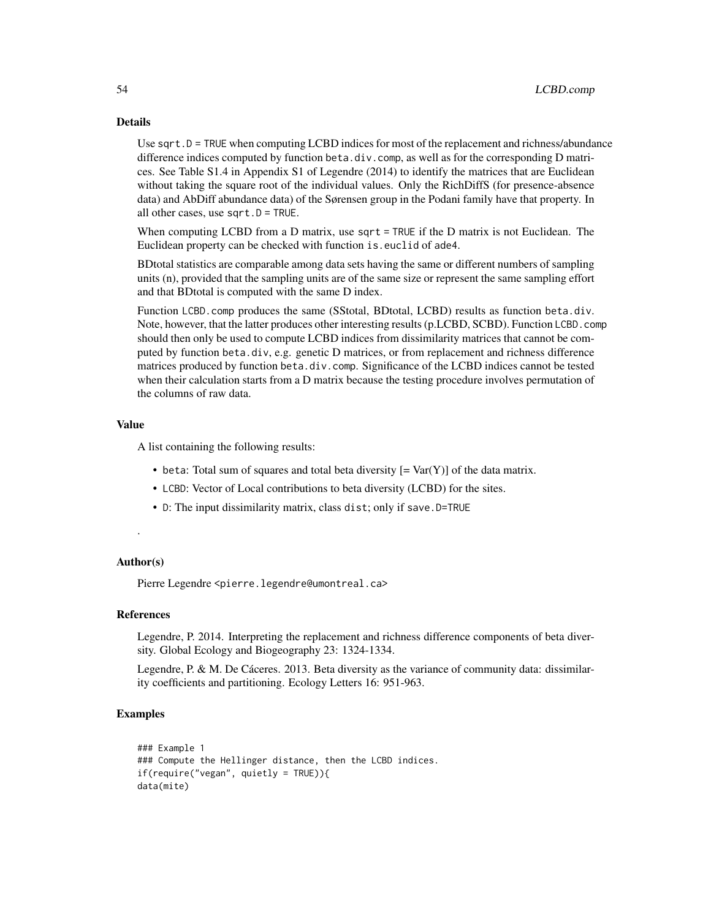## Details

Use sqrt.D = TRUE when computing LCBD indices for most of the replacement and richness/abundance difference indices computed by function beta.div.comp, as well as for the corresponding D matrices. See Table S1.4 in Appendix S1 of Legendre (2014) to identify the matrices that are Euclidean without taking the square root of the individual values. Only the RichDiffS (for presence-absence data) and AbDiff abundance data) of the Sørensen group in the Podani family have that property. In all other cases, use sqrt.D = TRUE.

When computing LCBD from a D matrix, use sqrt = TRUE if the D matrix is not Euclidean. The Euclidean property can be checked with function is.euclid of ade4.

BDtotal statistics are comparable among data sets having the same or different numbers of sampling units (n), provided that the sampling units are of the same size or represent the same sampling effort and that BDtotal is computed with the same D index.

Function LCBD.comp produces the same (SStotal, BDtotal, LCBD) results as function beta.div. Note, however, that the latter produces other interesting results (p.LCBD, SCBD). Function LCBD.comp should then only be used to compute LCBD indices from dissimilarity matrices that cannot be computed by function beta.div, e.g. genetic D matrices, or from replacement and richness difference matrices produced by function beta.div.comp. Significance of the LCBD indices cannot be tested when their calculation starts from a D matrix because the testing procedure involves permutation of the columns of raw data.

## Value

A list containing the following results:

- beta: Total sum of squares and total beta diversity  $[= Var(Y)]$  of the data matrix.
- LCBD: Vector of Local contributions to beta diversity (LCBD) for the sites.
- D: The input dissimilarity matrix, class dist; only if save.D=TRUE

#### Author(s)

.

Pierre Legendre <pierre.legendre@umontreal.ca>

#### References

Legendre, P. 2014. Interpreting the replacement and richness difference components of beta diversity. Global Ecology and Biogeography 23: 1324-1334.

Legendre, P. & M. De Cáceres. 2013. Beta diversity as the variance of community data: dissimilarity coefficients and partitioning. Ecology Letters 16: 951-963.

```
### Example 1
### Compute the Hellinger distance, then the LCBD indices.
if(require("vegan", quietly = TRUE)){
data(mite)
```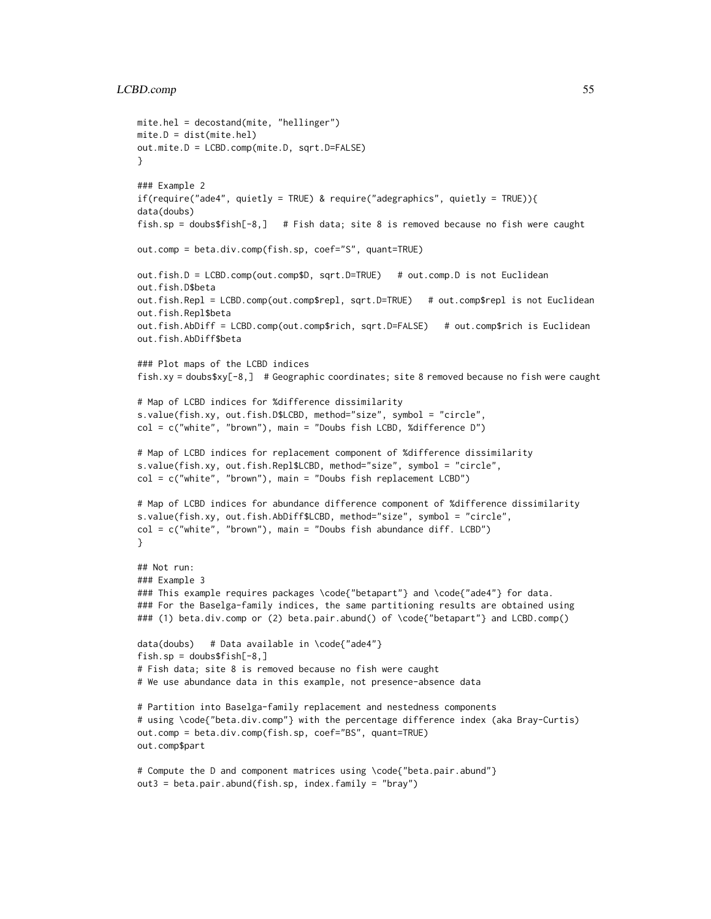## LCBD.comp 55

```
mite.hel = decostand(mite, "hellinger")
mite.D = dist(mite.hel)
out.mite.D = LCBD.comp(mite.D, sqrt.D=FALSE)
}
### Example 2
if(require("ade4", quietly = TRUE) & require("adegraphics", quietly = TRUE)){
data(doubs)
fish.sp = doubs$fish[-8,] # Fish data; site 8 is removed because no fish were caught
out.comp = beta.div.comp(fish.sp, coef="S", quant=TRUE)
out.fish.D = LCBD.comp(out.comp$D, sqrt.D=TRUE) # out.comp.D is not Euclidean
out.fish.D$beta
out.fish.Repl = LCBD.comp(out.comp$repl, sqrt.D=TRUE) # out.comp$repl is not Euclidean
out.fish.Repl$beta
out.fish.AbDiff = LCBD.comp(out.comp$rich, sqrt.D=FALSE) # out.comp$rich is Euclidean
out.fish.AbDiff$beta
### Plot maps of the LCBD indices
fish.xy = doubs$xy[-8,] # Geographic coordinates; site 8 removed because no fish were caught
# Map of LCBD indices for %difference dissimilarity
s.value(fish.xy, out.fish.D$LCBD, method="size", symbol = "circle",
col = c("white", "brown"), main = "Doubs fish LCBD, %difference D")
# Map of LCBD indices for replacement component of %difference dissimilarity
s.value(fish.xy, out.fish.Repl$LCBD, method="size", symbol = "circle",
col = c("white", "brown"), main = "Doubs fish replacement LCBD")
# Map of LCBD indices for abundance difference component of %difference dissimilarity
s.value(fish.xy, out.fish.AbDiff$LCBD, method="size", symbol = "circle",
col = c("white", "brown"), main = "Double fish abundance diff. LCBD")}
## Not run:
### Example 3
### This example requires packages \code{"betapart"} and \code{"ade4"} for data.
### For the Baselga-family indices, the same partitioning results are obtained using
### (1) beta.div.comp or (2) beta.pair.abund() of \code{"betapart"} and LCBD.comp()
data(doubs) # Data available in \code{"ade4"}
fish(sp = doubles$fish[-8, ]# Fish data; site 8 is removed because no fish were caught
# We use abundance data in this example, not presence-absence data
# Partition into Baselga-family replacement and nestedness components
# using \code{"beta.div.comp"} with the percentage difference index (aka Bray-Curtis)
out.comp = beta.div.comp(fish.sp, coef="BS", quant=TRUE)
out.comp$part
# Compute the D and component matrices using \code{"beta.pair.abund"}
out3 = beta.pair.abund(fish.sp, index.family = "bray")
```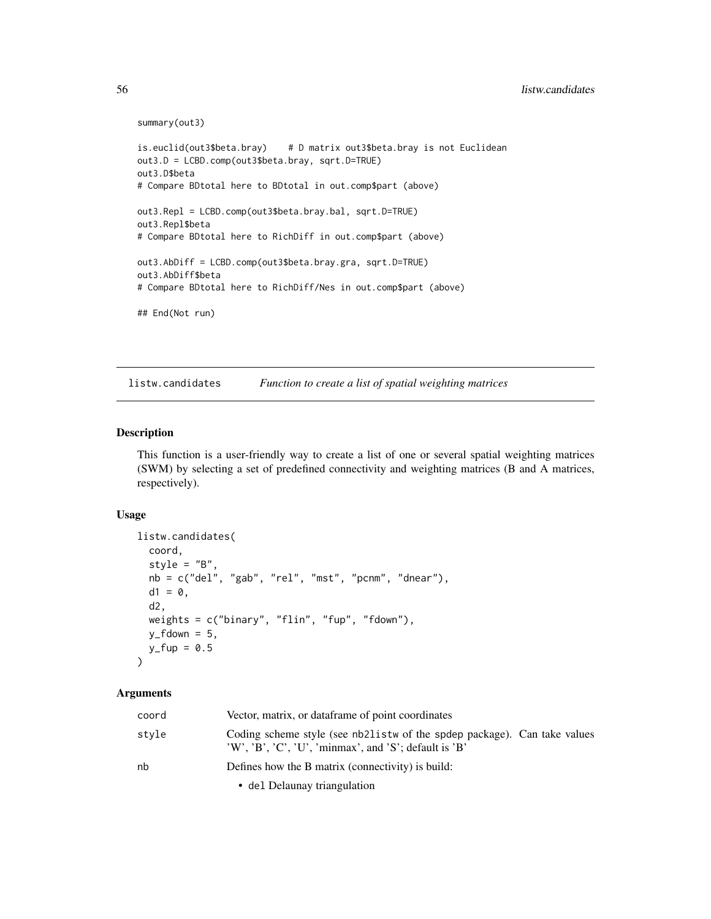```
summary(out3)
```

```
is.euclid(out3$beta.bray) # D matrix out3$beta.bray is not Euclidean
out3.D = LCBD.comp(out3$beta.bray, sqrt.D=TRUE)
out3.D$beta
# Compare BDtotal here to BDtotal in out.comp$part (above)
out3.Repl = LCBD.comp(out3$beta.bray.bal, sqrt.D=TRUE)
out3.Repl$beta
# Compare BDtotal here to RichDiff in out.comp$part (above)
out3.AbDiff = LCBD.comp(out3$beta.bray.gra, sqrt.D=TRUE)
out3.AbDiff$beta
# Compare BDtotal here to RichDiff/Nes in out.comp$part (above)
## End(Not run)
```
<span id="page-55-0"></span>listw.candidates *Function to create a list of spatial weighting matrices*

# Description

This function is a user-friendly way to create a list of one or several spatial weighting matrices (SWM) by selecting a set of predefined connectivity and weighting matrices (B and A matrices, respectively).

# Usage

```
listw.candidates(
  coord,
  style = "B",
  nb = c("del", "gab", "rel", "mst", "pcnm", "dnear"),
 d1 = 0,
  d2,
  weights = c("binary", "flin", "fup", "fdown"),
 y_f fdown = 5,
 y_{-}fup = 0.5)
```

| coord | Vector, matrix, or dataframe of point coordinates                                                                                    |
|-------|--------------------------------------------------------------------------------------------------------------------------------------|
| stvle | Coding scheme style (see nb21 is two of the spdep package). Can take values<br>'W', 'B', 'C', 'U', 'minmax', and 'S'; default is 'B' |
| nh    | Defines how the B matrix (connectivity) is build:                                                                                    |
|       | • del Delaunay triangulation                                                                                                         |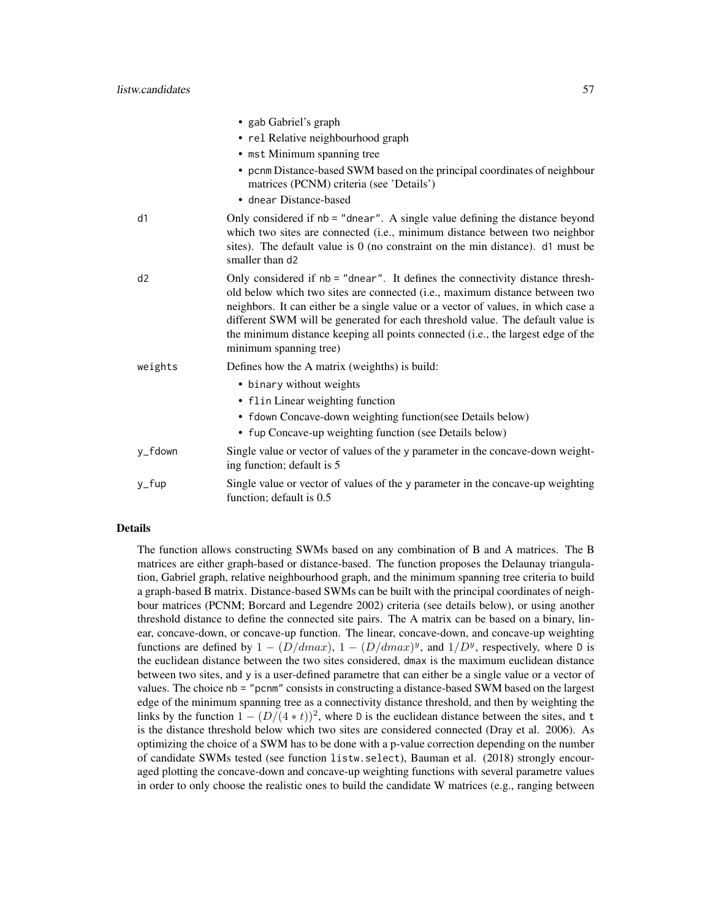|         | • gab Gabriel's graph                                                                                                                                                                                                                                                                                                                                                                                                                             |
|---------|---------------------------------------------------------------------------------------------------------------------------------------------------------------------------------------------------------------------------------------------------------------------------------------------------------------------------------------------------------------------------------------------------------------------------------------------------|
|         | • rel Relative neighbourhood graph                                                                                                                                                                                                                                                                                                                                                                                                                |
|         | • mst Minimum spanning tree                                                                                                                                                                                                                                                                                                                                                                                                                       |
|         | • pcnm Distance-based SWM based on the principal coordinates of neighbour<br>matrices (PCNM) criteria (see 'Details')                                                                                                                                                                                                                                                                                                                             |
|         | • dnear Distance-based                                                                                                                                                                                                                                                                                                                                                                                                                            |
| d1      | Only considered if $nb = "dhear".$ A single value defining the distance beyond<br>which two sites are connected (i.e., minimum distance between two neighbor<br>sites). The default value is $0$ (no constraint on the min distance). d1 must be<br>smaller than d2                                                                                                                                                                               |
| d2      | Only considered if nb = "dnear". It defines the connectivity distance thresh-<br>old below which two sites are connected (i.e., maximum distance between two<br>neighbors. It can either be a single value or a vector of values, in which case a<br>different SWM will be generated for each threshold value. The default value is<br>the minimum distance keeping all points connected (i.e., the largest edge of the<br>minimum spanning tree) |
| weights | Defines how the A matrix (weighths) is build:                                                                                                                                                                                                                                                                                                                                                                                                     |
|         | • binary without weights                                                                                                                                                                                                                                                                                                                                                                                                                          |
|         | • flin Linear weighting function                                                                                                                                                                                                                                                                                                                                                                                                                  |
|         | • fdown Concave-down weighting function(see Details below)                                                                                                                                                                                                                                                                                                                                                                                        |
|         | • fup Concave-up weighting function (see Details below)                                                                                                                                                                                                                                                                                                                                                                                           |
| y_fdown | Single value or vector of values of the y parameter in the concave-down weight-<br>ing function; default is 5                                                                                                                                                                                                                                                                                                                                     |
| y_fup   | Single value or vector of values of the y parameter in the concave-up weighting<br>function; default is 0.5                                                                                                                                                                                                                                                                                                                                       |

## Details

The function allows constructing SWMs based on any combination of B and A matrices. The B matrices are either graph-based or distance-based. The function proposes the Delaunay triangulation, Gabriel graph, relative neighbourhood graph, and the minimum spanning tree criteria to build a graph-based B matrix. Distance-based SWMs can be built with the principal coordinates of neighbour matrices (PCNM; Borcard and Legendre 2002) criteria (see details below), or using another threshold distance to define the connected site pairs. The A matrix can be based on a binary, linear, concave-down, or concave-up function. The linear, concave-down, and concave-up weighting functions are defined by  $1 - (D/dmax)$ ,  $1 - (D/dmax)^y$ , and  $1/D^y$ , respectively, where D is the euclidean distance between the two sites considered, dmax is the maximum euclidean distance between two sites, and y is a user-defined parametre that can either be a single value or a vector of values. The choice nb = "pcnm" consists in constructing a distance-based SWM based on the largest edge of the minimum spanning tree as a connectivity distance threshold, and then by weighting the links by the function  $1 - (D/(4*t))^2$ , where D is the euclidean distance between the sites, and t is the distance threshold below which two sites are considered connected (Dray et al. 2006). As optimizing the choice of a SWM has to be done with a p-value correction depending on the number of candidate SWMs tested (see function listw.select), Bauman et al. (2018) strongly encouraged plotting the concave-down and concave-up weighting functions with several parametre values in order to only choose the realistic ones to build the candidate W matrices (e.g., ranging between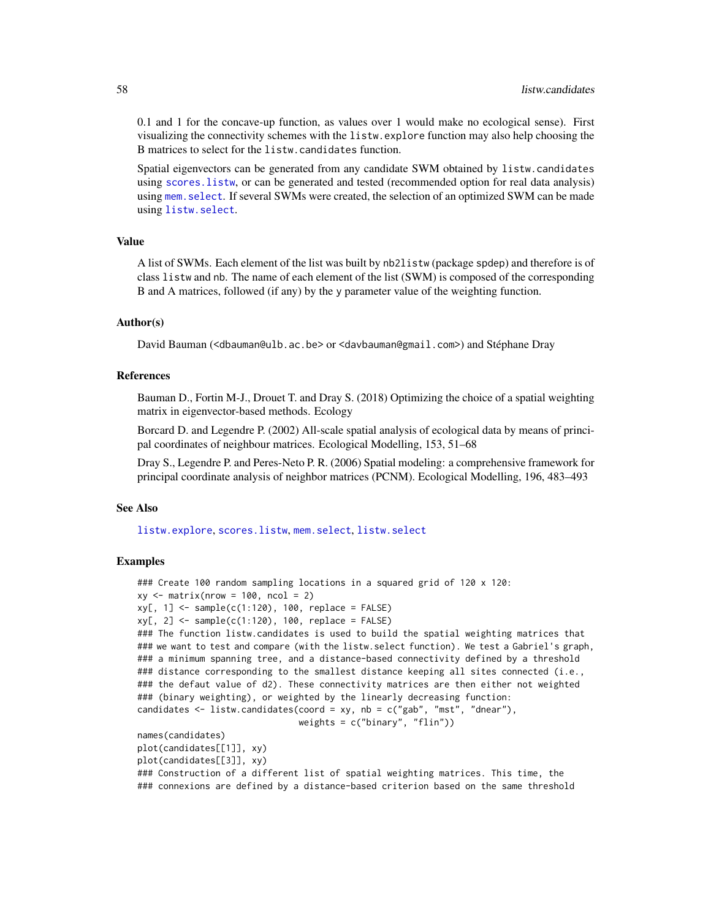0.1 and 1 for the concave-up function, as values over 1 would make no ecological sense). First visualizing the connectivity schemes with the listw.explore function may also help choosing the B matrices to select for the listw.candidates function.

Spatial eigenvectors can be generated from any candidate SWM obtained by listw.candidates using [scores.listw](#page-103-1), or can be generated and tested (recommended option for real data analysis) using [mem.select](#page-63-0). If several SWMs were created, the selection of an optimized SWM can be made using [listw.select](#page-59-0).

#### Value

A list of SWMs. Each element of the list was built by nb2listw (package spdep) and therefore is of class listw and nb. The name of each element of the list (SWM) is composed of the corresponding B and A matrices, followed (if any) by the y parameter value of the weighting function.

#### Author(s)

David Bauman (<dbauman@ulb.ac.be> or <davbauman@gmail.com>) and Stéphane Dray

## References

Bauman D., Fortin M-J., Drouet T. and Dray S. (2018) Optimizing the choice of a spatial weighting matrix in eigenvector-based methods. Ecology

Borcard D. and Legendre P. (2002) All-scale spatial analysis of ecological data by means of principal coordinates of neighbour matrices. Ecological Modelling, 153, 51–68

Dray S., Legendre P. and Peres-Neto P. R. (2006) Spatial modeling: a comprehensive framework for principal coordinate analysis of neighbor matrices (PCNM). Ecological Modelling, 196, 483–493

#### See Also

[listw.explore](#page-58-0), [scores.listw](#page-103-1), [mem.select](#page-63-0), [listw.select](#page-59-0)

```
### Create 100 random sampling locations in a squared grid of 120 x 120:
xy \le - matrix(nrow = 100, ncol = 2)
xy[, 1] <- sample(c(1:120), 100, replace = FALSE)
xy[, 2] \le sample(c(1:120), 100, replace = FALSE)
### The function listw.candidates is used to build the spatial weighting matrices that
### we want to test and compare (with the listw.select function). We test a Gabriel's graph,
### a minimum spanning tree, and a distance-based connectivity defined by a threshold
### distance corresponding to the smallest distance keeping all sites connected (i.e.,
### the defaut value of d2). These connectivity matrices are then either not weighted
### (binary weighting), or weighted by the linearly decreasing function:
candidates \leq 1istw.candidates(coord = xy, nb = c("gab", "mst", "dnear"),
                               weights = c("binary", "flin"))
names(candidates)
plot(candidates[[1]], xy)
plot(candidates[[3]], xy)
### Construction of a different list of spatial weighting matrices. This time, the
### connexions are defined by a distance-based criterion based on the same threshold
```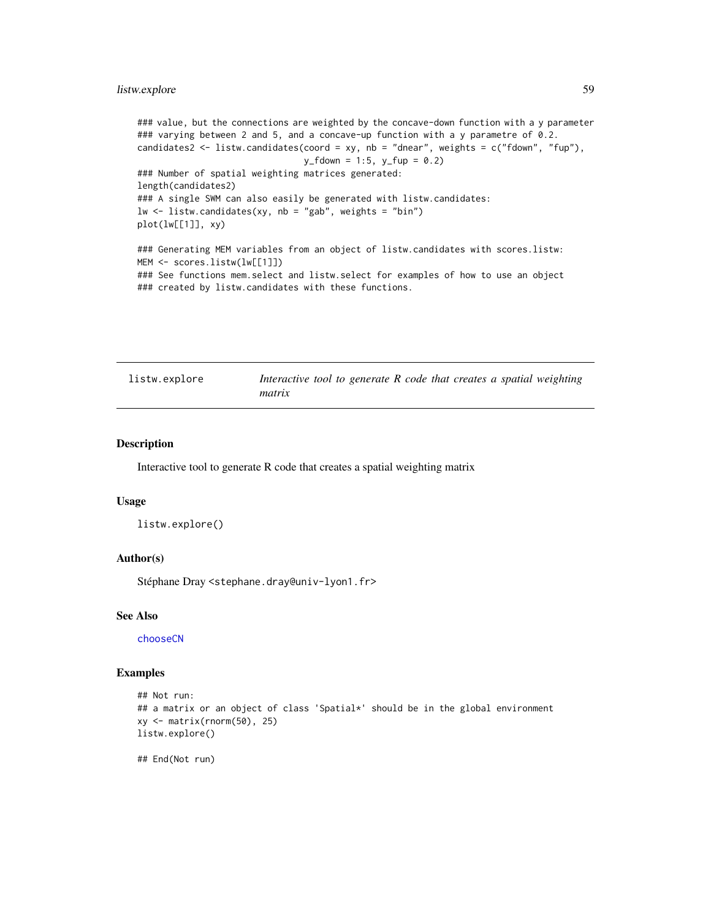# listw.explore 59

```
### value, but the connections are weighted by the concave-down function with a y parameter
### varying between 2 and 5, and a concave-up function with a y parametre of 0.2.
candidates2 \le listw.candidates(coord = xy, nb = "dnear", weights = c("fdown", "fup"),
                                y_f fdown = 1:5, y_f fup = 0.2)
### Number of spatial weighting matrices generated:
length(candidates2)
### A single SWM can also easily be generated with listw.candidates:
lw <- listw.candidates(xy, nb = "gab", weights = "bin")
plot(lw[[1]], xy)
### Generating MEM variables from an object of listw.candidates with scores.listw:
MEM <- scores.listw(lw[[1]])
### See functions mem.select and listw.select for examples of how to use an object
### created by listw.candidates with these functions.
```
<span id="page-58-0"></span>

| listw.explore | Interactive tool to generate R code that creates a spatial weighting |  |
|---------------|----------------------------------------------------------------------|--|
|               | matrix                                                               |  |

## Description

Interactive tool to generate R code that creates a spatial weighting matrix

# Usage

```
listw.explore()
```
## Author(s)

Stéphane Dray <stephane.dray@univ-lyon1.fr>

#### See Also

[chooseCN](#page-20-0)

#### Examples

```
## Not run:
## a matrix or an object of class 'Spatial*' should be in the global environment
xy <- matrix(rnorm(50), 25)
listw.explore()
```
## End(Not run)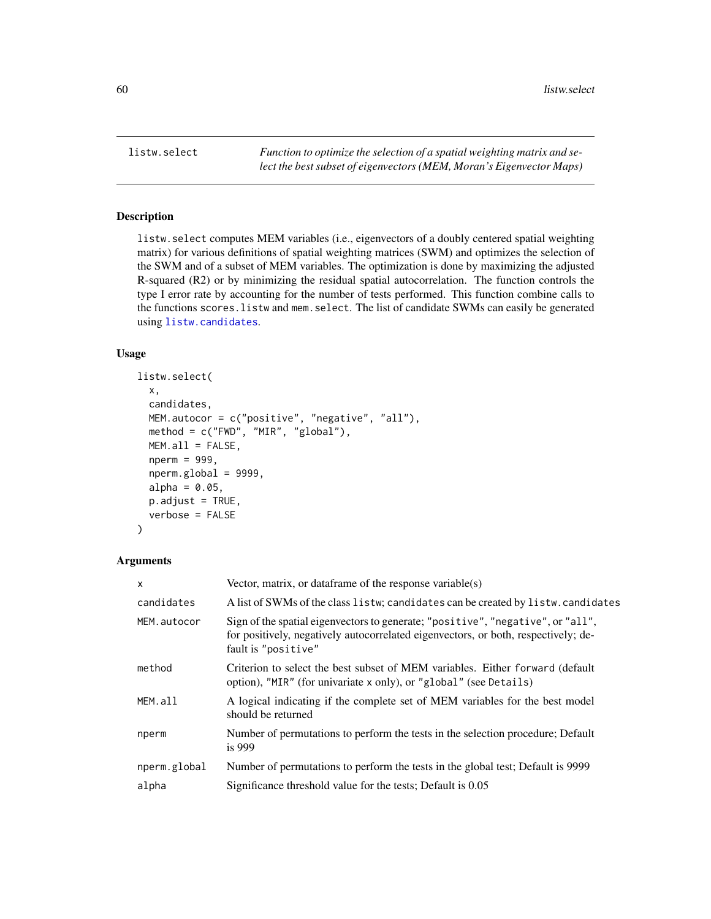<span id="page-59-0"></span>

# Description

listw.select computes MEM variables (i.e., eigenvectors of a doubly centered spatial weighting matrix) for various definitions of spatial weighting matrices (SWM) and optimizes the selection of the SWM and of a subset of MEM variables. The optimization is done by maximizing the adjusted R-squared (R2) or by minimizing the residual spatial autocorrelation. The function controls the type I error rate by accounting for the number of tests performed. This function combine calls to the functions scores.listw and mem.select. The list of candidate SWMs can easily be generated using [listw.candidates](#page-55-0).

# Usage

```
listw.select(
  x,
  candidates,
 MEM.autocor = c("positive", "negative", "all"),
 method = c("FWD", "MIR", "global"),
 MEM.all = FALSE,
  nperm = 999,
  nperm.global = 9999,
  alpha = 0.05,
  p.addjust = TRUE,verbose = FALSE
)
```

| $\mathsf{x}$ | Vector, matrix, or data frame of the response variable $(s)$                                                                                                                                 |
|--------------|----------------------------------------------------------------------------------------------------------------------------------------------------------------------------------------------|
| candidates   | A list of SWMs of the class listw; candidates can be created by listw.candidates                                                                                                             |
| MEM.autocor  | Sign of the spatial eigenvectors to generate; "positive", "negative", or "all",<br>for positively, negatively autocorrelated eigenvectors, or both, respectively; de-<br>fault is "positive" |
| method       | Criterion to select the best subset of MEM variables. Either forward (default<br>option), "MIR" (for univariate x only), or "global" (see Details)                                           |
| MEM.all      | A logical indicating if the complete set of MEM variables for the best model<br>should be returned                                                                                           |
| nperm        | Number of permutations to perform the tests in the selection procedure; Default<br>is 999                                                                                                    |
| nperm.global | Number of permutations to perform the tests in the global test; Default is 9999                                                                                                              |
| alpha        | Significance threshold value for the tests; Default is 0.05                                                                                                                                  |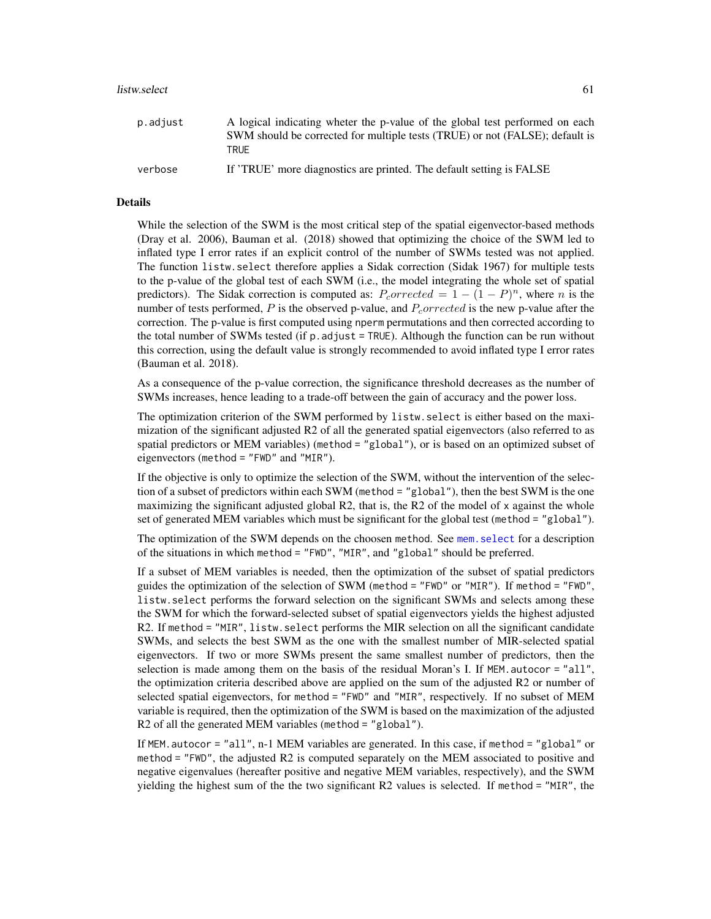## listw.select 61

| p.adjust | A logical indicating wheter the p-value of the global test performed on each<br>SWM should be corrected for multiple tests (TRUE) or not (FALSE); default is<br>TRUF |
|----------|----------------------------------------------------------------------------------------------------------------------------------------------------------------------|
| verbose  | If 'TRUE' more diagnostics are printed. The default setting is FALSE                                                                                                 |

## Details

While the selection of the SWM is the most critical step of the spatial eigenvector-based methods (Dray et al. 2006), Bauman et al. (2018) showed that optimizing the choice of the SWM led to inflated type I error rates if an explicit control of the number of SWMs tested was not applied. The function listw.select therefore applies a Sidak correction (Sidak 1967) for multiple tests to the p-value of the global test of each SWM (i.e., the model integrating the whole set of spatial predictors). The Sidak correction is computed as:  $P_{corrected} = 1 - (1 - P)^n$ , where *n* is the number of tests performed,  $P$  is the observed p-value, and  $P_{corrected}$  is the new p-value after the correction. The p-value is first computed using nperm permutations and then corrected according to the total number of SWMs tested (if  $p$ , adjust = TRUE). Although the function can be run without this correction, using the default value is strongly recommended to avoid inflated type I error rates (Bauman et al. 2018).

As a consequence of the p-value correction, the significance threshold decreases as the number of SWMs increases, hence leading to a trade-off between the gain of accuracy and the power loss.

The optimization criterion of the SWM performed by listw.select is either based on the maximization of the significant adjusted R2 of all the generated spatial eigenvectors (also referred to as spatial predictors or MEM variables) (method = "global"), or is based on an optimized subset of eigenvectors (method = "FWD" and "MIR").

If the objective is only to optimize the selection of the SWM, without the intervention of the selection of a subset of predictors within each SWM (method = "global"), then the best SWM is the one maximizing the significant adjusted global R2, that is, the R2 of the model of x against the whole set of generated MEM variables which must be significant for the global test (method = "global").

The optimization of the SWM depends on the choosen method. See mem. select for a description of the situations in which method = "FWD", "MIR", and "global" should be preferred.

If a subset of MEM variables is needed, then the optimization of the subset of spatial predictors guides the optimization of the selection of SWM (method = "FWD" or "MIR"). If method = "FWD", listw.select performs the forward selection on the significant SWMs and selects among these the SWM for which the forward-selected subset of spatial eigenvectors yields the highest adjusted R2. If method = "MIR", listw.select performs the MIR selection on all the significant candidate SWMs, and selects the best SWM as the one with the smallest number of MIR-selected spatial eigenvectors. If two or more SWMs present the same smallest number of predictors, then the selection is made among them on the basis of the residual Moran's I. If MEM.autocor = "all", the optimization criteria described above are applied on the sum of the adjusted R2 or number of selected spatial eigenvectors, for method = "FWD" and "MIR", respectively. If no subset of MEM variable is required, then the optimization of the SWM is based on the maximization of the adjusted R2 of all the generated MEM variables (method = "global").

If MEM.autocor = "all", n-1 MEM variables are generated. In this case, if method = "global" or method = "FWD", the adjusted R2 is computed separately on the MEM associated to positive and negative eigenvalues (hereafter positive and negative MEM variables, respectively), and the SWM yielding the highest sum of the the two significant R2 values is selected. If method = "MIR", the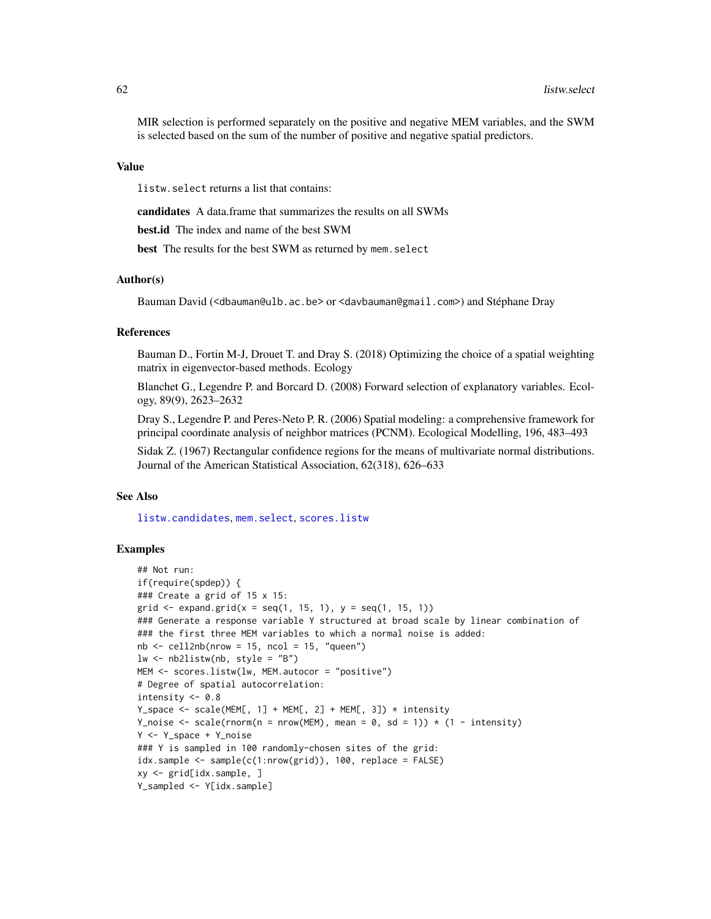MIR selection is performed separately on the positive and negative MEM variables, and the SWM is selected based on the sum of the number of positive and negative spatial predictors.

# Value

listw.select returns a list that contains:

candidates A data.frame that summarizes the results on all SWMs

best.id The index and name of the best SWM

best The results for the best SWM as returned by mem. select

# Author(s)

Bauman David (<dbauman@ulb.ac.be> or <davbauman@gmail.com>) and Stéphane Dray

# References

Bauman D., Fortin M-J, Drouet T. and Dray S. (2018) Optimizing the choice of a spatial weighting matrix in eigenvector-based methods. Ecology

Blanchet G., Legendre P. and Borcard D. (2008) Forward selection of explanatory variables. Ecology, 89(9), 2623–2632

Dray S., Legendre P. and Peres-Neto P. R. (2006) Spatial modeling: a comprehensive framework for principal coordinate analysis of neighbor matrices (PCNM). Ecological Modelling, 196, 483–493

Sidak Z. (1967) Rectangular confidence regions for the means of multivariate normal distributions. Journal of the American Statistical Association, 62(318), 626–633

# See Also

[listw.candidates](#page-55-0), [mem.select](#page-63-0), [scores.listw](#page-103-1)

```
## Not run:
if(require(spdep)) {
### Create a grid of 15 x 15:
grid \leq expand.grid(x = seq(1, 15, 1), y = seq(1, 15, 1))
### Generate a response variable Y structured at broad scale by linear combination of
### the first three MEM variables to which a normal noise is added:
nb \le cell2nb(nrow = 15, ncol = 15, "queen")
lw \leftarrow nb2listw(nb, style = "B")MEM <- scores.listw(lw, MEM.autocor = "positive")
# Degree of spatial autocorrelation:
intensity <-0.8Y_space <- scale(MEM[, 1] + MEM[, 2] + MEM[, 3]) * intensity
Y_noise \le scale(rnorm(n = nrow(MEM), mean = 0, sd = 1)) \star (1 - intensity)
Y <- Y_space + Y_noise
### Y is sampled in 100 randomly-chosen sites of the grid:
idx.sample <- sample(c(1:nrow(grid)), 100, replace = FALSE)
xy <- grid[idx.sample, ]
Y_sampled <- Y[idx.sample]
```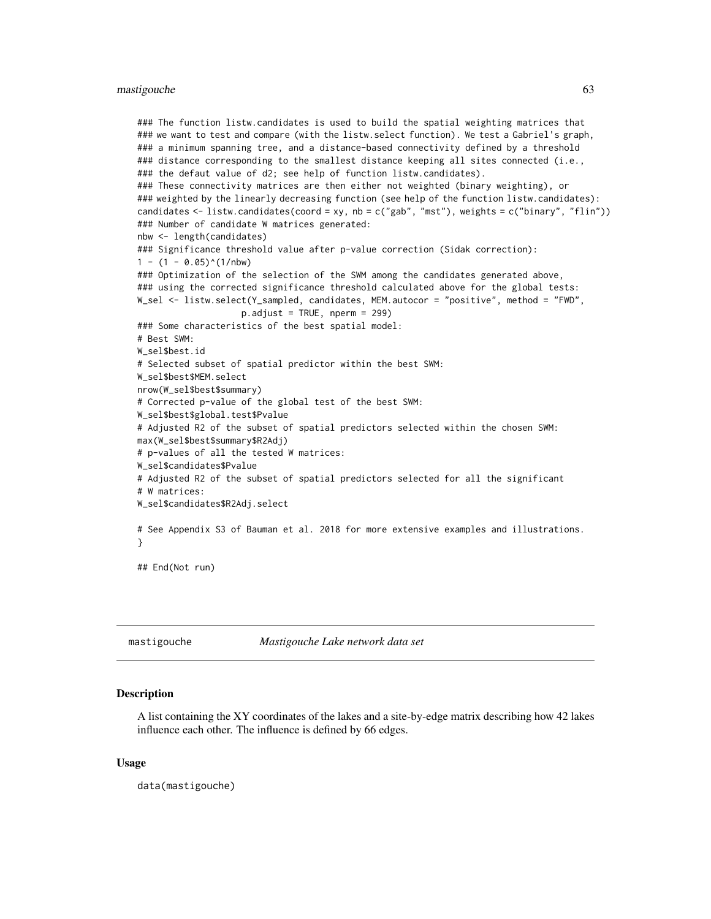#### mastigouche 63

```
### The function listw.candidates is used to build the spatial weighting matrices that
### we want to test and compare (with the listw.select function). We test a Gabriel's graph,
### a minimum spanning tree, and a distance-based connectivity defined by a threshold
### distance corresponding to the smallest distance keeping all sites connected (i.e.,
### the defaut value of d2; see help of function listw.candidates).
### These connectivity matrices are then either not weighted (binary weighting), or
### weighted by the linearly decreasing function (see help of the function listw.candidates):
candidates <- listw.candidates(coord = xy, nb = c("gab", "mst"), weights = c("binary", "flin"))
### Number of candidate W matrices generated:
nbw <- length(candidates)
### Significance threshold value after p-value correction (Sidak correction):
1 - (1 - 0.05)^{\wedge}(1/\text{nbw})### Optimization of the selection of the SWM among the candidates generated above,
### using the corrected significance threshold calculated above for the global tests:
W_sel <- listw.select(Y_sampled, candidates, MEM.autocor = "positive", method = "FWD",
                    p.adjust = TRUE, nperm = 299)
### Some characteristics of the best spatial model:
# Best SWM:
W_sel$best.id
# Selected subset of spatial predictor within the best SWM:
W_sel$best$MEM.select
nrow(W_sel$best$summary)
# Corrected p-value of the global test of the best SWM:
W_sel$best$global.test$Pvalue
# Adjusted R2 of the subset of spatial predictors selected within the chosen SWM:
max(W_sel$best$summary$R2Adj)
# p-values of all the tested W matrices:
W_sel$candidates$Pvalue
# Adjusted R2 of the subset of spatial predictors selected for all the significant
# W matrices:
W_sel$candidates$R2Adj.select
# See Appendix S3 of Bauman et al. 2018 for more extensive examples and illustrations.
}
## End(Not run)
```
mastigouche *Mastigouche Lake network data set*

## Description

A list containing the XY coordinates of the lakes and a site-by-edge matrix describing how 42 lakes influence each other. The influence is defined by 66 edges.

## Usage

data(mastigouche)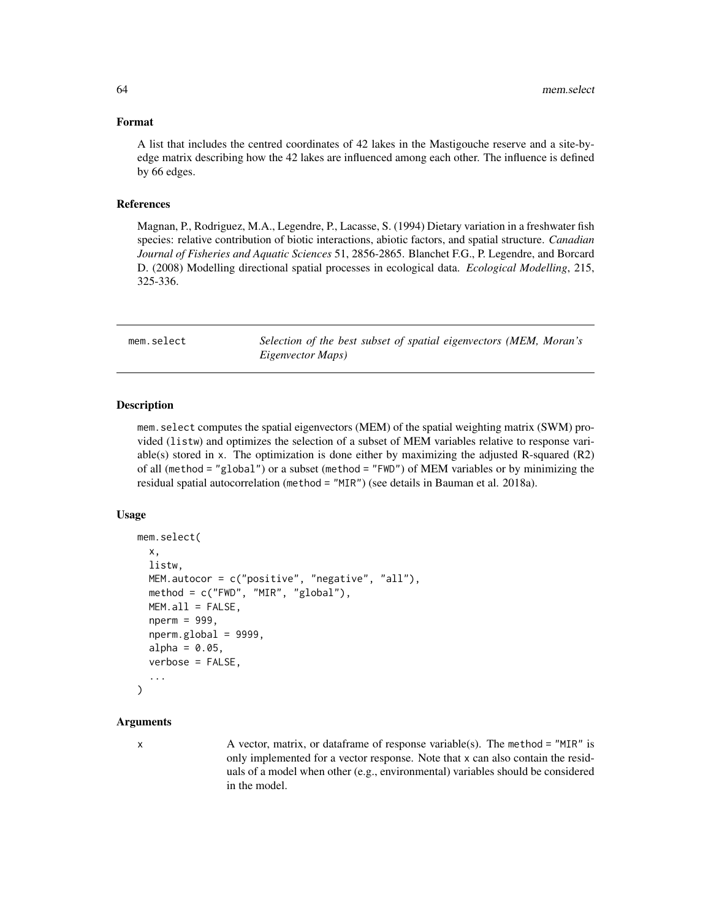## Format

A list that includes the centred coordinates of 42 lakes in the Mastigouche reserve and a site-byedge matrix describing how the 42 lakes are influenced among each other. The influence is defined by 66 edges.

# References

Magnan, P., Rodriguez, M.A., Legendre, P., Lacasse, S. (1994) Dietary variation in a freshwater fish species: relative contribution of biotic interactions, abiotic factors, and spatial structure. *Canadian Journal of Fisheries and Aquatic Sciences* 51, 2856-2865. Blanchet F.G., P. Legendre, and Borcard D. (2008) Modelling directional spatial processes in ecological data. *Ecological Modelling*, 215, 325-336.

<span id="page-63-0"></span>mem.select *Selection of the best subset of spatial eigenvectors (MEM, Moran's Eigenvector Maps)*

# **Description**

mem.select computes the spatial eigenvectors (MEM) of the spatial weighting matrix (SWM) provided (listw) and optimizes the selection of a subset of MEM variables relative to response variable(s) stored in x. The optimization is done either by maximizing the adjusted R-squared (R2) of all (method = "global") or a subset (method = "FWD") of MEM variables or by minimizing the residual spatial autocorrelation (method = "MIR") (see details in Bauman et al. 2018a).

# Usage

```
mem.select(
  x,
  listw,
 MEM.autocor = c("positive", "negative", "all"),
 method = c("FWD", "MIR", "global"),
 MEM.all = FALSE,nperm = 999,
  nperm.global = 9999,alpha = 0.05,
  verbose = FALSE,
  ...
)
```
## Arguments

 $x \neq 0$  A vector, matrix, or dataframe of response variable(s). The method = "MIR" is only implemented for a vector response. Note that x can also contain the residuals of a model when other (e.g., environmental) variables should be considered in the model.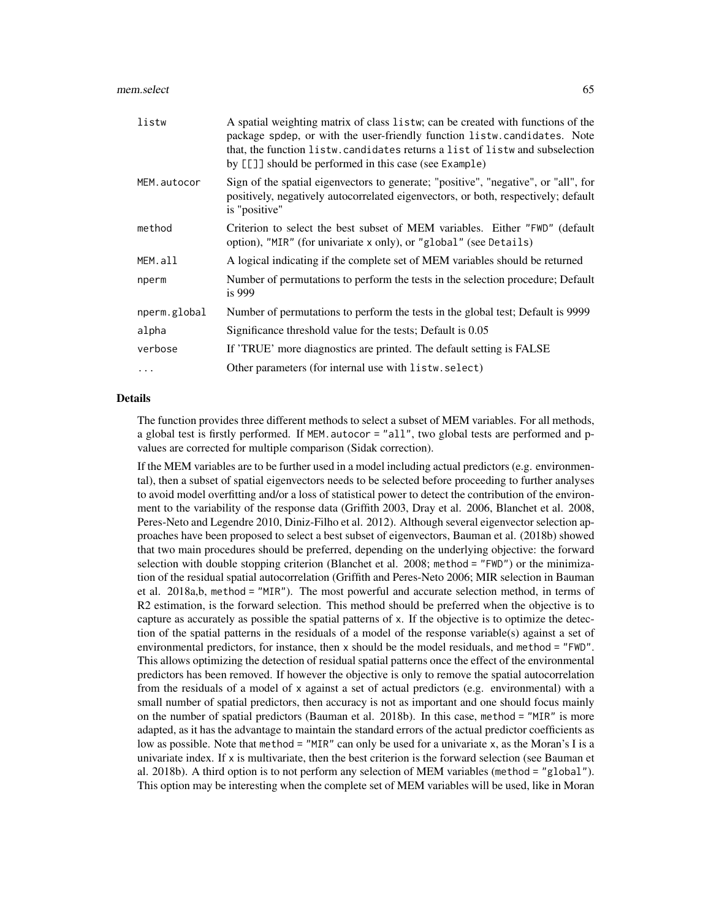| listw        | A spatial weighting matrix of class listw; can be created with functions of the<br>package spdep, or with the user-friendly function listw.candidates. Note<br>that, the function listw.candidates returns a list of listw and subselection<br>by [[]] should be performed in this case (see Example) |
|--------------|-------------------------------------------------------------------------------------------------------------------------------------------------------------------------------------------------------------------------------------------------------------------------------------------------------|
| MEM.autocor  | Sign of the spatial eigenvectors to generate; "positive", "negative", or "all", for<br>positively, negatively autocorrelated eigenvectors, or both, respectively; default<br>is "positive"                                                                                                            |
| method       | Criterion to select the best subset of MEM variables. Either "FWD" (default<br>option), "MIR" (for univariate x only), or "global" (see Details)                                                                                                                                                      |
| MEM.all      | A logical indicating if the complete set of MEM variables should be returned                                                                                                                                                                                                                          |
| nperm        | Number of permutations to perform the tests in the selection procedure; Default<br>is $999$                                                                                                                                                                                                           |
| nperm.global | Number of permutations to perform the tests in the global test; Default is 9999                                                                                                                                                                                                                       |
| alpha        | Significance threshold value for the tests; Default is 0.05                                                                                                                                                                                                                                           |
| verbose      | If 'TRUE' more diagnostics are printed. The default setting is FALSE                                                                                                                                                                                                                                  |
| $\ddots$     | Other parameters (for internal use with listw. select)                                                                                                                                                                                                                                                |

## Details

The function provides three different methods to select a subset of MEM variables. For all methods, a global test is firstly performed. If MEM.autocor = "all", two global tests are performed and pvalues are corrected for multiple comparison (Sidak correction).

If the MEM variables are to be further used in a model including actual predictors (e.g. environmental), then a subset of spatial eigenvectors needs to be selected before proceeding to further analyses to avoid model overfitting and/or a loss of statistical power to detect the contribution of the environment to the variability of the response data (Griffith 2003, Dray et al. 2006, Blanchet et al. 2008, Peres-Neto and Legendre 2010, Diniz-Filho et al. 2012). Although several eigenvector selection approaches have been proposed to select a best subset of eigenvectors, Bauman et al. (2018b) showed that two main procedures should be preferred, depending on the underlying objective: the forward selection with double stopping criterion (Blanchet et al. 2008; method = "FWD") or the minimization of the residual spatial autocorrelation (Griffith and Peres-Neto 2006; MIR selection in Bauman et al. 2018a,b, method = "MIR"). The most powerful and accurate selection method, in terms of R2 estimation, is the forward selection. This method should be preferred when the objective is to capture as accurately as possible the spatial patterns of x. If the objective is to optimize the detection of the spatial patterns in the residuals of a model of the response variable(s) against a set of environmental predictors, for instance, then x should be the model residuals, and method = "FWD". This allows optimizing the detection of residual spatial patterns once the effect of the environmental predictors has been removed. If however the objective is only to remove the spatial autocorrelation from the residuals of a model of x against a set of actual predictors (e.g. environmental) with a small number of spatial predictors, then accuracy is not as important and one should focus mainly on the number of spatial predictors (Bauman et al. 2018b). In this case, method = "MIR" is more adapted, as it has the advantage to maintain the standard errors of the actual predictor coefficients as low as possible. Note that method = "MIR" can only be used for a univariate x, as the Moran's I is a univariate index. If x is multivariate, then the best criterion is the forward selection (see Bauman et al. 2018b). A third option is to not perform any selection of MEM variables (method = "global"). This option may be interesting when the complete set of MEM variables will be used, like in Moran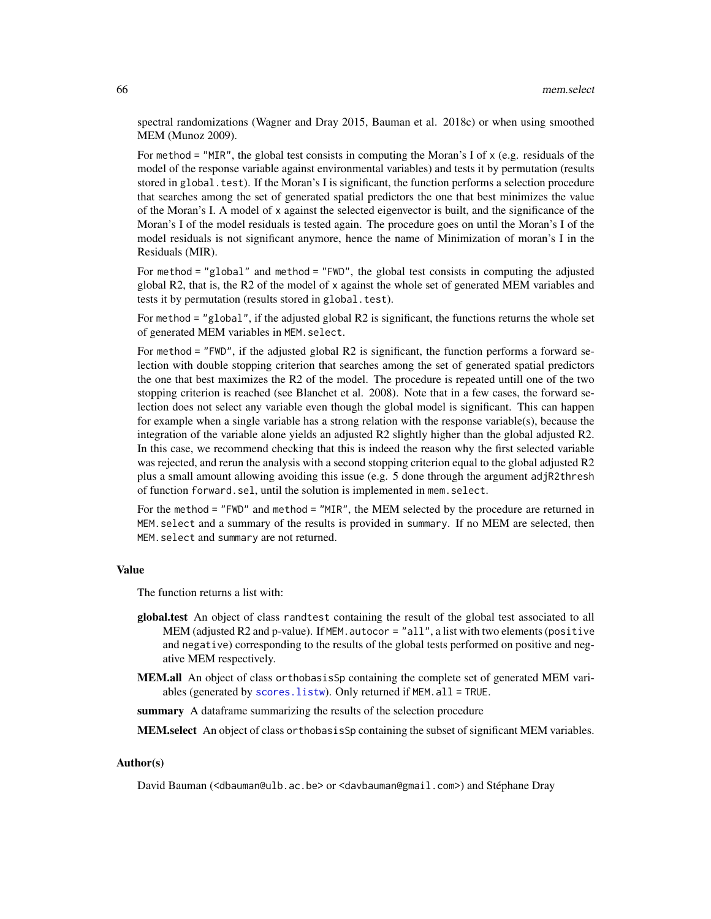spectral randomizations (Wagner and Dray 2015, Bauman et al. 2018c) or when using smoothed MEM (Munoz 2009).

For method = "MIR", the global test consists in computing the Moran's I of  $x$  (e.g. residuals of the model of the response variable against environmental variables) and tests it by permutation (results stored in global.test). If the Moran's I is significant, the function performs a selection procedure that searches among the set of generated spatial predictors the one that best minimizes the value of the Moran's I. A model of x against the selected eigenvector is built, and the significance of the Moran's I of the model residuals is tested again. The procedure goes on until the Moran's I of the model residuals is not significant anymore, hence the name of Minimization of moran's I in the Residuals (MIR).

For method = "global" and method = "FWD", the global test consists in computing the adjusted global R2, that is, the R2 of the model of x against the whole set of generated MEM variables and tests it by permutation (results stored in global.test).

For method = "global", if the adjusted global R2 is significant, the functions returns the whole set of generated MEM variables in MEM.select.

For method = "FWD", if the adjusted global R2 is significant, the function performs a forward selection with double stopping criterion that searches among the set of generated spatial predictors the one that best maximizes the R2 of the model. The procedure is repeated untill one of the two stopping criterion is reached (see Blanchet et al. 2008). Note that in a few cases, the forward selection does not select any variable even though the global model is significant. This can happen for example when a single variable has a strong relation with the response variable(s), because the integration of the variable alone yields an adjusted R2 slightly higher than the global adjusted R2. In this case, we recommend checking that this is indeed the reason why the first selected variable was rejected, and rerun the analysis with a second stopping criterion equal to the global adjusted R2 plus a small amount allowing avoiding this issue (e.g. 5 done through the argument adjR2thresh of function forward.sel, until the solution is implemented in mem.select.

For the method = "FWD" and method = "MIR", the MEM selected by the procedure are returned in MEM.select and a summary of the results is provided in summary. If no MEM are selected, then MEM.select and summary are not returned.

## Value

The function returns a list with:

- global.test An object of class randtest containing the result of the global test associated to all MEM (adjusted R2 and p-value). If MEM. autocor  $=$  "all", a list with two elements (positive and negative) corresponding to the results of the global tests performed on positive and negative MEM respectively.
- MEM.all An object of class orthobasisSp containing the complete set of generated MEM variables (generated by scores. listw). Only returned if MEM. all = TRUE.

summary A dataframe summarizing the results of the selection procedure

MEM.select An object of class orthobasisSp containing the subset of significant MEM variables.

# Author(s)

David Bauman (<dbauman@ulb.ac.be> or <davbauman@gmail.com>) and Stéphane Dray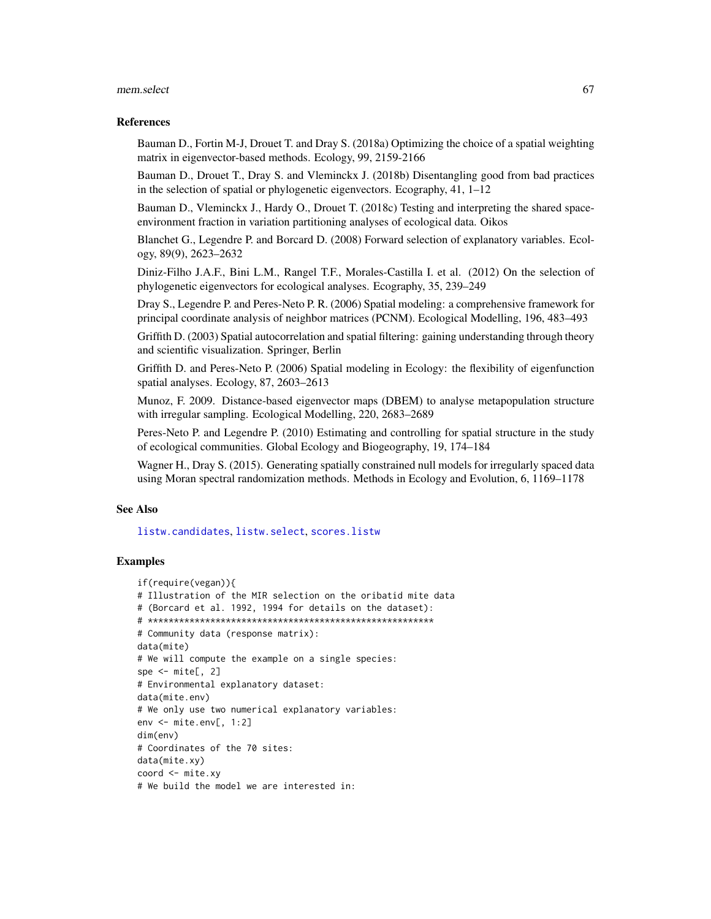### mem.select 67

## References

Bauman D., Fortin M-J, Drouet T. and Dray S. (2018a) Optimizing the choice of a spatial weighting matrix in eigenvector-based methods. Ecology, 99, 2159-2166

Bauman D., Drouet T., Dray S. and Vleminckx J. (2018b) Disentangling good from bad practices in the selection of spatial or phylogenetic eigenvectors. Ecography, 41, 1–12

Bauman D., Vleminckx J., Hardy O., Drouet T. (2018c) Testing and interpreting the shared spaceenvironment fraction in variation partitioning analyses of ecological data. Oikos

Blanchet G., Legendre P. and Borcard D. (2008) Forward selection of explanatory variables. Ecology, 89(9), 2623–2632

Diniz-Filho J.A.F., Bini L.M., Rangel T.F., Morales-Castilla I. et al. (2012) On the selection of phylogenetic eigenvectors for ecological analyses. Ecography, 35, 239–249

Dray S., Legendre P. and Peres-Neto P. R. (2006) Spatial modeling: a comprehensive framework for principal coordinate analysis of neighbor matrices (PCNM). Ecological Modelling, 196, 483–493

Griffith D. (2003) Spatial autocorrelation and spatial filtering: gaining understanding through theory and scientific visualization. Springer, Berlin

Griffith D. and Peres-Neto P. (2006) Spatial modeling in Ecology: the flexibility of eigenfunction spatial analyses. Ecology, 87, 2603–2613

Munoz, F. 2009. Distance-based eigenvector maps (DBEM) to analyse metapopulation structure with irregular sampling. Ecological Modelling, 220, 2683–2689

Peres-Neto P. and Legendre P. (2010) Estimating and controlling for spatial structure in the study of ecological communities. Global Ecology and Biogeography, 19, 174–184

Wagner H., Dray S. (2015). Generating spatially constrained null models for irregularly spaced data using Moran spectral randomization methods. Methods in Ecology and Evolution, 6, 1169–1178

# See Also

[listw.candidates](#page-55-0), [listw.select](#page-59-0), [scores.listw](#page-103-1)

```
if(require(vegan)){
# Illustration of the MIR selection on the oribatid mite data
# (Borcard et al. 1992, 1994 for details on the dataset):
# *******************************************************
# Community data (response matrix):
data(mite)
# We will compute the example on a single species:
spe \leq mite[, 2]
# Environmental explanatory dataset:
data(mite.env)
# We only use two numerical explanatory variables:
env <- mite.env[, 1:2]
dim(env)
# Coordinates of the 70 sites:
data(mite.xy)
coord <- mite.xy
# We build the model we are interested in:
```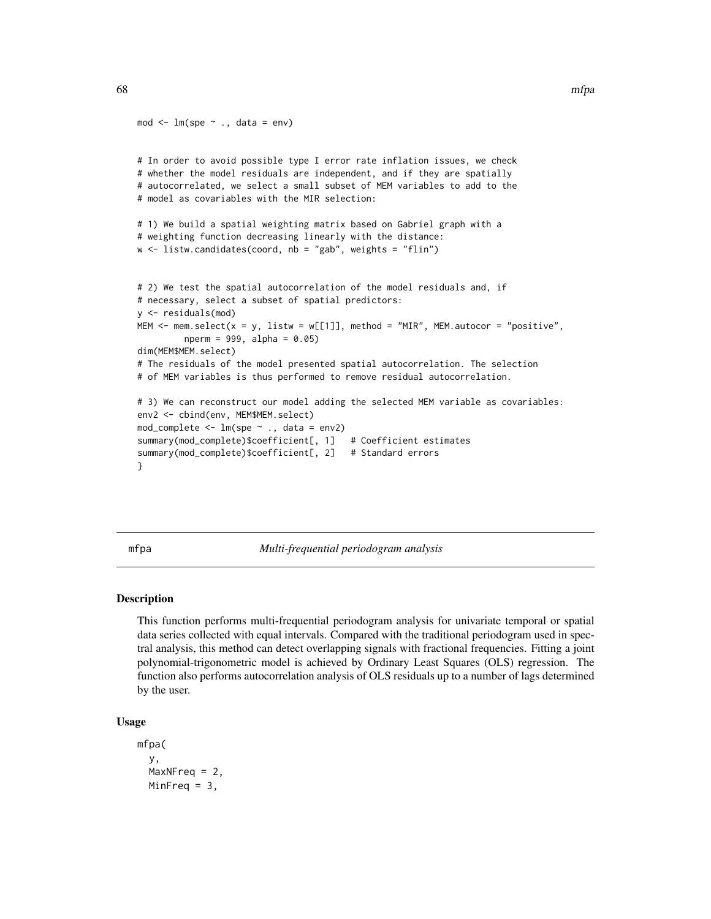```
mod \leq -\ln(\text{spe} \sim ., \text{ data} = \text{env})# In order to avoid possible type I error rate inflation issues, we check
# whether the model residuals are independent, and if they are spatially
# autocorrelated, we select a small subset of MEM variables to add to the
# model as covariables with the MIR selection:
# 1) We build a spatial weighting matrix based on Gabriel graph with a
# weighting function decreasing linearly with the distance:
w <- listw.candidates(coord, nb = "gab", weights = "flin")
# 2) We test the spatial autocorrelation of the model residuals and, if
# necessary, select a subset of spatial predictors:
y <- residuals(mod)
MEM \le mem.select(x = y, listw = w[[1]], method = "MIR", MEM.autocor = "positive",
         nperm = 999, alpha = 0.05)dim(MEM$MEM.select)
# The residuals of the model presented spatial autocorrelation. The selection
# of MEM variables is thus performed to remove residual autocorrelation.
# 3) We can reconstruct our model adding the selected MEM variable as covariables:
env2 <- cbind(env, MEM$MEM.select)
mod\_complete \le -lm(spe \sim ., data = env2)summary(mod_complete)$coefficient[, 1] # Coefficient estimates
summary(mod_complete)$coefficient[, 2] # Standard errors
}
```
mfpa *Multi-frequential periodogram analysis*

# Description

This function performs multi-frequential periodogram analysis for univariate temporal or spatial data series collected with equal intervals. Compared with the traditional periodogram used in spectral analysis, this method can detect overlapping signals with fractional frequencies. Fitting a joint polynomial-trigonometric model is achieved by Ordinary Least Squares (OLS) regression. The function also performs autocorrelation analysis of OLS residuals up to a number of lags determined by the user.

## Usage

```
mfpa(
  y,
 MaxNFreq = 2,
 MinFreq = 3,
```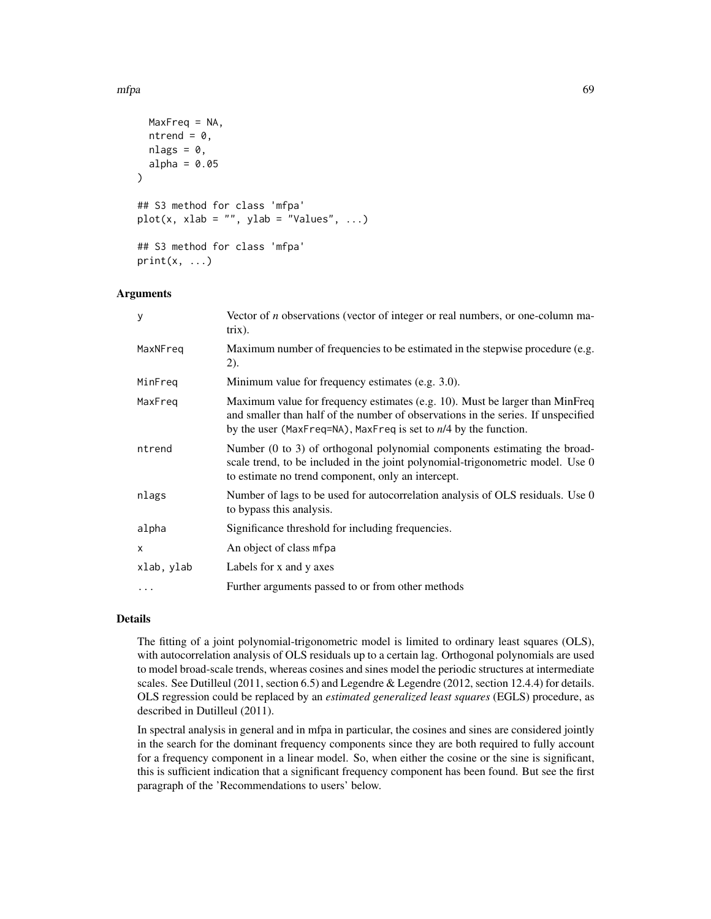```
MaxFreq = NA,
 ntrend = \theta,
 nlags = 0,alpha = 0.05)
## S3 method for class 'mfpa'
plot(x, xlab = "", ylab = "Values", ...)## S3 method for class 'mfpa'
print(x, \ldots)
```
# Arguments

| У          | Vector of $n$ observations (vector of integer or real numbers, or one-column ma-<br>$trix)$ .                                                                                                                                           |
|------------|-----------------------------------------------------------------------------------------------------------------------------------------------------------------------------------------------------------------------------------------|
| MaxNFreg   | Maximum number of frequencies to be estimated in the stepwise procedure (e.g.<br>(2).                                                                                                                                                   |
| MinFreq    | Minimum value for frequency estimates (e.g. 3.0).                                                                                                                                                                                       |
| MaxFreq    | Maximum value for frequency estimates (e.g. 10). Must be larger than MinFreq<br>and smaller than half of the number of observations in the series. If unspecified<br>by the user (MaxFreq=NA), MaxFreq is set to $n/4$ by the function. |
| ntrend     | Number (0 to 3) of orthogonal polynomial components estimating the broad-<br>scale trend, to be included in the joint polynomial-trigonometric model. Use 0<br>to estimate no trend component, only an intercept.                       |
| nlags      | Number of lags to be used for autocorrelation analysis of OLS residuals. Use 0<br>to bypass this analysis.                                                                                                                              |
| alpha      | Significance threshold for including frequencies.                                                                                                                                                                                       |
| $\times$   | An object of class mfpa                                                                                                                                                                                                                 |
| xlab, ylab | Labels for x and y axes                                                                                                                                                                                                                 |
| $\cdots$   | Further arguments passed to or from other methods                                                                                                                                                                                       |

# Details

The fitting of a joint polynomial-trigonometric model is limited to ordinary least squares (OLS), with autocorrelation analysis of OLS residuals up to a certain lag. Orthogonal polynomials are used to model broad-scale trends, whereas cosines and sines model the periodic structures at intermediate scales. See Dutilleul (2011, section 6.5) and Legendre & Legendre (2012, section 12.4.4) for details. OLS regression could be replaced by an *estimated generalized least squares* (EGLS) procedure, as described in Dutilleul (2011).

In spectral analysis in general and in mfpa in particular, the cosines and sines are considered jointly in the search for the dominant frequency components since they are both required to fully account for a frequency component in a linear model. So, when either the cosine or the sine is significant, this is sufficient indication that a significant frequency component has been found. But see the first paragraph of the 'Recommendations to users' below.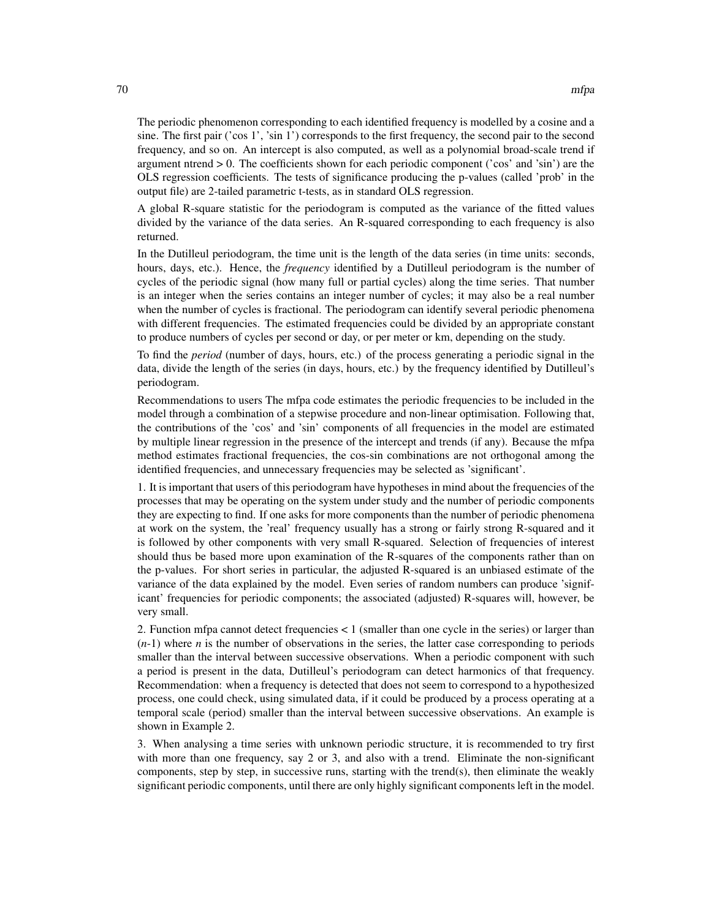The periodic phenomenon corresponding to each identified frequency is modelled by a cosine and a sine. The first pair ('cos 1', 'sin 1') corresponds to the first frequency, the second pair to the second frequency, and so on. An intercept is also computed, as well as a polynomial broad-scale trend if argument ntrend  $> 0$ . The coefficients shown for each periodic component ( $\cos$  and  $\sin$ ) are the OLS regression coefficients. The tests of significance producing the p-values (called 'prob' in the output file) are 2-tailed parametric t-tests, as in standard OLS regression.

A global R-square statistic for the periodogram is computed as the variance of the fitted values divided by the variance of the data series. An R-squared corresponding to each frequency is also returned.

In the Dutilleul periodogram, the time unit is the length of the data series (in time units: seconds, hours, days, etc.). Hence, the *frequency* identified by a Dutilleul periodogram is the number of cycles of the periodic signal (how many full or partial cycles) along the time series. That number is an integer when the series contains an integer number of cycles; it may also be a real number when the number of cycles is fractional. The periodogram can identify several periodic phenomena with different frequencies. The estimated frequencies could be divided by an appropriate constant to produce numbers of cycles per second or day, or per meter or km, depending on the study.

To find the *period* (number of days, hours, etc.) of the process generating a periodic signal in the data, divide the length of the series (in days, hours, etc.) by the frequency identified by Dutilleul's periodogram.

Recommendations to users The mfpa code estimates the periodic frequencies to be included in the model through a combination of a stepwise procedure and non-linear optimisation. Following that, the contributions of the 'cos' and 'sin' components of all frequencies in the model are estimated by multiple linear regression in the presence of the intercept and trends (if any). Because the mfpa method estimates fractional frequencies, the cos-sin combinations are not orthogonal among the identified frequencies, and unnecessary frequencies may be selected as 'significant'.

1. It is important that users of this periodogram have hypotheses in mind about the frequencies of the processes that may be operating on the system under study and the number of periodic components they are expecting to find. If one asks for more components than the number of periodic phenomena at work on the system, the 'real' frequency usually has a strong or fairly strong R-squared and it is followed by other components with very small R-squared. Selection of frequencies of interest should thus be based more upon examination of the R-squares of the components rather than on the p-values. For short series in particular, the adjusted R-squared is an unbiased estimate of the variance of the data explained by the model. Even series of random numbers can produce 'significant' frequencies for periodic components; the associated (adjusted) R-squares will, however, be very small.

2. Function mfpa cannot detect frequencies < 1 (smaller than one cycle in the series) or larger than  $(n-1)$  where *n* is the number of observations in the series, the latter case corresponding to periods smaller than the interval between successive observations. When a periodic component with such a period is present in the data, Dutilleul's periodogram can detect harmonics of that frequency. Recommendation: when a frequency is detected that does not seem to correspond to a hypothesized process, one could check, using simulated data, if it could be produced by a process operating at a temporal scale (period) smaller than the interval between successive observations. An example is shown in Example 2.

3. When analysing a time series with unknown periodic structure, it is recommended to try first with more than one frequency, say 2 or 3, and also with a trend. Eliminate the non-significant components, step by step, in successive runs, starting with the trend(s), then eliminate the weakly significant periodic components, until there are only highly significant components left in the model.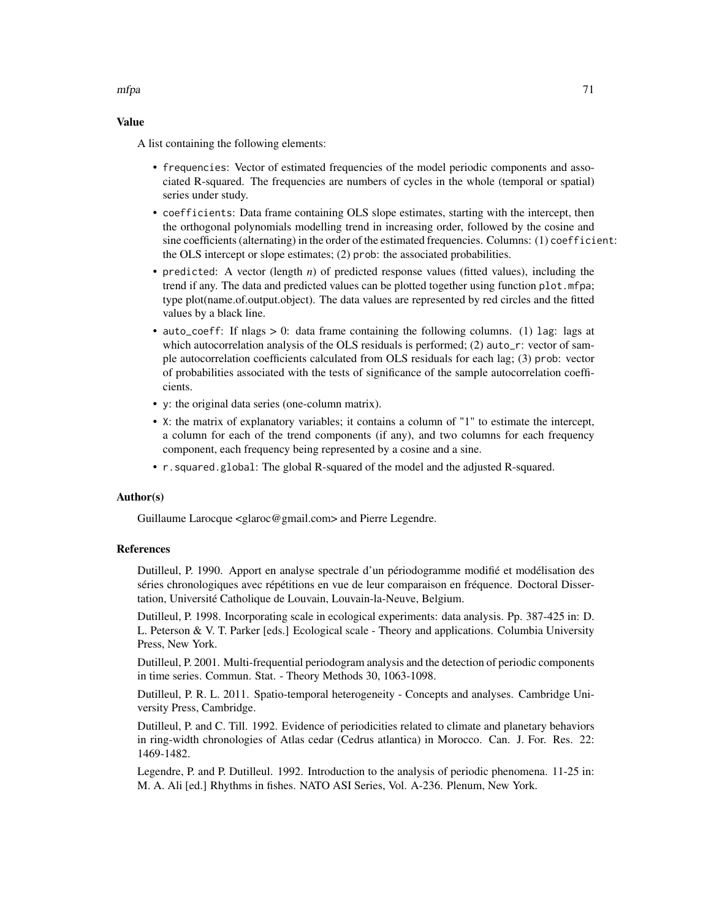mfpa and the contract of the contract of the contract of the contract of the contract of the contract of the contract of the contract of the contract of the contract of the contract of the contract of the contract of the c

# Value

A list containing the following elements:

- frequencies: Vector of estimated frequencies of the model periodic components and associated R-squared. The frequencies are numbers of cycles in the whole (temporal or spatial) series under study.
- coefficients: Data frame containing OLS slope estimates, starting with the intercept, then the orthogonal polynomials modelling trend in increasing order, followed by the cosine and sine coefficients (alternating) in the order of the estimated frequencies. Columns: (1) coefficient: the OLS intercept or slope estimates; (2) prob: the associated probabilities.
- predicted: A vector (length *n*) of predicted response values (fitted values), including the trend if any. The data and predicted values can be plotted together using function plot.mfpa; type plot(name.of.output.object). The data values are represented by red circles and the fitted values by a black line.
- auto\_coeff: If nlags > 0: data frame containing the following columns. (1) lag: lags at which autocorrelation analysis of the OLS residuals is performed; (2) auto\_r: vector of sample autocorrelation coefficients calculated from OLS residuals for each lag; (3) prob: vector of probabilities associated with the tests of significance of the sample autocorrelation coefficients.
- y: the original data series (one-column matrix).
- X: the matrix of explanatory variables; it contains a column of "1" to estimate the intercept, a column for each of the trend components (if any), and two columns for each frequency component, each frequency being represented by a cosine and a sine.
- r.squared.global: The global R-squared of the model and the adjusted R-squared.

# Author(s)

Guillaume Larocque <glaroc@gmail.com> and Pierre Legendre.

# References

Dutilleul, P. 1990. Apport en analyse spectrale d'un périodogramme modifié et modélisation des séries chronologiques avec répétitions en vue de leur comparaison en fréquence. Doctoral Dissertation, Université Catholique de Louvain, Louvain-la-Neuve, Belgium.

Dutilleul, P. 1998. Incorporating scale in ecological experiments: data analysis. Pp. 387-425 in: D. L. Peterson & V. T. Parker [eds.] Ecological scale - Theory and applications. Columbia University Press, New York.

Dutilleul, P. 2001. Multi-frequential periodogram analysis and the detection of periodic components in time series. Commun. Stat. - Theory Methods 30, 1063-1098.

Dutilleul, P. R. L. 2011. Spatio-temporal heterogeneity - Concepts and analyses. Cambridge University Press, Cambridge.

Dutilleul, P. and C. Till. 1992. Evidence of periodicities related to climate and planetary behaviors in ring-width chronologies of Atlas cedar (Cedrus atlantica) in Morocco. Can. J. For. Res. 22: 1469-1482.

Legendre, P. and P. Dutilleul. 1992. Introduction to the analysis of periodic phenomena. 11-25 in: M. A. Ali [ed.] Rhythms in fishes. NATO ASI Series, Vol. A-236. Plenum, New York.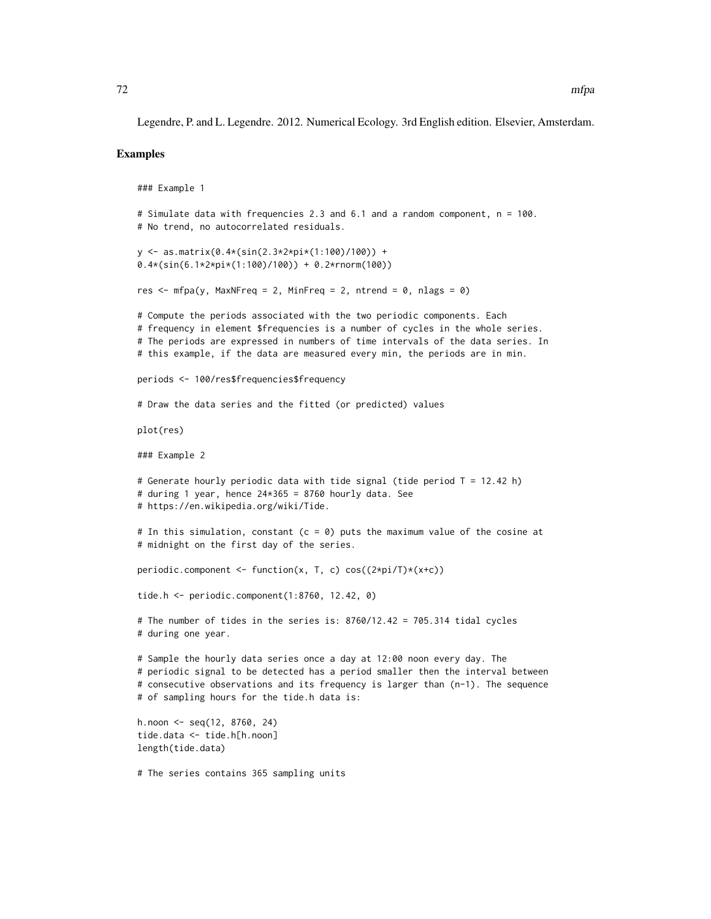Legendre, P. and L. Legendre. 2012. Numerical Ecology. 3rd English edition. Elsevier, Amsterdam.

```
### Example 1
# Simulate data with frequencies 2.3 and 6.1 and a random component, n = 100.
# No trend, no autocorrelated residuals.
y <- as.matrix(0.4*(sin(2.3*2*pi*(1:100)/100)) +
0.4*(sin(6.1*2*pi*(1:100)/100)) + 0.2*rnorm(100))
res \leq mfpa(y, MaxNFreq = 2, MinFreq = 2, ntrend = 0, nlags = 0)
# Compute the periods associated with the two periodic components. Each
# frequency in element $frequencies is a number of cycles in the whole series.
# The periods are expressed in numbers of time intervals of the data series. In
# this example, if the data are measured every min, the periods are in min.
periods <- 100/res$frequencies$frequency
# Draw the data series and the fitted (or predicted) values
plot(res)
### Example 2
# Generate hourly periodic data with tide signal (tide period T = 12.42 h)
# during 1 year, hence 24*365 = 8760 hourly data. See
# https://en.wikipedia.org/wiki/Tide.
# In this simulation, constant (c = 0) puts the maximum value of the cosine at
# midnight on the first day of the series.
periodic.component <- function(x, T, c) cos((2*pi/T)*(x+c))
tide.h <- periodic.component(1:8760, 12.42, 0)
# The number of tides in the series is: 8760/12.42 = 705.314 tidal cycles
# during one year.
# Sample the hourly data series once a day at 12:00 noon every day. The
# periodic signal to be detected has a period smaller then the interval between
# consecutive observations and its frequency is larger than (n-1). The sequence
# of sampling hours for the tide.h data is:
h.noon <- seq(12, 8760, 24)
tide.data <- tide.h[h.noon]
length(tide.data)
# The series contains 365 sampling units
```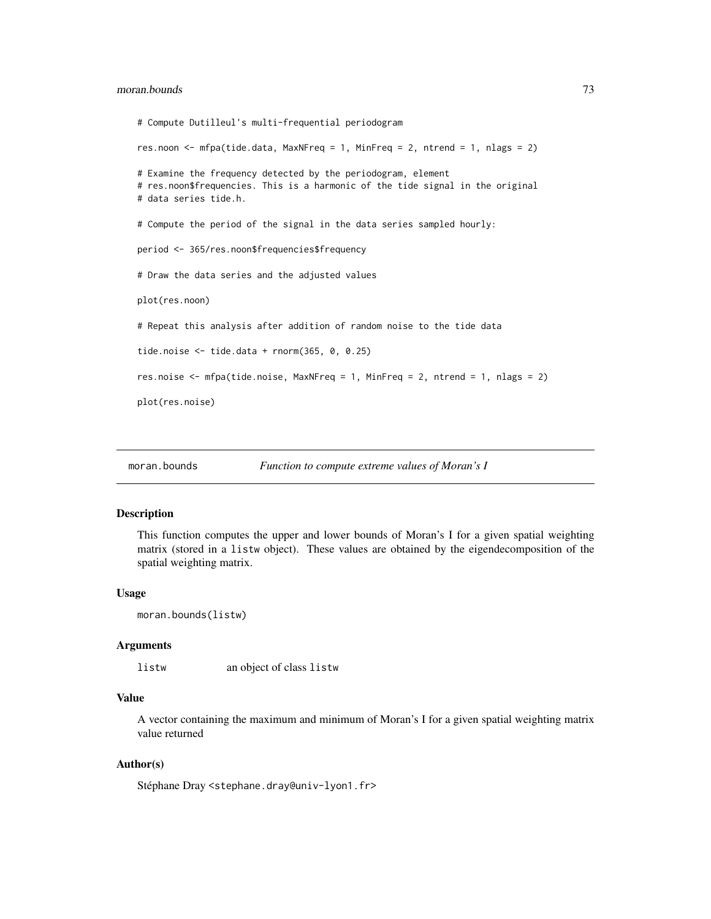## moran.bounds 73

```
# Compute Dutilleul's multi-frequential periodogram
res.noon <- mfpa(tide.data, MaxNFreq = 1, MinFreq = 2, ntrend = 1, nlags = 2)
# Examine the frequency detected by the periodogram, element
# res.noon$frequencies. This is a harmonic of the tide signal in the original
# data series tide.h.
# Compute the period of the signal in the data series sampled hourly:
period <- 365/res.noon$frequencies$frequency
# Draw the data series and the adjusted values
plot(res.noon)
# Repeat this analysis after addition of random noise to the tide data
tide.noise <- tide.data + rnorm(365, 0, 0.25)
res.noise <- mfpa(tide.noise, MaxNFreq = 1, MinFreq = 2, ntrend = 1, nlags = 2)
plot(res.noise)
```
moran.bounds *Function to compute extreme values of Moran's I*

### Description

This function computes the upper and lower bounds of Moran's I for a given spatial weighting matrix (stored in a listw object). These values are obtained by the eigendecomposition of the spatial weighting matrix.

#### Usage

```
moran.bounds(listw)
```
## Arguments

listw an object of class listw

#### Value

A vector containing the maximum and minimum of Moran's I for a given spatial weighting matrix value returned

## Author(s)

Stéphane Dray <stephane.dray@univ-lyon1.fr>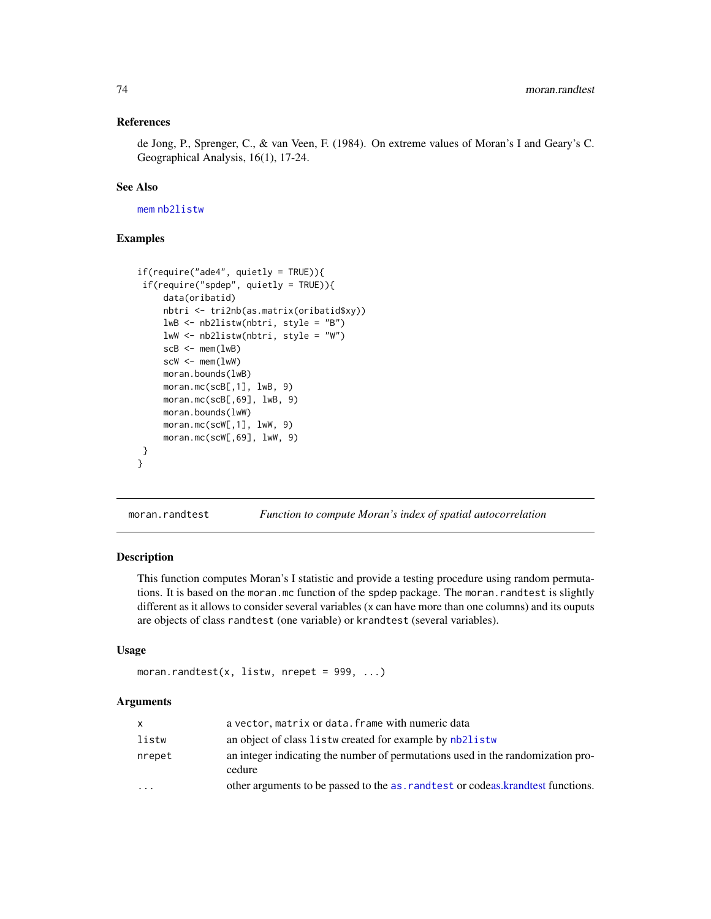## References

de Jong, P., Sprenger, C., & van Veen, F. (1984). On extreme values of Moran's I and Geary's C. Geographical Analysis, 16(1), 17-24.

## See Also

[mem](#page-103-0) [nb2listw](#page-0-0)

# Examples

```
if(require("ade4", quick) = TRUE)if(require("spdep", quietly = TRUE)){
     data(oribatid)
    nbtri <- tri2nb(as.matrix(oribatid$xy))
    lwB <- nb2listw(nbtri, style = "B")
    lwW <- nb2listw(nbtri, style = "W")
     scB < - mem(lwB)scW < - mem(lwW)moran.bounds(lwB)
    moran.mc(scB[,1], lwB, 9)
    moran.mc(scB[,69], lwB, 9)
    moran.bounds(lwW)
    moran.mc(scW[,1], lwW, 9)
    moran.mc(scW[,69], lwW, 9)
}
}
```
<span id="page-73-0"></span>moran.randtest *Function to compute Moran's index of spatial autocorrelation*

## **Description**

This function computes Moran's I statistic and provide a testing procedure using random permutations. It is based on the moran.mc function of the spdep package. The moran.randtest is slightly different as it allows to consider several variables (x can have more than one columns) and its ouputs are objects of class randtest (one variable) or krandtest (several variables).

## Usage

```
moran.randtest(x, listw, nrepet = 999, ...)
```
# Arguments

| <b>X</b> | a vector, matrix or data. frame with numeric data                                         |
|----------|-------------------------------------------------------------------------------------------|
| listw    | an object of class listw created for example by nb2listw                                  |
| nrepet   | an integer indicating the number of permutations used in the randomization pro-<br>cedure |
| $\cdot$  | other arguments to be passed to the as . rand test or codeas. krandtest functions.        |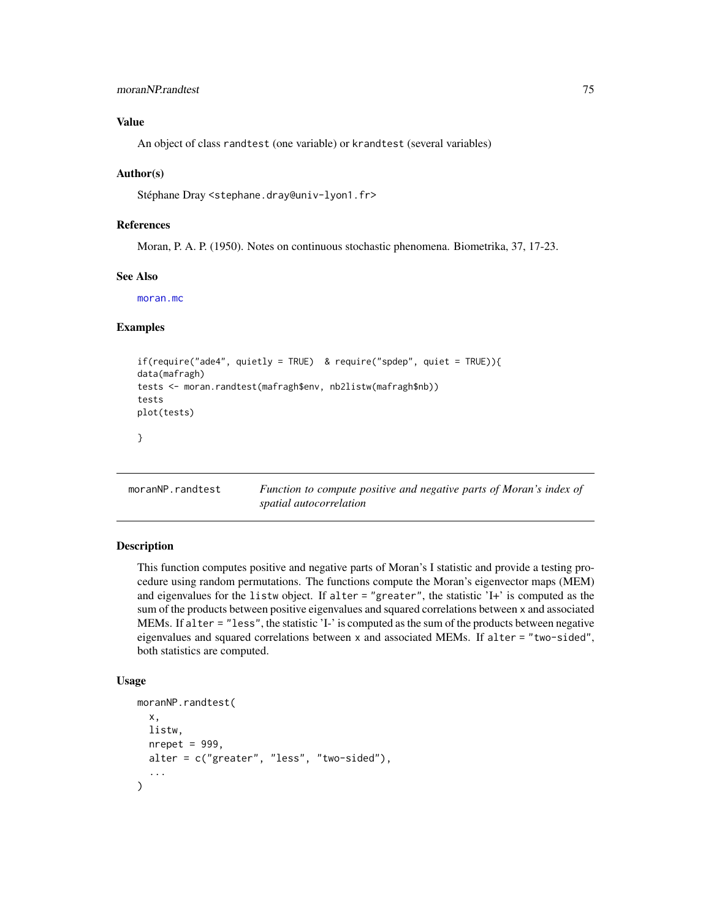# moranNP.randtest 75

# Value

An object of class randtest (one variable) or krandtest (several variables)

#### Author(s)

Stéphane Dray <stephane.dray@univ-lyon1.fr>

## References

Moran, P. A. P. (1950). Notes on continuous stochastic phenomena. Biometrika, 37, 17-23.

## See Also

[moran.mc](#page-0-0)

## Examples

```
if(require("ade4", quietly = TRUE) & require("spdep", quiet = TRUE)){
data(mafragh)
tests <- moran.randtest(mafragh$env, nb2listw(mafragh$nb))
tests
plot(tests)
}
```
moranNP.randtest *Function to compute positive and negative parts of Moran's index of spatial autocorrelation*

# Description

This function computes positive and negative parts of Moran's I statistic and provide a testing procedure using random permutations. The functions compute the Moran's eigenvector maps (MEM) and eigenvalues for the listw object. If alter = "greater", the statistic 'I+' is computed as the sum of the products between positive eigenvalues and squared correlations between x and associated MEMs. If alter = "less", the statistic 'I-' is computed as the sum of the products between negative eigenvalues and squared correlations between x and associated MEMs. If alter = "two-sided", both statistics are computed.

## Usage

```
moranNP.randtest(
  x,
 listw,
 nrepet = 999,
 alter = c("greater", "less", "two-sided"),
  ...
)
```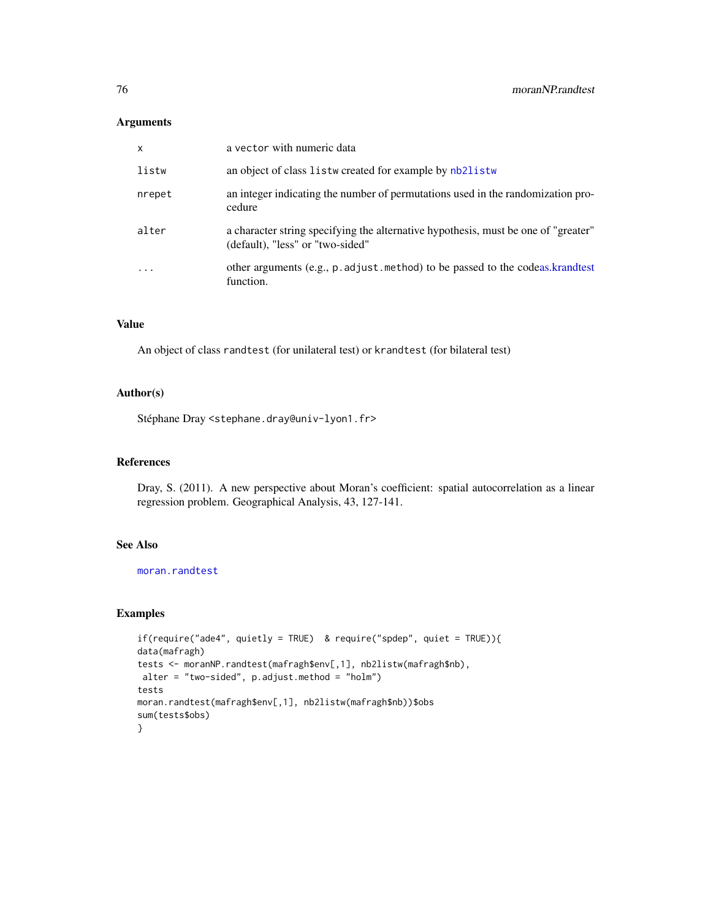# Arguments

| $\mathsf{x}$ | a vector with numeric data                                                                                             |
|--------------|------------------------------------------------------------------------------------------------------------------------|
| listw        | an object of class listw created for example by nb2listw                                                               |
| nrepet       | an integer indicating the number of permutations used in the randomization pro-<br>cedure                              |
| alter        | a character string specifying the alternative hypothesis, must be one of "greater"<br>(default), "less" or "two-sided" |
| $\ddots$     | other arguments (e.g., p. adjust. method) to be passed to the codeas.krandtest<br>function.                            |

## Value

An object of class randtest (for unilateral test) or krandtest (for bilateral test)

# Author(s)

Stéphane Dray <stephane.dray@univ-lyon1.fr>

## References

Dray, S. (2011). A new perspective about Moran's coefficient: spatial autocorrelation as a linear regression problem. Geographical Analysis, 43, 127-141.

# See Also

[moran.randtest](#page-73-0)

```
if(require("ade4", quietly = TRUE) & require("spdep", quiet = TRUE)){
data(mafragh)
tests <- moranNP.randtest(mafragh$env[,1], nb2listw(mafragh$nb),
alter = "two-sided", p.adjust.method = "holm")
tests
moran.randtest(mafragh$env[,1], nb2listw(mafragh$nb))$obs
sum(tests$obs)
}
```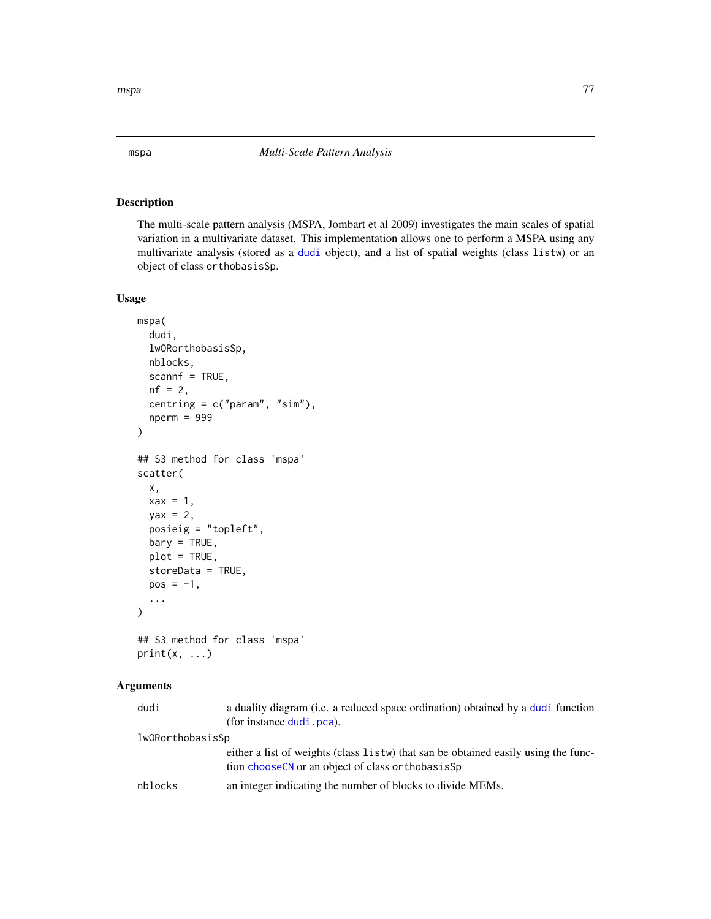## Description

The multi-scale pattern analysis (MSPA, Jombart et al 2009) investigates the main scales of spatial variation in a multivariate dataset. This implementation allows one to perform a MSPA using any multivariate analysis (stored as a [dudi](#page-0-0) object), and a list of spatial weights (class listw) or an object of class orthobasisSp.

## Usage

```
mspa(
  dudi,
  lwORorthobasisSp,
 nblocks,
  scannf = TRUE,nf = 2,
  centring = c("param", "sim"),
  nperm = 999
)
## S3 method for class 'mspa'
scatter(
  x,
  \text{max} = 1,
 yax = 2,
 posieig = "topleft",
 bary = TRUE,plot = TRUE,
  storeData = TRUE,
 pos = -1,
  ...
\mathcal{L}## S3 method for class 'mspa'
```
 $print(x, \ldots)$ 

# Arguments

| dudi             | a duality diagram (i.e. a reduced space ordination) obtained by a dudi function<br>(for instance dudi . pca).                              |
|------------------|--------------------------------------------------------------------------------------------------------------------------------------------|
| lwORorthobasisSp |                                                                                                                                            |
|                  | either a list of weights (class 1 is tw) that san be obtained easily using the func-<br>tion chooseCN or an object of class or thobasis Sp |
| nblocks          | an integer indicating the number of blocks to divide MEMs.                                                                                 |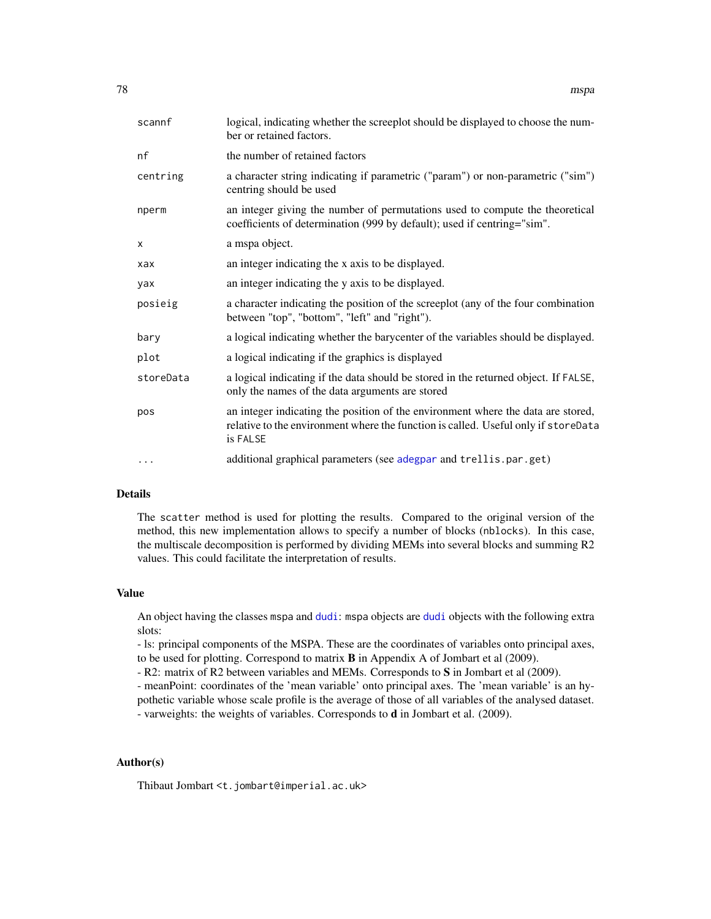| scannf    | logical, indicating whether the screeplot should be displayed to choose the num-<br>ber or retained factors.                                                                       |
|-----------|------------------------------------------------------------------------------------------------------------------------------------------------------------------------------------|
| nf        | the number of retained factors                                                                                                                                                     |
| centring  | a character string indicating if parametric ("param") or non-parametric ("sim")<br>centring should be used                                                                         |
| nperm     | an integer giving the number of permutations used to compute the theoretical<br>coefficients of determination (999 by default); used if centring="sim".                            |
| X         | a mspa object.                                                                                                                                                                     |
| xax       | an integer indicating the x axis to be displayed.                                                                                                                                  |
| yax       | an integer indicating the y axis to be displayed.                                                                                                                                  |
| posieig   | a character indicating the position of the screeplot (any of the four combination<br>between "top", "bottom", "left" and "right").                                                 |
| bary      | a logical indicating whether the barycenter of the variables should be displayed.                                                                                                  |
| plot      | a logical indicating if the graphics is displayed                                                                                                                                  |
| storeData | a logical indicating if the data should be stored in the returned object. If FALSE,<br>only the names of the data arguments are stored                                             |
| pos       | an integer indicating the position of the environment where the data are stored,<br>relative to the environment where the function is called. Useful only if storeData<br>is FALSE |
| .         | additional graphical parameters (see adegpar and trellis.par.get)                                                                                                                  |

# Details

The scatter method is used for plotting the results. Compared to the original version of the method, this new implementation allows to specify a number of blocks (nblocks). In this case, the multiscale decomposition is performed by dividing MEMs into several blocks and summing R2 values. This could facilitate the interpretation of results.

## Value

An object having the classes mspa and [dudi](#page-0-0): mspa objects are [dudi](#page-0-0) objects with the following extra slots:

- ls: principal components of the MSPA. These are the coordinates of variables onto principal axes, to be used for plotting. Correspond to matrix B in Appendix A of Jombart et al (2009).

- R2: matrix of R2 between variables and MEMs. Corresponds to S in Jombart et al (2009).

- meanPoint: coordinates of the 'mean variable' onto principal axes. The 'mean variable' is an hypothetic variable whose scale profile is the average of those of all variables of the analysed dataset. - varweights: the weights of variables. Corresponds to  $d$  in Jombart et al. (2009).

## Author(s)

Thibaut Jombart <t.jombart@imperial.ac.uk>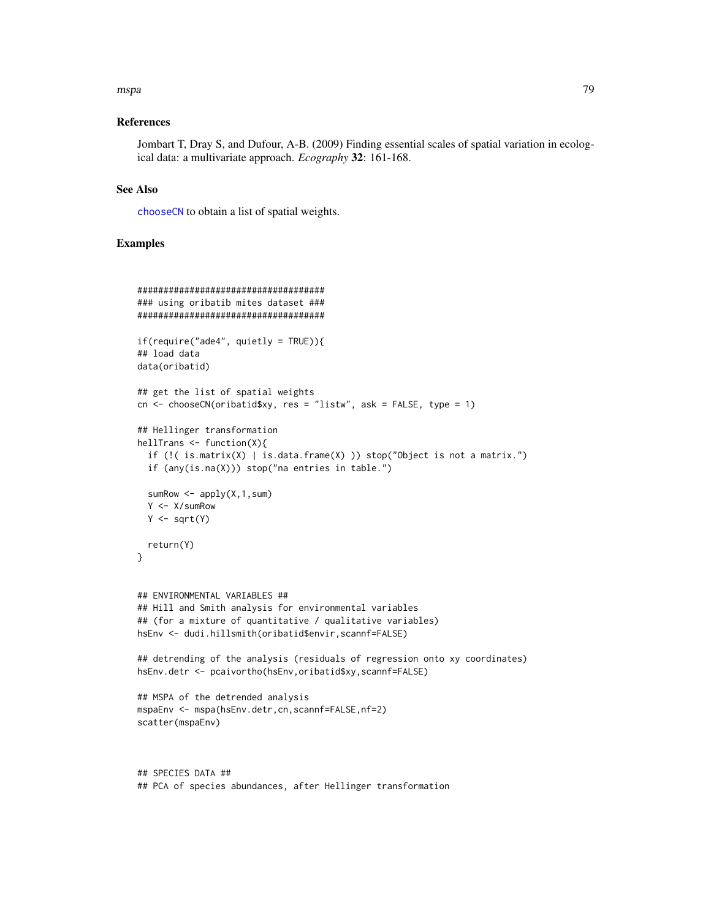#### mspa 79

## References

Jombart T, Dray S, and Dufour, A-B. (2009) Finding essential scales of spatial variation in ecological data: a multivariate approach. *Ecography* 32: 161-168.

## See Also

[chooseCN](#page-20-0) to obtain a list of spatial weights.

## Examples

```
####################################
### using oribatib mites dataset ###
####################################
if(require("ade4", quietly = TRUE)){
## load data
data(oribatid)
## get the list of spatial weights
cn \le - chooseCN(oribatid$xy, res = "listw", ask = FALSE, type = 1)
## Hellinger transformation
hellTrans <- function(X){
  if (!( is.matrix(X) | is.data.frame(X) )) stop("Object is not a matrix.")
  if (any(is.na(X))) stop("na entries in table.")
  sumRow \leq apply(X, 1, sum)
  Y <- X/sumRow
  Y \leftarrow sqrt(Y)return(Y)
}
## ENVIRONMENTAL VARIABLES ##
## Hill and Smith analysis for environmental variables
## (for a mixture of quantitative / qualitative variables)
hsEnv <- dudi.hillsmith(oribatid$envir,scannf=FALSE)
## detrending of the analysis (residuals of regression onto xy coordinates)
hsEnv.detr <- pcaivortho(hsEnv,oribatid$xy,scannf=FALSE)
## MSPA of the detrended analysis
mspaEnv <- mspa(hsEnv.detr,cn,scannf=FALSE,nf=2)
scatter(mspaEnv)
## SPECIES DATA ##
```
## PCA of species abundances, after Hellinger transformation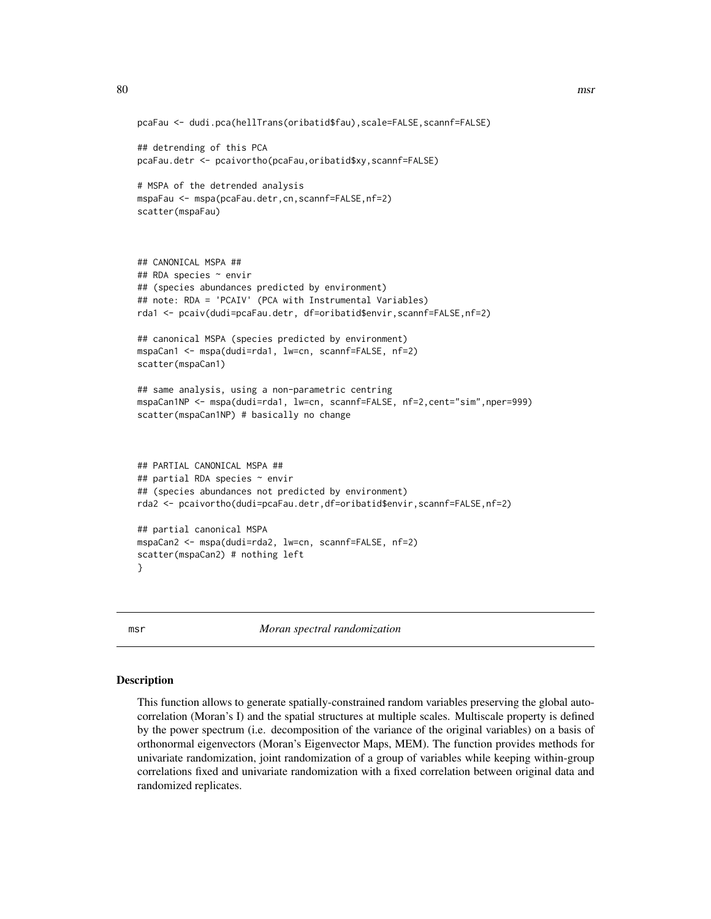```
pcaFau <- dudi.pca(hellTrans(oribatid$fau),scale=FALSE,scannf=FALSE)
## detrending of this PCA
pcaFau.detr <- pcaivortho(pcaFau,oribatid$xy,scannf=FALSE)
# MSPA of the detrended analysis
mspaFau <- mspa(pcaFau.detr,cn,scannf=FALSE,nf=2)
scatter(mspaFau)
## CANONICAL MSPA ##
## RDA species ~ envir
## (species abundances predicted by environment)
## note: RDA = 'PCAIV' (PCA with Instrumental Variables)
rda1 <- pcaiv(dudi=pcaFau.detr, df=oribatid$envir,scannf=FALSE,nf=2)
## canonical MSPA (species predicted by environment)
mspaCan1 <- mspa(dudi=rda1, lw=cn, scannf=FALSE, nf=2)
scatter(mspaCan1)
## same analysis, using a non-parametric centring
mspaCan1NP <- mspa(dudi=rda1, lw=cn, scannf=FALSE, nf=2,cent="sim",nper=999)
scatter(mspaCan1NP) # basically no change
## PARTIAL CANONICAL MSPA ##
## partial RDA species ~ envir
## (species abundances not predicted by environment)
rda2 <- pcaivortho(dudi=pcaFau.detr,df=oribatid$envir,scannf=FALSE,nf=2)
## partial canonical MSPA
mspaCan2 <- mspa(dudi=rda2, lw=cn, scannf=FALSE, nf=2)
scatter(mspaCan2) # nothing left
```

```
}
```
msr *Moran spectral randomization*

## <span id="page-79-0"></span>Description

This function allows to generate spatially-constrained random variables preserving the global autocorrelation (Moran's I) and the spatial structures at multiple scales. Multiscale property is defined by the power spectrum (i.e. decomposition of the variance of the original variables) on a basis of orthonormal eigenvectors (Moran's Eigenvector Maps, MEM). The function provides methods for univariate randomization, joint randomization of a group of variables while keeping within-group correlations fixed and univariate randomization with a fixed correlation between original data and randomized replicates.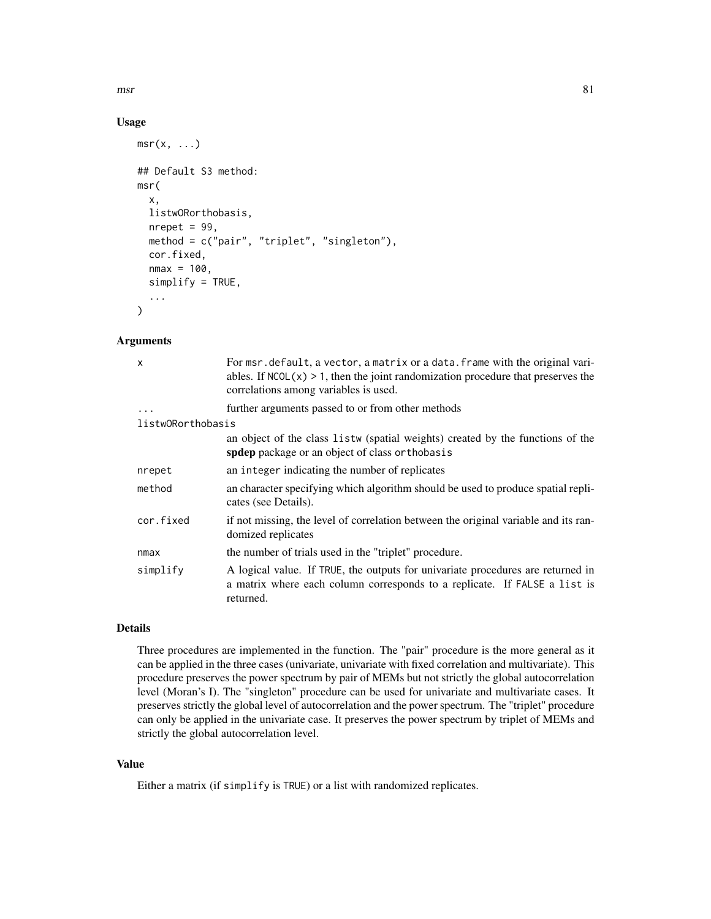## Usage

```
msr(x, \ldots)## Default S3 method:
msr(
  x,
  listwORorthobasis,
  nrepet = 99,
  method = c("pair", "triplet", "singleton"),
  cor.fixed,
  nmax = 100,
  simplify = TRUE,
  ...
\mathcal{L}
```
## Arguments

| x                 | For msr. default, a vector, a matrix or a data. frame with the original vari-<br>ables. If $NCOL(x) > 1$ , then the joint randomization procedure that preserves the<br>correlations among variables is used. |
|-------------------|---------------------------------------------------------------------------------------------------------------------------------------------------------------------------------------------------------------|
| $\cdots$          | further arguments passed to or from other methods                                                                                                                                                             |
| listwORorthobasis |                                                                                                                                                                                                               |
|                   | an object of the class listw (spatial weights) created by the functions of the<br>spident package or an object of class or thobas is                                                                          |
| nrepet            | an integer indicating the number of replicates                                                                                                                                                                |
| method            | an character specifying which algorithm should be used to produce spatial repli-<br>cates (see Details).                                                                                                      |
| cor.fixed         | if not missing, the level of correlation between the original variable and its ran-<br>domized replicates                                                                                                     |
| nmax              | the number of trials used in the "triplet" procedure.                                                                                                                                                         |
| simplify          | A logical value. If TRUE, the outputs for univariate procedures are returned in<br>a matrix where each column corresponds to a replicate. If FALSE a list is<br>returned.                                     |
|                   |                                                                                                                                                                                                               |

# Details

Three procedures are implemented in the function. The "pair" procedure is the more general as it can be applied in the three cases (univariate, univariate with fixed correlation and multivariate). This procedure preserves the power spectrum by pair of MEMs but not strictly the global autocorrelation level (Moran's I). The "singleton" procedure can be used for univariate and multivariate cases. It preserves strictly the global level of autocorrelation and the power spectrum. The "triplet" procedure can only be applied in the univariate case. It preserves the power spectrum by triplet of MEMs and strictly the global autocorrelation level.

# Value

Either a matrix (if simplify is TRUE) or a list with randomized replicates.

 $\frac{m}{81}$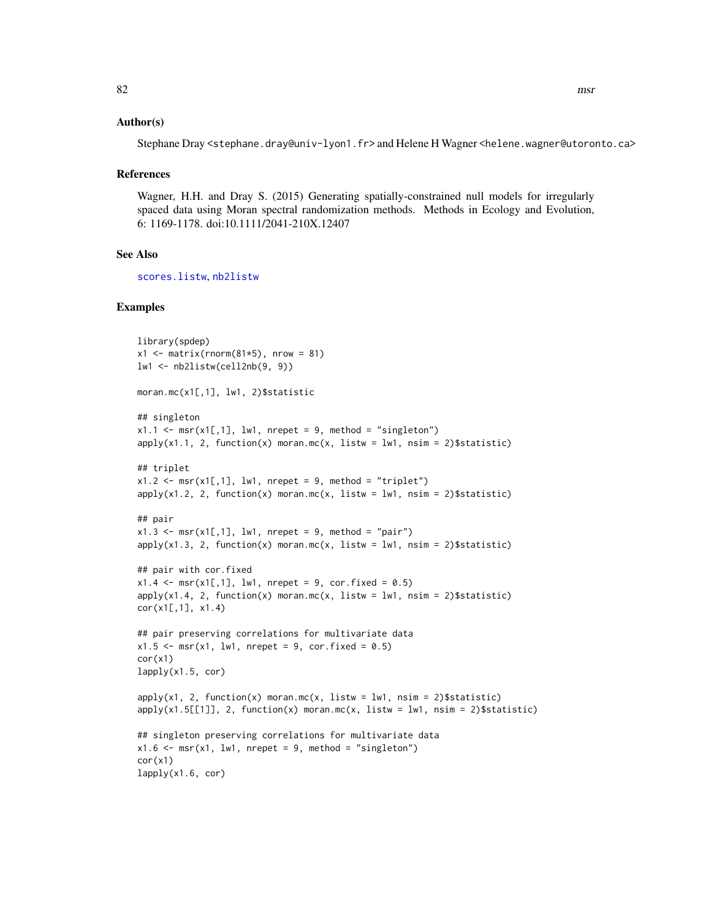## Author(s)

Stephane Dray <stephane.dray@univ-lyon1.fr> and Helene H Wagner <helene.wagner@utoronto.ca>

#### References

Wagner, H.H. and Dray S. (2015) Generating spatially-constrained null models for irregularly spaced data using Moran spectral randomization methods. Methods in Ecology and Evolution, 6: 1169-1178. doi:10.1111/2041-210X.12407

# See Also

[scores.listw](#page-103-1), [nb2listw](#page-0-0)

```
library(spdep)
x1 \leq - matrix(rnorm(81*5), nrow = 81)
lw1 <- nb2listw(cell2nb(9, 9))
moran.mc(x1[,1], lw1, 2)$statistic
## singleton
x1.1 \leftarrow msr(x1[,1], lw1, nrepeat = 9, method = "singleton")apply(x1.1, 2, function(x) moran.mc(x, listw = lw1, nsim = 2)$statistic)
## triplet
x1.2 \leq mx \leq x1[,1], lw1, nrepet = 9, method = "triplet")
apply(x1.2, 2, function(x) moran.mc(x, listw = lwl, nsim = 2)$statistic)
## pair
x1.3 \leq msr(x1[,1], lw1, nrepeat = 9, method = "pair")apply(x1.3, 2, function(x) moran.mc(x, listw = lw1, nsim = 2)$statistic)
## pair with cor.fixed
x1.4 \leq msr(x1[,1], \text{lw1, nrepeat} = 9, cor.fixed = 0.5)apply(x1.4, 2, function(x) moran.mc(x, listw = lwt, nsim = 2)$statistic)
cor(x1[,1], x1.4)
## pair preserving correlations for multivariate data
x1.5 \leq mx(x1, lw1, nrepeat = 9, cor.fixed = 0.5)cor(x1)lapply(x1.5, cor)
apply(x1, 2, function(x) moran.mc(x, listw = lw1, nsim = 2)$statistic)
apply(x1.5[[1]], 2, function(x) moran.mc(x, listw = lwt, nsim = 2)$statistic)
## singleton preserving correlations for multivariate data
x1.6 \leq msr(x1, lw1, nrepeat = 9, method = "singleton")cor(x1)
lapply(x1.6, cor)
```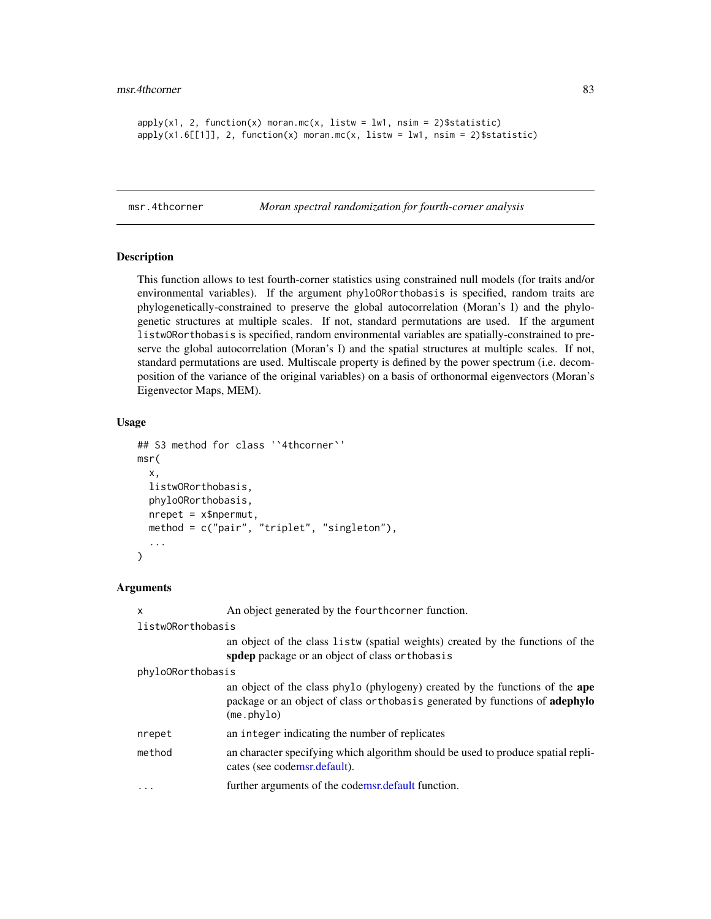```
apply(x1, 2, function(x) moran.mc(x, listw = lw1, nsim = 2)$statistic)
apply(x1.6[[1]], 2, function(x) moran.mc(x, listw = lw1, nsim = 2)$statistic)
```
msr.4thcorner *Moran spectral randomization for fourth-corner analysis*

## **Description**

This function allows to test fourth-corner statistics using constrained null models (for traits and/or environmental variables). If the argument phyloORorthobasis is specified, random traits are phylogenetically-constrained to preserve the global autocorrelation (Moran's I) and the phylogenetic structures at multiple scales. If not, standard permutations are used. If the argument listwORorthobasis is specified, random environmental variables are spatially-constrained to preserve the global autocorrelation (Moran's I) and the spatial structures at multiple scales. If not, standard permutations are used. Multiscale property is defined by the power spectrum (i.e. decomposition of the variance of the original variables) on a basis of orthonormal eigenvectors (Moran's Eigenvector Maps, MEM).

## Usage

```
## S3 method for class '`4thcorner`'
msr(
 x,
  listwORorthobasis,
 phyloORorthobasis,
 nrepet = x$npermut,
 method = c("pair", "triplet", "singleton"),
  ...
)
```
# Arguments

x An object generated by the fourthcorner function.

```
listwORorthobasis
```
an object of the class listw (spatial weights) created by the functions of the spdep package or an object of class orthobasis

phyloORorthobasis

an object of the class phylo (phylogeny) created by the functions of the ape package or an object of class orthobasis generated by functions of adephylo (me.phylo)

- nrepet an integer indicating the number of replicates
- method an character specifying which algorithm should be used to produce spatial replicates (see cod[emsr.default\)](#page-79-0).
- ... **further arguments of the cod[emsr.default](#page-79-0) function.**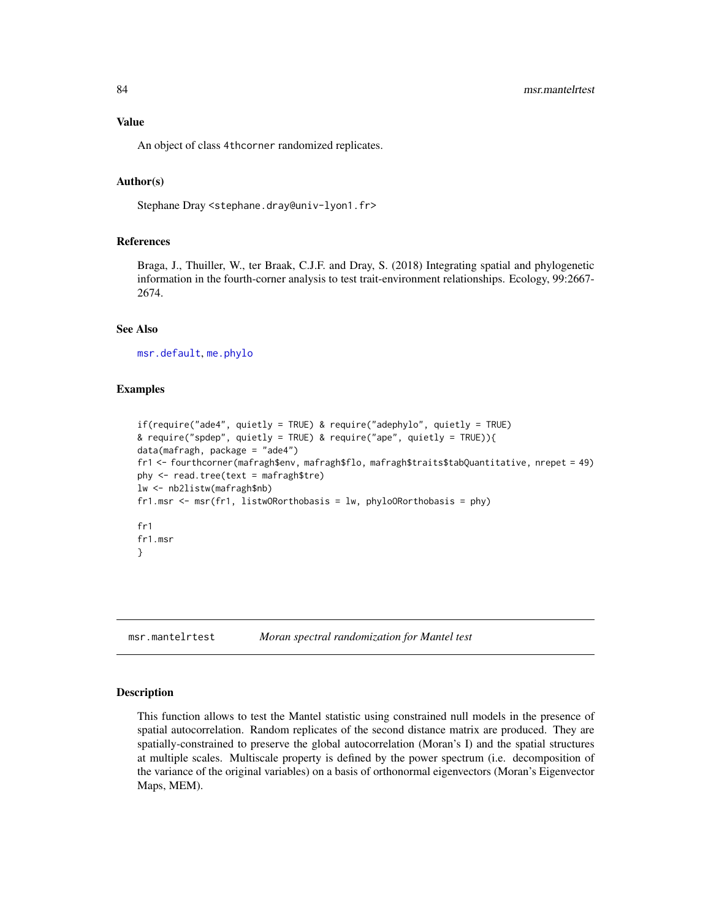# Value

An object of class 4thcorner randomized replicates.

## Author(s)

Stephane Dray <stephane.dray@univ-lyon1.fr>

## References

Braga, J., Thuiller, W., ter Braak, C.J.F. and Dray, S. (2018) Integrating spatial and phylogenetic information in the fourth-corner analysis to test trait-environment relationships. Ecology, 99:2667- 2674.

## See Also

[msr.default](#page-79-0), [me.phylo](#page-0-0)

## Examples

```
if(require("ade4", quietly = TRUE) & require("adephylo", quietly = TRUE)
& require("spdep", quietly = TRUE) & require("ape", quietly = TRUE)){
data(mafragh, package = "ade4")
fr1 <- fourthcorner(mafragh$env, mafragh$flo, mafragh$traits$tabQuantitative, nrepet = 49)
phy < - read-tree(text = mafragh$tre)lw <- nb2listw(mafragh$nb)
fr1.msr \leq msr(fr1, listwORorthobasis = lw, phyloORorthobasis = phy)
fr1
fr1.msr
}
```
msr.mantelrtest *Moran spectral randomization for Mantel test*

#### **Description**

This function allows to test the Mantel statistic using constrained null models in the presence of spatial autocorrelation. Random replicates of the second distance matrix are produced. They are spatially-constrained to preserve the global autocorrelation (Moran's I) and the spatial structures at multiple scales. Multiscale property is defined by the power spectrum (i.e. decomposition of the variance of the original variables) on a basis of orthonormal eigenvectors (Moran's Eigenvector Maps, MEM).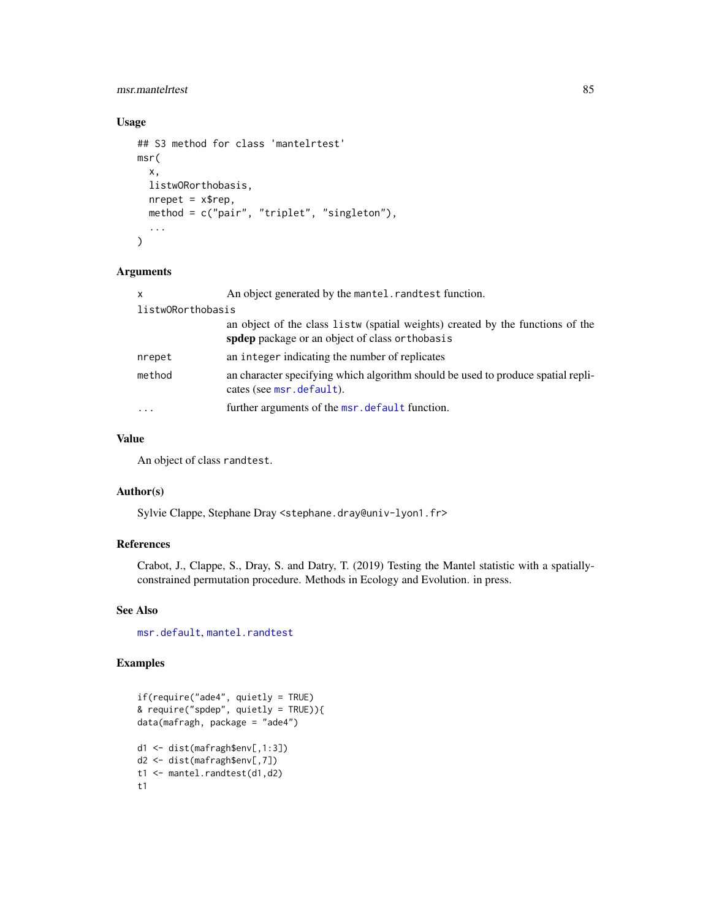# msr.mantelrtest 85

# Usage

```
## S3 method for class 'mantelrtest'
msr(
  x,
  listwORorthobasis,
  nrepet = x$rep,
  method = c("pair", "triplet", "singleton"),
  ...
\mathcal{L}
```
# Arguments

| $\times$          | An object generated by the mantel. rand test function.                                                                               |
|-------------------|--------------------------------------------------------------------------------------------------------------------------------------|
| listwORorthobasis |                                                                                                                                      |
|                   | an object of the class listw (spatial weights) created by the functions of the<br>spident package or an object of class or thobas is |
| nrepet            | an integer indicating the number of replicates                                                                                       |
| method            | an character specifying which algorithm should be used to produce spatial repli-<br>cates (see msr.default).                         |
| $\cdot$           | further arguments of the msr. default function.                                                                                      |

# Value

An object of class randtest.

# Author(s)

Sylvie Clappe, Stephane Dray <stephane.dray@univ-lyon1.fr>

# References

Crabot, J., Clappe, S., Dray, S. and Datry, T. (2019) Testing the Mantel statistic with a spatiallyconstrained permutation procedure. Methods in Ecology and Evolution. in press.

# See Also

[msr.default](#page-79-0), [mantel.randtest](#page-0-0)

```
if(require("ade4", quietly = TRUE)
& require("spdep", quietly = TRUE)){
data(mafragh, package = "ade4")
d1 <- dist(mafragh$env[,1:3])
d2 <- dist(mafragh$env[,7])
t1 <- mantel.randtest(d1,d2)
t1
```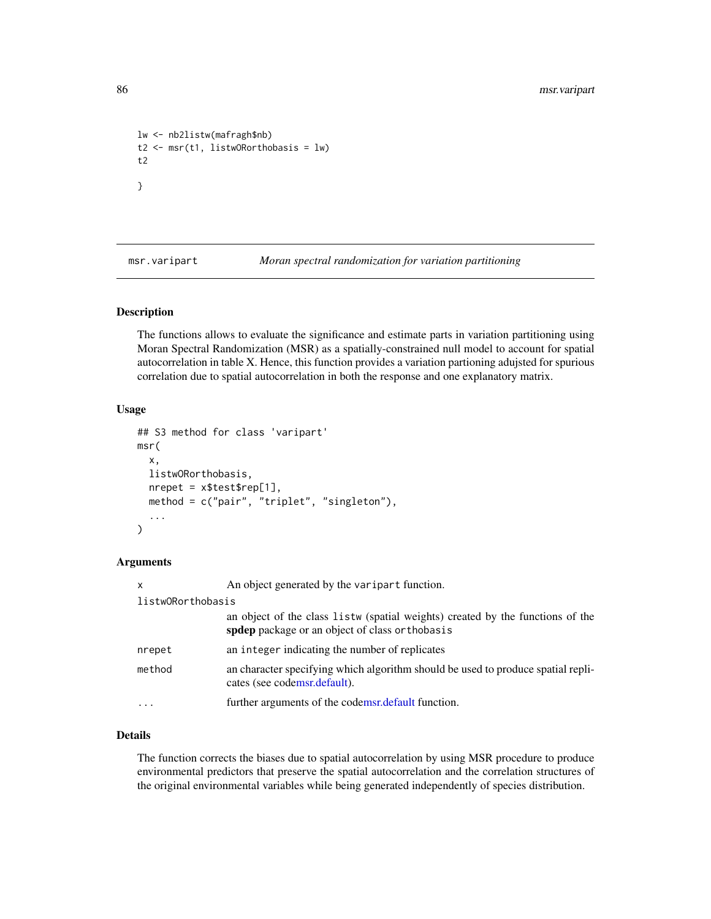```
lw <- nb2listw(mafragh$nb)
t2 <- msr(t1, listwORorthobasis = lw)
t2
}
```
msr.varipart *Moran spectral randomization for variation partitioning*

# **Description**

The functions allows to evaluate the significance and estimate parts in variation partitioning using Moran Spectral Randomization (MSR) as a spatially-constrained null model to account for spatial autocorrelation in table X. Hence, this function provides a variation partioning adujsted for spurious correlation due to spatial autocorrelation in both the response and one explanatory matrix.

## Usage

```
## S3 method for class 'varipart'
msr(
  x,
 listwORorthobasis,
  nrepet = x$test$rep[1],
 method = c("pair", "triplet", "singleton"),
  ...
\mathcal{L}
```
# Arguments

| $\mathsf{x}$      | An object generated by the varipart function.                                                                                        |
|-------------------|--------------------------------------------------------------------------------------------------------------------------------------|
| listwORorthobasis |                                                                                                                                      |
|                   | an object of the class listw (spatial weights) created by the functions of the<br>spident package or an object of class or thobas is |
| nrepet            | an integer indicating the number of replicates                                                                                       |
| method            | an character specifying which algorithm should be used to produce spatial repli-<br>cates (see codemsr.default).                     |
|                   | further arguments of the codemsr. default function.                                                                                  |

# Details

The function corrects the biases due to spatial autocorrelation by using MSR procedure to produce environmental predictors that preserve the spatial autocorrelation and the correlation structures of the original environmental variables while being generated independently of species distribution.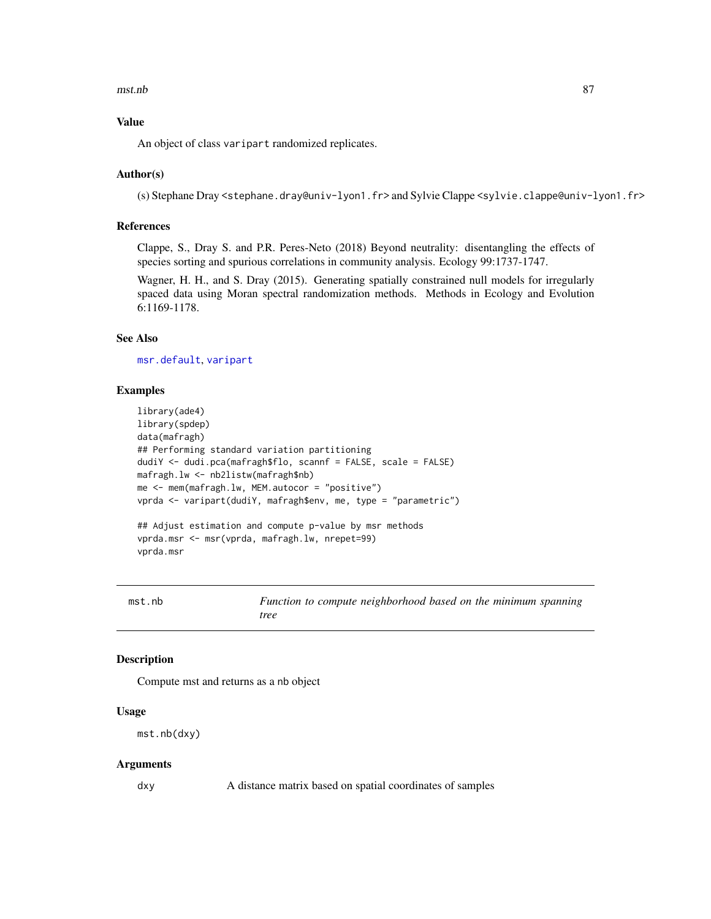#### mst.nb 87

# Value

An object of class varipart randomized replicates.

## Author(s)

(s) Stephane Dray <stephane.dray@univ-lyon1.fr> and Sylvie Clappe <sylvie.clappe@univ-lyon1.fr>

## References

Clappe, S., Dray S. and P.R. Peres-Neto (2018) Beyond neutrality: disentangling the effects of species sorting and spurious correlations in community analysis. Ecology 99:1737-1747.

Wagner, H. H., and S. Dray (2015). Generating spatially constrained null models for irregularly spaced data using Moran spectral randomization methods. Methods in Ecology and Evolution 6:1169-1178.

# See Also

[msr.default](#page-79-0), [varipart](#page-0-0)

#### Examples

```
library(ade4)
library(spdep)
data(mafragh)
## Performing standard variation partitioning
dudiY <- dudi.pca(mafragh$flo, scannf = FALSE, scale = FALSE)
mafragh.lw <- nb2listw(mafragh$nb)
me <- mem(mafragh.lw, MEM.autocor = "positive")
vprda <- varipart(dudiY, mafragh$env, me, type = "parametric")
## Adjust estimation and compute p-value by msr methods
vprda.msr <- msr(vprda, mafragh.lw, nrepet=99)
vprda.msr
```
mst.nb *Function to compute neighborhood based on the minimum spanning tree*

## Description

Compute mst and returns as a nb object

## Usage

mst.nb(dxy)

#### Arguments

dxy A distance matrix based on spatial coordinates of samples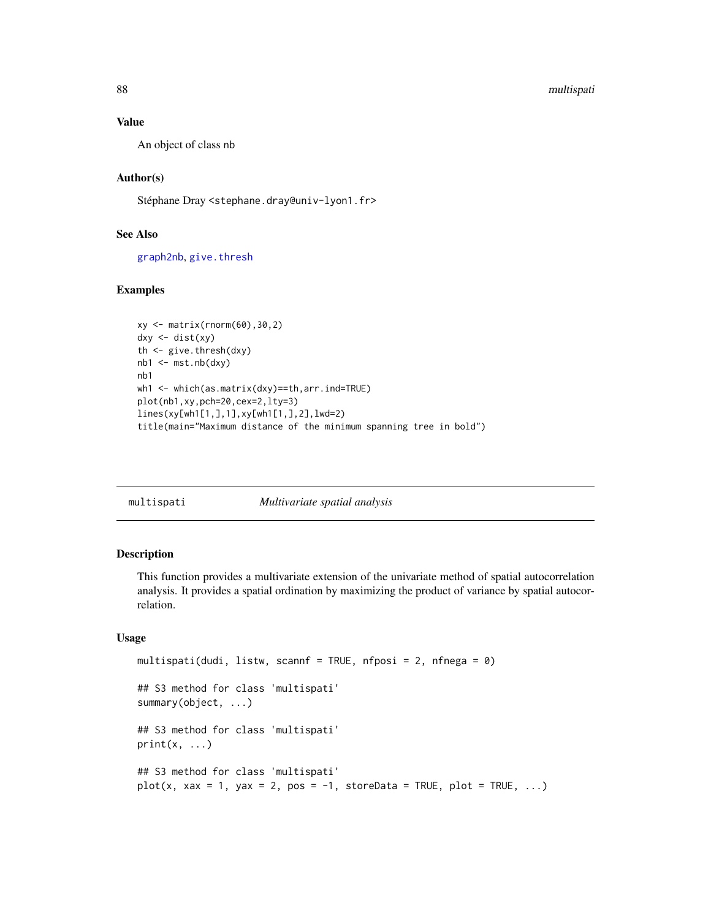## Value

An object of class nb

# Author(s)

Stéphane Dray <stephane.dray@univ-lyon1.fr>

## See Also

[graph2nb](#page-0-0), [give.thresh](#page-50-0)

## Examples

```
xy <- matrix(rnorm(60),30,2)
dxy <- dist(xy)
th <- give.thresh(dxy)
nb1 <- mst.nb(dxy)
nb1
wh1 <- which(as.matrix(dxy)==th,arr.ind=TRUE)
plot(nb1,xy,pch=20,cex=2,lty=3)
lines(xy[wh1[1,],1],xy[wh1[1,],2],lwd=2)
title(main="Maximum distance of the minimum spanning tree in bold")
```

| multispati | <i>Multivariate spatial analysis</i> |  |
|------------|--------------------------------------|--|
|            |                                      |  |

# Description

This function provides a multivariate extension of the univariate method of spatial autocorrelation analysis. It provides a spatial ordination by maximizing the product of variance by spatial autocorrelation.

# Usage

```
multispati(dudi, listw, scannf = TRUE, nfposi = 2, nfnega = 0)
## S3 method for class 'multispati'
summary(object, ...)
## S3 method for class 'multispati'
print(x, \ldots)## S3 method for class 'multispati'
plot(x, xax = 1, yax = 2, pos = -1, storeData = TRUE, plot = TRUE, \dots)
```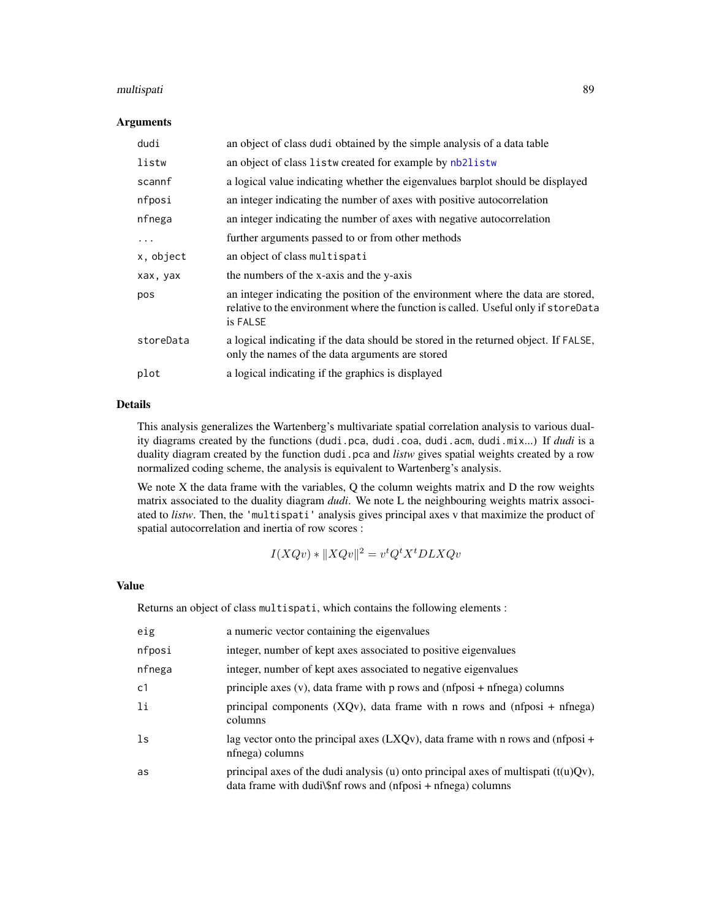#### multispati 89

### Arguments

| dudi      | an object of class dudi obtained by the simple analysis of a data table                                                                                                            |
|-----------|------------------------------------------------------------------------------------------------------------------------------------------------------------------------------------|
| listw     | an object of class listw created for example by nb2listw                                                                                                                           |
| scannf    | a logical value indicating whether the eigenvalues barplot should be displayed                                                                                                     |
| nfposi    | an integer indicating the number of axes with positive autocorrelation                                                                                                             |
| nfnega    | an integer indicating the number of axes with negative autocorrelation                                                                                                             |
| $\cdots$  | further arguments passed to or from other methods                                                                                                                                  |
| x, object | an object of class multispati                                                                                                                                                      |
| xax, yax  | the numbers of the x-axis and the y-axis                                                                                                                                           |
| pos       | an integer indicating the position of the environment where the data are stored,<br>relative to the environment where the function is called. Useful only if storeData<br>is FALSE |
| storeData | a logical indicating if the data should be stored in the returned object. If FALSE,<br>only the names of the data arguments are stored                                             |
| plot      | a logical indicating if the graphics is displayed                                                                                                                                  |

# Details

This analysis generalizes the Wartenberg's multivariate spatial correlation analysis to various duality diagrams created by the functions (dudi.pca, dudi.coa, dudi.acm, dudi.mix...) If *dudi* is a duality diagram created by the function dudi.pca and *listw* gives spatial weights created by a row normalized coding scheme, the analysis is equivalent to Wartenberg's analysis.

We note X the data frame with the variables, Q the column weights matrix and D the row weights matrix associated to the duality diagram *dudi*. We note L the neighbouring weights matrix associated to *listw*. Then, the 'multispati' analysis gives principal axes v that maximize the product of spatial autocorrelation and inertia of row scores :

$$
I(XQv) * ||XQv||^2 = v^t Q^t X^t D L X Qv
$$

#### Value

Returns an object of class multispati, which contains the following elements :

| eig    | a numeric vector containing the eigenvalues                                                                                                            |
|--------|--------------------------------------------------------------------------------------------------------------------------------------------------------|
| nfposi | integer, number of kept axes associated to positive eigenvalues                                                                                        |
| nfnega | integer, number of kept axes associated to negative eigenvalues                                                                                        |
| c1     | principle axes $(v)$ , data frame with p rows and $(nfposi + nfnega)$ columns                                                                          |
| 1i     | principal components $(XQv)$ , data frame with n rows and $(nfposi + nfnega)$<br>columns                                                               |
| 1s     | lag vector onto the principal axes (LXQv), data frame with n rows and (nfposi $+$<br>nfnega) columns                                                   |
| as     | principal axes of the dudi analysis (u) onto principal axes of multispati $(t(u)Qv)$ ,<br>data frame with dudi\\$nf rows and (nfposi + nfnega) columns |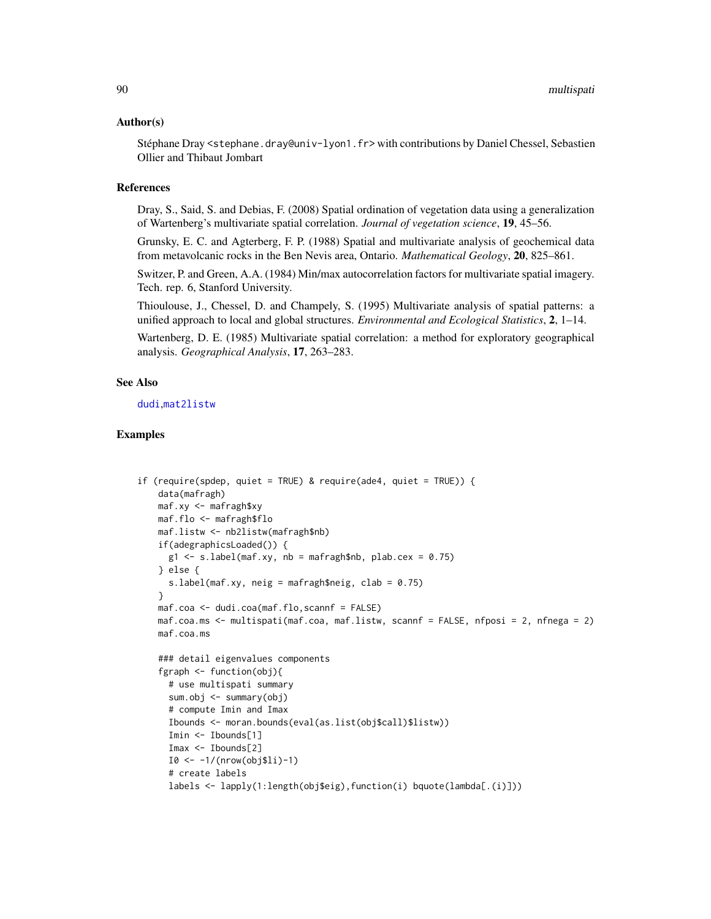#### Author(s)

Stéphane Dray <stephane.dray@univ-lyon1.fr> with contributions by Daniel Chessel, Sebastien Ollier and Thibaut Jombart

## References

Dray, S., Said, S. and Debias, F. (2008) Spatial ordination of vegetation data using a generalization of Wartenberg's multivariate spatial correlation. *Journal of vegetation science*, 19, 45–56.

Grunsky, E. C. and Agterberg, F. P. (1988) Spatial and multivariate analysis of geochemical data from metavolcanic rocks in the Ben Nevis area, Ontario. *Mathematical Geology*, 20, 825–861.

Switzer, P. and Green, A.A. (1984) Min/max autocorrelation factors for multivariate spatial imagery. Tech. rep. 6, Stanford University.

Thioulouse, J., Chessel, D. and Champely, S. (1995) Multivariate analysis of spatial patterns: a unified approach to local and global structures. *Environmental and Ecological Statistics*, 2, 1–14.

Wartenberg, D. E. (1985) Multivariate spatial correlation: a method for exploratory geographical analysis. *Geographical Analysis*, 17, 263–283.

# See Also

[dudi](#page-0-0),[mat2listw](#page-0-0)

```
if (require(spdep, quiet = TRUE) & require(ade4, quiet = TRUE)) {
   data(mafragh)
   maf.xy <- mafragh$xy
   maf.flo <- mafragh$flo
   maf.listw <- nb2listw(mafragh$nb)
   if(adegraphicsLoaded()) {
     g1 \leq -s.label(maf.xy, nb = mafragh$nb, plab.cex = 0.75)} else {
     s.label(maf.xy, neig = mafragh$neig, clab = 0.75)
   }
   maf.coa <- dudi.coa(maf.flo,scannf = FALSE)
   maf.coa.ms <- multispati(maf.coa, maf.listw, scannf = FALSE, nfposi = 2, nfnega = 2)
   maf.coa.ms
   ### detail eigenvalues components
   fgraph <- function(obj){
     # use multispati summary
     sum.obj <- summary(obj)
     # compute Imin and Imax
     Ibounds <- moran.bounds(eval(as.list(obj$call)$listw))
     Imin <- Ibounds[1]
     Imax <- Ibounds[2]
     I0 <- -1/(nrow(obj$li)-1)
     # create labels
     labels <- lapply(1:length(obj$eig),function(i) bquote(lambda[.(i)]))
```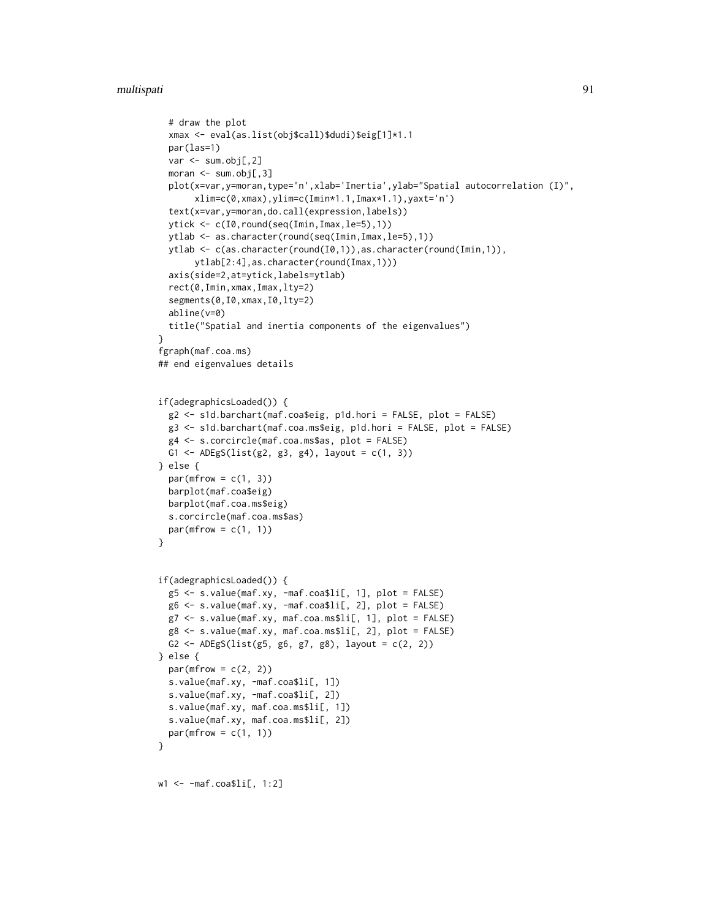#### multispati 91

```
# draw the plot
  xmax <- eval(as.list(obj$call)$dudi)$eig[1]*1.1
  par(las=1)
  var <- sum.obj[,2]
  moran <- sum.obj[,3]
  plot(x=var,y=moran,type='n',xlab='Inertia',ylab="Spatial autocorrelation (I)",
       xlim=c(0,xmax),ylim=c(Imin*1.1,Imax*1.1),yaxt='n')
  text(x=var,y=moran,do.call(expression,labels))
  ytick <- c(I0,round(seq(Imin,Imax,le=5),1))
  ytlab <- as.character(round(seq(Imin,Imax,le=5),1))
  ytlab <- c(as.character(round(I0,1)),as.character(round(Imin,1)),
       ytlab[2:4],as.character(round(Imax,1)))
  axis(side=2,at=ytick,labels=ytlab)
  rect(0,Imin,xmax,Imax,lty=2)
  segments(0,I0,xmax,I0,lty=2)
  abline(v=0)
  title("Spatial and inertia components of the eigenvalues")
}
fgraph(maf.coa.ms)
## end eigenvalues details
if(adegraphicsLoaded()) {
  g2 <- s1d.barchart(maf.coa$eig, p1d.hori = FALSE, plot = FALSE)
  g3 <- s1d.barchart(maf.coa.ms$eig, p1d.hori = FALSE, plot = FALSE)
  g4 <- s.corcircle(maf.coa.ms$as, plot = FALSE)
  G1 <- ADEgS(list(g2, g3, g4), layout = c(1, 3))} else {
  par(mfrow = c(1, 3))barplot(maf.coa$eig)
  barplot(maf.coa.ms$eig)
  s.corcircle(maf.coa.ms$as)
  par(mfrow = c(1, 1))}
if(adegraphicsLoaded()) {
  g5 \leq s.\text{value}(\text{maf}.xy, -\text{maf}.\text{coa$li[, 1], plot = FALSE})g6 <- s.value(maf.xy, -maf.coa$li[, 2], plot = FALSE)
  g7 <- s.value(maf.xy, maf.coa.ms$li[, 1], plot = FALSE)
  g8 <- s.value(maf.xy, maf.coa.ms$li[, 2], plot = FALSE)
  G2 <- ADEgS(list(g5, g6, g7, g8), layout = c(2, 2))
} else {
  par(mfrow = c(2, 2))s.value(maf.xy, -maf.coa$li[, 1])
  s.value(maf.xy, -maf.coa$li[, 2])
  s.value(maf.xy, maf.coa.ms$li[, 1])
  s.value(maf.xy, maf.coa.ms$li[, 2])
  par(mfrow = c(1, 1))}
w1 <- -maf.coa$li[, 1:2]
```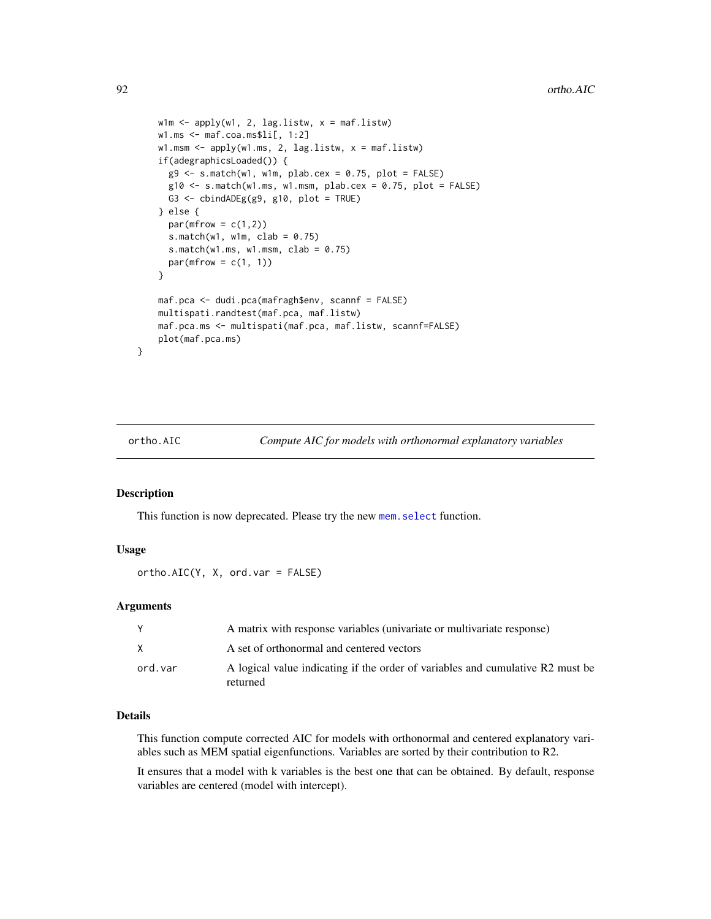```
w1m \leftarrow apply(w1, 2, lag. listw, x = maf. listw)w1.ms \leftarrow maf.coa.ms$li[, 1:2]w1.msm \leftarrow apply(w1.ms, 2, lag.listw, x = maf.listw)if(adegraphicsLoaded()) {
  g9 \leq -s.\text{match}(w1, w1m, plab.cex = 0.75, plot = FALSE)g10 \leq s.match(w1.ms, w1.msm, plab.cex = 0.75, plot = FALSE)
  G3 \leftarrow cbindADEg(g9, g10, plot = TRUE)
} else {
  par(mfrow = c(1,2))s.match(w1, w1m, clab = 0.75)
  s.match(w1.ms, w1.msm, clab = 0.75)
  par(mfrow = c(1, 1))}
maf.pca <- dudi.pca(mafragh$env, scannf = FALSE)
multispati.randtest(maf.pca, maf.listw)
maf.pca.ms <- multispati(maf.pca, maf.listw, scannf=FALSE)
plot(maf.pca.ms)
```
}

ortho.AIC *Compute AIC for models with orthonormal explanatory variables*

#### Description

This function is now deprecated. Please try the new [mem.select](#page-63-0) function.

# Usage

ortho.AIC(Y, X, ord.var = FALSE)

#### Arguments

|         | A matrix with response variables (univariate or multivariate response)                     |
|---------|--------------------------------------------------------------------------------------------|
|         | A set of orthonormal and centered vectors                                                  |
| ord.var | A logical value indicating if the order of variables and cumulative R2 must be<br>returned |

# Details

This function compute corrected AIC for models with orthonormal and centered explanatory variables such as MEM spatial eigenfunctions. Variables are sorted by their contribution to R2.

It ensures that a model with k variables is the best one that can be obtained. By default, response variables are centered (model with intercept).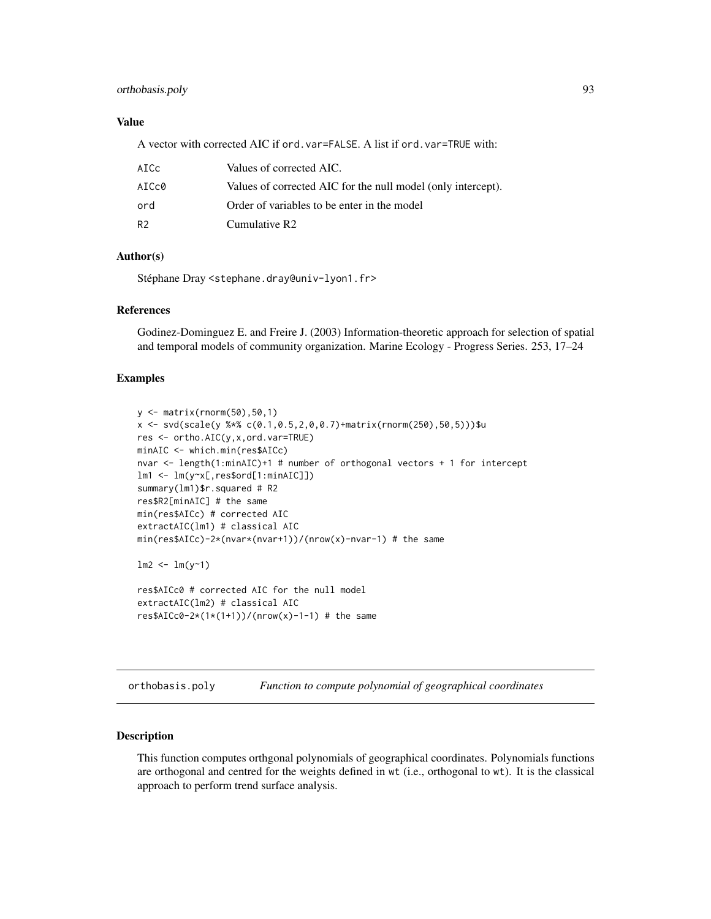# orthobasis.poly 93

# Value

A vector with corrected AIC if ord.var=FALSE. A list if ord.var=TRUE with:

| AICc  | Values of corrected AIC.                                     |
|-------|--------------------------------------------------------------|
| AICc0 | Values of corrected AIC for the null model (only intercept). |
| ord   | Order of variables to be enter in the model                  |
| R2    | Cumulative R2                                                |

# Author(s)

Stéphane Dray <stephane.dray@univ-lyon1.fr>

## References

Godinez-Dominguez E. and Freire J. (2003) Information-theoretic approach for selection of spatial and temporal models of community organization. Marine Ecology - Progress Series. 253, 17–24

## Examples

```
y <- matrix(rnorm(50),50,1)
x \le - svd(scale(y %*% c(0.1,0.5,2,0,0.7)+matrix(rnorm(250),50,5)))$u
res <- ortho.AIC(y,x,ord.var=TRUE)
minAIC <- which.min(res$AICc)
nvar <- length(1:minAIC)+1 # number of orthogonal vectors + 1 for intercept
lm1 <- lm(y~x[,res$ord[1:minAIC]])
summary(lm1)$r.squared # R2
res$R2[minAIC] # the same
min(res$AICc) # corrected AIC
extractAIC(lm1) # classical AIC
min(res$AICc)-2*(nvar*(nvar+1))/(nrow(x)-nvar-1) # the same
lm2 < - lm(y<sup>1</sup>)res$AICc0 # corrected AIC for the null model
extractAIC(lm2) # classical AIC
res$AICc0-2*(1*(1+1))/(nrow(x)-1-1) # the same
```
orthobasis.poly *Function to compute polynomial of geographical coordinates*

# Description

This function computes orthgonal polynomials of geographical coordinates. Polynomials functions are orthogonal and centred for the weights defined in wt (i.e., orthogonal to wt). It is the classical approach to perform trend surface analysis.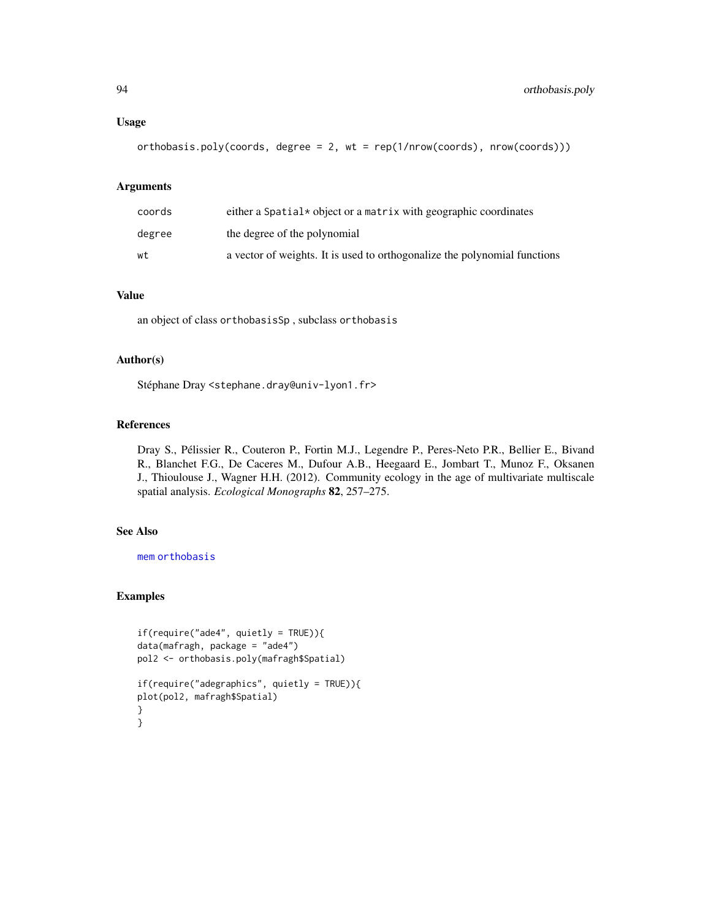#### Usage

```
orthobasis.poly(coords, degree = 2, wt = rep(1/nrow(coords), nrow(coords)))
```
# Arguments

| coords | either a Spatial* object or a matrix with geographic coordinates          |
|--------|---------------------------------------------------------------------------|
| degree | the degree of the polynomial                                              |
| wt     | a vector of weights. It is used to orthogonalize the polynomial functions |

# Value

an object of class orthobasisSp , subclass orthobasis

# Author(s)

Stéphane Dray <stephane.dray@univ-lyon1.fr>

#### References

Dray S., Pélissier R., Couteron P., Fortin M.J., Legendre P., Peres-Neto P.R., Bellier E., Bivand R., Blanchet F.G., De Caceres M., Dufour A.B., Heegaard E., Jombart T., Munoz F., Oksanen J., Thioulouse J., Wagner H.H. (2012). Community ecology in the age of multivariate multiscale spatial analysis. *Ecological Monographs* 82, 257–275.

# See Also

[mem](#page-103-0) [orthobasis](#page-0-0)

```
if(require("ade4", quietly = TRUE)){
data(mafragh, package = "ade4")
pol2 <- orthobasis.poly(mafragh$Spatial)
if(require("adegraphics", quietly = TRUE)){
plot(pol2, mafragh$Spatial)
}
}
```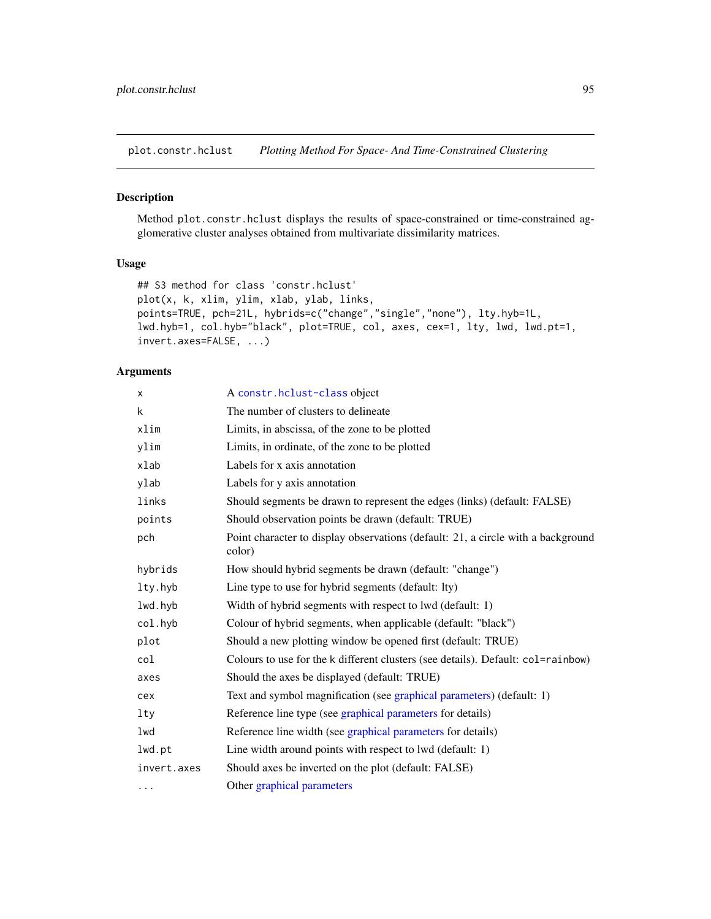plot.constr.hclust *Plotting Method For Space- And Time-Constrained Clustering*

# Description

Method plot.constr.hclust displays the results of space-constrained or time-constrained agglomerative cluster analyses obtained from multivariate dissimilarity matrices.

#### Usage

```
## S3 method for class 'constr.hclust'
plot(x, k, xlim, ylim, xlab, ylab, links,
points=TRUE, pch=21L, hybrids=c("change","single","none"), lty.hyb=1L,
lwd.hyb=1, col.hyb="black", plot=TRUE, col, axes, cex=1, lty, lwd, lwd.pt=1,
invert.axes=FALSE, ...)
```
# Arguments

| X           | A constr.hclust-class object                                                               |
|-------------|--------------------------------------------------------------------------------------------|
| k           | The number of clusters to delineate                                                        |
| xlim        | Limits, in abscissa, of the zone to be plotted                                             |
| ylim        | Limits, in ordinate, of the zone to be plotted                                             |
| xlab        | Labels for x axis annotation                                                               |
| ylab        | Labels for y axis annotation                                                               |
| links       | Should segments be drawn to represent the edges (links) (default: FALSE)                   |
| points      | Should observation points be drawn (default: TRUE)                                         |
| pch         | Point character to display observations (default: 21, a circle with a background<br>color) |
| hybrids     | How should hybrid segments be drawn (default: "change")                                    |
| lty.hyb     | Line type to use for hybrid segments (default: lty)                                        |
| lwd.hyb     | Width of hybrid segments with respect to lwd (default: 1)                                  |
| col.hyb     | Colour of hybrid segments, when applicable (default: "black")                              |
| plot        | Should a new plotting window be opened first (default: TRUE)                               |
| col         | Colours to use for the k different clusters (see details). Default: col=rainbow)           |
| axes        | Should the axes be displayed (default: TRUE)                                               |
| cex         | Text and symbol magnification (see graphical parameters) (default: 1)                      |
| lty         | Reference line type (see graphical parameters for details)                                 |
| lwd         | Reference line width (see graphical parameters for details)                                |
| lwd.pt      | Line width around points with respect to lwd (default: 1)                                  |
| invert.axes | Should axes be inverted on the plot (default: FALSE)                                       |
| $\ddotsc$   | Other graphical parameters                                                                 |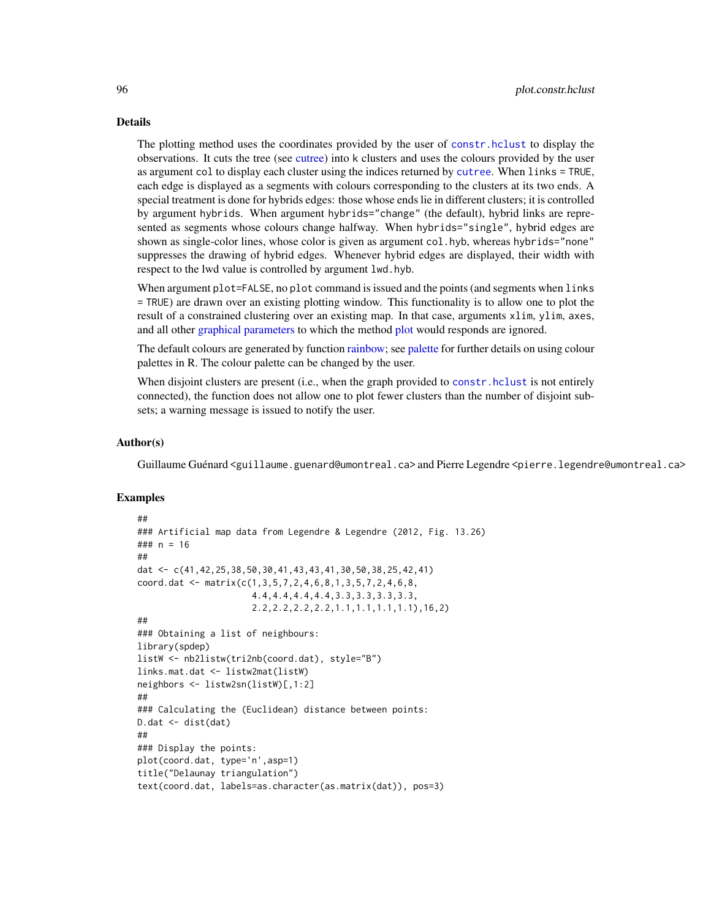## Details

The plotting method uses the coordinates provided by the user of [constr.hclust](#page-22-0) to display the observations. It cuts the tree (see [cutree\)](#page-0-0) into k clusters and uses the colours provided by the user as argument col to display each cluster using the indices returned by [cutree](#page-0-0). When links = TRUE, each edge is displayed as a segments with colours corresponding to the clusters at its two ends. A special treatment is done for hybrids edges: those whose ends lie in different clusters; it is controlled by argument hybrids. When argument hybrids="change" (the default), hybrid links are represented as segments whose colours change halfway. When hybrids="single", hybrid edges are shown as single-color lines, whose color is given as argument col.hyb, whereas hybrids="none" suppresses the drawing of hybrid edges. Whenever hybrid edges are displayed, their width with respect to the lwd value is controlled by argument lwd.hyb.

When argument plot=FALSE, no plot command is issued and the points (and segments when links = TRUE) are drawn over an existing plotting window. This functionality is to allow one to plot the result of a constrained clustering over an existing map. In that case, arguments xlim, ylim, axes, and all other [graphical parameters](#page-0-0) to which the method [plot](#page-0-0) would responds are ignored.

The default colours are generated by function [rainbow;](#page-0-0) see [palette](#page-0-0) for further details on using colour palettes in R. The colour palette can be changed by the user.

When disjoint clusters are present (i.e., when the graph provided to [constr.hclust](#page-22-0) is not entirely connected), the function does not allow one to plot fewer clusters than the number of disjoint subsets; a warning message is issued to notify the user.

#### Author(s)

Guillaume Guénard <guillaume.guenard@umontreal.ca> and Pierre Legendre <pierre.legendre@umontreal.ca>

```
##
### Artificial map data from Legendre & Legendre (2012, Fig. 13.26)
### n = 16
##
dat <- c(41,42,25,38,50,30,41,43,43,41,30,50,38,25,42,41)
coord.dat <- matrix(c(1,3,5,7,2,4,6,8,1,3,5,7,2,4,6,8,
                      4.4,4.4,4.4,4.4,3.3,3.3,3.3,3.3,
                      2.2,2.2,2.2,2.2,1.1,1.1,1.1,1.1),16,2)
##
### Obtaining a list of neighbours:
library(spdep)
listW <- nb2listw(tri2nb(coord.dat), style="B")
links.mat.dat <- listw2mat(listW)
neighbors <- listw2sn(listW)[,1:2]
##
### Calculating the (Euclidean) distance between points:
D.dat <- dist(dat)
##
### Display the points:
plot(coord.dat, type='n',asp=1)
title("Delaunay triangulation")
text(coord.dat, labels=as.character(as.matrix(dat)), pos=3)
```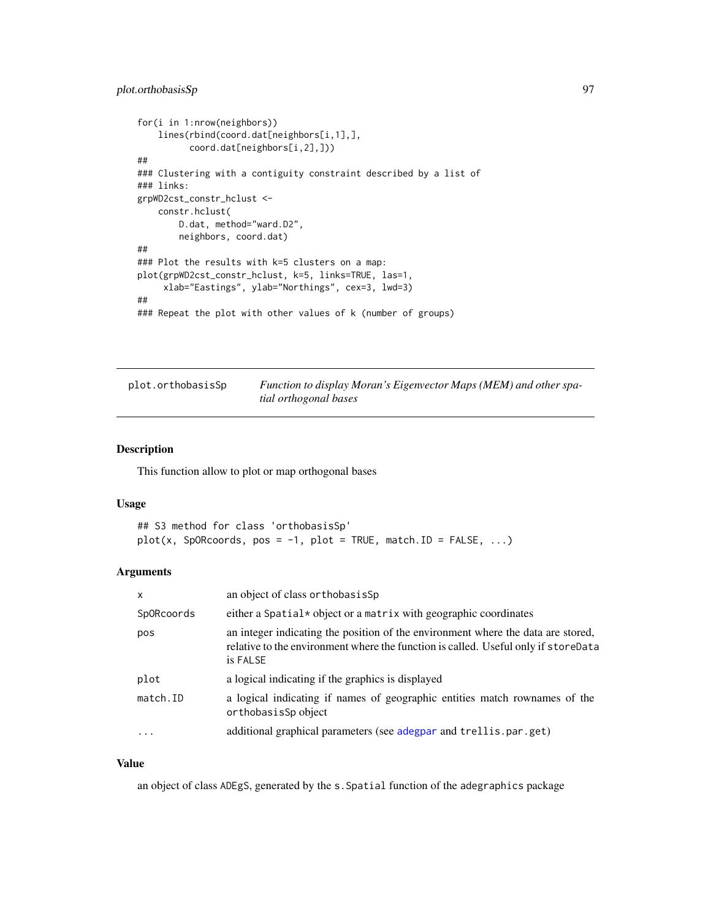# plot.orthobasisSp 97

```
for(i in 1:nrow(neighbors))
   lines(rbind(coord.dat[neighbors[i,1],],
         coord.dat[neighbors[i,2],]))
##
### Clustering with a contiguity constraint described by a list of
### links:
grpWD2cst_constr_hclust <-
   constr.hclust(
       D.dat, method="ward.D2",
       neighbors, coord.dat)
##
### Plot the results with k=5 clusters on a map:
plot(grpWD2cst_constr_hclust, k=5, links=TRUE, las=1,
     xlab="Eastings", ylab="Northings", cex=3, lwd=3)
##
### Repeat the plot with other values of k (number of groups)
```
plot.orthobasisSp *Function to display Moran's Eigenvector Maps (MEM) and other spatial orthogonal bases*

## Description

This function allow to plot or map orthogonal bases

# Usage

```
## S3 method for class 'orthobasisSp'
plot(x, Sp0Rcoords, pos = -1, plot = TRUE, match.ID = FALSE, ...)
```
## Arguments

| $\mathsf{x}$ | an object of class or thobasis Sp                                                                                                                                                  |
|--------------|------------------------------------------------------------------------------------------------------------------------------------------------------------------------------------|
| SpORcoords   | either a Spatial $\star$ object or a matrix with geographic coordinates                                                                                                            |
| pos          | an integer indicating the position of the environment where the data are stored,<br>relative to the environment where the function is called. Useful only if storeData<br>is FALSE |
| plot         | a logical indicating if the graphics is displayed                                                                                                                                  |
| match.ID     | a logical indicating if names of geographic entities match rownames of the<br>orthobasisSp object                                                                                  |
| $\ddotsc$    | additional graphical parameters (see adegpar and trellis.par.get)                                                                                                                  |

# Value

an object of class ADEgS, generated by the s.Spatial function of the adegraphics package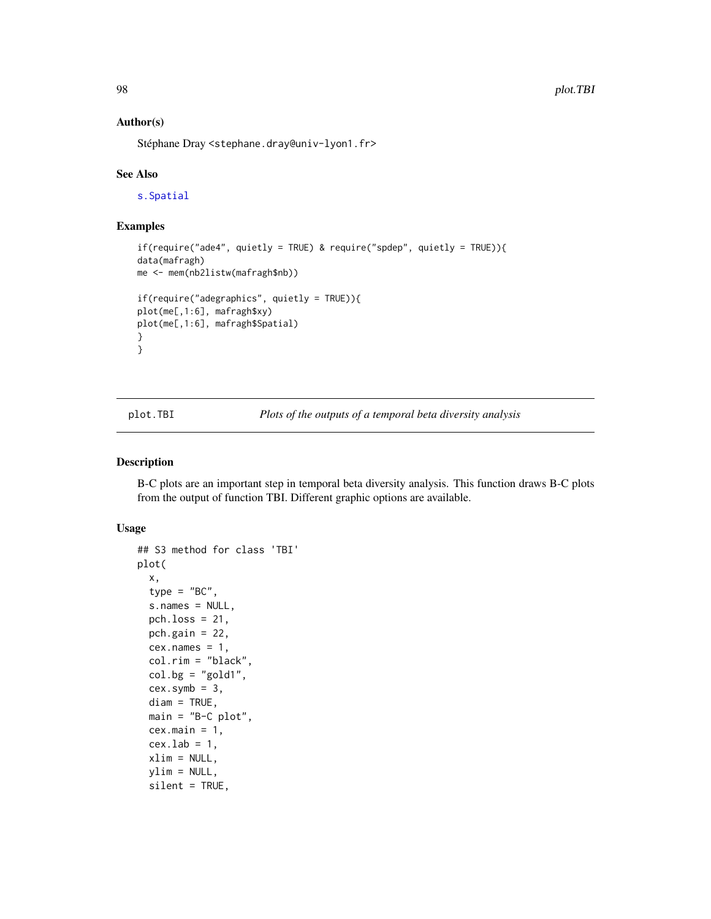## Author(s)

Stéphane Dray <stephane.dray@univ-lyon1.fr>

#### See Also

[s.Spatial](#page-0-0)

# Examples

```
if(require("ade4", quick) = TRUE) & require("spdep", quietly = TRUE)){
data(mafragh)
me <- mem(nb2listw(mafragh$nb))
if(require("adegraphics", quietly = TRUE)){
plot(me[,1:6], mafragh$xy)
plot(me[,1:6], mafragh$Spatial)
}
}
```
plot.TBI *Plots of the outputs of a temporal beta diversity analysis*

## Description

B-C plots are an important step in temporal beta diversity analysis. This function draws B-C plots from the output of function TBI. Different graphic options are available.

## Usage

```
## S3 method for class 'TBI'
plot(
  x,
  type = "BC",
  s.names = NULL,
 pch.loss = 21,
 pch.gain = 22,
  cex.name = 1,
  col.rim = "black",
  col.bg = "gold1",
  cex.symb = 3,diam = TRUE,
  main = "B-C plot",cex.main = 1,
  cex.1ab = 1,
  xlim = NULL,ylim = NULL,
  silent = TRUE,
```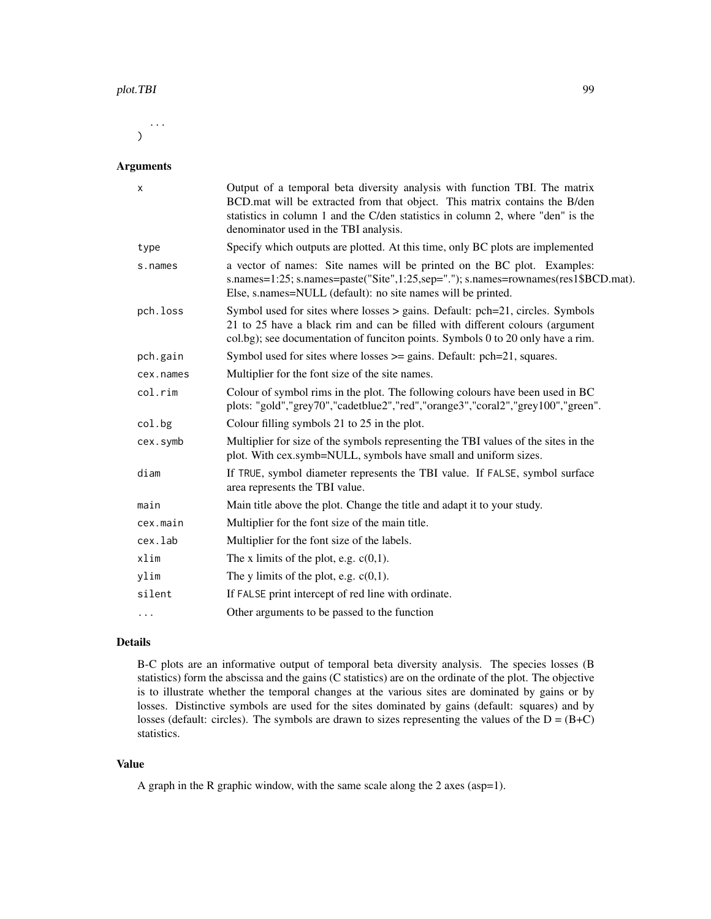... )

# Arguments

| X         | Output of a temporal beta diversity analysis with function TBI. The matrix<br>BCD.mat will be extracted from that object. This matrix contains the B/den<br>statistics in column 1 and the C/den statistics in column 2, where "den" is the<br>denominator used in the TBI analysis. |
|-----------|--------------------------------------------------------------------------------------------------------------------------------------------------------------------------------------------------------------------------------------------------------------------------------------|
| type      | Specify which outputs are plotted. At this time, only BC plots are implemented                                                                                                                                                                                                       |
| s.names   | a vector of names: Site names will be printed on the BC plot. Examples:<br>s.names=1:25; s.names=paste("Site",1:25,sep="."); s.names=rownames(res1\$BCD.mat).<br>Else, s.names=NULL (default): no site names will be printed.                                                        |
| pch.loss  | Symbol used for sites where losses > gains. Default: pch=21, circles. Symbols<br>21 to 25 have a black rim and can be filled with different colours (argument<br>col.bg); see documentation of funciton points. Symbols 0 to 20 only have a rim.                                     |
| pch.gain  | Symbol used for sites where losses $>=$ gains. Default: pch=21, squares.                                                                                                                                                                                                             |
| cex.names | Multiplier for the font size of the site names.                                                                                                                                                                                                                                      |
| col.rim   | Colour of symbol rims in the plot. The following colours have been used in BC<br>plots: "gold","grey70","cadetblue2","red","orange3","coral2","grey100","green".                                                                                                                     |
| col.bg    | Colour filling symbols 21 to 25 in the plot.                                                                                                                                                                                                                                         |
| cex.symb  | Multiplier for size of the symbols representing the TBI values of the sites in the<br>plot. With cex.symb=NULL, symbols have small and uniform sizes.                                                                                                                                |
| diam      | If TRUE, symbol diameter represents the TBI value. If FALSE, symbol surface<br>area represents the TBI value.                                                                                                                                                                        |
| main      | Main title above the plot. Change the title and adapt it to your study.                                                                                                                                                                                                              |
| cex.main  | Multiplier for the font size of the main title.                                                                                                                                                                                                                                      |
| cex.lab   | Multiplier for the font size of the labels.                                                                                                                                                                                                                                          |
| xlim      | The x limits of the plot, e.g. $c(0,1)$ .                                                                                                                                                                                                                                            |
| ylim      | The y limits of the plot, e.g. $c(0,1)$ .                                                                                                                                                                                                                                            |
| silent    | If FALSE print intercept of red line with ordinate.                                                                                                                                                                                                                                  |
| $\cdots$  | Other arguments to be passed to the function                                                                                                                                                                                                                                         |

# Details

B-C plots are an informative output of temporal beta diversity analysis. The species losses (B statistics) form the abscissa and the gains (C statistics) are on the ordinate of the plot. The objective is to illustrate whether the temporal changes at the various sites are dominated by gains or by losses. Distinctive symbols are used for the sites dominated by gains (default: squares) and by losses (default: circles). The symbols are drawn to sizes representing the values of the  $D = (B+C)$ statistics.

# Value

A graph in the R graphic window, with the same scale along the 2 axes (asp=1).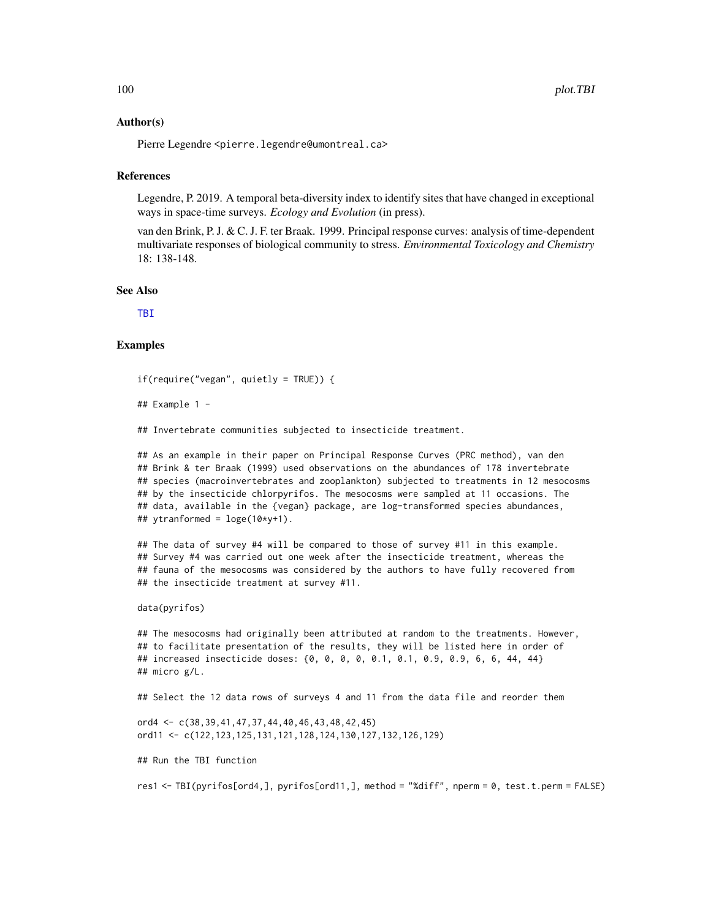#### Author(s)

Pierre Legendre <pierre.legendre@umontreal.ca>

#### References

Legendre, P. 2019. A temporal beta-diversity index to identify sites that have changed in exceptional ways in space-time surveys. *Ecology and Evolution* (in press).

van den Brink, P. J. & C. J. F. ter Braak. 1999. Principal response curves: analysis of time-dependent multivariate responses of biological community to stress. *Environmental Toxicology and Chemistry* 18: 138-148.

#### See Also

[TBI](#page-114-0)

## Examples

```
if(require("vegan", quietly = TRUE)) {
```
## Example 1 -

## Invertebrate communities subjected to insecticide treatment.

## As an example in their paper on Principal Response Curves (PRC method), van den ## Brink & ter Braak (1999) used observations on the abundances of 178 invertebrate ## species (macroinvertebrates and zooplankton) subjected to treatments in 12 mesocosms ## by the insecticide chlorpyrifos. The mesocosms were sampled at 11 occasions. The ## data, available in the {vegan} package, are log-transformed species abundances, ## ytranformed = loge(10\*y+1).

## The data of survey #4 will be compared to those of survey #11 in this example. ## Survey #4 was carried out one week after the insecticide treatment, whereas the ## fauna of the mesocosms was considered by the authors to have fully recovered from ## the insecticide treatment at survey #11.

#### data(pyrifos)

## The mesocosms had originally been attributed at random to the treatments. However, ## to facilitate presentation of the results, they will be listed here in order of ## increased insecticide doses: {0, 0, 0, 0, 0.1, 0.1, 0.9, 0.9, 6, 6, 44, 44} ## micro g/L.

## Select the 12 data rows of surveys 4 and 11 from the data file and reorder them

ord4 <- c(38,39,41,47,37,44,40,46,43,48,42,45) ord11 <- c(122,123,125,131,121,128,124,130,127,132,126,129)

## Run the TBI function

res1 <- TBI(pyrifos[ord4,], pyrifos[ord11,], method = "%diff", nperm = 0, test.t.perm = FALSE)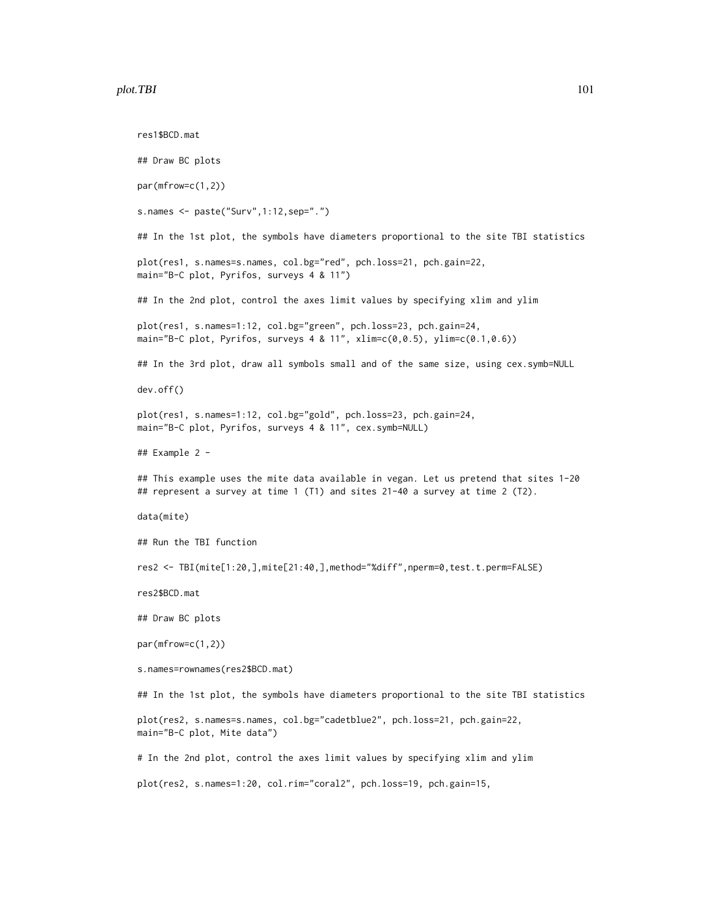res1\$BCD.mat ## Draw BC plots par(mfrow=c(1,2)) s.names <- paste("Surv",1:12,sep=".") ## In the 1st plot, the symbols have diameters proportional to the site TBI statistics plot(res1, s.names=s.names, col.bg="red", pch.loss=21, pch.gain=22, main="B-C plot, Pyrifos, surveys 4 & 11") ## In the 2nd plot, control the axes limit values by specifying xlim and ylim plot(res1, s.names=1:12, col.bg="green", pch.loss=23, pch.gain=24, main="B-C plot, Pyrifos, surveys 4 & 11", xlim=c(0,0.5), ylim=c(0.1,0.6)) ## In the 3rd plot, draw all symbols small and of the same size, using cex.symb=NULL dev.off() plot(res1, s.names=1:12, col.bg="gold", pch.loss=23, pch.gain=24, main="B-C plot, Pyrifos, surveys 4 & 11", cex.symb=NULL) ## Example 2 - ## This example uses the mite data available in vegan. Let us pretend that sites 1-20 ## represent a survey at time 1 (T1) and sites 21-40 a survey at time 2 (T2). data(mite) ## Run the TBI function res2 <- TBI(mite[1:20,],mite[21:40,],method="%diff",nperm=0,test.t.perm=FALSE) res2\$BCD.mat ## Draw BC plots par(mfrow=c(1,2)) s.names=rownames(res2\$BCD.mat) ## In the 1st plot, the symbols have diameters proportional to the site TBI statistics plot(res2, s.names=s.names, col.bg="cadetblue2", pch.loss=21, pch.gain=22, main="B-C plot, Mite data") # In the 2nd plot, control the axes limit values by specifying xlim and ylim plot(res2, s.names=1:20, col.rim="coral2", pch.loss=19, pch.gain=15,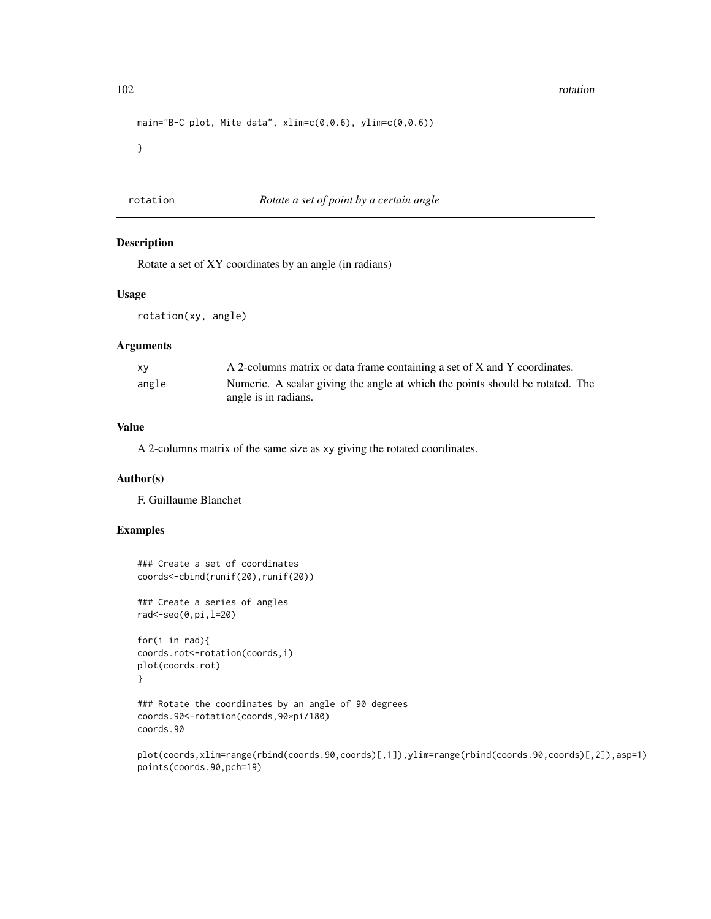102 rotation and the contract of the contract of the contract of the contract of the contract of the contract of the contract of the contract of the contract of the contract of the contract of the contract of the contract

```
main="B-C plot, Mite data", xlim=c(0,0.6), ylim=c(0,0.6))
```
}

rotation *Rotate a set of point by a certain angle*

# Description

Rotate a set of XY coordinates by an angle (in radians)

## Usage

rotation(xy, angle)

#### Arguments

| xy    | A 2-columns matrix or data frame containing a set of X and Y coordinates.     |
|-------|-------------------------------------------------------------------------------|
| angle | Numeric. A scalar giving the angle at which the points should be rotated. The |
|       | angle is in radians.                                                          |

# Value

A 2-columns matrix of the same size as xy giving the rotated coordinates.

# Author(s)

F. Guillaume Blanchet

```
### Create a set of coordinates
coords<-cbind(runif(20),runif(20))
### Create a series of angles
rad<-seq(0,pi,l=20)
for(i in rad){
coords.rot<-rotation(coords,i)
plot(coords.rot)
}
### Rotate the coordinates by an angle of 90 degrees
coords.90<-rotation(coords,90*pi/180)
coords.90
```

```
plot(coords,xlim=range(rbind(coords.90,coords)[,1]),ylim=range(rbind(coords.90,coords)[,2]),asp=1)
points(coords.90,pch=19)
```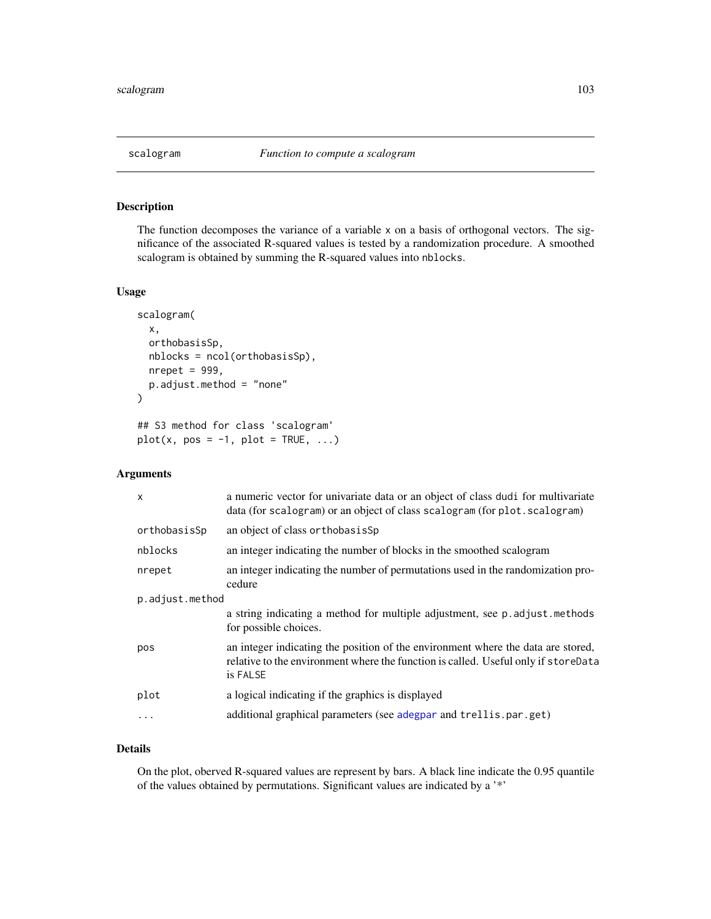# Description

The function decomposes the variance of a variable x on a basis of orthogonal vectors. The significance of the associated R-squared values is tested by a randomization procedure. A smoothed scalogram is obtained by summing the R-squared values into nblocks.

## Usage

```
scalogram(
  x,
  orthobasisSp,
  nblocks = ncol(orthobasisSp),
  nrepet = 999,
  p.adjust.method = "none"
)
## S3 method for class 'scalogram'
plot(x, pos = -1, plot = TRUE, ...)
```
# Arguments

| $\mathsf{x}$    | a numeric vector for univariate data or an object of class dudi for multivariate<br>data (for scalogram) or an object of class scalogram (for plot. scalogram)                     |
|-----------------|------------------------------------------------------------------------------------------------------------------------------------------------------------------------------------|
| orthobasisSp    | an object of class or thobasis Sp                                                                                                                                                  |
| nblocks         | an integer indicating the number of blocks in the smoothed scalogram                                                                                                               |
| nrepet          | an integer indicating the number of permutations used in the randomization pro-<br>cedure                                                                                          |
| p.adjust.method |                                                                                                                                                                                    |
|                 | a string indicating a method for multiple adjustment, see p. adjust. methods<br>for possible choices.                                                                              |
| pos             | an integer indicating the position of the environment where the data are stored,<br>relative to the environment where the function is called. Useful only if storeData<br>is FALSE |
| plot            | a logical indicating if the graphics is displayed                                                                                                                                  |
| .               | additional graphical parameters (see adegpar and trellis.par.get)                                                                                                                  |
|                 |                                                                                                                                                                                    |

# Details

On the plot, oberved R-squared values are represent by bars. A black line indicate the 0.95 quantile of the values obtained by permutations. Significant values are indicated by a '\*'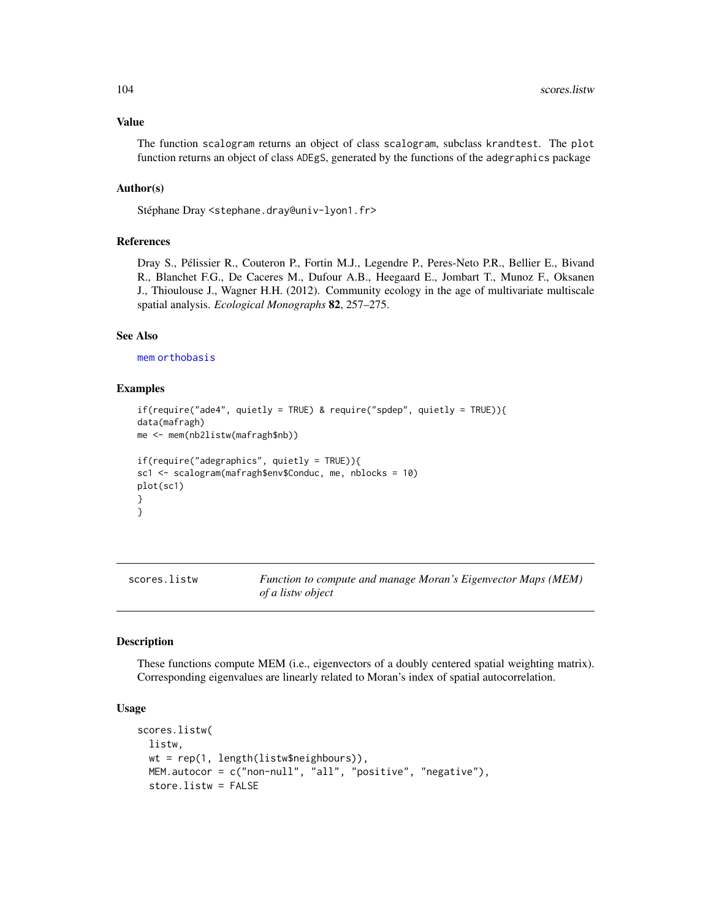#### Value

The function scalogram returns an object of class scalogram, subclass krandtest. The plot function returns an object of class ADEgS, generated by the functions of the adegraphics package

## Author(s)

Stéphane Dray <stephane.dray@univ-lyon1.fr>

## References

Dray S., Pélissier R., Couteron P., Fortin M.J., Legendre P., Peres-Neto P.R., Bellier E., Bivand R., Blanchet F.G., De Caceres M., Dufour A.B., Heegaard E., Jombart T., Munoz F., Oksanen J., Thioulouse J., Wagner H.H. (2012). Community ecology in the age of multivariate multiscale spatial analysis. *Ecological Monographs* 82, 257–275.

## See Also

[mem](#page-103-0) [orthobasis](#page-0-0)

## Examples

```
if(require("ade4", quietly = TRUE) & require("spdep", quietly = TRUE)){
data(mafragh)
me <- mem(nb2listw(mafragh$nb))
if(require("adegraphics", quietly = TRUE)){
sc1 <- scalogram(mafragh$env$Conduc, me, nblocks = 10)
plot(sc1)
}
}
```
<span id="page-103-1"></span>

| scores.listw | Function to compute and manage Moran's Eigenvector Maps (MEM) |
|--------------|---------------------------------------------------------------|
|              | of a listw object                                             |

## <span id="page-103-0"></span>Description

These functions compute MEM (i.e., eigenvectors of a doubly centered spatial weighting matrix). Corresponding eigenvalues are linearly related to Moran's index of spatial autocorrelation.

## Usage

```
scores.listw(
 listw,
 wt = rep(1, length(listw$neighbours)),
 MEM.autocor = c("non-null", "all", "positive", "negative"),
  store.listw = FALSE
```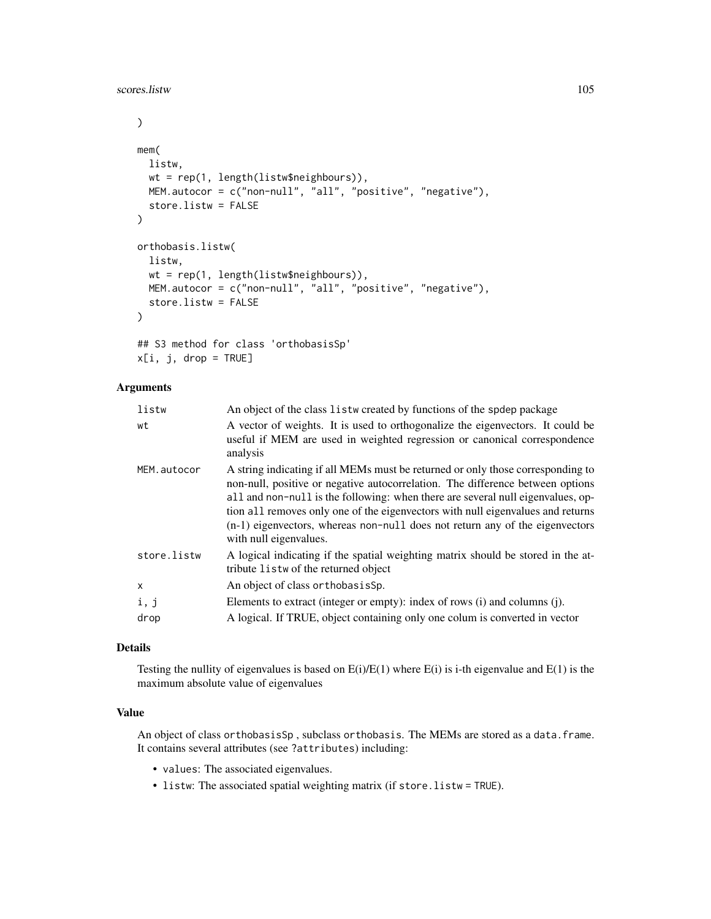scores.listw 105

```
\mathcal{L}mem(
  listw,
 wt = rep(1, length(listw$neighbours)),
 MEM.autocor = c("non-null", "all", "positive", "negative"),
  store.listw = FALSE
)
orthobasis.listw(
  listw,
  wt = rep(1, length(listw$neighbours)),
 MEM.autocor = c("non-null", "all", "positive", "negative"),
  store.listw = FALSE
)
## S3 method for class 'orthobasisSp'
```

```
x[i, j, drop = TRUE]
```
# Arguments

| A vector of weights. It is used to orthogonalize the eigenvectors. It could be<br>useful if MEM are used in weighted regression or canonical correspondence<br>analysis<br>A string indicating if all MEMs must be returned or only those corresponding to<br>non-null, positive or negative autocorrelation. The difference between options<br>all and non-null is the following: when there are several null eigenvalues, op-<br>tion all removes only one of the eigenvectors with null eigenvalues and returns<br>(n-1) eigenvectors, whereas non-null does not return any of the eigenvectors<br>with null eigenvalues.<br>A logical indicating if the spatial weighting matrix should be stored in the at-<br>tribute listw of the returned object<br>An object of class or thobasis Sp.<br>Elements to extract (integer or empty): index of rows (i) and columns (j).<br>A logical. If TRUE, object containing only one colum is converted in vector | listw       | An object of the class listw created by functions of the spdep package |
|-------------------------------------------------------------------------------------------------------------------------------------------------------------------------------------------------------------------------------------------------------------------------------------------------------------------------------------------------------------------------------------------------------------------------------------------------------------------------------------------------------------------------------------------------------------------------------------------------------------------------------------------------------------------------------------------------------------------------------------------------------------------------------------------------------------------------------------------------------------------------------------------------------------------------------------------------------------|-------------|------------------------------------------------------------------------|
|                                                                                                                                                                                                                                                                                                                                                                                                                                                                                                                                                                                                                                                                                                                                                                                                                                                                                                                                                             | wt          |                                                                        |
|                                                                                                                                                                                                                                                                                                                                                                                                                                                                                                                                                                                                                                                                                                                                                                                                                                                                                                                                                             | MEM.autocor |                                                                        |
|                                                                                                                                                                                                                                                                                                                                                                                                                                                                                                                                                                                                                                                                                                                                                                                                                                                                                                                                                             | store.listw |                                                                        |
|                                                                                                                                                                                                                                                                                                                                                                                                                                                                                                                                                                                                                                                                                                                                                                                                                                                                                                                                                             | X           |                                                                        |
|                                                                                                                                                                                                                                                                                                                                                                                                                                                                                                                                                                                                                                                                                                                                                                                                                                                                                                                                                             | i, j        |                                                                        |
|                                                                                                                                                                                                                                                                                                                                                                                                                                                                                                                                                                                                                                                                                                                                                                                                                                                                                                                                                             | drop        |                                                                        |

# Details

Testing the nullity of eigenvalues is based on  $E(i)/E(1)$  where  $E(i)$  is i-th eigenvalue and  $E(1)$  is the maximum absolute value of eigenvalues

# Value

An object of class orthobasisSp, subclass orthobasis. The MEMs are stored as a data.frame. It contains several attributes (see ?attributes) including:

- values: The associated eigenvalues.
- listw: The associated spatial weighting matrix (if store.listw = TRUE).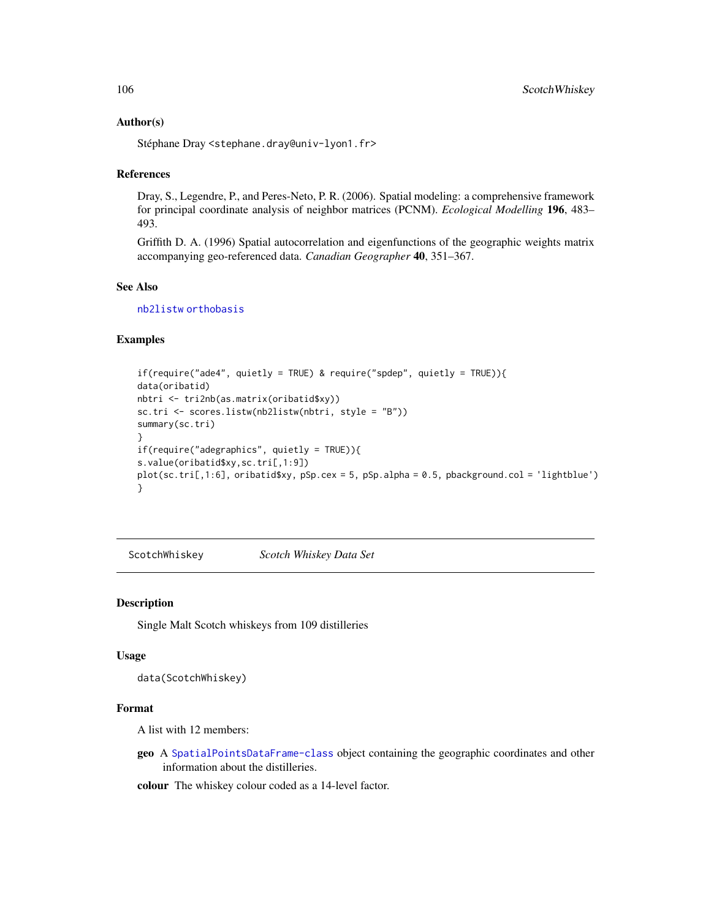## Author(s)

Stéphane Dray <stephane.dray@univ-lyon1.fr>

#### References

Dray, S., Legendre, P., and Peres-Neto, P. R. (2006). Spatial modeling: a comprehensive framework for principal coordinate analysis of neighbor matrices (PCNM). *Ecological Modelling* 196, 483– 493.

Griffith D. A. (1996) Spatial autocorrelation and eigenfunctions of the geographic weights matrix accompanying geo-referenced data. *Canadian Geographer* 40, 351–367.

# See Also

[nb2listw](#page-0-0) [orthobasis](#page-0-0)

## Examples

```
if(require("ade4", quietly = TRUE) & require("spdep", quietly = TRUE)){
data(oribatid)
nbtri <- tri2nb(as.matrix(oribatid$xy))
sc.tri <- scores.listw(nb2listw(nbtri, style = "B"))
summary(sc.tri)
}
if(require("adegraphics", quietly = TRUE)){
s.value(oribatid$xy,sc.tri[,1:9])
plot(sc.tri[,1:6], oribatid$xy, pSp.cex = 5, pSp.alpha = 0.5, pbackground.col = 'lightblue')
}
```
ScotchWhiskey *Scotch Whiskey Data Set*

#### Description

Single Malt Scotch whiskeys from 109 distilleries

## Usage

```
data(ScotchWhiskey)
```
## Format

A list with 12 members:

geo A [SpatialPointsDataFrame-class](#page-0-0) object containing the geographic coordinates and other information about the distilleries.

colour The whiskey colour coded as a 14-level factor.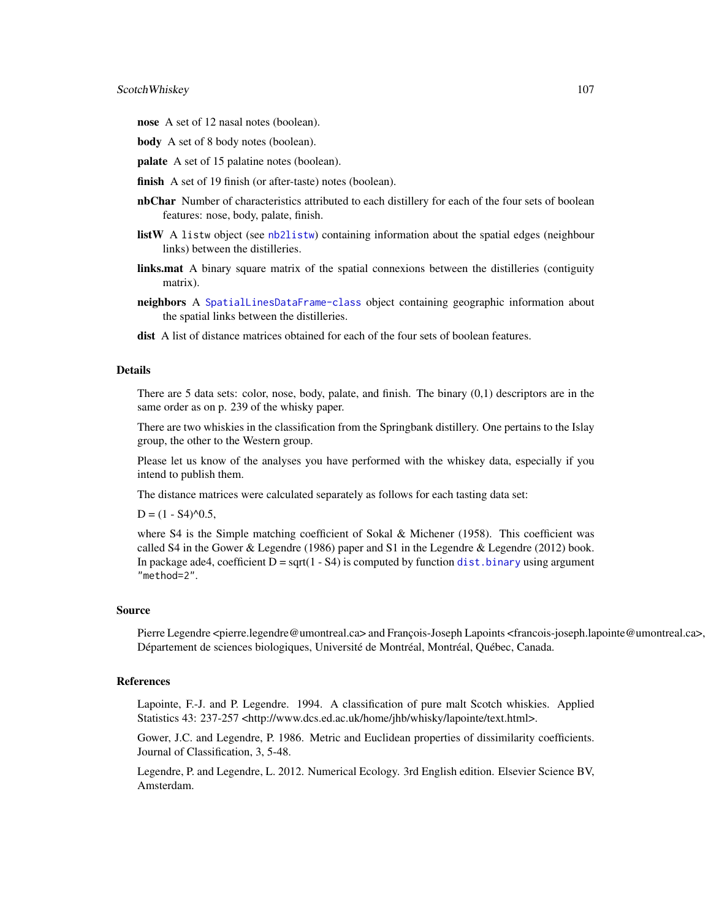- nose A set of 12 nasal notes (boolean).
- body A set of 8 body notes (boolean).
- palate A set of 15 palatine notes (boolean).
- finish A set of 19 finish (or after-taste) notes (boolean).
- **nbChar** Number of characteristics attributed to each distillery for each of the four sets of boolean features: nose, body, palate, finish.
- listW A listw object (see [nb2listw](#page-0-0)) containing information about the spatial edges (neighbour links) between the distilleries.
- links.mat A binary square matrix of the spatial connexions between the distilleries (contiguity matrix).
- neighbors A [SpatialLinesDataFrame-class](#page-0-0) object containing geographic information about the spatial links between the distilleries.
- dist A list of distance matrices obtained for each of the four sets of boolean features.

#### Details

There are 5 data sets: color, nose, body, palate, and finish. The binary  $(0,1)$  descriptors are in the same order as on p. 239 of the whisky paper.

There are two whiskies in the classification from the Springbank distillery. One pertains to the Islay group, the other to the Western group.

Please let us know of the analyses you have performed with the whiskey data, especially if you intend to publish them.

The distance matrices were calculated separately as follows for each tasting data set:

 $D = (1 - S4)^{0.5}$ ,

where S4 is the Simple matching coefficient of Sokal & Michener (1958). This coefficient was called S4 in the Gower & Legendre (1986) paper and S1 in the Legendre & Legendre (2012) book. In package ade4, coefficient  $D = sqrt(1 - S4)$  is computed by function dist. binary using argument "method=2".

#### Source

Pierre Legendre <pierre.legendre@umontreal.ca> and François-Joseph Lapoints <francois-joseph.lapointe@umontreal.ca>, Département de sciences biologiques, Université de Montréal, Montréal, Québec, Canada.

#### References

Lapointe, F.-J. and P. Legendre. 1994. A classification of pure malt Scotch whiskies. Applied Statistics 43: 237-257 <http://www.dcs.ed.ac.uk/home/jhb/whisky/lapointe/text.html>.

Gower, J.C. and Legendre, P. 1986. Metric and Euclidean properties of dissimilarity coefficients. Journal of Classification, 3, 5-48.

Legendre, P. and Legendre, L. 2012. Numerical Ecology. 3rd English edition. Elsevier Science BV, Amsterdam.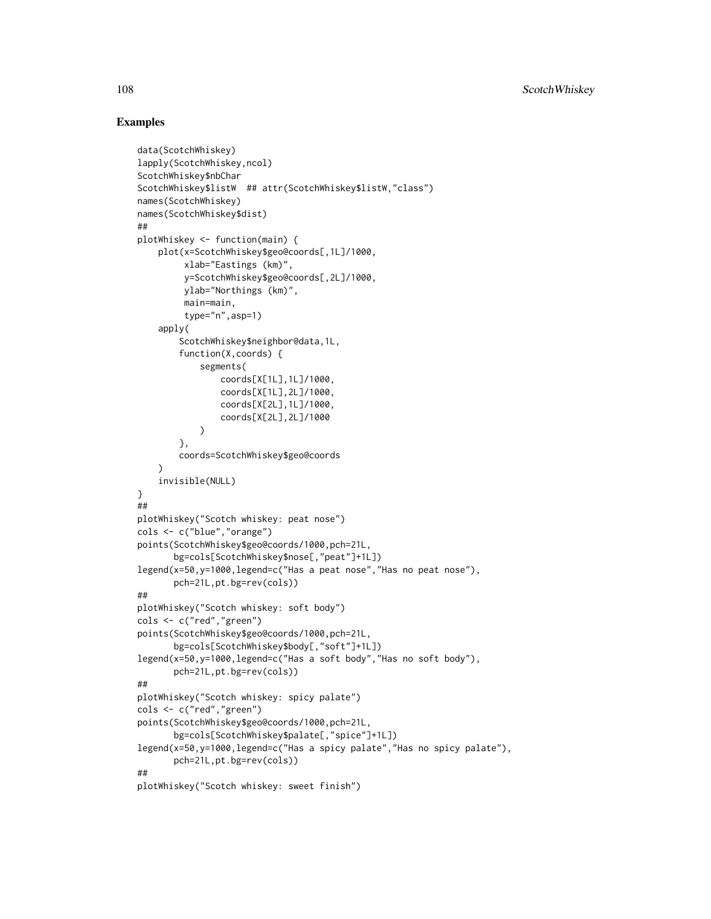```
data(ScotchWhiskey)
lapply(ScotchWhiskey,ncol)
ScotchWhiskey$nbChar
ScotchWhiskey$listW ## attr(ScotchWhiskey$listW,"class")
names(ScotchWhiskey)
names(ScotchWhiskey$dist)
##
plotWhiskey <- function(main) {
    plot(x=ScotchWhiskey$geo@coords[,1L]/1000,
         xlab="Eastings (km)",
         y=ScotchWhiskey$geo@coords[,2L]/1000,
        ylab="Northings (km)",
         main=main,
         type="n",asp=1)
   apply(
        ScotchWhiskey$neighbor@data,1L,
        function(X,coords) {
            segments(
                coords[X[1L],1L]/1000,
                coords[X[1L],2L]/1000,
                coords[X[2L],1L]/1000,
                coords[X[2L],2L]/1000
            )
        },
        coords=ScotchWhiskey$geo@coords
    )
    invisible(NULL)
}
##
plotWhiskey("Scotch whiskey: peat nose")
cols <- c("blue","orange")
points(ScotchWhiskey$geo@coords/1000,pch=21L,
       bg=cols[ScotchWhiskey$nose[,"peat"]+1L])
legend(x=50,y=1000,legend=c("Has a peat nose","Has no peat nose"),
       pch=21L,pt.bg=rev(cols))
##
plotWhiskey("Scotch whiskey: soft body")
cols <- c("red","green")
points(ScotchWhiskey$geo@coords/1000,pch=21L,
       bg=cols[ScotchWhiskey$body[,"soft"]+1L])
legend(x=50,y=1000,legend=c("Has a soft body","Has no soft body"),
       pch=21L,pt.bg=rev(cols))
##
plotWhiskey("Scotch whiskey: spicy palate")
cols <- c("red","green")
points(ScotchWhiskey$geo@coords/1000,pch=21L,
       bg=cols[ScotchWhiskey$palate[,"spice"]+1L])
legend(x=50,y=1000,legend=c("Has a spicy palate","Has no spicy palate"),
       pch=21L,pt.bg=rev(cols))
##
plotWhiskey("Scotch whiskey: sweet finish")
```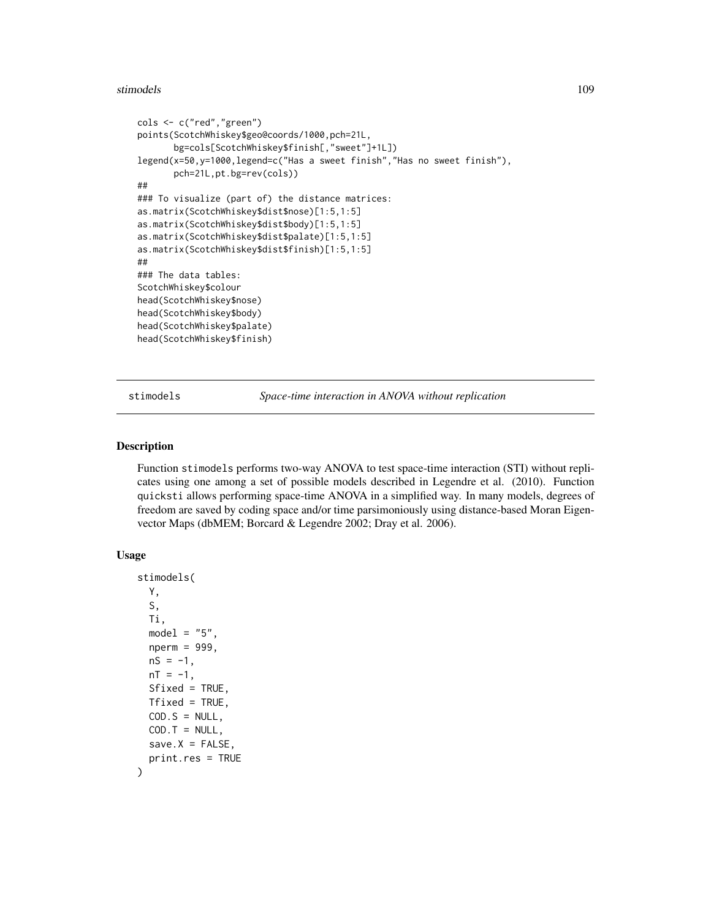#### <span id="page-108-0"></span>stimodels 109

```
cols <- c("red","green")
points(ScotchWhiskey$geo@coords/1000,pch=21L,
      bg=cols[ScotchWhiskey$finish[,"sweet"]+1L])
legend(x=50,y=1000,legend=c("Has a sweet finish","Has no sweet finish"),
      pch=21L,pt.bg=rev(cols))
##
### To visualize (part of) the distance matrices:
as.matrix(ScotchWhiskey$dist$nose)[1:5,1:5]
as.matrix(ScotchWhiskey$dist$body)[1:5,1:5]
as.matrix(ScotchWhiskey$dist$palate)[1:5,1:5]
as.matrix(ScotchWhiskey$dist$finish)[1:5,1:5]
##
### The data tables:
ScotchWhiskey$colour
head(ScotchWhiskey$nose)
head(ScotchWhiskey$body)
head(ScotchWhiskey$palate)
head(ScotchWhiskey$finish)
```
stimodels *Space-time interaction in ANOVA without replication*

# **Description**

Function stimodels performs two-way ANOVA to test space-time interaction (STI) without replicates using one among a set of possible models described in Legendre et al. (2010). Function quicksti allows performing space-time ANOVA in a simplified way. In many models, degrees of freedom are saved by coding space and/or time parsimoniously using distance-based Moran Eigenvector Maps (dbMEM; Borcard & Legendre 2002; Dray et al. 2006).

#### Usage

```
stimodels(
  Y,
  S,
  Ti,
 model = "5",
 nperm = 999,
  nS = -1,
 nT = -1,
  Sfixed = TRUE,
  Tfixed = TRUE,
  COD.S = NULL,COD.T = NULL,save.X = FALSE,
  print.res = TRUE
)
```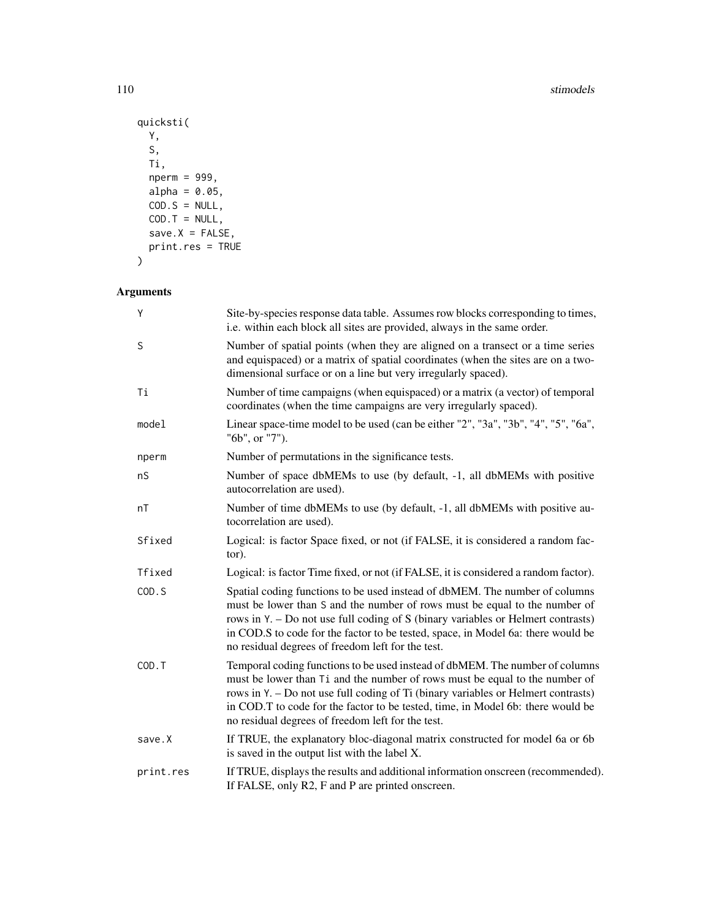#### 110 stimodels and the state of the state of the state of the state of the state of the state of the state of the state of the state of the state of the state of the state of the state of the state of the state of the state

```
quicksti(
 Y,
 S,
 Ti,
 nperm = 999,
 alpha = 0.05,
 COD.S = NULL,COD.T = NULL,save.X = FALSE,print.res = TRUE
\mathcal{L}
```

| Y         | Site-by-species response data table. Assumes row blocks corresponding to times,<br>i.e. within each block all sites are provided, always in the same order.                                                                                                                                                                                                                              |
|-----------|------------------------------------------------------------------------------------------------------------------------------------------------------------------------------------------------------------------------------------------------------------------------------------------------------------------------------------------------------------------------------------------|
| S         | Number of spatial points (when they are aligned on a transect or a time series<br>and equispaced) or a matrix of spatial coordinates (when the sites are on a two-<br>dimensional surface or on a line but very irregularly spaced).                                                                                                                                                     |
| Τi        | Number of time campaigns (when equispaced) or a matrix (a vector) of temporal<br>coordinates (when the time campaigns are very irregularly spaced).                                                                                                                                                                                                                                      |
| model     | Linear space-time model to be used (can be either "2", "3a", "3b", "4", "5", "6a",<br>"6b", or "7").                                                                                                                                                                                                                                                                                     |
| nperm     | Number of permutations in the significance tests.                                                                                                                                                                                                                                                                                                                                        |
| nS        | Number of space dbMEMs to use (by default, -1, all dbMEMs with positive<br>autocorrelation are used).                                                                                                                                                                                                                                                                                    |
| nT        | Number of time dbMEMs to use (by default, -1, all dbMEMs with positive au-<br>tocorrelation are used).                                                                                                                                                                                                                                                                                   |
| Sfixed    | Logical: is factor Space fixed, or not (if FALSE, it is considered a random fac-<br>tor).                                                                                                                                                                                                                                                                                                |
| Tfixed    | Logical: is factor Time fixed, or not (if FALSE, it is considered a random factor).                                                                                                                                                                                                                                                                                                      |
| COD.S     | Spatial coding functions to be used instead of dbMEM. The number of columns<br>must be lower than S and the number of rows must be equal to the number of<br>rows in Y. - Do not use full coding of S (binary variables or Helmert contrasts)<br>in COD.S to code for the factor to be tested, space, in Model 6a: there would be<br>no residual degrees of freedom left for the test.   |
| COD.T     | Temporal coding functions to be used instead of dbMEM. The number of columns<br>must be lower than Ti and the number of rows must be equal to the number of<br>rows in Y. - Do not use full coding of Ti (binary variables or Helmert contrasts)<br>in COD.T to code for the factor to be tested, time, in Model 6b: there would be<br>no residual degrees of freedom left for the test. |
| save.X    | If TRUE, the explanatory bloc-diagonal matrix constructed for model 6a or 6b<br>is saved in the output list with the label X.                                                                                                                                                                                                                                                            |
| print.res | If TRUE, displays the results and additional information onscreen (recommended).<br>If FALSE, only R2, F and P are printed onscreen.                                                                                                                                                                                                                                                     |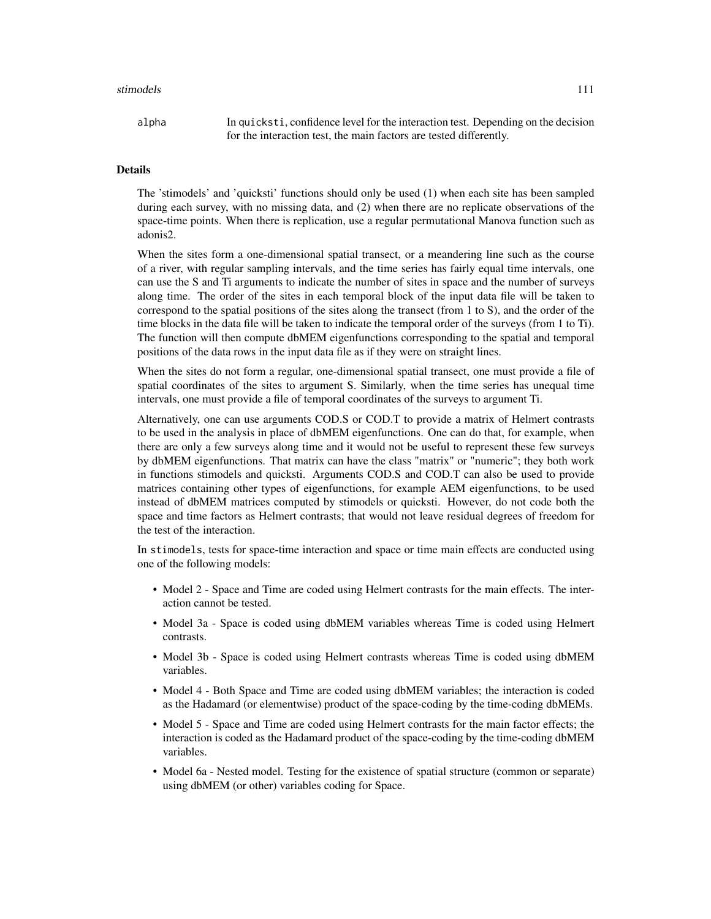#### stimodels and the state of the state of the state of the state of the state of the state of the state of the state of the state of the state of the state of the state of the state of the state of the state of the state of

alpha In quicksti, confidence level for the interaction test. Depending on the decision for the interaction test, the main factors are tested differently.

#### Details

The 'stimodels' and 'quicksti' functions should only be used (1) when each site has been sampled during each survey, with no missing data, and (2) when there are no replicate observations of the space-time points. When there is replication, use a regular permutational Manova function such as adonis2.

When the sites form a one-dimensional spatial transect, or a meandering line such as the course of a river, with regular sampling intervals, and the time series has fairly equal time intervals, one can use the S and Ti arguments to indicate the number of sites in space and the number of surveys along time. The order of the sites in each temporal block of the input data file will be taken to correspond to the spatial positions of the sites along the transect (from 1 to S), and the order of the time blocks in the data file will be taken to indicate the temporal order of the surveys (from 1 to Ti). The function will then compute dbMEM eigenfunctions corresponding to the spatial and temporal positions of the data rows in the input data file as if they were on straight lines.

When the sites do not form a regular, one-dimensional spatial transect, one must provide a file of spatial coordinates of the sites to argument S. Similarly, when the time series has unequal time intervals, one must provide a file of temporal coordinates of the surveys to argument Ti.

Alternatively, one can use arguments COD.S or COD.T to provide a matrix of Helmert contrasts to be used in the analysis in place of dbMEM eigenfunctions. One can do that, for example, when there are only a few surveys along time and it would not be useful to represent these few surveys by dbMEM eigenfunctions. That matrix can have the class "matrix" or "numeric"; they both work in functions stimodels and quicksti. Arguments COD.S and COD.T can also be used to provide matrices containing other types of eigenfunctions, for example AEM eigenfunctions, to be used instead of dbMEM matrices computed by stimodels or quicksti. However, do not code both the space and time factors as Helmert contrasts; that would not leave residual degrees of freedom for the test of the interaction.

In stimodels, tests for space-time interaction and space or time main effects are conducted using one of the following models:

- Model 2 Space and Time are coded using Helmert contrasts for the main effects. The interaction cannot be tested.
- Model 3a Space is coded using dbMEM variables whereas Time is coded using Helmert contrasts.
- Model 3b Space is coded using Helmert contrasts whereas Time is coded using dbMEM variables.
- Model 4 Both Space and Time are coded using dbMEM variables; the interaction is coded as the Hadamard (or elementwise) product of the space-coding by the time-coding dbMEMs.
- Model 5 Space and Time are coded using Helmert contrasts for the main factor effects; the interaction is coded as the Hadamard product of the space-coding by the time-coding dbMEM variables.
- Model 6a Nested model. Testing for the existence of spatial structure (common or separate) using dbMEM (or other) variables coding for Space.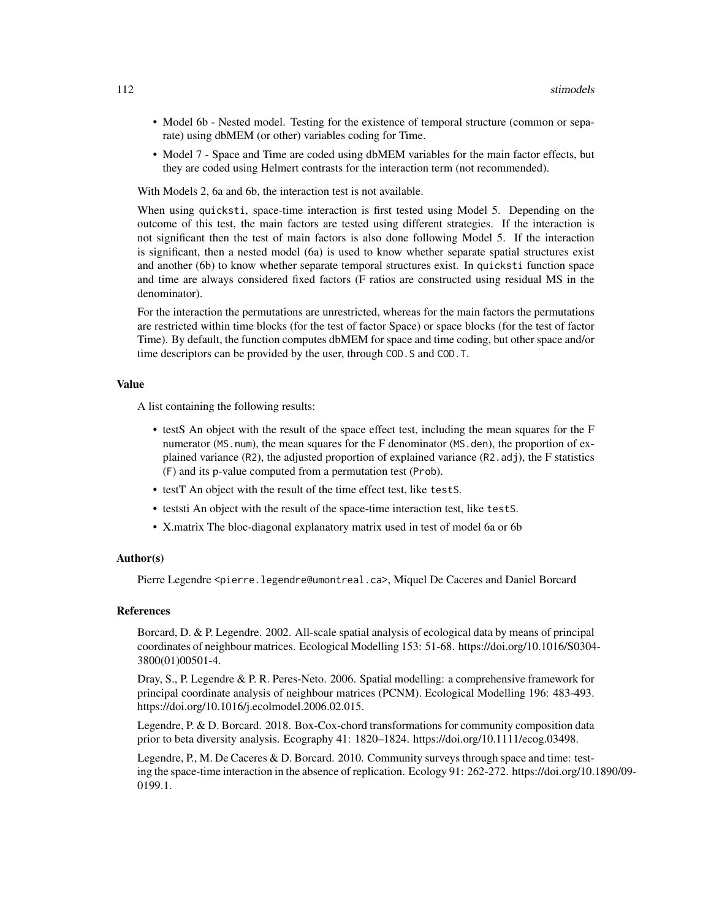- Model 6b Nested model. Testing for the existence of temporal structure (common or separate) using dbMEM (or other) variables coding for Time.
- Model 7 Space and Time are coded using dbMEM variables for the main factor effects, but they are coded using Helmert contrasts for the interaction term (not recommended).

With Models 2, 6a and 6b, the interaction test is not available.

When using quicksti, space-time interaction is first tested using Model 5. Depending on the outcome of this test, the main factors are tested using different strategies. If the interaction is not significant then the test of main factors is also done following Model 5. If the interaction is significant, then a nested model (6a) is used to know whether separate spatial structures exist and another (6b) to know whether separate temporal structures exist. In quicksti function space and time are always considered fixed factors (F ratios are constructed using residual MS in the denominator).

For the interaction the permutations are unrestricted, whereas for the main factors the permutations are restricted within time blocks (for the test of factor Space) or space blocks (for the test of factor Time). By default, the function computes dbMEM for space and time coding, but other space and/or time descriptors can be provided by the user, through COD.S and COD.T.

#### Value

A list containing the following results:

- testS An object with the result of the space effect test, including the mean squares for the F numerator (MS.num), the mean squares for the F denominator (MS.den), the proportion of explained variance (R2), the adjusted proportion of explained variance (R2.adj), the F statistics (F) and its p-value computed from a permutation test (Prob).
- testT An object with the result of the time effect test, like testS.
- teststi An object with the result of the space-time interaction test, like testS.
- X.matrix The bloc-diagonal explanatory matrix used in test of model 6a or 6b

#### Author(s)

Pierre Legendre <pierre.legendre@umontreal.ca>, Miquel De Caceres and Daniel Borcard

#### **References**

Borcard, D. & P. Legendre. 2002. All-scale spatial analysis of ecological data by means of principal coordinates of neighbour matrices. Ecological Modelling 153: 51-68. https://doi.org/10.1016/S0304- 3800(01)00501-4.

Dray, S., P. Legendre & P. R. Peres-Neto. 2006. Spatial modelling: a comprehensive framework for principal coordinate analysis of neighbour matrices (PCNM). Ecological Modelling 196: 483-493. https://doi.org/10.1016/j.ecolmodel.2006.02.015.

Legendre, P. & D. Borcard. 2018. Box-Cox-chord transformations for community composition data prior to beta diversity analysis. Ecography 41: 1820–1824. https://doi.org/10.1111/ecog.03498.

Legendre, P., M. De Caceres & D. Borcard. 2010. Community surveys through space and time: testing the space-time interaction in the absence of replication. Ecology 91: 262-272. https://doi.org/10.1890/09- 0199.1.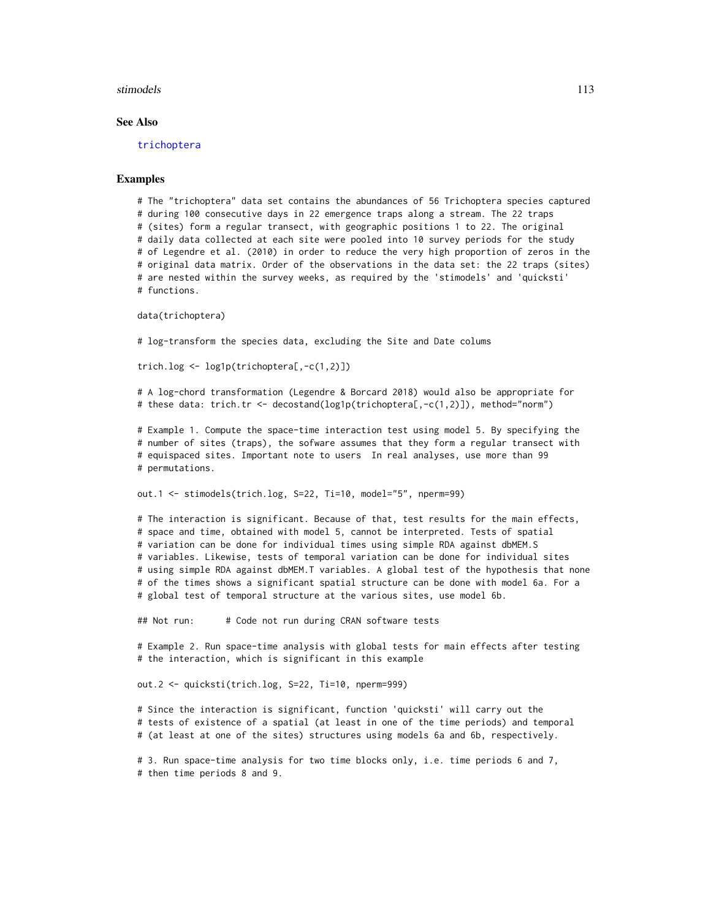#### <span id="page-112-0"></span>stimodels and the state of the state of the state of the state of the state of the state of the state of the state of the state of the state of the state of the state of the state of the state of the state of the state of

#### See Also

[trichoptera](#page-128-0)

# Examples

# The "trichoptera" data set contains the abundances of 56 Trichoptera species captured # during 100 consecutive days in 22 emergence traps along a stream. The 22 traps # (sites) form a regular transect, with geographic positions 1 to 22. The original # daily data collected at each site were pooled into 10 survey periods for the study # of Legendre et al. (2010) in order to reduce the very high proportion of zeros in the # original data matrix. Order of the observations in the data set: the 22 traps (sites) # are nested within the survey weeks, as required by the 'stimodels' and 'quicksti' # functions.

data(trichoptera)

# log-transform the species data, excluding the Site and Date colums

trich.log <- log1p(trichoptera[,-c(1,2)])

# A log-chord transformation (Legendre & Borcard 2018) would also be appropriate for # these data: trich.tr <- decostand(log1p(trichoptera[,-c(1,2)]), method="norm")

# Example 1. Compute the space-time interaction test using model 5. By specifying the # number of sites (traps), the sofware assumes that they form a regular transect with # equispaced sites. Important note to users In real analyses, use more than 99 # permutations.

out.1 <- stimodels(trich.log, S=22, Ti=10, model="5", nperm=99)

# The interaction is significant. Because of that, test results for the main effects, # space and time, obtained with model 5, cannot be interpreted. Tests of spatial # variation can be done for individual times using simple RDA against dbMEM.S # variables. Likewise, tests of temporal variation can be done for individual sites # using simple RDA against dbMEM.T variables. A global test of the hypothesis that none # of the times shows a significant spatial structure can be done with model 6a. For a # global test of temporal structure at the various sites, use model 6b.

## Not run: # Code not run during CRAN software tests

# Example 2. Run space-time analysis with global tests for main effects after testing # the interaction, which is significant in this example

out.2 <- quicksti(trich.log, S=22, Ti=10, nperm=999)

# Since the interaction is significant, function 'quicksti' will carry out the # tests of existence of a spatial (at least in one of the time periods) and temporal # (at least at one of the sites) structures using models 6a and 6b, respectively.

# 3. Run space-time analysis for two time blocks only, i.e. time periods 6 and 7, # then time periods 8 and 9.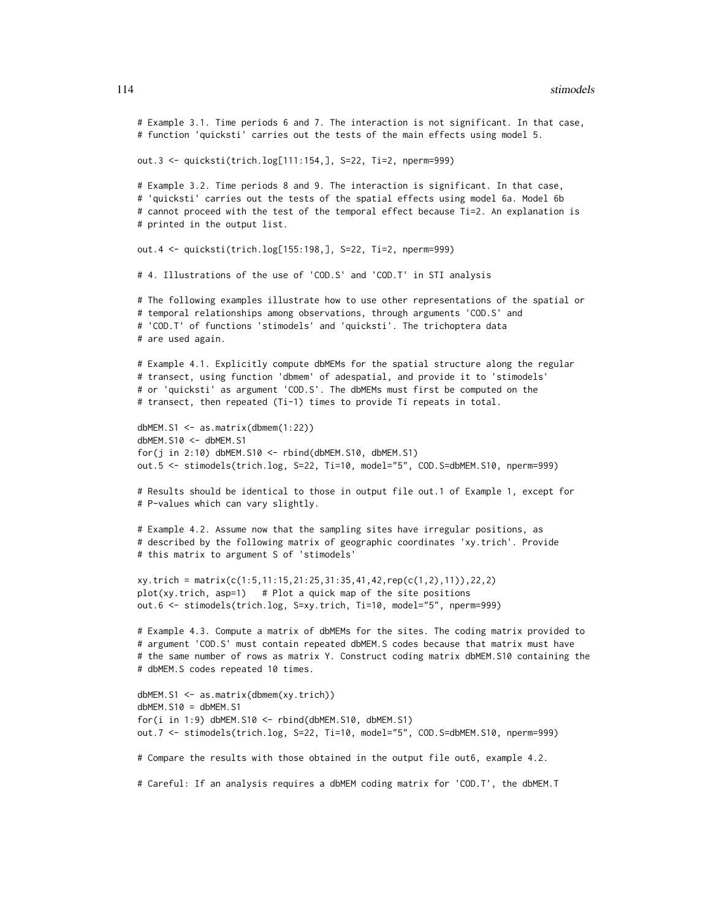```
# Example 3.1. Time periods 6 and 7. The interaction is not significant. In that case,
# function 'quicksti' carries out the tests of the main effects using model 5.
out.3 <- quicksti(trich.log[111:154,], S=22, Ti=2, nperm=999)
# Example 3.2. Time periods 8 and 9. The interaction is significant. In that case,
# 'quicksti' carries out the tests of the spatial effects using model 6a. Model 6b
# cannot proceed with the test of the temporal effect because Ti=2. An explanation is
# printed in the output list.
out.4 <- quicksti(trich.log[155:198,], S=22, Ti=2, nperm=999)
# 4. Illustrations of the use of 'COD.S' and 'COD.T' in STI analysis
# The following examples illustrate how to use other representations of the spatial or
# temporal relationships among observations, through arguments 'COD.S' and
# 'COD.T' of functions 'stimodels' and 'quicksti'. The trichoptera data
# are used again.
# Example 4.1. Explicitly compute dbMEMs for the spatial structure along the regular
# transect, using function 'dbmem' of adespatial, and provide it to 'stimodels'
# or 'quicksti' as argument 'COD.S'. The dbMEMs must first be computed on the
# transect, then repeated (Ti-1) times to provide Ti repeats in total.
dbMEM.S1 <- as.matrix(dbmem(1:22))
dbMEM.S10 <- dbMEM.S1
for(j in 2:10) dbMEM.S10 <- rbind(dbMEM.S10, dbMEM.S1)out.5 <- stimodels(trich.log, S=22, Ti=10, model="5", COD.S=dbMEM.S10, nperm=999)
# Results should be identical to those in output file out.1 of Example 1, except for
# P-values which can vary slightly.
# Example 4.2. Assume now that the sampling sites have irregular positions, as
# described by the following matrix of geographic coordinates 'xy.trich'. Provide
# this matrix to argument S of 'stimodels'
xy.trich = matrix(c(1:5,11:15,21:25,31:35,41,42,rep(c(1,2),11)),22,2)
plot(xy.trich, asp=1) # Plot a quick map of the site positions
out.6 <- stimodels(trich.log, S=xy.trich, Ti=10, model="5", nperm=999)
# Example 4.3. Compute a matrix of dbMEMs for the sites. The coding matrix provided to
# argument 'COD.S' must contain repeated dbMEM.S codes because that matrix must have
# the same number of rows as matrix Y. Construct coding matrix dbMEM.S10 containing the
# dbMEM.S codes repeated 10 times.
dbMEM.S1 <- as.matrix(dbmem(xy.trich))
dbMEM.S10 = dbMEM.S1for(i in 1:9) dbMEM.S10 < -rbind(dbMEM.S10, dbMEM.S1)out.7 <- stimodels(trich.log, S=22, Ti=10, model="5", COD.S=dbMEM.S10, nperm=999)
# Compare the results with those obtained in the output file out6, example 4.2.
# Careful: If an analysis requires a dbMEM coding matrix for 'COD.T', the dbMEM.T
```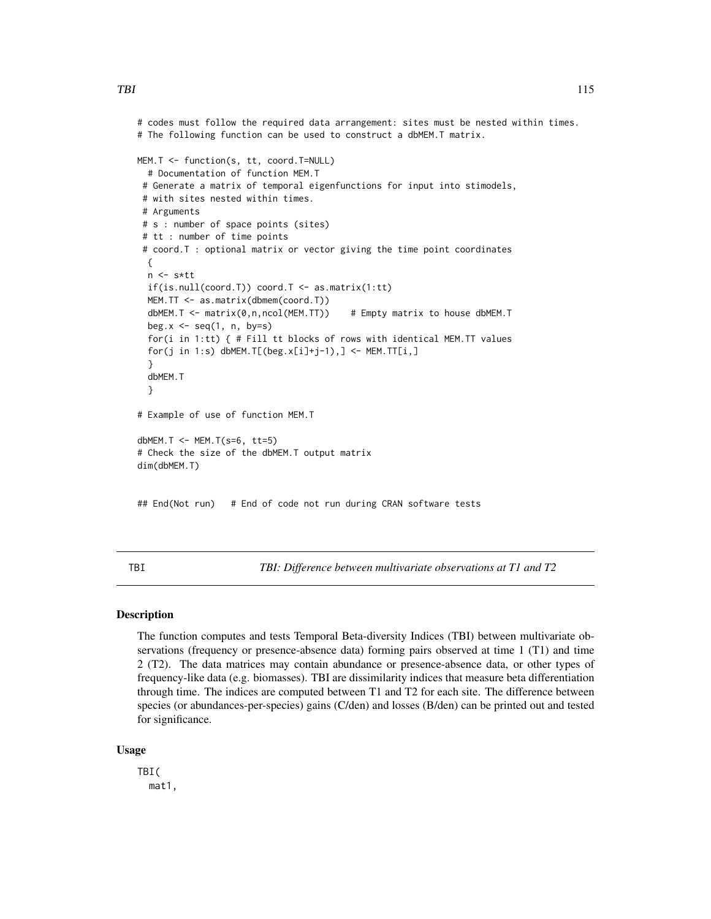```
# codes must follow the required data arrangement: sites must be nested within times.
# The following function can be used to construct a dbMEM.T matrix.
MEM.T <- function(s, tt, coord.T=NULL)
 # Documentation of function MEM.T
 # Generate a matrix of temporal eigenfunctions for input into stimodels,
 # with sites nested within times.
 # Arguments
 # s : number of space points (sites)
 # tt : number of time points
 # coord.T : optional matrix or vector giving the time point coordinates
 {
 n <- s*tt
 if(is.null(cord.T)) coord.T < - as.matrix(1:tt)MEM.TT <- as.matrix(dbmem(coord.T))
 dbMEM.T <- matrix(0,n,ncol(MEM.TT)) # Empty matrix to house dbMEM.T
 beg.x \leftarrow seq(1, n, by=s)for(i in 1:tt) { # Fill tt blocks of rows with identical MEM.TT values
 for(j in 1:s) dbMEM.T[(beg.x[i]+j-1),] < -MEM.T[T[i,]]}
 dbMEM.T
 }
# Example of use of function MEM.T
dbMEM.T <- MEM.T(s=6, tt=5)
# Check the size of the dbMEM.T output matrix
dim(dbMEM.T)
## End(Not run) # End of code not run during CRAN software tests
```
TBI *TBI: Difference between multivariate observations at T1 and T2*

#### Description

The function computes and tests Temporal Beta-diversity Indices (TBI) between multivariate observations (frequency or presence-absence data) forming pairs observed at time 1 (T1) and time 2 (T2). The data matrices may contain abundance or presence-absence data, or other types of frequency-like data (e.g. biomasses). TBI are dissimilarity indices that measure beta differentiation through time. The indices are computed between T1 and T2 for each site. The difference between species (or abundances-per-species) gains (C/den) and losses (B/den) can be printed out and tested for significance.

#### Usage

TBI( mat1,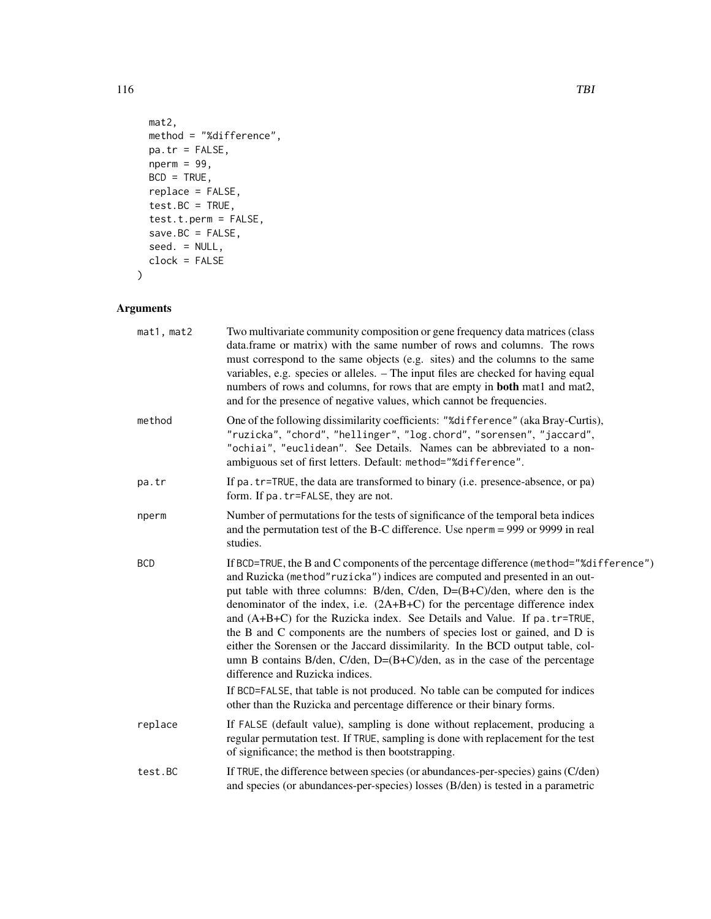```
mat2,
 method = "%difference",
 pa.tr = FALSE,nperm = 99,BCD = TRUE,replace = FALSE,
 test.BC = TRUE,
 test.t.perm = FALSE,
 save.BC = FALSE,
 seed. = NULL,
 clock = FALSE
\mathcal{L}
```

| mat1, mat2 | Two multivariate community composition or gene frequency data matrices (class<br>data.frame or matrix) with the same number of rows and columns. The rows<br>must correspond to the same objects (e.g. sites) and the columns to the same<br>variables, e.g. species or alleles. - The input files are checked for having equal<br>numbers of rows and columns, for rows that are empty in <b>both</b> mat1 and mat2,<br>and for the presence of negative values, which cannot be frequencies.                                                                                                                                                                                                      |
|------------|-----------------------------------------------------------------------------------------------------------------------------------------------------------------------------------------------------------------------------------------------------------------------------------------------------------------------------------------------------------------------------------------------------------------------------------------------------------------------------------------------------------------------------------------------------------------------------------------------------------------------------------------------------------------------------------------------------|
| method     | One of the following dissimilarity coefficients: "%difference" (aka Bray-Curtis),<br>"ruzicka", "chord", "hellinger", "log.chord", "sorensen", "jaccard",<br>"ochiai", "euclidean". See Details. Names can be abbreviated to a non-<br>ambiguous set of first letters. Default: method="%difference".                                                                                                                                                                                                                                                                                                                                                                                               |
| pa.tr      | If pa. tr=TRUE, the data are transformed to binary (i.e. presence-absence, or pa)<br>form. If pa. tr=FALSE, they are not.                                                                                                                                                                                                                                                                                                                                                                                                                                                                                                                                                                           |
| nperm      | Number of permutations for the tests of significance of the temporal beta indices<br>and the permutation test of the B-C difference. Use nperm = 999 or 9999 in real<br>studies.                                                                                                                                                                                                                                                                                                                                                                                                                                                                                                                    |
| <b>BCD</b> | If BCD=TRUE, the B and C components of the percentage difference (method="%difference")<br>and Ruzicka (method" ruzicka") indices are computed and presented in an out-<br>put table with three columns: B/den, C/den, D=(B+C)/den, where den is the<br>denominator of the index, i.e. $(2A+B+C)$ for the percentage difference index<br>and (A+B+C) for the Ruzicka index. See Details and Value. If pa.tr=TRUE,<br>the B and C components are the numbers of species lost or gained, and D is<br>either the Sorensen or the Jaccard dissimilarity. In the BCD output table, col-<br>umn B contains B/den, C/den, D=(B+C)/den, as in the case of the percentage<br>difference and Ruzicka indices. |
|            | If BCD=FALSE, that table is not produced. No table can be computed for indices<br>other than the Ruzicka and percentage difference or their binary forms.                                                                                                                                                                                                                                                                                                                                                                                                                                                                                                                                           |
| replace    | If FALSE (default value), sampling is done without replacement, producing a<br>regular permutation test. If TRUE, sampling is done with replacement for the test<br>of significance; the method is then bootstrapping.                                                                                                                                                                                                                                                                                                                                                                                                                                                                              |
| test.BC    | If TRUE, the difference between species (or abundances-per-species) gains (C/den)<br>and species (or abundances-per-species) losses (B/den) is tested in a parametric                                                                                                                                                                                                                                                                                                                                                                                                                                                                                                                               |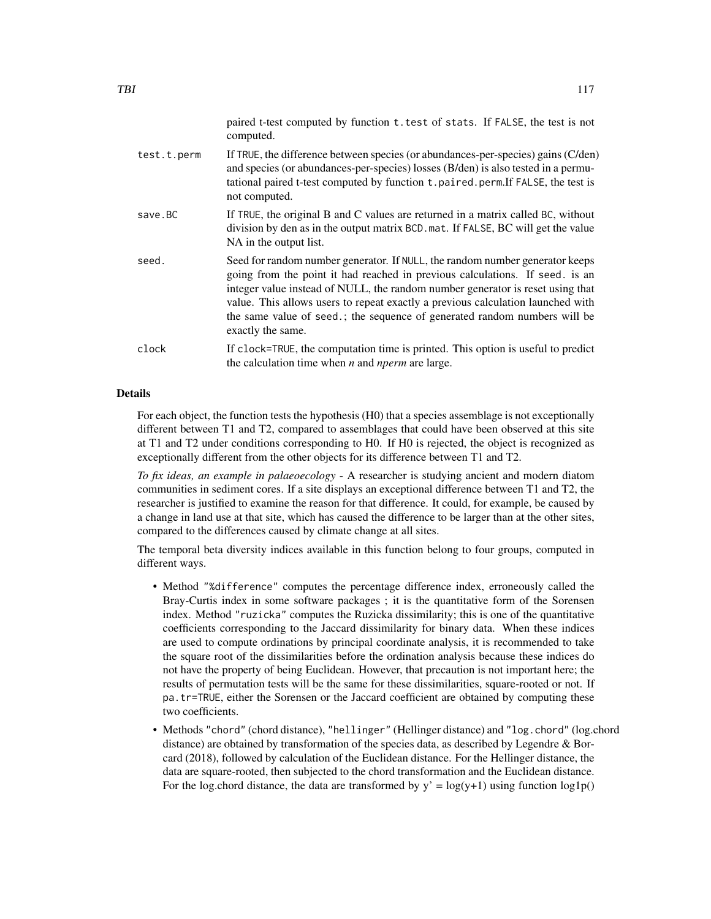|             | paired t-test computed by function t. test of stats. If FALSE, the test is not<br>computed.                                                                                                                                                                                                                                                                                                                                         |
|-------------|-------------------------------------------------------------------------------------------------------------------------------------------------------------------------------------------------------------------------------------------------------------------------------------------------------------------------------------------------------------------------------------------------------------------------------------|
| test.t.perm | If TRUE, the difference between species (or abundances-per-species) gains (C/den)<br>and species (or abundances-per-species) losses (B/den) is also tested in a permu-<br>tational paired t-test computed by function t.paired.perm.If FALSE, the test is<br>not computed.                                                                                                                                                          |
| save.BC     | If TRUE, the original B and C values are returned in a matrix called BC, without<br>division by den as in the output matrix BCD. mat. If FALSE, BC will get the value<br>NA in the output list.                                                                                                                                                                                                                                     |
| seed.       | Seed for random number generator. If NULL, the random number generator keeps<br>going from the point it had reached in previous calculations. If seed, is an<br>integer value instead of NULL, the random number generator is reset using that<br>value. This allows users to repeat exactly a previous calculation launched with<br>the same value of seed.; the sequence of generated random numbers will be<br>exactly the same. |
| clock       | If clock=TRUE, the computation time is printed. This option is useful to predict<br>the calculation time when $n$ and $nperm$ are large.                                                                                                                                                                                                                                                                                            |

#### Details

For each object, the function tests the hypothesis (H0) that a species assemblage is not exceptionally different between T1 and T2, compared to assemblages that could have been observed at this site at T1 and T2 under conditions corresponding to H0. If H0 is rejected, the object is recognized as exceptionally different from the other objects for its difference between T1 and T2.

*To fix ideas, an example in palaeoecology* - A researcher is studying ancient and modern diatom communities in sediment cores. If a site displays an exceptional difference between T1 and T2, the researcher is justified to examine the reason for that difference. It could, for example, be caused by a change in land use at that site, which has caused the difference to be larger than at the other sites, compared to the differences caused by climate change at all sites.

The temporal beta diversity indices available in this function belong to four groups, computed in different ways.

- Method "%difference" computes the percentage difference index, erroneously called the Bray-Curtis index in some software packages ; it is the quantitative form of the Sorensen index. Method "ruzicka" computes the Ruzicka dissimilarity; this is one of the quantitative coefficients corresponding to the Jaccard dissimilarity for binary data. When these indices are used to compute ordinations by principal coordinate analysis, it is recommended to take the square root of the dissimilarities before the ordination analysis because these indices do not have the property of being Euclidean. However, that precaution is not important here; the results of permutation tests will be the same for these dissimilarities, square-rooted or not. If pa.tr=TRUE, either the Sorensen or the Jaccard coefficient are obtained by computing these two coefficients.
- Methods "chord" (chord distance), "hellinger" (Hellinger distance) and "log.chord" (log.chord distance) are obtained by transformation of the species data, as described by Legendre & Borcard (2018), followed by calculation of the Euclidean distance. For the Hellinger distance, the data are square-rooted, then subjected to the chord transformation and the Euclidean distance. For the log.chord distance, the data are transformed by  $y' = log(y+1)$  using function  $log1p()$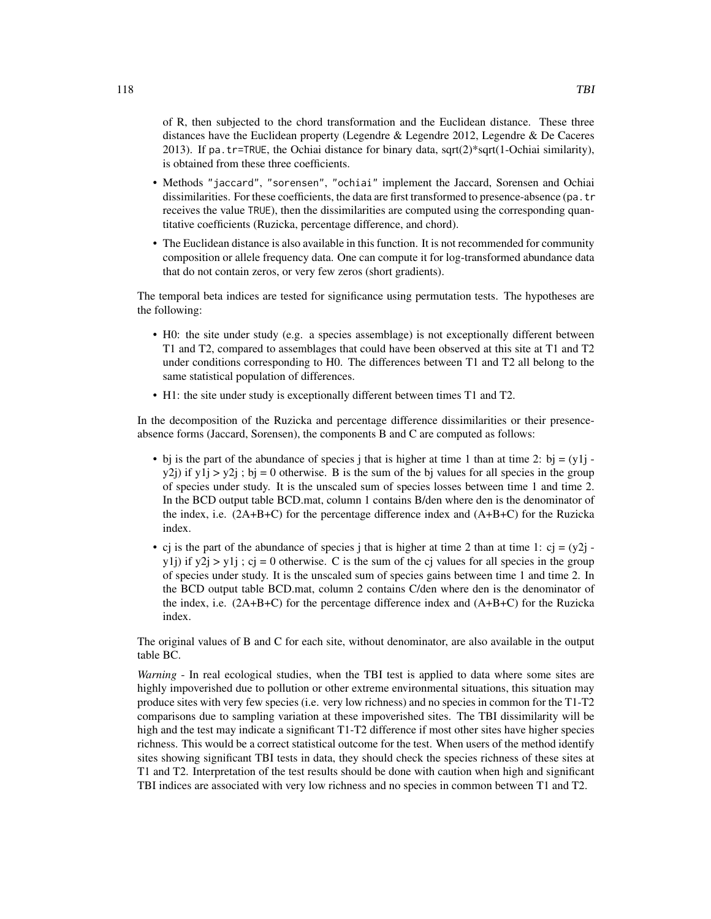of R, then subjected to the chord transformation and the Euclidean distance. These three distances have the Euclidean property (Legendre & Legendre 2012, Legendre & De Caceres 2013). If pa. tr=TRUE, the Ochiai distance for binary data, sqrt(2)\*sqrt(1-Ochiai similarity), is obtained from these three coefficients.

- Methods "jaccard", "sorensen", "ochiai" implement the Jaccard, Sorensen and Ochiai dissimilarities. For these coefficients, the data are first transformed to presence-absence (pa.tr receives the value TRUE), then the dissimilarities are computed using the corresponding quantitative coefficients (Ruzicka, percentage difference, and chord).
- The Euclidean distance is also available in this function. It is not recommended for community composition or allele frequency data. One can compute it for log-transformed abundance data that do not contain zeros, or very few zeros (short gradients).

The temporal beta indices are tested for significance using permutation tests. The hypotheses are the following:

- H0: the site under study (e.g. a species assemblage) is not exceptionally different between T1 and T2, compared to assemblages that could have been observed at this site at T1 and T2 under conditions corresponding to H0. The differences between T1 and T2 all belong to the same statistical population of differences.
- H1: the site under study is exceptionally different between times T1 and T2.

In the decomposition of the Ruzicka and percentage difference dissimilarities or their presenceabsence forms (Jaccard, Sorensen), the components B and C are computed as follows:

- bj is the part of the abundance of species j that is higher at time 1 than at time 2: bj =  $(y1j$  $y2j$ ) if  $y1j > y2j$ ; bj = 0 otherwise. B is the sum of the bj values for all species in the group of species under study. It is the unscaled sum of species losses between time 1 and time 2. In the BCD output table BCD.mat, column 1 contains B/den where den is the denominator of the index, i.e.  $(2A+B+C)$  for the percentage difference index and  $(A+B+C)$  for the Ruzicka index.
- cj is the part of the abundance of species j that is higher at time 2 than at time 1: cj =  $(y2j$ y1j) if  $y2j > y1j$ ; cj = 0 otherwise. C is the sum of the cj values for all species in the group of species under study. It is the unscaled sum of species gains between time 1 and time 2. In the BCD output table BCD.mat, column 2 contains C/den where den is the denominator of the index, i.e.  $(2A+B+C)$  for the percentage difference index and  $(A+B+C)$  for the Ruzicka index.

The original values of B and C for each site, without denominator, are also available in the output table BC.

*Warning* - In real ecological studies, when the TBI test is applied to data where some sites are highly impoverished due to pollution or other extreme environmental situations, this situation may produce sites with very few species (i.e. very low richness) and no species in common for the T1-T2 comparisons due to sampling variation at these impoverished sites. The TBI dissimilarity will be high and the test may indicate a significant T1-T2 difference if most other sites have higher species richness. This would be a correct statistical outcome for the test. When users of the method identify sites showing significant TBI tests in data, they should check the species richness of these sites at T1 and T2. Interpretation of the test results should be done with caution when high and significant TBI indices are associated with very low richness and no species in common between T1 and T2.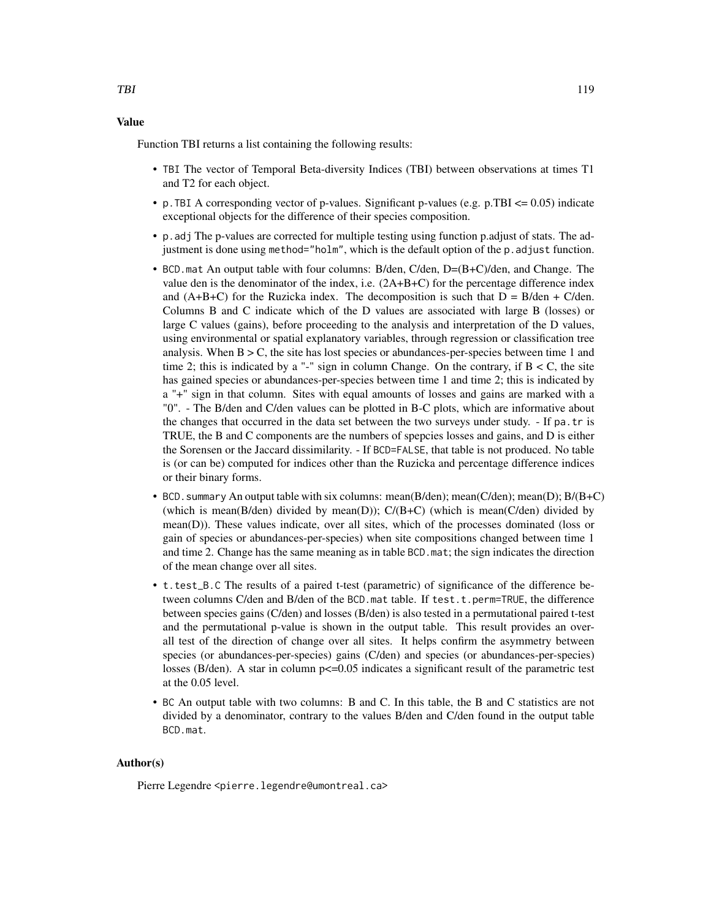#### Value

Function TBI returns a list containing the following results:

- TBI The vector of Temporal Beta-diversity Indices (TBI) between observations at times T1 and T2 for each object.
- p. TBI A corresponding vector of p-values. Significant p-values (e.g. p. TBI  $\leq$  0.05) indicate exceptional objects for the difference of their species composition.
- p.adj The p-values are corrected for multiple testing using function p.adjust of stats. The adjustment is done using method="holm", which is the default option of the p. adjust function.
- BCD.mat An output table with four columns: B/den, C/den, D=(B+C)/den, and Change. The value den is the denominator of the index, i.e.  $(2A+B+C)$  for the percentage difference index and  $(A+B+C)$  for the Ruzicka index. The decomposition is such that  $D = B/den + C/den$ . Columns B and C indicate which of the D values are associated with large B (losses) or large C values (gains), before proceeding to the analysis and interpretation of the D values, using environmental or spatial explanatory variables, through regression or classification tree analysis. When  $B > C$ , the site has lost species or abundances-per-species between time 1 and time 2; this is indicated by a "-" sign in column Change. On the contrary, if  $B < C$ , the site has gained species or abundances-per-species between time 1 and time 2; this is indicated by a "+" sign in that column. Sites with equal amounts of losses and gains are marked with a "0". - The B/den and C/den values can be plotted in B-C plots, which are informative about the changes that occurred in the data set between the two surveys under study. - If pa.tr is TRUE, the B and C components are the numbers of spepcies losses and gains, and D is either the Sorensen or the Jaccard dissimilarity. - If BCD=FALSE, that table is not produced. No table is (or can be) computed for indices other than the Ruzicka and percentage difference indices or their binary forms.
- BCD. summary An output table with six columns: mean(B/den); mean(C/den); mean(D); B/(B+C) (which is mean( $B$ /den) divided by mean( $D$ ));  $C/(B+C)$  (which is mean( $C$ /den) divided by mean(D)). These values indicate, over all sites, which of the processes dominated (loss or gain of species or abundances-per-species) when site compositions changed between time 1 and time 2. Change has the same meaning as in table BCD.mat; the sign indicates the direction of the mean change over all sites.
- t.test\_B.C The results of a paired t-test (parametric) of significance of the difference between columns C/den and B/den of the BCD.mat table. If test.t.perm=TRUE, the difference between species gains (C/den) and losses (B/den) is also tested in a permutational paired t-test and the permutational p-value is shown in the output table. This result provides an overall test of the direction of change over all sites. It helps confirm the asymmetry between species (or abundances-per-species) gains (C/den) and species (or abundances-per-species) losses (B/den). A star in column  $p \le 0.05$  indicates a significant result of the parametric test at the 0.05 level.
- BC An output table with two columns: B and C. In this table, the B and C statistics are not divided by a denominator, contrary to the values B/den and C/den found in the output table BCD.mat.

#### Author(s)

Pierre Legendre <pierre.legendre@umontreal.ca>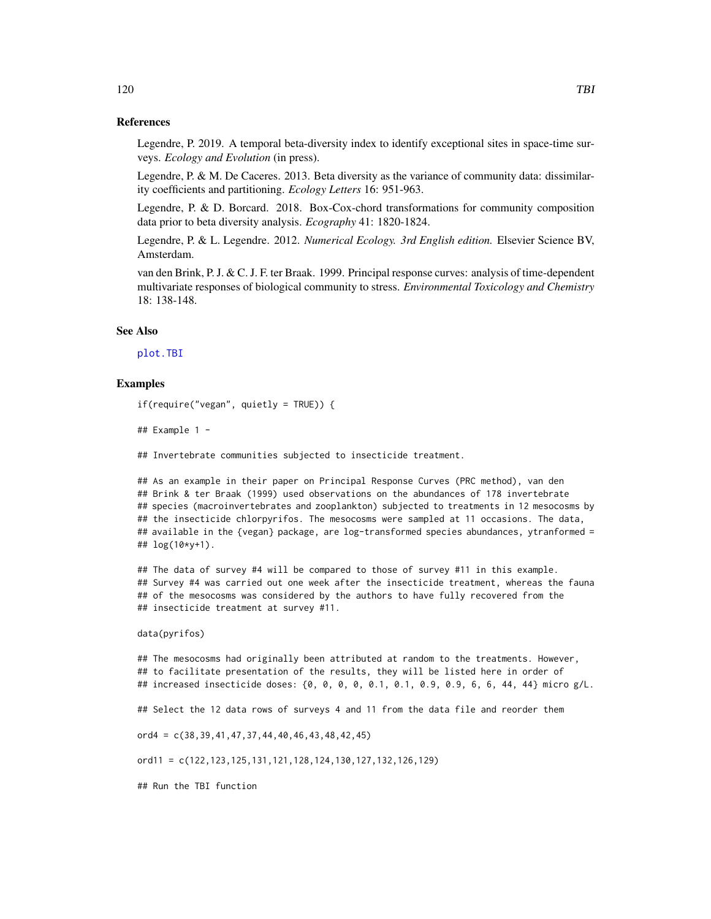#### References

Legendre, P. 2019. A temporal beta-diversity index to identify exceptional sites in space-time surveys. *Ecology and Evolution* (in press).

Legendre, P. & M. De Caceres. 2013. Beta diversity as the variance of community data: dissimilarity coefficients and partitioning. *Ecology Letters* 16: 951-963.

Legendre, P. & D. Borcard. 2018. Box-Cox-chord transformations for community composition data prior to beta diversity analysis. *Ecography* 41: 1820-1824.

Legendre, P. & L. Legendre. 2012. *Numerical Ecology. 3rd English edition.* Elsevier Science BV, Amsterdam.

van den Brink, P. J.  $\& C$ . J. F. ter Braak. 1999. Principal response curves: analysis of time-dependent multivariate responses of biological community to stress. *Environmental Toxicology and Chemistry* 18: 138-148.

#### See Also

[plot.TBI](#page-97-0)

#### Examples

```
if(require("vegan", quietly = TRUE)) {
```
## Example 1 -

## Invertebrate communities subjected to insecticide treatment.

## As an example in their paper on Principal Response Curves (PRC method), van den ## Brink & ter Braak (1999) used observations on the abundances of 178 invertebrate ## species (macroinvertebrates and zooplankton) subjected to treatments in 12 mesocosms by ## the insecticide chlorpyrifos. The mesocosms were sampled at 11 occasions. The data, ## available in the {vegan} package, are log-transformed species abundances, ytranformed = ## log(10\*y+1).

## The data of survey #4 will be compared to those of survey #11 in this example. ## Survey #4 was carried out one week after the insecticide treatment, whereas the fauna ## of the mesocosms was considered by the authors to have fully recovered from the ## insecticide treatment at survey #11.

data(pyrifos)

## The mesocosms had originally been attributed at random to the treatments. However, ## to facilitate presentation of the results, they will be listed here in order of ## increased insecticide doses: {0, 0, 0, 0, 0.1, 0.1, 0.9, 0.9, 6, 6, 44, 44} micro g/L.

## Select the 12 data rows of surveys 4 and 11 from the data file and reorder them

 $ord4 = c(38, 39, 41, 47, 37, 44, 40, 46, 43, 48, 42, 45)$ 

ord11 = c(122,123,125,131,121,128,124,130,127,132,126,129)

## Run the TBI function

<span id="page-119-0"></span>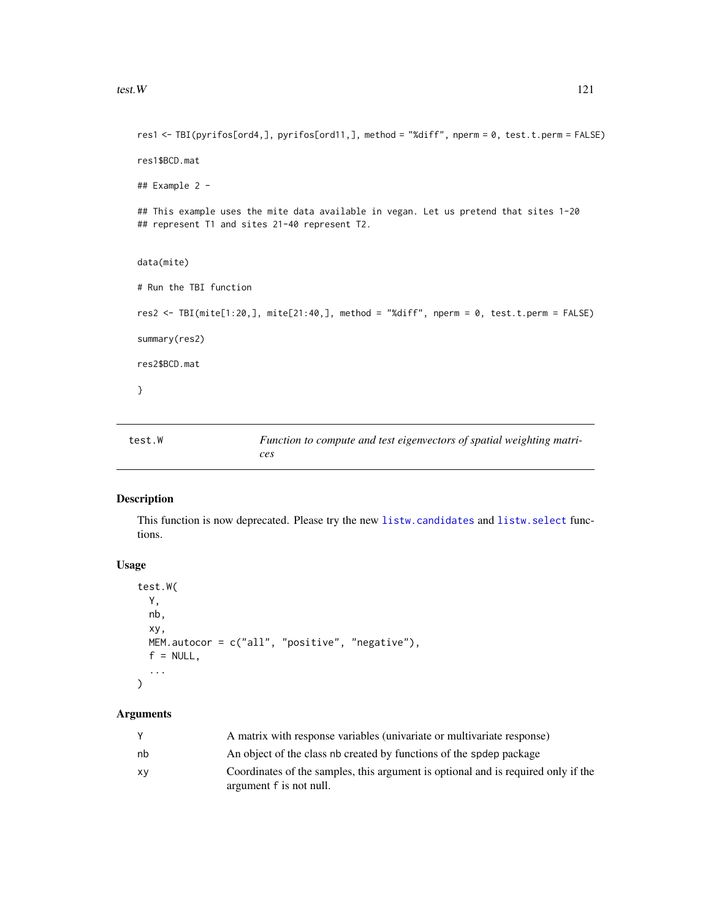#### <span id="page-120-0"></span>test. W  $121$

```
res1 <- TBI(pyrifos[ord4,], pyrifos[ord11,], method = "%diff", nperm = 0, test.t.perm = FALSE)
res1$BCD.mat
## Example 2 -
## This example uses the mite data available in vegan. Let us pretend that sites 1-20
## represent T1 and sites 21-40 represent T2.
data(mite)
# Run the TBI function
res2 <- TBI(mite[1:20,], mite[21:40,], method = "%diff", nperm = 0, test.t.perm = FALSE)
summary(res2)
res2$BCD.mat
}
```

| test.W | Function to compute and test eigenvectors of spatial weighting matri- |
|--------|-----------------------------------------------------------------------|
|        | ces                                                                   |

# Description

This function is now deprecated. Please try the new [listw.candidates](#page-55-0) and [listw.select](#page-59-0) functions.

# Usage

```
test.W(
  Y,
  nb,
  xy,
  MEM.autocor = c("all", "positive", "negative"),
  f = NULL,...
\mathcal{L}
```

|    | A matrix with response variables (univariate or multivariate response)            |
|----|-----------------------------------------------------------------------------------|
| nb | An object of the class nb created by functions of the spdep package               |
| x٧ | Coordinates of the samples, this argument is optional and is required only if the |
|    | argument f is not null.                                                           |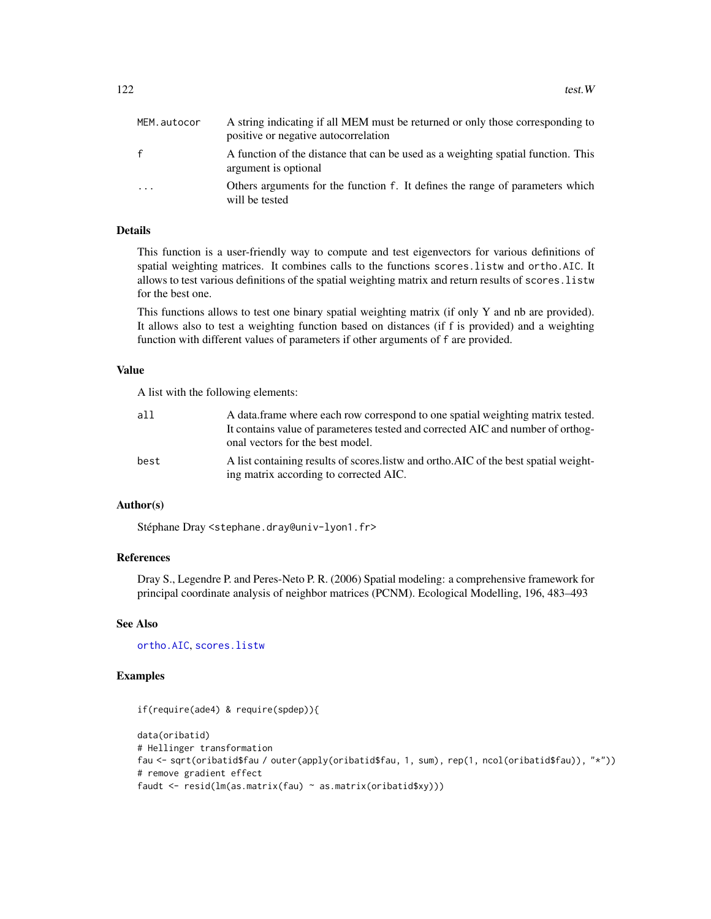<span id="page-121-0"></span>

| MEM.autocor | A string indicating if all MEM must be returned or only those corresponding to<br>positive or negative autocorrelation |
|-------------|------------------------------------------------------------------------------------------------------------------------|
| f           | A function of the distance that can be used as a weighting spatial function. This<br>argument is optional              |
| $\cdots$    | Others arguments for the function f. It defines the range of parameters which<br>will be tested                        |

# Details

This function is a user-friendly way to compute and test eigenvectors for various definitions of spatial weighting matrices. It combines calls to the functions scores.listw and ortho.AIC. It allows to test various definitions of the spatial weighting matrix and return results of scores.listw for the best one.

This functions allows to test one binary spatial weighting matrix (if only Y and nb are provided). It allows also to test a weighting function based on distances (if f is provided) and a weighting function with different values of parameters if other arguments of f are provided.

#### Value

A list with the following elements:

| a11  | A data frame where each row correspond to one spatial weighting matrix tested.<br>It contains value of parameteres tested and corrected AIC and number of orthog-<br>onal vectors for the best model. |
|------|-------------------------------------------------------------------------------------------------------------------------------------------------------------------------------------------------------|
| best | A list containing results of scores listw and ortho. AIC of the best spatial weight-<br>ing matrix according to corrected AIC.                                                                        |

# Author(s)

Stéphane Dray <stephane.dray@univ-lyon1.fr>

#### References

Dray S., Legendre P. and Peres-Neto P. R. (2006) Spatial modeling: a comprehensive framework for principal coordinate analysis of neighbor matrices (PCNM). Ecological Modelling, 196, 483–493

#### See Also

[ortho.AIC](#page-91-0), [scores.listw](#page-103-0)

# Examples

```
if(require(ade4) & require(spdep)){
```

```
data(oribatid)
# Hellinger transformation
fau <- sqrt(oribatid$fau / outer(apply(oribatid$fau, 1, sum), rep(1, ncol(oribatid$fau)), "*"))
# remove gradient effect
faudt <- resid(lm(as.matrix(fau) ~ as.matrix(oribatid$xy)))
```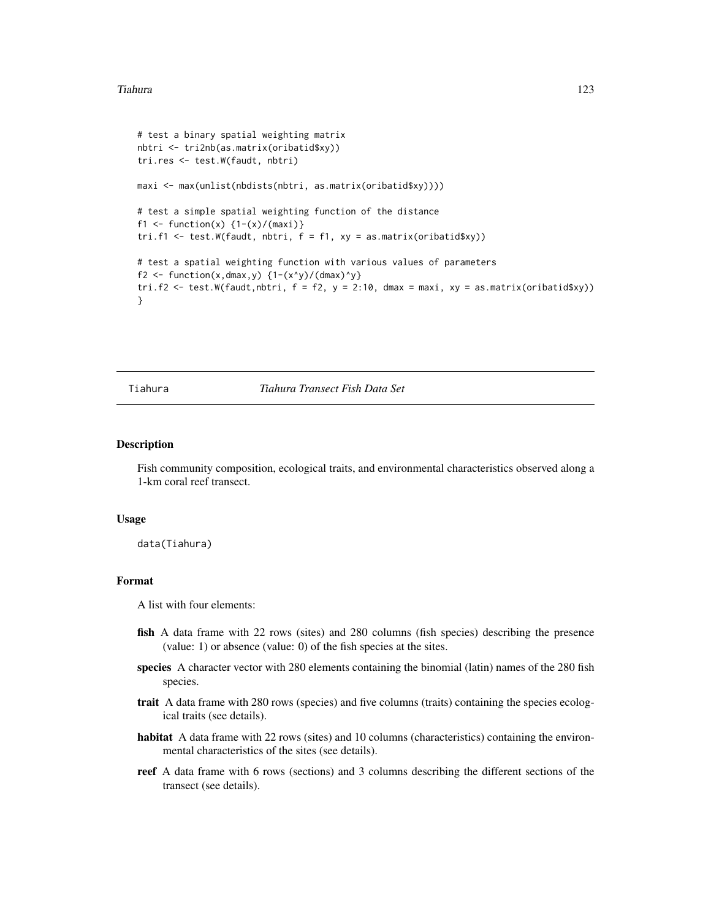#### <span id="page-122-0"></span>Tiahura 123

```
# test a binary spatial weighting matrix
nbtri <- tri2nb(as.matrix(oribatid$xy))
tri.res <- test.W(faudt, nbtri)
maxi <- max(unlist(nbdists(nbtri, as.matrix(oribatid$xy))))
# test a simple spatial weighting function of the distance
f1 <- function(x) \{1-(x)/(maxi)\}tri.f1 \leftarrow test.W(faudt, nbtri, f = f1, xy = as.matrix(oribatid$xy))# test a spatial weighting function with various values of parameters
f2 <- function(x,dmax,y) {1-(x^y)/(dmax)^y}
tri.f2 \le test.W(faudt,nbtri, f = f2, y = 2:10, dmax = maxi, xy = as.matrix(oribatid$xy))
}
```
#### Tiahura *Tiahura Transect Fish Data Set*

#### Description

Fish community composition, ecological traits, and environmental characteristics observed along a 1-km coral reef transect.

#### Usage

data(Tiahura)

#### Format

A list with four elements:

- fish A data frame with 22 rows (sites) and 280 columns (fish species) describing the presence (value: 1) or absence (value: 0) of the fish species at the sites.
- species A character vector with 280 elements containing the binomial (latin) names of the 280 fish species.
- trait A data frame with 280 rows (species) and five columns (traits) containing the species ecological traits (see details).
- habitat A data frame with 22 rows (sites) and 10 columns (characteristics) containing the environmental characteristics of the sites (see details).
- reef A data frame with 6 rows (sections) and 3 columns describing the different sections of the transect (see details).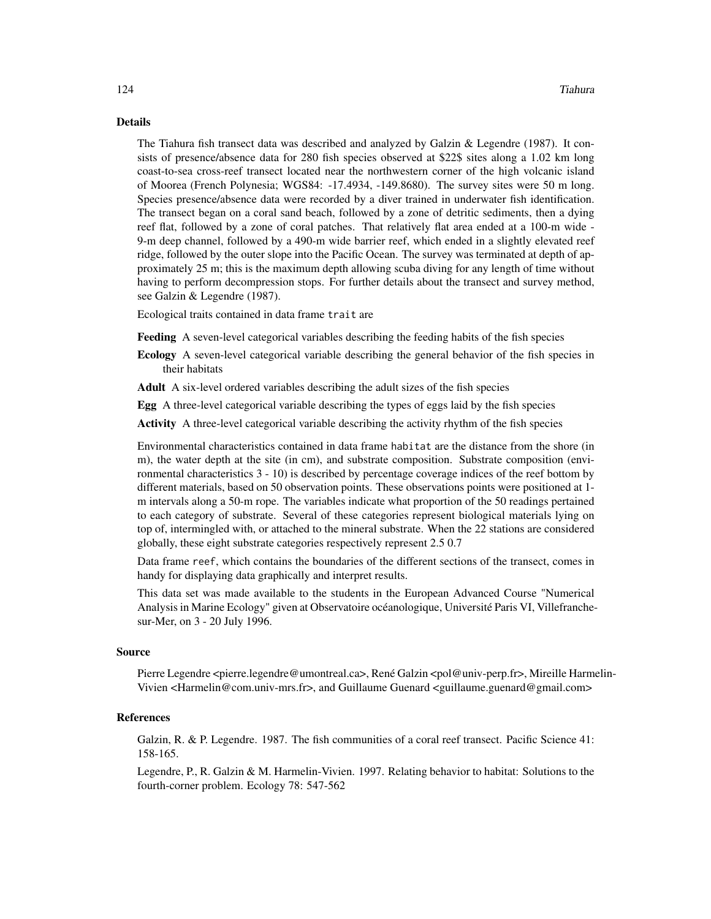#### Details

The Tiahura fish transect data was described and analyzed by Galzin & Legendre (1987). It consists of presence/absence data for 280 fish species observed at \$22\$ sites along a 1.02 km long coast-to-sea cross-reef transect located near the northwestern corner of the high volcanic island of Moorea (French Polynesia; WGS84: -17.4934, -149.8680). The survey sites were 50 m long. Species presence/absence data were recorded by a diver trained in underwater fish identification. The transect began on a coral sand beach, followed by a zone of detritic sediments, then a dying reef flat, followed by a zone of coral patches. That relatively flat area ended at a 100-m wide - 9-m deep channel, followed by a 490-m wide barrier reef, which ended in a slightly elevated reef ridge, followed by the outer slope into the Pacific Ocean. The survey was terminated at depth of approximately 25 m; this is the maximum depth allowing scuba diving for any length of time without having to perform decompression stops. For further details about the transect and survey method, see Galzin & Legendre (1987).

Ecological traits contained in data frame trait are

Feeding A seven-level categorical variables describing the feeding habits of the fish species

- Ecology A seven-level categorical variable describing the general behavior of the fish species in their habitats
- Adult A six-level ordered variables describing the adult sizes of the fish species

Egg A three-level categorical variable describing the types of eggs laid by the fish species

Activity A three-level categorical variable describing the activity rhythm of the fish species

Environmental characteristics contained in data frame habitat are the distance from the shore (in m), the water depth at the site (in cm), and substrate composition. Substrate composition (environmental characteristics 3 - 10) is described by percentage coverage indices of the reef bottom by different materials, based on 50 observation points. These observations points were positioned at 1 m intervals along a 50-m rope. The variables indicate what proportion of the 50 readings pertained to each category of substrate. Several of these categories represent biological materials lying on top of, intermingled with, or attached to the mineral substrate. When the 22 stations are considered globally, these eight substrate categories respectively represent 2.5 0.7

Data frame reef, which contains the boundaries of the different sections of the transect, comes in handy for displaying data graphically and interpret results.

This data set was made available to the students in the European Advanced Course "Numerical Analysis in Marine Ecology" given at Observatoire océanologique, Université Paris VI, Villefranchesur-Mer, on 3 - 20 July 1996.

#### Source

Pierre Legendre <pierre.legendre@umontreal.ca>, René Galzin <pol@univ-perp.fr>, Mireille Harmelin-Vivien <Harmelin@com.univ-mrs.fr>, and Guillaume Guenard <guillaume.guenard@gmail.com>

### **References**

Galzin, R. & P. Legendre. 1987. The fish communities of a coral reef transect. Pacific Science 41: 158-165.

Legendre, P., R. Galzin & M. Harmelin-Vivien. 1997. Relating behavior to habitat: Solutions to the fourth-corner problem. Ecology 78: 547-562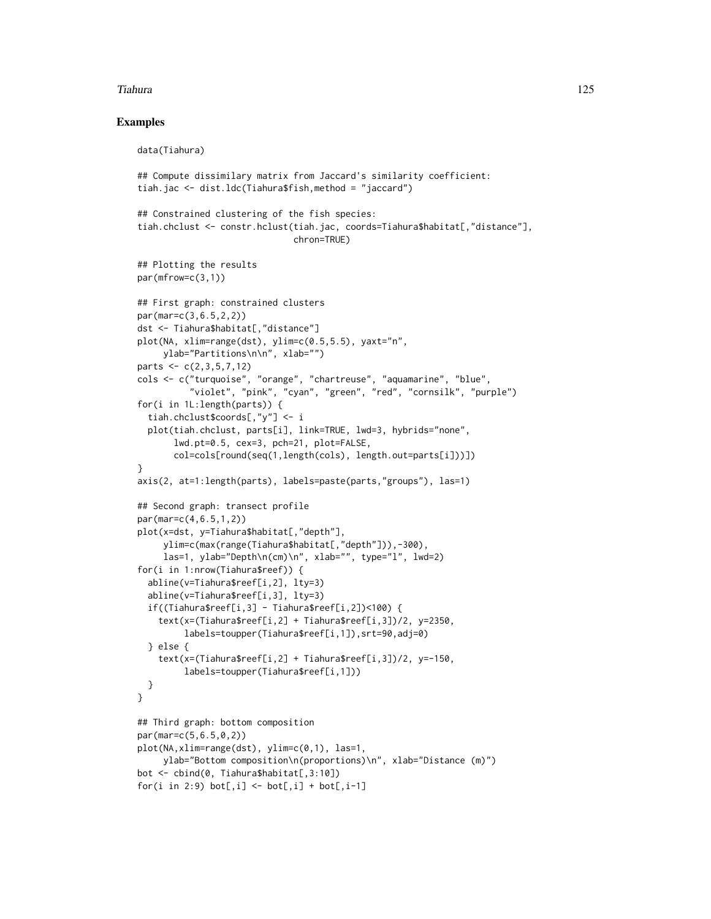#### Tiahura 125

#### Examples

```
data(Tiahura)
## Compute dissimilary matrix from Jaccard's similarity coefficient:
tiah.jac <- dist.ldc(Tiahura$fish,method = "jaccard")
## Constrained clustering of the fish species:
tiah.chclust <- constr.hclust(tiah.jac, coords=Tiahura$habitat[,"distance"],
                              chron=TRUE)
## Plotting the results
par(mfrow=c(3,1))
## First graph: constrained clusters
par(mar=c(3,6.5,2,2))
dst <- Tiahura$habitat[,"distance"]
plot(NA, xlim=range(dst), ylim=c(0.5,5.5), yaxt="n",
     ylab="Partitions\n\n", xlab="")
parts <- c(2,3,5,7,12)
cols <- c("turquoise", "orange", "chartreuse", "aquamarine", "blue",
          "violet", "pink", "cyan", "green", "red", "cornsilk", "purple")
for(i in 1L:length(parts)) {
  tiah.chclust$coords[,"y"] <- i
  plot(tiah.chclust, parts[i], link=TRUE, lwd=3, hybrids="none",
       lwd.pt=0.5, cex=3, pch=21, plot=FALSE,
       col=cols[round(seq(1,length(cols), length.out=parts[i]))])
}
axis(2, at=1:length(parts), labels=paste(parts,"groups"), las=1)
## Second graph: transect profile
par(mar=c(4,6.5,1,2))
plot(x=dst, y=Tiahura$habitat[,"depth"],
     ylim=c(max(range(Tiahura$habitat[,"depth"])),-300),
     las=1, ylab="Depth\n(cm)\n", xlab="", type="l", lwd=2)
for(i in 1:nrow(Tiahura$reef)) {
  abline(v=Tiahura$reef[i,2], lty=3)
  abline(v=Tiahura$reef[i,3], lty=3)
  if((Tiahura$reef[i,3] - Tiahura$reef[i,2])<100) {
    text(x=(Tiahura$reef[i,2] + Tiahura$reef[i,3])/2, y=2350,
         labels=toupper(Tiahura$reef[i,1]),srt=90,adj=0)
  } else {
    text(x=(Tiahura$reef[i,2] + Tiahura$reef[i,3])/2, y=-150,
         labels=toupper(Tiahura$reef[i,1]))
  }
}
## Third graph: bottom composition
par(mar=c(5,6.5,0,2))
plot(NA,xlim=range(dst), ylim=c(0,1), las=1,
     ylab="Bottom composition\n(proportions)\n", xlab="Distance (m)")
bot <- cbind(0, Tiahura$habitat[,3:10])
for(i in 2:9) bot[,i] <- bot[,i] + bot[,i-1]
```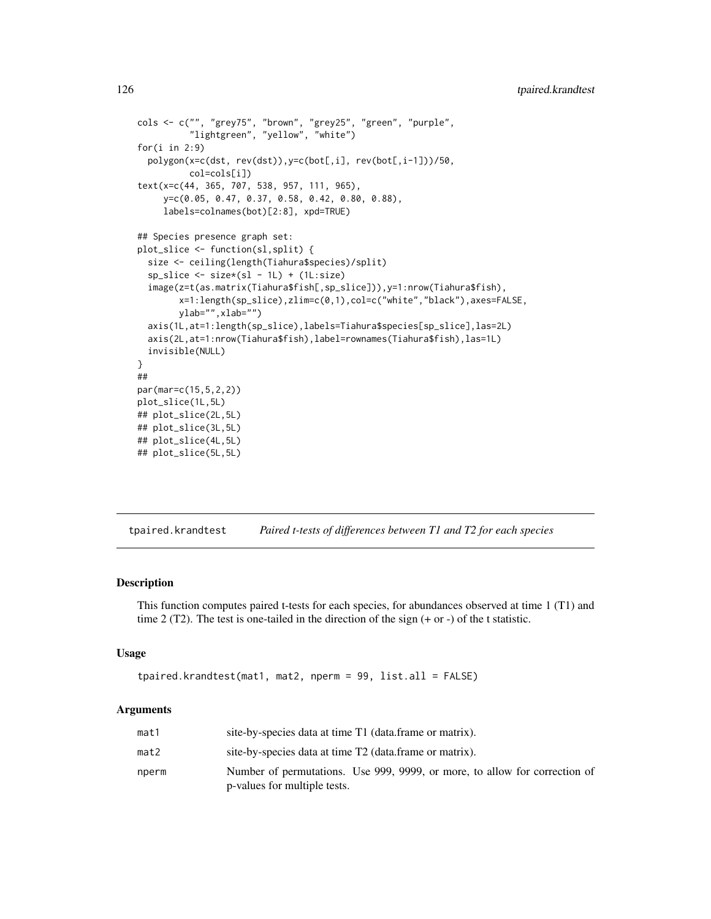```
cols <- c("", "grey75", "brown", "grey25", "green", "purple",
          "lightgreen", "yellow", "white")
for(i in 2:9)
  polygon(x=c(dst, rev(dst)),y=c(bot[,i], rev(bot[,i-1]))/50,
          col=cols[i])
text(x=c(44, 365, 707, 538, 957, 111, 965),
     y=c(0.05, 0.47, 0.37, 0.58, 0.42, 0.80, 0.88),
     labels=colnames(bot)[2:8], xpd=TRUE)
## Species presence graph set:
plot_slice <- function(sl,split) {
  size <- ceiling(length(Tiahura$species)/split)
  sp\_slice \leftarrow size*(sl - 1L) + (1L: size)image(z=t(as.matrix(Tiahura$fish[,sp_slice])),y=1:nrow(Tiahura$fish),
        x=1:length(sp_slice),zlim=c(0,1),col=c("white","black"),axes=FALSE,
        ylab="",xlab="")
  axis(1L,at=1:length(sp_slice),labels=Tiahura$species[sp_slice],las=2L)
  axis(2L,at=1:nrow(Tiahura$fish),label=rownames(Tiahura$fish),las=1L)
  invisible(NULL)
}
##
par(mar=c(15,5,2,2))
plot_slice(1L,5L)
## plot_slice(2L,5L)
## plot_slice(3L,5L)
## plot_slice(4L,5L)
## plot_slice(5L,5L)
```
tpaired.krandtest *Paired t-tests of differences between T1 and T2 for each species*

#### Description

This function computes paired t-tests for each species, for abundances observed at time 1 (T1) and time 2 (T2). The test is one-tailed in the direction of the sign (+ or -) of the t statistic.

#### Usage

```
tpaired.krandtest(mat1, mat2, nperm = 99, list.all = FALSE)
```

| mat1  | site-by-species data at time T1 (data.frame or matrix).                                                    |
|-------|------------------------------------------------------------------------------------------------------------|
| mat2  | site-by-species data at time T2 (data.frame or matrix).                                                    |
| nperm | Number of permutations. Use 999, 9999, or more, to allow for correction of<br>p-values for multiple tests. |

<span id="page-125-0"></span>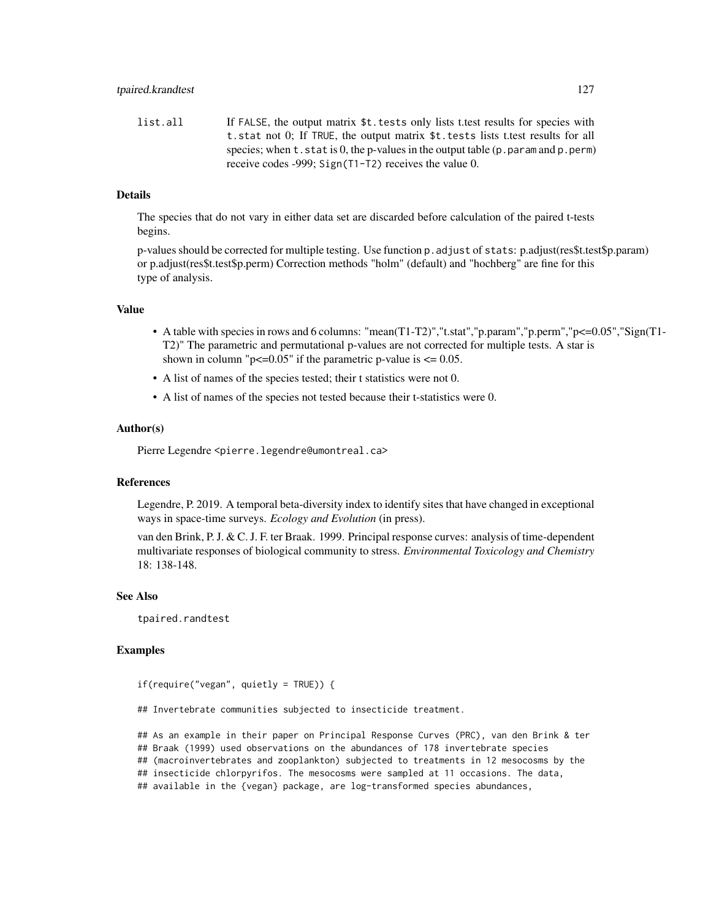list.all If FALSE, the output matrix  $t$ , tests only lists t.test results for species with t.stat not 0; If TRUE, the output matrix \$t.tests lists t.test results for all species; when  $t$ , stat is 0, the p-values in the output table (p. param and p. perm) receive codes -999; Sign(T1-T2) receives the value 0.

#### Details

The species that do not vary in either data set are discarded before calculation of the paired t-tests begins.

p-values should be corrected for multiple testing. Use function p.adjust of stats: p.adjust(res\$t.test\$p.param) or p.adjust(res\$t.test\$p.perm) Correction methods "holm" (default) and "hochberg" are fine for this type of analysis.

#### Value

- A table with species in rows and 6 columns: "mean(T1-T2)","t.stat","p.param","p.perm","p<=0.05","Sign(T1- T2)" The parametric and permutational p-values are not corrected for multiple tests. A star is shown in column " $p \le 0.05$ " if the parametric p-value is  $\le 0.05$ .
- A list of names of the species tested; their t statistics were not 0.
- A list of names of the species not tested because their t-statistics were 0.

#### Author(s)

Pierre Legendre <pierre.legendre@umontreal.ca>

#### References

Legendre, P. 2019. A temporal beta-diversity index to identify sites that have changed in exceptional ways in space-time surveys. *Ecology and Evolution* (in press).

van den Brink, P. J.  $\& C$ . J. F. ter Braak. 1999. Principal response curves: analysis of time-dependent multivariate responses of biological community to stress. *Environmental Toxicology and Chemistry* 18: 138-148.

#### See Also

tpaired.randtest

#### Examples

```
if(require("vegan", quietly = TRUE)) {
```
## Invertebrate communities subjected to insecticide treatment.

## As an example in their paper on Principal Response Curves (PRC), van den Brink & ter ## Braak (1999) used observations on the abundances of 178 invertebrate species ## (macroinvertebrates and zooplankton) subjected to treatments in 12 mesocosms by the ## insecticide chlorpyrifos. The mesocosms were sampled at 11 occasions. The data, ## available in the {vegan} package, are log-transformed species abundances,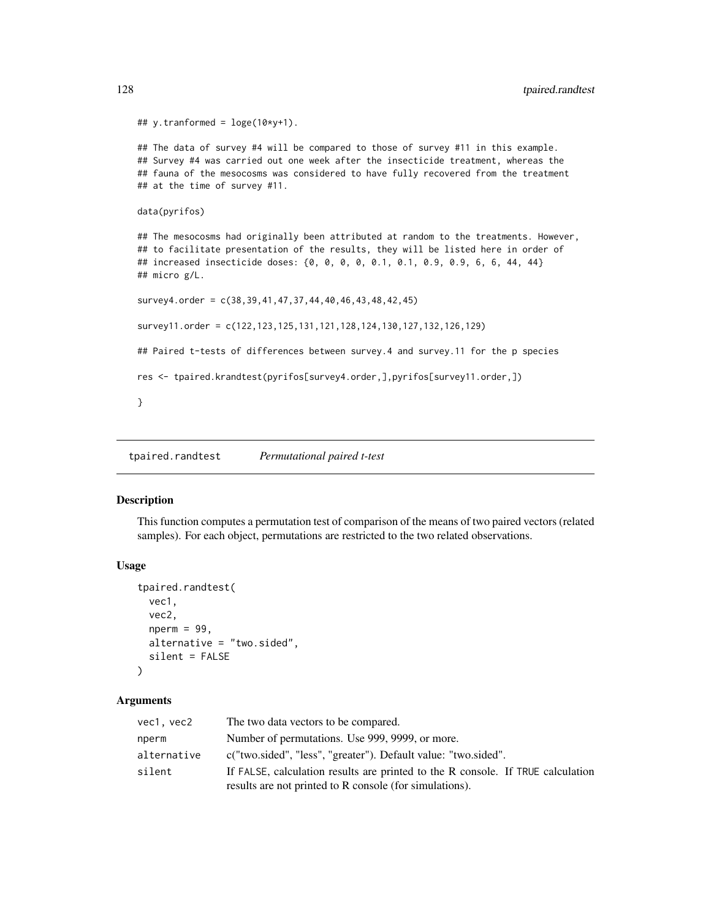```
## y.tranformed = \text{log}e(10*y+1).
## The data of survey #4 will be compared to those of survey #11 in this example.
## Survey #4 was carried out one week after the insecticide treatment, whereas the
## fauna of the mesocosms was considered to have fully recovered from the treatment
## at the time of survey #11.
data(pyrifos)
## The mesocosms had originally been attributed at random to the treatments. However,
## to facilitate presentation of the results, they will be listed here in order of
## increased insecticide doses: {0, 0, 0, 0, 0.1, 0.1, 0.9, 0.9, 6, 6, 44, 44}
## micro g/L.
survey4.order = c(38,39,41,47,37,44,40,46,43,48,42,45)
survey11.order = c(122,123,125,131,121,128,124,130,127,132,126,129)
## Paired t-tests of differences between survey.4 and survey.11 for the p species
res <- tpaired.krandtest(pyrifos[survey4.order,],pyrifos[survey11.order,])
}
```
tpaired.randtest *Permutational paired t-test*

#### Description

This function computes a permutation test of comparison of the means of two paired vectors (related samples). For each object, permutations are restricted to the two related observations.

#### Usage

```
tpaired.randtest(
  vec1,
  vec2,
  nperm = 99,alternative = "two.sided",
  silent = FALSE
\mathcal{L}
```

| vec1, vec2  | The two data vectors to be compared.                                            |
|-------------|---------------------------------------------------------------------------------|
| nperm       | Number of permutations. Use 999, 9999, or more.                                 |
| alternative | c("two.sided", "less", "greater"). Default value: "two.sided".                  |
| silent      | If FALSE, calculation results are printed to the R console. If TRUE calculation |
|             | results are not printed to R console (for simulations).                         |

<span id="page-127-0"></span>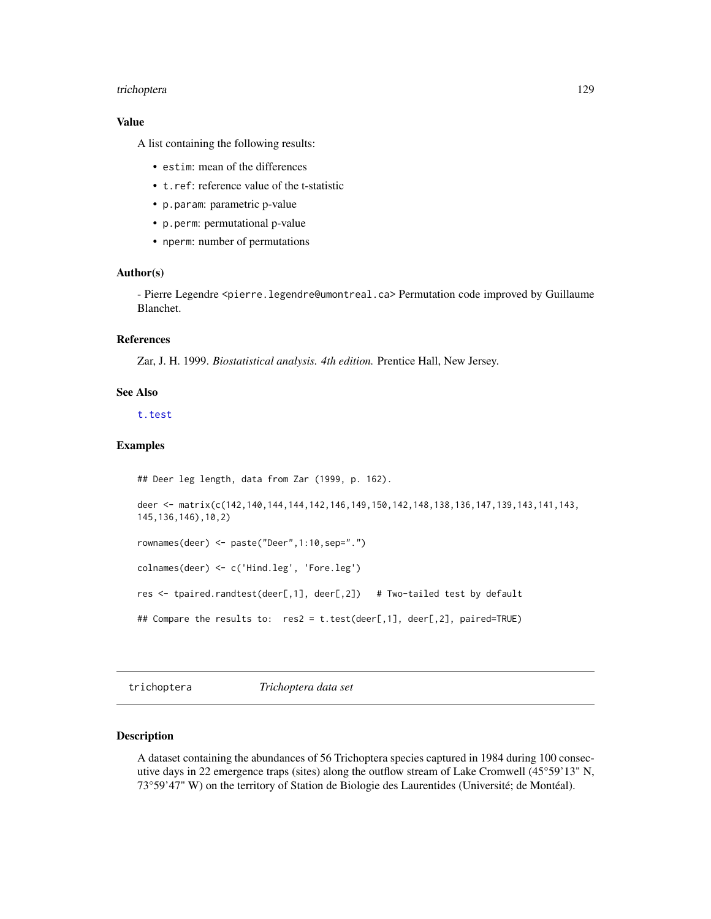#### <span id="page-128-1"></span>trichoptera 129

## Value

A list containing the following results:

- estim: mean of the differences
- t.ref: reference value of the t-statistic
- p.param: parametric p-value
- p.perm: permutational p-value
- nperm: number of permutations

#### Author(s)

- Pierre Legendre <pierre.legendre@umontreal.ca> Permutation code improved by Guillaume Blanchet.

#### References

Zar, J. H. 1999. *Biostatistical analysis. 4th edition.* Prentice Hall, New Jersey.

#### See Also

#### [t.test](#page-0-0)

# Examples

```
## Deer leg length, data from Zar (1999, p. 162).
deer <- matrix(c(142,140,144,144,142,146,149,150,142,148,138,136,147,139,143,141,143,
145,136,146),10,2)
rownames(deer) <- paste("Deer",1:10,sep=".")
colnames(deer) <- c('Hind.leg', 'Fore.leg')
res <- tpaired.randtest(deer[,1], deer[,2]) # Two-tailed test by default
## Compare the results to: res2 = t.test(deer[,1], deer[,2], paired=TRUE)
```
<span id="page-128-0"></span>trichoptera *Trichoptera data set*

#### Description

A dataset containing the abundances of 56 Trichoptera species captured in 1984 during 100 consecutive days in 22 emergence traps (sites) along the outflow stream of Lake Cromwell (45°59'13" N, 73°59'47" W) on the territory of Station de Biologie des Laurentides (Université; de Montéal).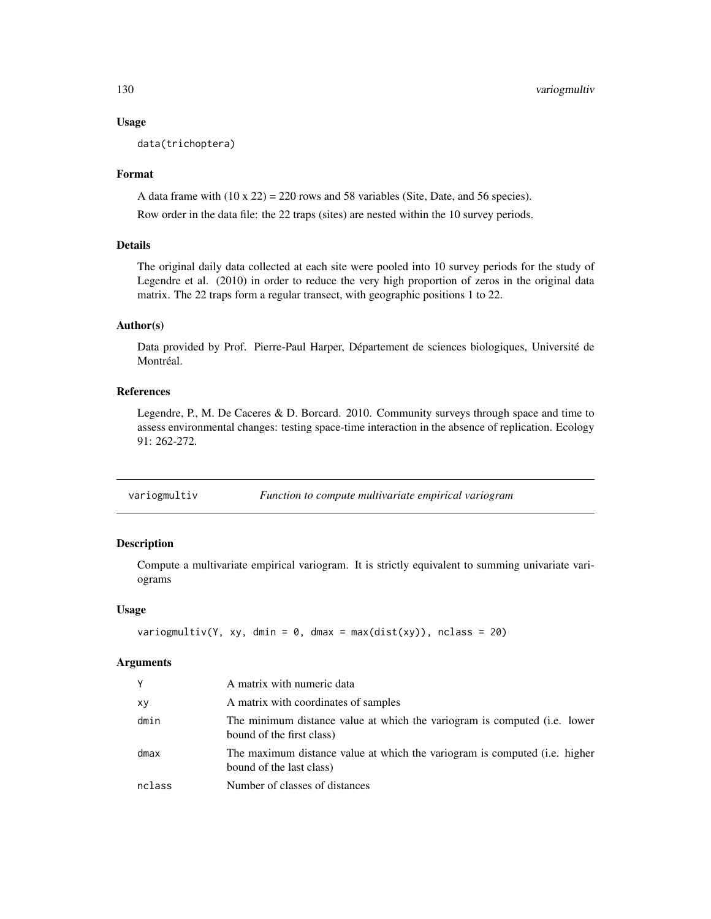#### Usage

data(trichoptera)

#### Format

A data frame with  $(10 \times 22) = 220$  rows and 58 variables (Site, Date, and 56 species).

Row order in the data file: the 22 traps (sites) are nested within the 10 survey periods.

#### Details

The original daily data collected at each site were pooled into 10 survey periods for the study of Legendre et al. (2010) in order to reduce the very high proportion of zeros in the original data matrix. The 22 traps form a regular transect, with geographic positions 1 to 22.

# Author(s)

Data provided by Prof. Pierre-Paul Harper, Département de sciences biologiques, Université de Montréal.

#### References

Legendre, P., M. De Caceres & D. Borcard. 2010. Community surveys through space and time to assess environmental changes: testing space-time interaction in the absence of replication. Ecology 91: 262-272.

variogmultiv *Function to compute multivariate empirical variogram*

#### **Description**

Compute a multivariate empirical variogram. It is strictly equivalent to summing univariate variograms

#### Usage

```
variogmultiv(Y, xy, dmin = 0, dmax = max(dist(xy)), nclass = 20)
```

| Y      | A matrix with numeric data                                                                             |
|--------|--------------------------------------------------------------------------------------------------------|
| xy     | A matrix with coordinates of samples                                                                   |
| dmin   | The minimum distance value at which the variogram is computed (i.e. lower<br>bound of the first class) |
| dmax   | The maximum distance value at which the variogram is computed (i.e. higher<br>bound of the last class) |
| nclass | Number of classes of distances                                                                         |

<span id="page-129-0"></span>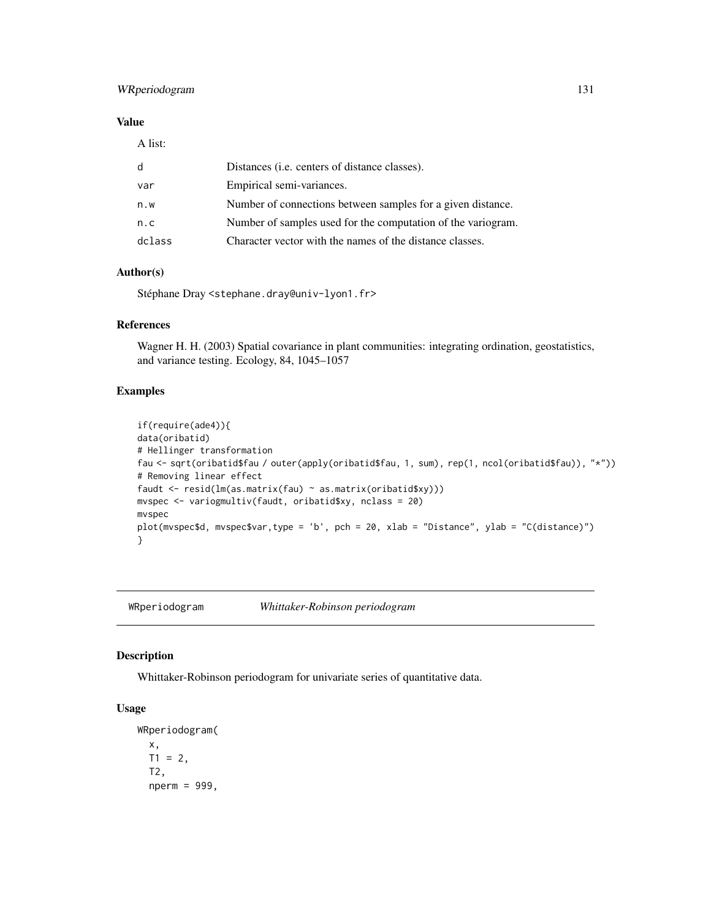# <span id="page-130-0"></span>WRperiodogram 131

# Value

A list:

| Distances ( <i>i.e.</i> centers of distance classes).        |
|--------------------------------------------------------------|
| Empirical semi-variances.                                    |
| Number of connections between samples for a given distance.  |
| Number of samples used for the computation of the variogram. |
| Character vector with the names of the distance classes.     |
|                                                              |

# Author(s)

Stéphane Dray <stephane.dray@univ-lyon1.fr>

# References

Wagner H. H. (2003) Spatial covariance in plant communities: integrating ordination, geostatistics, and variance testing. Ecology, 84, 1045–1057

#### Examples

```
if(require(ade4)){
data(oribatid)
# Hellinger transformation
fau <- sqrt(oribatid$fau / outer(apply(oribatid$fau, 1, sum), rep(1, ncol(oribatid$fau)), "*"))
# Removing linear effect
faudt <- resid(lm(as.matrix(fau) ~ as.matrix(oribatid$xy)))
mvspec <- variogmultiv(faudt, oribatid$xy, nclass = 20)
mvspec
plot(mvspec$d, mvspec$var,type = 'b', pch = 20, xlab = "Distance", ylab = "C(distance)")
}
```
WRperiodogram *Whittaker-Robinson periodogram*

# Description

Whittaker-Robinson periodogram for univariate series of quantitative data.

# Usage

```
WRperiodogram(
  x,
 T1 = 2,
 T2,
 nperm = 999,
```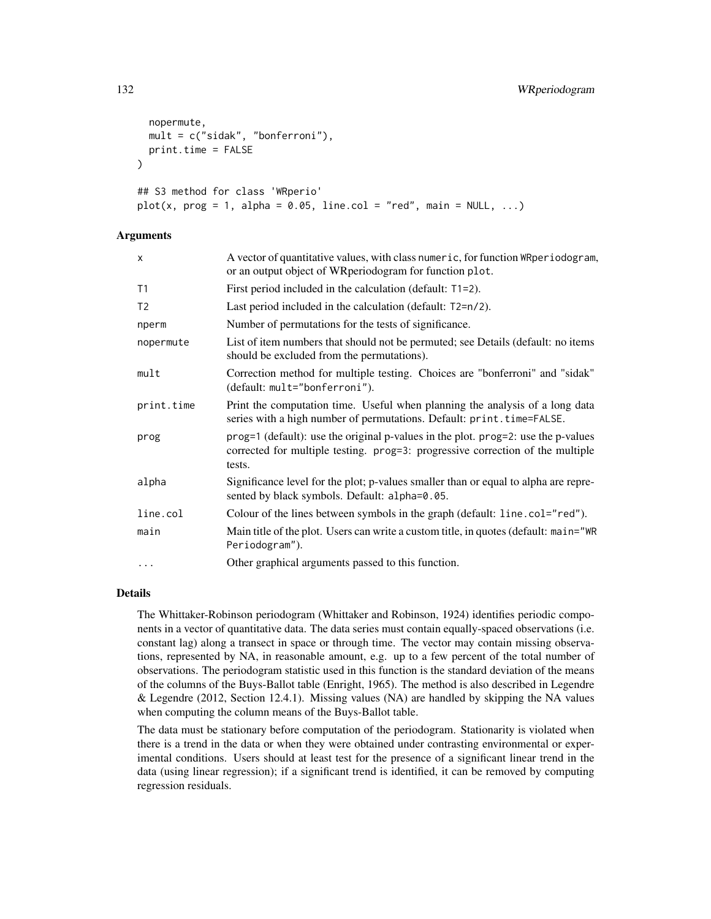```
nopermute,
 mult = c("sidak", "bonferroni"),
 print.time = FALSE
\lambda## S3 method for class 'WRperio'
plot(x, prog = 1, alpha = 0.05, line,col = "red", main = NULL, ...)
```
#### Arguments

| X              | A vector of quantitative values, with class numeric, for function WRperiodogram,<br>or an output object of WRperiodogram for function plot.                                   |
|----------------|-------------------------------------------------------------------------------------------------------------------------------------------------------------------------------|
| T1             | First period included in the calculation (default: T1=2).                                                                                                                     |
| T <sub>2</sub> | Last period included in the calculation (default: $T2=n/2$ ).                                                                                                                 |
| nperm          | Number of permutations for the tests of significance.                                                                                                                         |
| nopermute      | List of item numbers that should not be permuted; see Details (default: no items<br>should be excluded from the permutations).                                                |
| mult           | Correction method for multiple testing. Choices are "bonferroni" and "sidak"<br>(default: mult="bonferroni").                                                                 |
| print.time     | Print the computation time. Useful when planning the analysis of a long data<br>series with a high number of permutations. Default: print.time=FALSE.                         |
| prog           | prog=1 (default): use the original p-values in the plot. prog=2: use the p-values<br>corrected for multiple testing. prog=3: progressive correction of the multiple<br>tests. |
| alpha          | Significance level for the plot; p-values smaller than or equal to alpha are repre-<br>sented by black symbols. Default: alpha=0.05.                                          |
| line.col       | Colour of the lines between symbols in the graph (default: line.col="red").                                                                                                   |
| main           | Main title of the plot. Users can write a custom title, in quotes (default: main="WR<br>Periodogram").                                                                        |
| $\cdots$       | Other graphical arguments passed to this function.                                                                                                                            |

# Details

The Whittaker-Robinson periodogram (Whittaker and Robinson, 1924) identifies periodic components in a vector of quantitative data. The data series must contain equally-spaced observations (i.e. constant lag) along a transect in space or through time. The vector may contain missing observations, represented by NA, in reasonable amount, e.g. up to a few percent of the total number of observations. The periodogram statistic used in this function is the standard deviation of the means of the columns of the Buys-Ballot table (Enright, 1965). The method is also described in Legendre & Legendre (2012, Section 12.4.1). Missing values (NA) are handled by skipping the NA values when computing the column means of the Buys-Ballot table.

The data must be stationary before computation of the periodogram. Stationarity is violated when there is a trend in the data or when they were obtained under contrasting environmental or experimental conditions. Users should at least test for the presence of a significant linear trend in the data (using linear regression); if a significant trend is identified, it can be removed by computing regression residuals.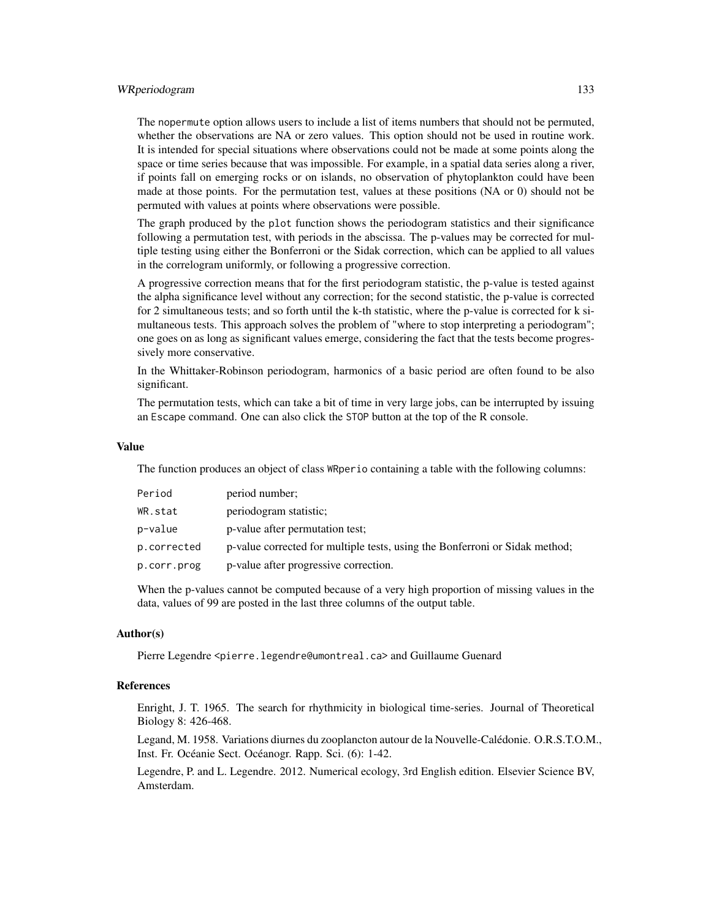#### WRperiodogram 133

The nopermute option allows users to include a list of items numbers that should not be permuted, whether the observations are NA or zero values. This option should not be used in routine work. It is intended for special situations where observations could not be made at some points along the space or time series because that was impossible. For example, in a spatial data series along a river, if points fall on emerging rocks or on islands, no observation of phytoplankton could have been made at those points. For the permutation test, values at these positions (NA or 0) should not be permuted with values at points where observations were possible.

The graph produced by the plot function shows the periodogram statistics and their significance following a permutation test, with periods in the abscissa. The p-values may be corrected for multiple testing using either the Bonferroni or the Sidak correction, which can be applied to all values in the correlogram uniformly, or following a progressive correction.

A progressive correction means that for the first periodogram statistic, the p-value is tested against the alpha significance level without any correction; for the second statistic, the p-value is corrected for 2 simultaneous tests; and so forth until the k-th statistic, where the p-value is corrected for k simultaneous tests. This approach solves the problem of "where to stop interpreting a periodogram"; one goes on as long as significant values emerge, considering the fact that the tests become progressively more conservative.

In the Whittaker-Robinson periodogram, harmonics of a basic period are often found to be also significant.

The permutation tests, which can take a bit of time in very large jobs, can be interrupted by issuing an Escape command. One can also click the STOP button at the top of the R console.

#### Value

The function produces an object of class WRperio containing a table with the following columns:

| Period      | period number;                                                              |
|-------------|-----------------------------------------------------------------------------|
| WR.stat     | periodogram statistic;                                                      |
| p-value     | p-value after permutation test;                                             |
| p.corrected | p-value corrected for multiple tests, using the Bonferroni or Sidak method; |
| p.corr.prog | p-value after progressive correction.                                       |

When the p-values cannot be computed because of a very high proportion of missing values in the data, values of 99 are posted in the last three columns of the output table.

#### Author(s)

Pierre Legendre <pierre.legendre@umontreal.ca> and Guillaume Guenard

#### References

Enright, J. T. 1965. The search for rhythmicity in biological time-series. Journal of Theoretical Biology 8: 426-468.

Legand, M. 1958. Variations diurnes du zooplancton autour de la Nouvelle-Calédonie. O.R.S.T.O.M., Inst. Fr. Océanie Sect. Océanogr. Rapp. Sci. (6): 1-42.

Legendre, P. and L. Legendre. 2012. Numerical ecology, 3rd English edition. Elsevier Science BV, Amsterdam.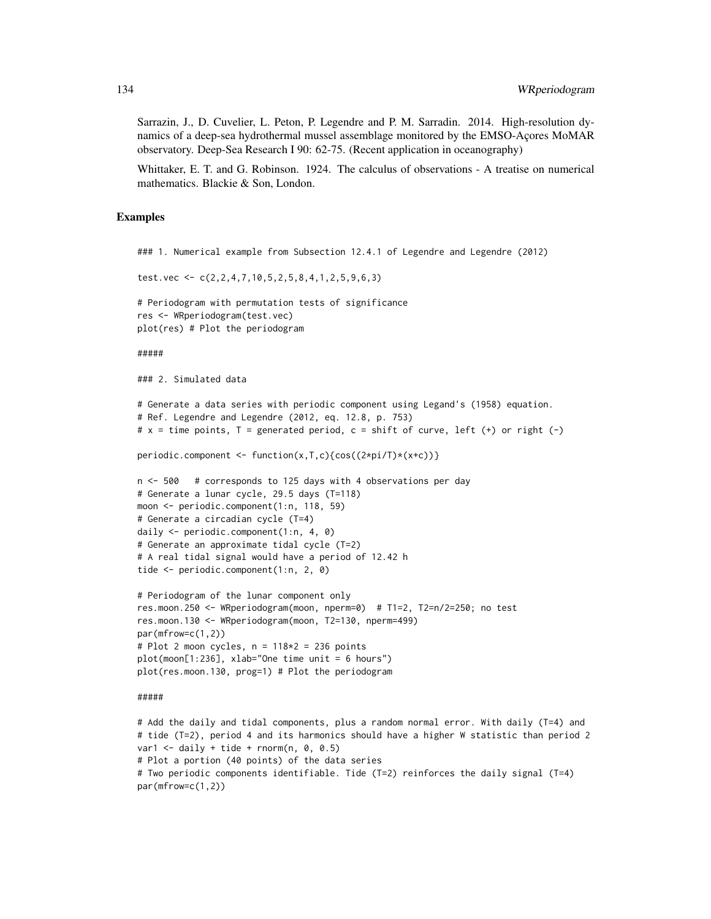Sarrazin, J., D. Cuvelier, L. Peton, P. Legendre and P. M. Sarradin. 2014. High-resolution dynamics of a deep-sea hydrothermal mussel assemblage monitored by the EMSO-Açores MoMAR observatory. Deep-Sea Research I 90: 62-75. (Recent application in oceanography)

Whittaker, E. T. and G. Robinson. 1924. The calculus of observations - A treatise on numerical mathematics. Blackie & Son, London.

#### Examples

```
### 1. Numerical example from Subsection 12.4.1 of Legendre and Legendre (2012)
test.vec <- c(2,2,4,7,10,5,2,5,8,4,1,2,5,9,6,3)
# Periodogram with permutation tests of significance
res <- WRperiodogram(test.vec)
plot(res) # Plot the periodogram
#####
### 2. Simulated data
# Generate a data series with periodic component using Legand's (1958) equation.
# Ref. Legendre and Legendre (2012, eq. 12.8, p. 753)
# x = time points, T = generated period, c = shift of curve, left (+) or right (-)
periodic.component <- function(x,T,c){cos((2*pi/T)*(x+c))}
n <- 500 # corresponds to 125 days with 4 observations per day
# Generate a lunar cycle, 29.5 days (T=118)
moon <- periodic.component(1:n, 118, 59)
# Generate a circadian cycle (T=4)
daily <- periodic.component(1:n, 4, 0)
# Generate an approximate tidal cycle (T=2)
# A real tidal signal would have a period of 12.42 h
tide <- periodic.component(1:n, 2, 0)
# Periodogram of the lunar component only
res.moon.250 <- WRperiodogram(moon, nperm=0) # T1=2, T2=n/2=250; no test
res.moon.130 <- WRperiodogram(moon, T2=130, nperm=499)
par(mfrow=c(1,2))
# Plot 2 moon cycles, n = 118*2 = 236 points
plot(moon[1:236], xlab="One time unit = 6 hours")plot(res.moon.130, prog=1) # Plot the periodogram
#####
```
# Add the daily and tidal components, plus a random normal error. With daily (T=4) and # tide (T=2), period 4 and its harmonics should have a higher W statistic than period 2 var1  $\le$  daily + tide + rnorm(n, 0, 0.5) # Plot a portion (40 points) of the data series # Two periodic components identifiable. Tide (T=2) reinforces the daily signal (T=4) par(mfrow=c(1,2))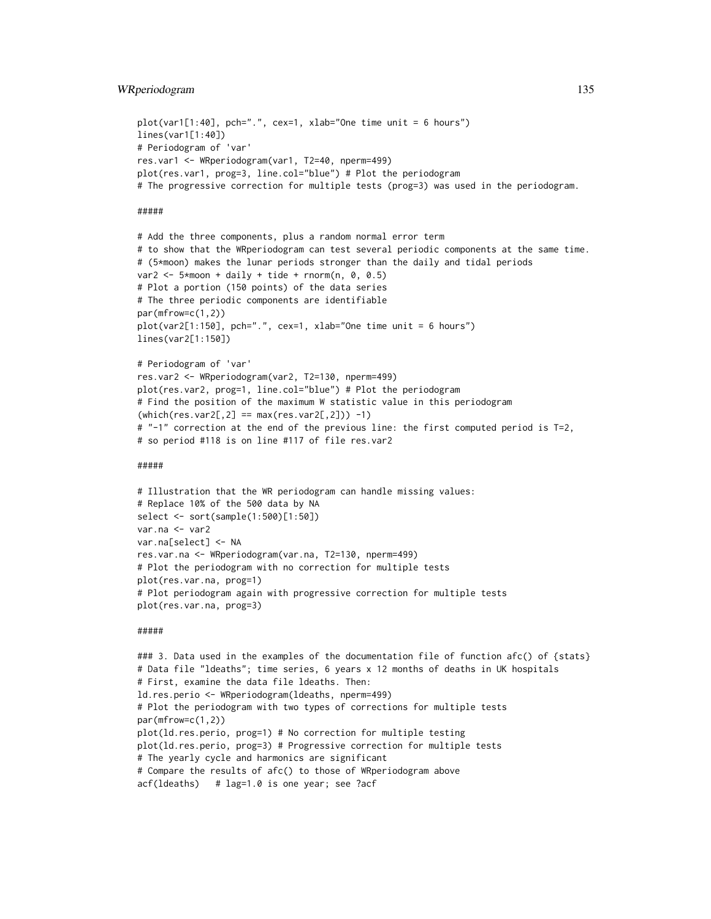#### WRperiodogram 135

```
plot(var1[1:40], pch=".", cex=1, xlab="One time unit = 6 hours")
lines(var1[1:40])
# Periodogram of 'var'
res.var1 <- WRperiodogram(var1, T2=40, nperm=499)
plot(res.var1, prog=3, line.col="blue") # Plot the periodogram
# The progressive correction for multiple tests (prog=3) was used in the periodogram.
#####
# Add the three components, plus a random normal error term
# to show that the WRperiodogram can test several periodic components at the same time.
# (5*moon) makes the lunar periods stronger than the daily and tidal periods
var2 \le 5*moon + daily + tide + rnorm(n, 0, 0.5)
# Plot a portion (150 points) of the data series
# The three periodic components are identifiable
par(mfrow=c(1,2))
plot(var2[1:150], pch=".", cex=1, xlab="One time unit = 6 hours")
lines(var2[1:150])
# Periodogram of 'var'
res.var2 <- WRperiodogram(var2, T2=130, nperm=499)
plot(res.var2, prog=1, line.col="blue") # Plot the periodogram
# Find the position of the maximum W statistic value in this periodogram
(\text{which}(\text{res}.\text{var2}[,2] == \text{max}(\text{res}.\text{var2}[,2])) -1)# "-1" correction at the end of the previous line: the first computed period is T=2,
# so period #118 is on line #117 of file res.var2
#####
# Illustration that the WR periodogram can handle missing values:
# Replace 10% of the 500 data by NA
select <- sort(sample(1:500)[1:50])
var.na <- var2
var.na[select] <- NA
res.var.na <- WRperiodogram(var.na, T2=130, nperm=499)
# Plot the periodogram with no correction for multiple tests
plot(res.var.na, prog=1)
# Plot periodogram again with progressive correction for multiple tests
plot(res.var.na, prog=3)
#####
### 3. Data used in the examples of the documentation file of function afc() of {stats}
# Data file "ldeaths"; time series, 6 years x 12 months of deaths in UK hospitals
# First, examine the data file ldeaths. Then:
ld.res.perio <- WRperiodogram(ldeaths, nperm=499)
# Plot the periodogram with two types of corrections for multiple tests
par(mfrow=c(1,2))
```
plot(ld.res.perio, prog=1) # No correction for multiple testing plot(ld.res.perio, prog=3) # Progressive correction for multiple tests # The yearly cycle and harmonics are significant # Compare the results of afc() to those of WRperiodogram above acf(ldeaths) # lag=1.0 is one year; see ?acf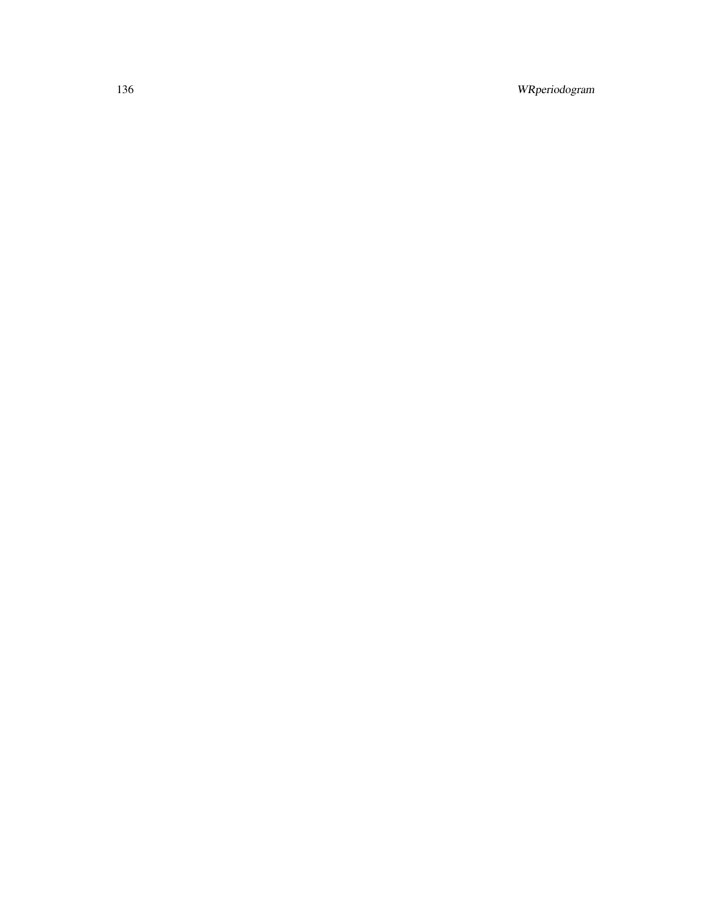WRperiodogram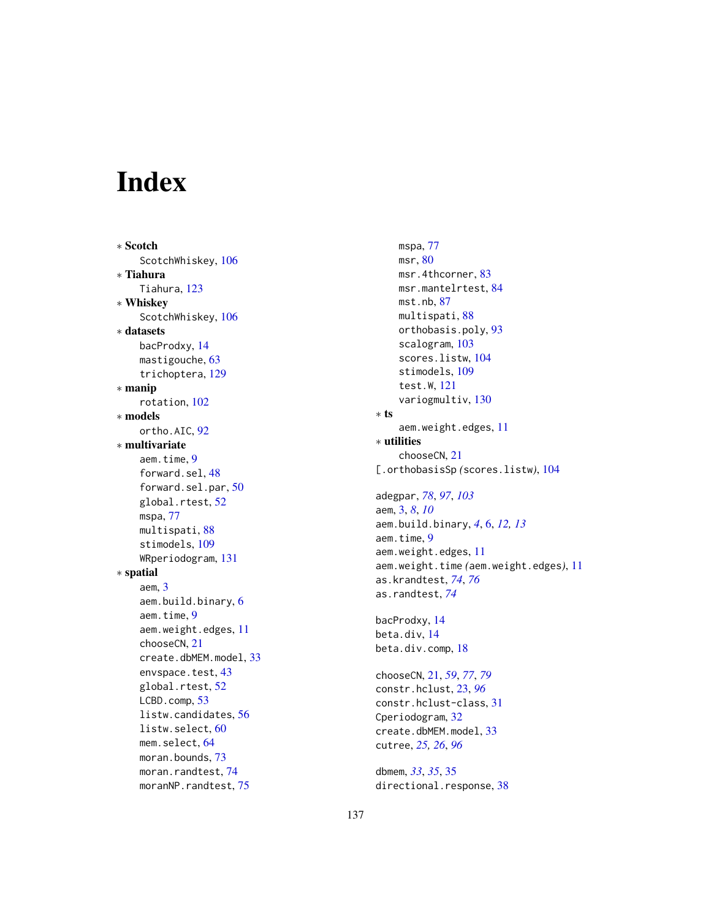# Index

∗ Scotch ScotchWhiskey , [106](#page-105-0) ∗ Tiahura Tiahura , [123](#page-122-0) ∗ Whiskey ScotchWhiskey , [106](#page-105-0) ∗ datasets bacProdxy , [14](#page-13-0) mastigouche , [63](#page-62-0) trichoptera , [129](#page-128-1) ∗ manip rotation , [102](#page-101-0) ∗ models ortho.AIC, [92](#page-91-1) ∗ multivariate aem.time , [9](#page-8-0) forward.sel , [48](#page-47-0) forward.sel.par , [50](#page-49-0) global.rtest, [52](#page-51-0) mspa , [77](#page-76-0) multispati, [88](#page-87-0) stimodels , [109](#page-108-0) WRperiodogram , [131](#page-130-0) ∗ spatial aem , [3](#page-2-0) aem.build.binary , [6](#page-5-0) aem.time , [9](#page-8-0) aem.weight.edges , [11](#page-10-0) chooseCN , [21](#page-20-0) create.dbMEM.model, [33](#page-32-0) envspace.test, [43](#page-42-0) global.rtest, [52](#page-51-0) LCBD.comp, [53](#page-52-0) listw.candidates , [56](#page-55-1) listw.select, [60](#page-59-1) mem.select, [64](#page-63-0) moran.bounds, [73](#page-72-0) moran.randtest, [74](#page-73-0) moranNP.randtest, [75](#page-74-0)

mspa , [77](#page-76-0) msr , [80](#page-79-0) msr.4thcorner, <mark>8</mark>3 msr.mantelrtest , [84](#page-83-0) mst.nb, [87](#page-86-0) multispati, [88](#page-87-0) orthobasis.poly , [93](#page-92-0) scalogram, [103](#page-102-0) scores.listw, [104](#page-103-1) stimodels , [109](#page-108-0) test.W , [121](#page-120-0) variogmultiv, [130](#page-129-0) ∗ ts aem.weight.edges , [11](#page-10-0) ∗ utilities chooseCN , [21](#page-20-0) [.orthobasisSp *(*scores.listw *)* , [104](#page-103-1) adegpar , *[78](#page-77-0)* , *[97](#page-96-0)* , *[103](#page-102-0)* aem , [3](#page-2-0) , *[8](#page-7-0)* , *[10](#page-9-0)* aem.build.binary , *[4](#page-3-0)* , [6](#page-5-0) , *[12](#page-11-0) , [13](#page-12-0)* aem.time , [9](#page-8-0) aem.weight.edges , [11](#page-10-0) aem.weight.time *(*aem.weight.edges *)* , [11](#page-10-0) as.krandtest , *[74](#page-73-0)* , *[76](#page-75-0)* as.randtest , *[74](#page-73-0)* bacProdxy , [14](#page-13-0) beta.div , [14](#page-13-0) beta.div.comp, [18](#page-17-0)

chooseCN , [21](#page-20-0) , *[59](#page-58-0)* , *[77](#page-76-0)* , *[79](#page-78-0)* constr.hclust , [23](#page-22-0) , *[96](#page-95-0)* constr.hclust-class , [31](#page-30-0) Cperiodogram, [32](#page-31-0) create.dbMEM.model, [33](#page-32-0) cutree , *[25](#page-24-0) , [26](#page-25-0)* , *[96](#page-95-0)*

dbmem , *[33](#page-32-0)* , *[35](#page-34-0)* , [35](#page-34-0) directional.response, [38](#page-37-0)